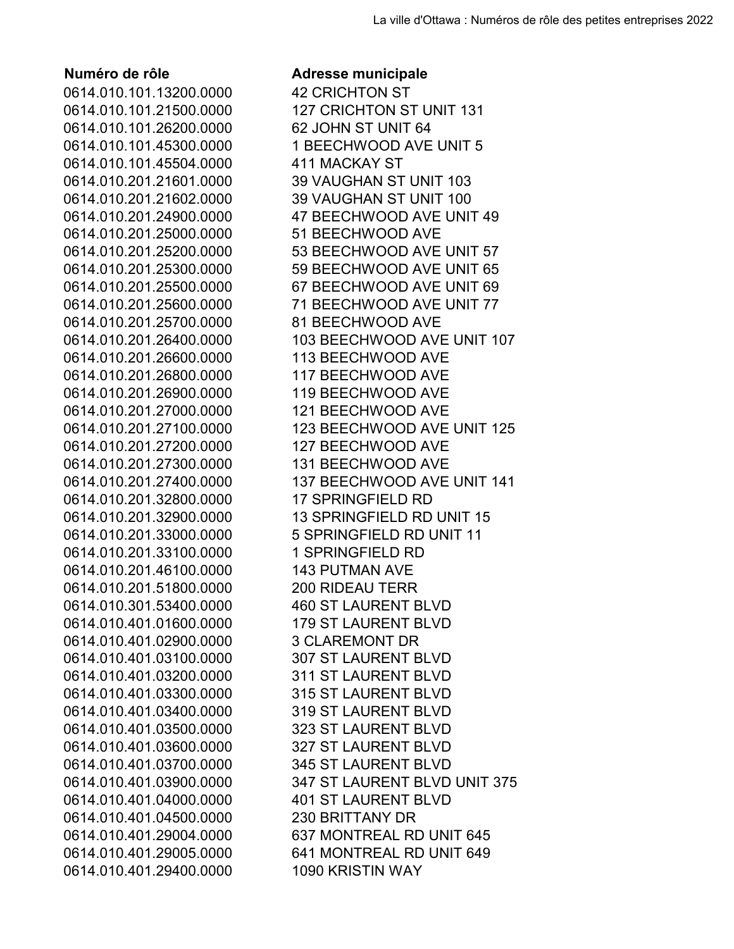0614.010.101.13200.0000 42 CRICHTON ST 0614.010.101.26200.0000 62 JOHN ST UNIT 64 0614.010.101.45504.0000 411 MACKAY ST 0614.010.201.25000.0000 51 BEECHWOOD AVE 0614.010.201.25700.0000 81 BEECHWOOD AVE 0614.010.201.26600.0000 113 BEECHWOOD AVE 0614.010.201.26800.0000 117 BEECHWOOD AVE 0614.010.201.26900.0000 119 BEECHWOOD AVE 0614.010.201.27000.0000 121 BEECHWOOD AVE 0614.010.201.27200.0000 127 BEECHWOOD AVE 0614.010.201.27300.0000 131 BEECHWOOD AVE 0614.010.201.32800.0000 17 SPRINGFIELD RD 0614.010.201.33100.0000 1 SPRINGFIELD RD 0614.010.201.46100.0000 143 PUTMAN AVE 0614.010.201.51800.0000 200 RIDEAU TERR 0614.010.301.53400.0000 460 ST LAURENT BLVD 0614.010.401.01600.0000 179 ST LAURENT BLVD 0614.010.401.02900.0000 3 CLAREMONT DR 0614.010.401.03100.0000 307 ST LAURENT BLVD 0614.010.401.03200.0000 311 ST LAURENT BLVD 0614.010.401.03300.0000 315 ST LAURENT BLVD 0614.010.401.03400.0000 319 ST LAURENT BLVD 0614.010.401.03500.0000 323 ST LAURENT BLVD 0614.010.401.03600.0000 327 ST LAURENT BLVD 0614.010.401.03700.0000 345 ST LAURENT BLVD 0614.010.401.04000.0000 401 ST LAURENT BLVD 0614.010.401.04500.0000 230 BRITTANY DR 0614.010.401.29400.0000 1090 KRISTIN WAY

## **Numéro de rôle Adresse municipale**

0614.010.101.21500.0000 127 CRICHTON ST UNIT 131 0614.010.101.45300.0000 1 BEECHWOOD AVE UNIT 5 0614.010.201.21601.0000 39 VAUGHAN ST UNIT 103 0614.010.201.21602.0000 39 VAUGHAN ST UNIT 100 0614.010.201.24900.0000 47 BEECHWOOD AVE UNIT 49 0614.010.201.25200.0000 53 BEECHWOOD AVE UNIT 57 0614.010.201.25300.0000 59 BEECHWOOD AVE UNIT 65 0614.010.201.25500.0000 67 BEECHWOOD AVE UNIT 69 0614.010.201.25600.0000 71 BEECHWOOD AVE UNIT 77 0614.010.201.26400.0000 103 BEECHWOOD AVE UNIT 107 0614.010.201.27100.0000 123 BEECHWOOD AVE UNIT 125 0614.010.201.27400.0000 137 BEECHWOOD AVE UNIT 141 0614.010.201.32900.0000 13 SPRINGFIELD RD UNIT 15 0614.010.201.33000.0000 5 SPRINGFIELD RD UNIT 11 0614.010.401.03900.0000 347 ST LAURENT BLVD UNIT 375 0614.010.401.29004.0000 637 MONTREAL RD UNIT 645 0614.010.401.29005.0000 641 MONTREAL RD UNIT 649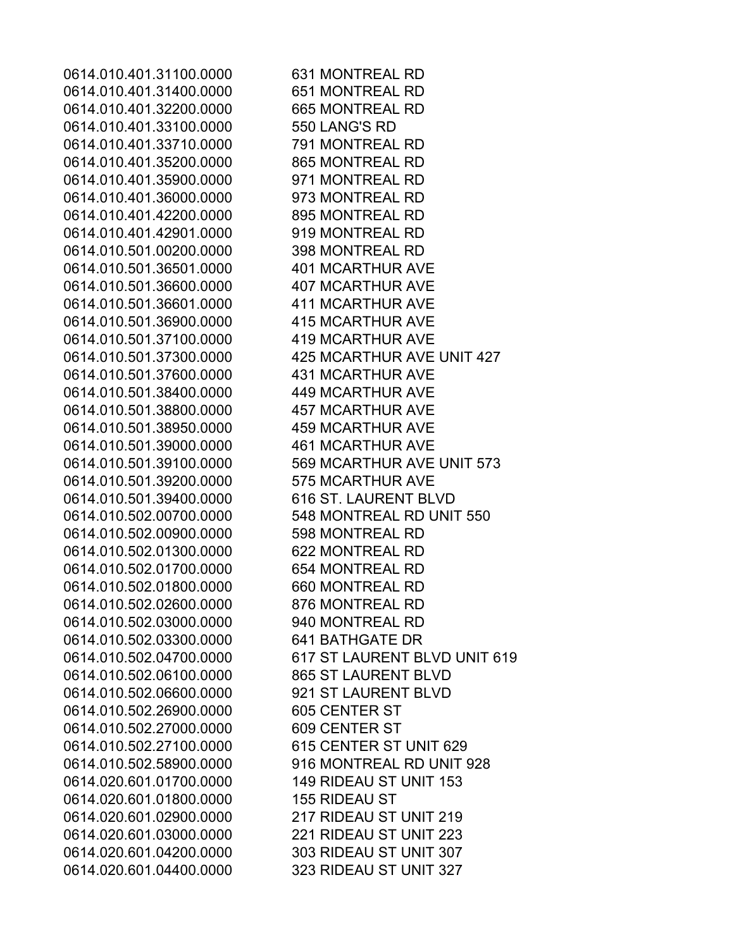0614.010.401.31100.0000 631 MONTREAL RD 0614.010.401.31400.0000 651 MONTREAL RD 0614.010.401.32200.0000 665 MONTREAL RD 0614.010.401.33100.0000 550 LANG'S RD 0614.010.401.33710.0000 791 MONTREAL RD 0614.010.401.35200.0000 865 MONTREAL RD 0614.010.401.35900.0000 971 MONTREAL RD 0614.010.401.36000.0000 973 MONTREAL RD 0614.010.401.42200.0000 895 MONTREAL RD 0614.010.401.42901.0000 919 MONTREAL RD 0614.010.501.00200.0000 398 MONTREAL RD 0614.010.501.36501.0000 401 MCARTHUR AVE 0614.010.501.36600.0000 407 MCARTHUR AVE 0614.010.501.36601.0000 411 MCARTHUR AVE 0614.010.501.36900.0000 415 MCARTHUR AVE 0614.010.501.37100.0000 419 MCARTHUR AVE 0614.010.501.37300.0000 425 MCARTHUR AVE UNIT 427 0614.010.501.37600.0000 431 MCARTHUR AVE 0614.010.501.38400.0000 449 MCARTHUR AVE 0614.010.501.38800.0000 457 MCARTHUR AVE 0614.010.501.38950.0000 459 MCARTHUR AVE 0614.010.501.39000.0000 461 MCARTHUR AVE 0614.010.501.39100.0000 569 MCARTHUR AVE UNIT 573 0614.010.501.39200.0000 575 MCARTHUR AVE 0614.010.501.39400.0000 616 ST. LAURENT BLVD 0614.010.502.00700.0000 548 MONTREAL RD UNIT 550 0614.010.502.00900.0000 598 MONTREAL RD 0614.010.502.01300.0000 622 MONTREAL RD 0614.010.502.01700.0000 654 MONTREAL RD 0614.010.502.01800.0000 660 MONTREAL RD 0614.010.502.02600.0000 876 MONTREAL RD 0614.010.502.03000.0000 940 MONTREAL RD 0614.010.502.03300.0000 641 BATHGATE DR 0614.010.502.04700.0000 617 ST LAURENT BLVD UNIT 619 0614.010.502.06100.0000 865 ST LAURENT BLVD 0614.010.502.06600.0000 921 ST LAURENT BLVD 0614.010.502.26900.0000 605 CENTER ST 0614.010.502.27000.0000 609 CENTER ST 0614.010.502.27100.0000 615 CENTER ST UNIT 629 0614.010.502.58900.0000 916 MONTREAL RD UNIT 928 0614.020.601.01700.0000 149 RIDEAU ST UNIT 153 0614.020.601.01800.0000 155 RIDEAU ST 0614.020.601.02900.0000 217 RIDEAU ST UNIT 219 0614.020.601.03000.0000 221 RIDEAU ST UNIT 223 0614.020.601.04200.0000 303 RIDEAU ST UNIT 307 0614.020.601.04400.0000 323 RIDEAU ST UNIT 327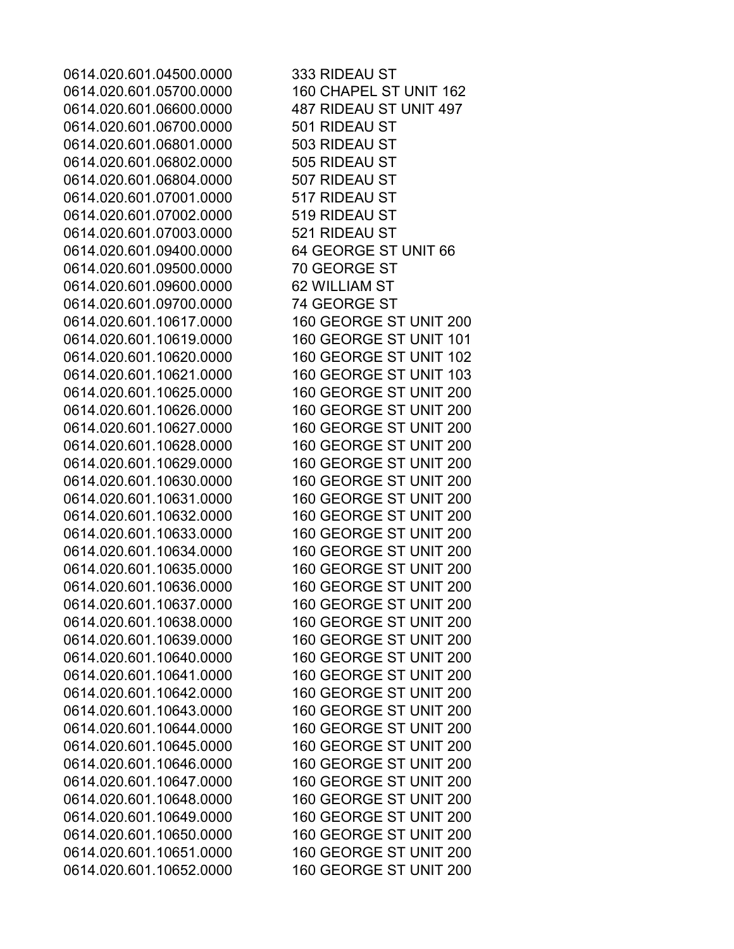0614.020.601.04500.0000 333 RIDEAU ST 0614.020.601.05700.0000 160 CHAPEL ST UNIT 162 0614.020.601.06600.0000 487 RIDEAU ST UNIT 497 0614.020.601.06700.0000 501 RIDEAU ST 0614.020.601.06801.0000 503 RIDEAU ST 0614.020.601.06802.0000 505 RIDEAU ST 0614.020.601.06804.0000 507 RIDEAU ST 0614.020.601.07001.0000 517 RIDEAU ST 0614.020.601.07002.0000 519 RIDEAU ST 0614.020.601.07003.0000 521 RIDEAU ST 0614.020.601.09400.0000 64 GEORGE ST UNIT 66 0614.020.601.09500.0000 70 GEORGE ST 0614.020.601.09600.0000 62 WILLIAM ST 0614.020.601.09700.0000 74 GEORGE ST 0614.020.601.10617.0000 160 GEORGE ST UNIT 200 0614.020.601.10619.0000 160 GEORGE ST UNIT 101 0614.020.601.10620.0000 160 GEORGE ST UNIT 102 0614.020.601.10621.0000 160 GEORGE ST UNIT 103 0614.020.601.10625.0000 160 GEORGE ST UNIT 200 0614.020.601.10626.0000 160 GEORGE ST UNIT 200 0614.020.601.10627.0000 160 GEORGE ST UNIT 200 0614.020.601.10628.0000 160 GEORGE ST UNIT 200 0614.020.601.10629.0000 160 GEORGE ST UNIT 200 0614.020.601.10630.0000 160 GEORGE ST UNIT 200 0614.020.601.10631.0000 160 GEORGE ST UNIT 200 0614.020.601.10632.0000 160 GEORGE ST UNIT 200 0614.020.601.10633.0000 160 GEORGE ST UNIT 200 0614.020.601.10634.0000 160 GEORGE ST UNIT 200 0614.020.601.10635.0000 160 GEORGE ST UNIT 200 0614.020.601.10636.0000 160 GEORGE ST UNIT 200 0614.020.601.10637.0000 160 GEORGE ST UNIT 200 0614.020.601.10638.0000 160 GEORGE ST UNIT 200 0614.020.601.10639.0000 160 GEORGE ST UNIT 200 0614.020.601.10640.0000 160 GEORGE ST UNIT 200 0614.020.601.10641.0000 160 GEORGE ST UNIT 200 0614.020.601.10642.0000 160 GEORGE ST UNIT 200 0614.020.601.10643.0000 160 GEORGE ST UNIT 200 0614.020.601.10644.0000 160 GEORGE ST UNIT 200 0614.020.601.10645.0000 160 GEORGE ST UNIT 200 0614.020.601.10646.0000 160 GEORGE ST UNIT 200 0614.020.601.10647.0000 160 GEORGE ST UNIT 200 0614.020.601.10648.0000 160 GEORGE ST UNIT 200 0614.020.601.10649.0000 160 GEORGE ST UNIT 200 0614.020.601.10650.0000 160 GEORGE ST UNIT 200 0614.020.601.10651.0000 160 GEORGE ST UNIT 200 0614.020.601.10652.0000 160 GEORGE ST UNIT 200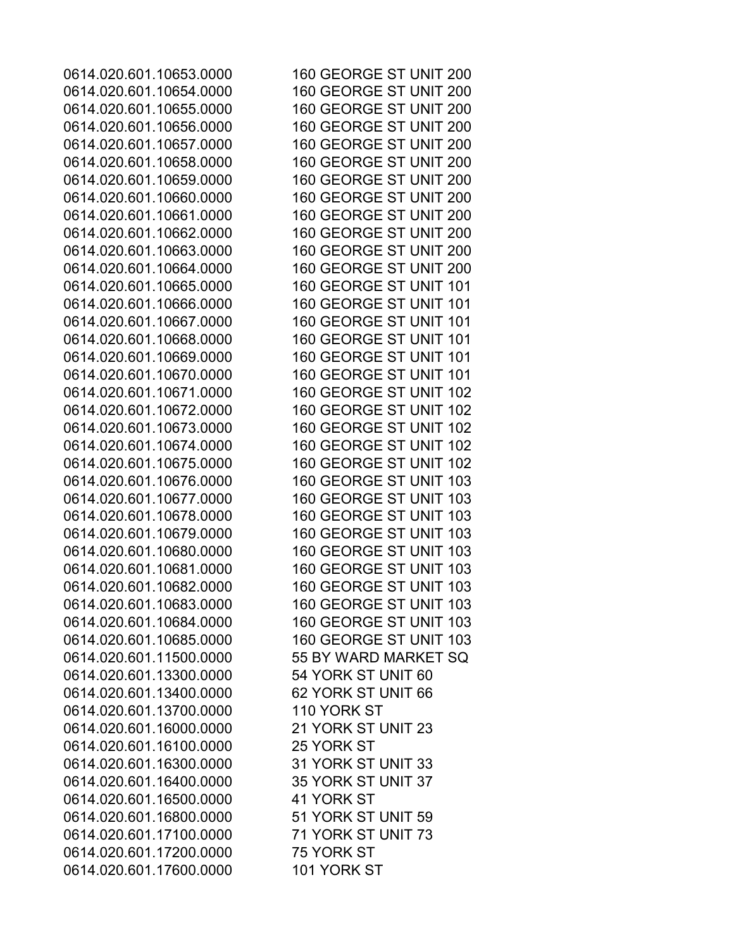0614.020.601.10653.0000 160 GEORGE ST UNIT 200 0614.020.601.10654.0000 160 GEORGE ST UNIT 200 0614.020.601.10655.0000 160 GEORGE ST UNIT 200 0614.020.601.10656.0000 160 GEORGE ST UNIT 200 0614.020.601.10657.0000 160 GEORGE ST UNIT 200 0614.020.601.10658.0000 160 GEORGE ST UNIT 200 0614.020.601.10659.0000 160 GEORGE ST UNIT 200 0614.020.601.10660.0000 160 GEORGE ST UNIT 200 0614.020.601.10661.0000 160 GEORGE ST UNIT 200 0614.020.601.10662.0000 160 GEORGE ST UNIT 200 0614.020.601.10663.0000 160 GEORGE ST UNIT 200 0614.020.601.10664.0000 160 GEORGE ST UNIT 200 0614.020.601.10665.0000 160 GEORGE ST UNIT 101 0614.020.601.10666.0000 160 GEORGE ST UNIT 101 0614.020.601.10667.0000 160 GEORGE ST UNIT 101 0614.020.601.10668.0000 160 GEORGE ST UNIT 101 0614.020.601.10669.0000 160 GEORGE ST UNIT 101 0614.020.601.10670.0000 160 GEORGE ST UNIT 101 0614.020.601.10671.0000 160 GEORGE ST UNIT 102 0614.020.601.10672.0000 160 GEORGE ST UNIT 102 0614.020.601.10673.0000 160 GEORGE ST UNIT 102 0614.020.601.10674.0000 160 GEORGE ST UNIT 102 0614.020.601.10675.0000 160 GEORGE ST UNIT 102 0614.020.601.10676.0000 160 GEORGE ST UNIT 103 0614.020.601.10677.0000 160 GEORGE ST UNIT 103 0614.020.601.10678.0000 160 GEORGE ST UNIT 103 0614.020.601.10679.0000 160 GEORGE ST UNIT 103 0614.020.601.10680.0000 160 GEORGE ST UNIT 103 0614.020.601.10681.0000 160 GEORGE ST UNIT 103 0614.020.601.10682.0000 160 GEORGE ST UNIT 103 0614.020.601.10683.0000 160 GEORGE ST UNIT 103 0614.020.601.10684.0000 160 GEORGE ST UNIT 103 0614.020.601.10685.0000 160 GEORGE ST UNIT 103 0614.020.601.11500.0000 55 BY WARD MARKET SQ 0614.020.601.13300.0000 54 YORK ST UNIT 60 0614.020.601.13400.0000 62 YORK ST UNIT 66 0614.020.601.13700.0000 110 YORK ST 0614.020.601.16000.0000 21 YORK ST UNIT 23 0614.020.601.16100.0000 25 YORK ST 0614.020.601.16300.0000 31 YORK ST UNIT 33 0614.020.601.16400.0000 35 YORK ST UNIT 37 0614.020.601.16500.0000 41 YORK ST 0614.020.601.16800.0000 51 YORK ST UNIT 59 0614.020.601.17100.0000 71 YORK ST UNIT 73 0614.020.601.17200.0000 75 YORK ST 0614.020.601.17600.0000 101 YORK ST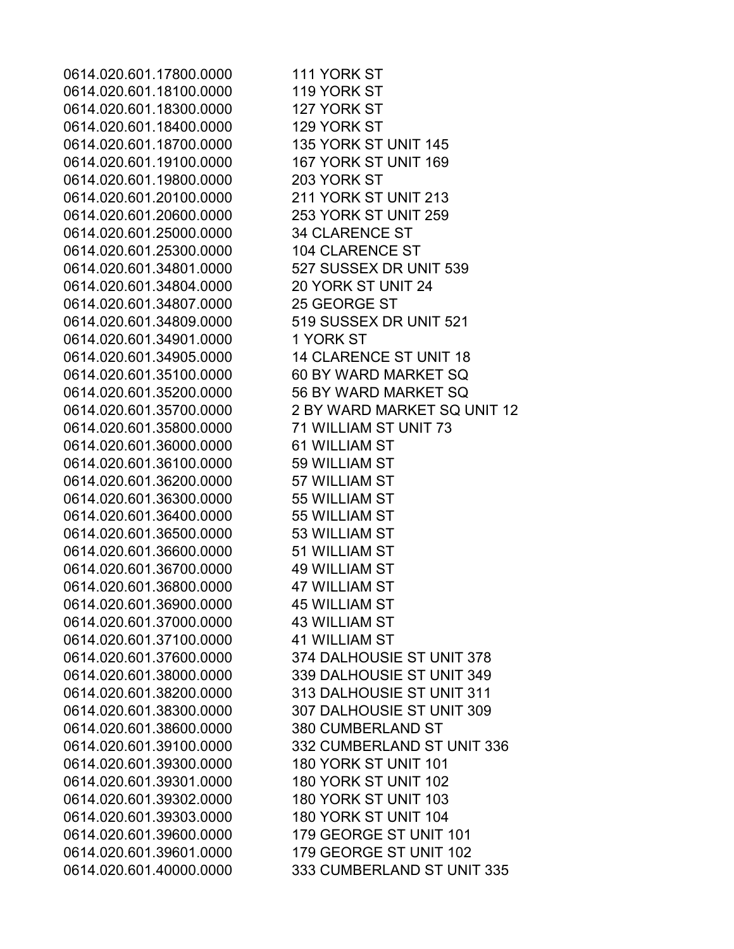0614.020.601.17800.0000 111 YORK ST 0614.020.601.18100.0000 119 YORK ST 0614.020.601.18300.0000 127 YORK ST 0614.020.601.18400.0000 129 YORK ST 0614.020.601.18700.0000 135 YORK ST UNIT 145 0614.020.601.19100.0000 167 YORK ST UNIT 169 0614.020.601.19800.0000 203 YORK ST 0614.020.601.20100.0000 211 YORK ST UNIT 213 0614.020.601.20600.0000 253 YORK ST UNIT 259 0614.020.601.25000.0000 34 CLARENCE ST 0614.020.601.25300.0000 104 CLARENCE ST 0614.020.601.34801.0000 527 SUSSEX DR UNIT 539 0614.020.601.34804.0000 20 YORK ST UNIT 24 0614.020.601.34807.0000 25 GEORGE ST 0614.020.601.34809.0000 519 SUSSEX DR UNIT 521 0614.020.601.34901.0000 1 YORK ST 0614.020.601.34905.0000 14 CLARENCE ST UNIT 18 0614.020.601.35100.0000 60 BY WARD MARKET SQ 0614.020.601.35200.0000 56 BY WARD MARKET SQ 0614.020.601.35700.0000 2 BY WARD MARKET SQ UNIT 12 0614.020.601.35800.0000 71 WILLIAM ST UNIT 73 0614.020.601.36000.0000 61 WILLIAM ST 0614.020.601.36100.0000 59 WILLIAM ST 0614.020.601.36200.0000 57 WILLIAM ST 0614.020.601.36300.0000 55 WILLIAM ST 0614.020.601.36400.0000 55 WILLIAM ST 0614.020.601.36500.0000 53 WILLIAM ST 0614.020.601.36600.0000 51 WILLIAM ST 0614.020.601.36700.0000 49 WILLIAM ST 0614.020.601.36800.0000 47 WILLIAM ST 0614.020.601.36900.0000 45 WILLIAM ST 0614.020.601.37000.0000 43 WILLIAM ST 0614.020.601.37100.0000 41 WILLIAM ST 0614.020.601.37600.0000 374 DALHOUSIE ST UNIT 378 0614.020.601.38000.0000 339 DALHOUSIE ST UNIT 349 0614.020.601.38200.0000 313 DALHOUSIE ST UNIT 311 0614.020.601.38300.0000 307 DALHOUSIE ST UNIT 309 0614.020.601.38600.0000 380 CUMBERLAND ST 0614.020.601.39100.0000 332 CUMBERLAND ST UNIT 336 0614.020.601.39300.0000 180 YORK ST UNIT 101 0614.020.601.39301.0000 180 YORK ST UNIT 102 0614.020.601.39302.0000 180 YORK ST UNIT 103 0614.020.601.39303.0000 180 YORK ST UNIT 104 0614.020.601.39600.0000 179 GEORGE ST UNIT 101 0614.020.601.39601.0000 179 GEORGE ST UNIT 102 0614.020.601.40000.0000 333 CUMBERLAND ST UNIT 335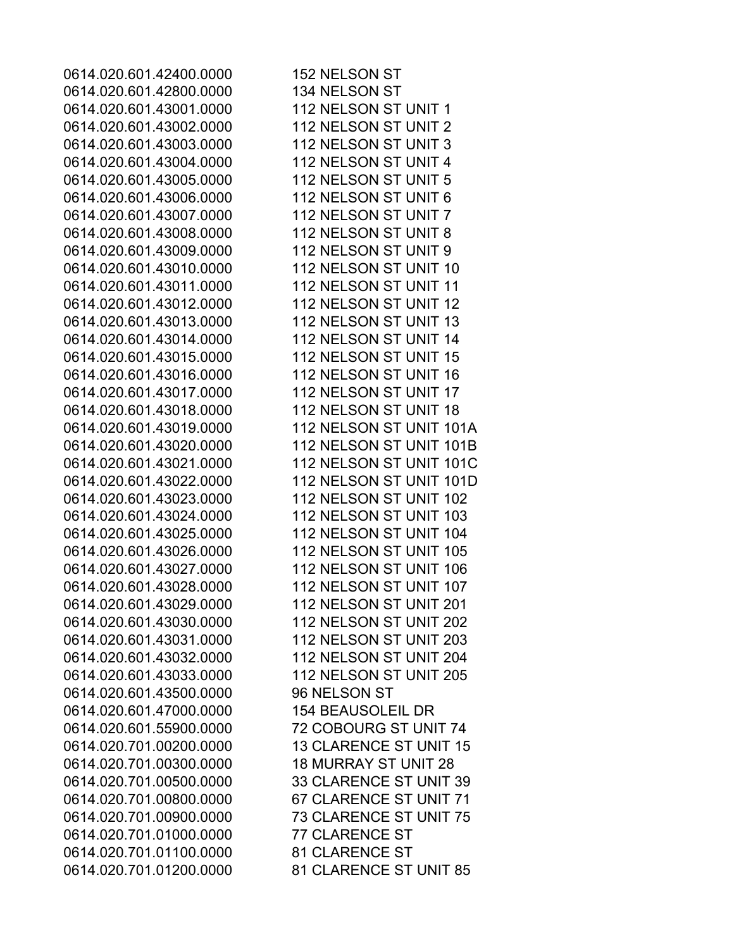0614.020.601.42400.0000 152 NELSON ST 0614.020.601.42800.0000 134 NELSON ST 0614.020.601.43001.0000 112 NELSON ST UNIT 1 0614.020.601.43002.0000 112 NELSON ST UNIT 2 0614.020.601.43003.0000 112 NELSON ST UNIT 3 0614.020.601.43004.0000 112 NELSON ST UNIT 4 0614.020.601.43005.0000 112 NELSON ST UNIT 5 0614.020.601.43006.0000 112 NELSON ST UNIT 6 0614.020.601.43007.0000 112 NELSON ST UNIT 7 0614.020.601.43008.0000 112 NELSON ST UNIT 8 0614.020.601.43009.0000 112 NELSON ST UNIT 9 0614.020.601.43010.0000 112 NELSON ST UNIT 10 0614.020.601.43011.0000 112 NELSON ST UNIT 11 0614.020.601.43012.0000 112 NELSON ST UNIT 12 0614.020.601.43013.0000 112 NELSON ST UNIT 13 0614.020.601.43014.0000 112 NELSON ST UNIT 14 0614.020.601.43015.0000 112 NELSON ST UNIT 15 0614.020.601.43016.0000 112 NELSON ST UNIT 16 0614.020.601.43017.0000 112 NELSON ST UNIT 17 0614.020.601.43018.0000 112 NELSON ST UNIT 18 0614.020.601.43019.0000 112 NELSON ST UNIT 101A 0614.020.601.43020.0000 112 NELSON ST UNIT 101B 0614.020.601.43021.0000 112 NELSON ST UNIT 101C 0614.020.601.43022.0000 112 NELSON ST UNIT 101D 0614.020.601.43023.0000 112 NELSON ST UNIT 102 0614.020.601.43024.0000 112 NELSON ST UNIT 103 0614.020.601.43025.0000 112 NELSON ST UNIT 104 0614.020.601.43026.0000 112 NELSON ST UNIT 105 0614.020.601.43027.0000 112 NELSON ST UNIT 106 0614.020.601.43028.0000 112 NELSON ST UNIT 107 0614.020.601.43029.0000 112 NELSON ST UNIT 201 0614.020.601.43030.0000 112 NELSON ST UNIT 202 0614.020.601.43031.0000 112 NELSON ST UNIT 203 0614.020.601.43032.0000 112 NELSON ST UNIT 204 0614.020.601.43033.0000 112 NELSON ST UNIT 205 0614.020.601.43500.0000 96 NELSON ST 0614.020.601.47000.0000 154 BEAUSOLEIL DR 0614.020.601.55900.0000 72 COBOURG ST UNIT 74 0614.020.701.00200.0000 13 CLARENCE ST UNIT 15 0614.020.701.00300.0000 18 MURRAY ST UNIT 28 0614.020.701.00500.0000 33 CLARENCE ST UNIT 39 0614.020.701.00800.0000 67 CLARENCE ST UNIT 71 0614.020.701.00900.0000 73 CLARENCE ST UNIT 75 0614.020.701.01000.0000 77 CLARENCE ST 0614.020.701.01100.0000 81 CLARENCE ST 0614.020.701.01200.0000 81 CLARENCE ST UNIT 85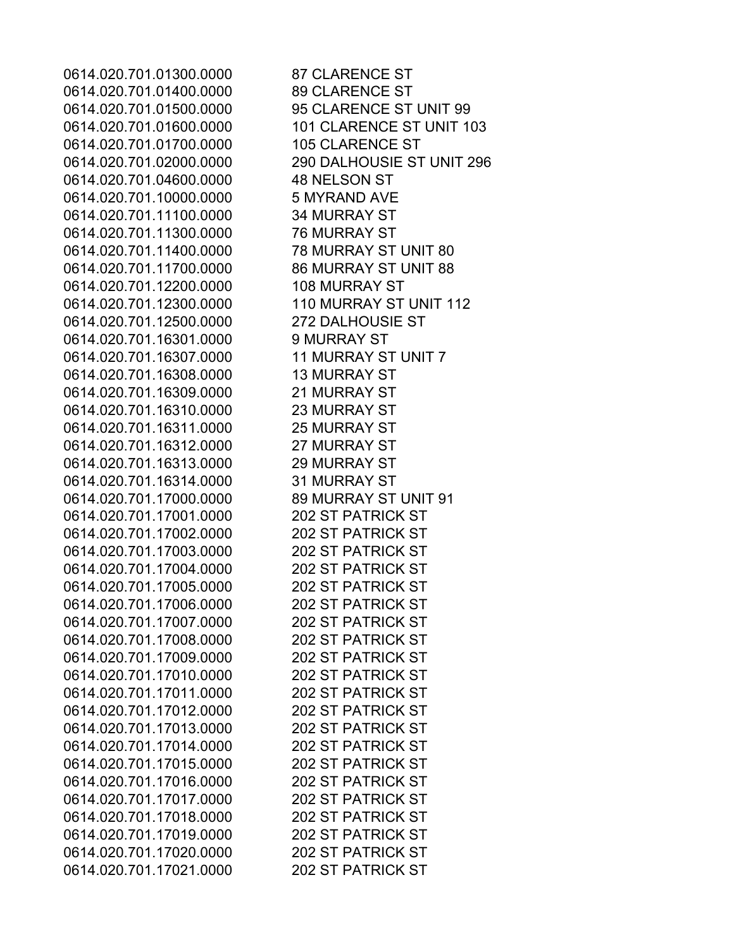0614.020.701.01300.0000 87 CLARENCE ST 0614.020.701.01400.0000 89 CLARENCE ST 0614.020.701.01500.0000 95 CLARENCE ST UNIT 99 0614.020.701.01600.0000 101 CLARENCE ST UNIT 103 0614.020.701.01700.0000 105 CLARENCE ST 0614.020.701.02000.0000 290 DALHOUSIE ST UNIT 296 0614.020.701.04600.0000 48 NELSON ST 0614.020.701.10000.0000 5 MYRAND AVE 0614.020.701.11100.0000 34 MURRAY ST 0614.020.701.11300.0000 76 MURRAY ST 0614.020.701.11400.0000 78 MURRAY ST UNIT 80 0614.020.701.11700.0000 86 MURRAY ST UNIT 88 0614.020.701.12200.0000 108 MURRAY ST 0614.020.701.12300.0000 110 MURRAY ST UNIT 112 0614.020.701.12500.0000 272 DALHOUSIE ST 0614.020.701.16301.0000 9 MURRAY ST 0614.020.701.16307.0000 11 MURRAY ST UNIT 7 0614.020.701.16308.0000 13 MURRAY ST 0614.020.701.16309.0000 21 MURRAY ST 0614.020.701.16310.0000 23 MURRAY ST 0614.020.701.16311.0000 25 MURRAY ST 0614.020.701.16312.0000 27 MURRAY ST 0614.020.701.16313.0000 29 MURRAY ST 0614.020.701.16314.0000 31 MURRAY ST 0614.020.701.17000.0000 89 MURRAY ST UNIT 91 0614.020.701.17001.0000 202 ST PATRICK ST 0614.020.701.17002.0000 202 ST PATRICK ST 0614.020.701.17003.0000 202 ST PATRICK ST 0614.020.701.17004.0000 202 ST PATRICK ST 0614.020.701.17005.0000 202 ST PATRICK ST 0614.020.701.17006.0000 202 ST PATRICK ST 0614.020.701.17007.0000 202 ST PATRICK ST 0614.020.701.17008.0000 202 ST PATRICK ST 0614.020.701.17009.0000 202 ST PATRICK ST 0614.020.701.17010.0000 202 ST PATRICK ST 0614.020.701.17011.0000 202 ST PATRICK ST 0614.020.701.17012.0000 202 ST PATRICK ST 0614.020.701.17013.0000 202 ST PATRICK ST 0614.020.701.17014.0000 202 ST PATRICK ST 0614.020.701.17015.0000 202 ST PATRICK ST 0614.020.701.17016.0000 202 ST PATRICK ST 0614.020.701.17017.0000 202 ST PATRICK ST 0614.020.701.17018.0000 202 ST PATRICK ST 0614.020.701.17019.0000 202 ST PATRICK ST 0614.020.701.17020.0000 202 ST PATRICK ST 0614.020.701.17021.0000 202 ST PATRICK ST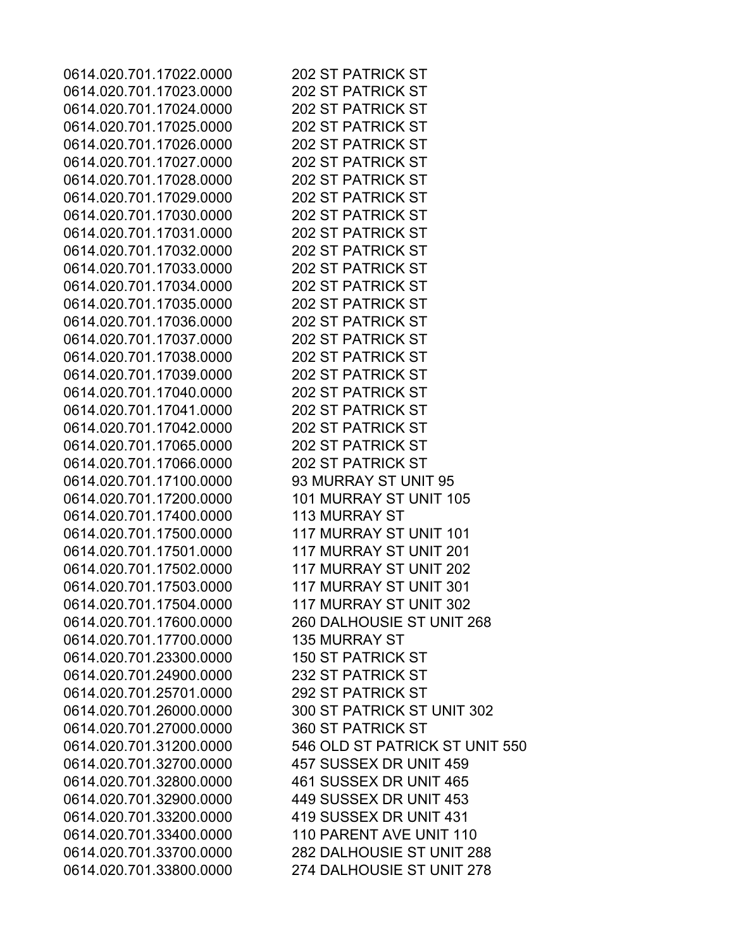0614.020.701.17022.0000 202 ST PATRICK ST 0614.020.701.17023.0000 202 ST PATRICK ST 0614.020.701.17024.0000 202 ST PATRICK ST 0614.020.701.17025.0000 202 ST PATRICK ST 0614.020.701.17026.0000 202 ST PATRICK ST 0614.020.701.17027.0000 202 ST PATRICK ST 0614.020.701.17028.0000 202 ST PATRICK ST 0614.020.701.17029.0000 202 ST PATRICK ST 0614.020.701.17030.0000 202 ST PATRICK ST 0614.020.701.17031.0000 202 ST PATRICK ST 0614.020.701.17032.0000 202 ST PATRICK ST 0614.020.701.17033.0000 202 ST PATRICK ST 0614.020.701.17034.0000 202 ST PATRICK ST 0614.020.701.17035.0000 202 ST PATRICK ST 0614.020.701.17036.0000 202 ST PATRICK ST 0614.020.701.17037.0000 202 ST PATRICK ST 0614.020.701.17038.0000 202 ST PATRICK ST 0614.020.701.17039.0000 202 ST PATRICK ST 0614.020.701.17040.0000 202 ST PATRICK ST 0614.020.701.17041.0000 202 ST PATRICK ST 0614.020.701.17042.0000 202 ST PATRICK ST 0614.020.701.17065.0000 202 ST PATRICK ST 0614.020.701.17066.0000 202 ST PATRICK ST 0614.020.701.17100.0000 93 MURRAY ST UNIT 95 0614.020.701.17200.0000 101 MURRAY ST UNIT 105 0614.020.701.17400.0000 113 MURRAY ST 0614.020.701.17500.0000 117 MURRAY ST UNIT 101 0614.020.701.17501.0000 117 MURRAY ST UNIT 201 0614.020.701.17502.0000 117 MURRAY ST UNIT 202 0614.020.701.17503.0000 117 MURRAY ST UNIT 301 0614.020.701.17504.0000 117 MURRAY ST UNIT 302 0614.020.701.17600.0000 260 DALHOUSIE ST UNIT 268 0614.020.701.17700.0000 135 MURRAY ST 0614.020.701.23300.0000 150 ST PATRICK ST 0614.020.701.24900.0000 232 ST PATRICK ST 0614.020.701.25701.0000 292 ST PATRICK ST 0614.020.701.26000.0000 300 ST PATRICK ST UNIT 302 0614.020.701.27000.0000 360 ST PATRICK ST 0614.020.701.31200.0000 546 OLD ST PATRICK ST UNIT 550 0614.020.701.32700.0000 457 SUSSEX DR UNIT 459 0614.020.701.32800.0000 461 SUSSEX DR UNIT 465 0614.020.701.32900.0000 449 SUSSEX DR UNIT 453 0614.020.701.33200.0000 419 SUSSEX DR UNIT 431 0614.020.701.33400.0000 110 PARENT AVE UNIT 110 0614.020.701.33700.0000 282 DALHOUSIE ST UNIT 288 0614.020.701.33800.0000 274 DALHOUSIE ST UNIT 278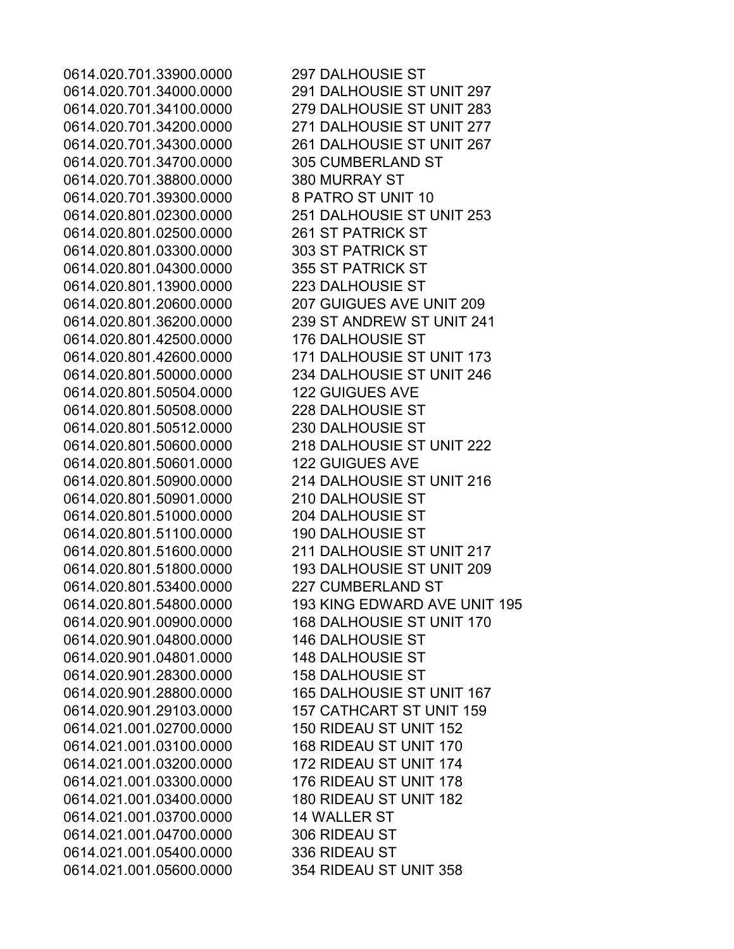0614.020.701.33900.0000 297 DALHOUSIE ST 0614.020.701.34700.0000 305 CUMBERLAND ST 0614.020.701.38800.0000 380 MURRAY ST 0614.020.701.39300.0000 8 PATRO ST UNIT 10 0614.020.801.02500.0000 261 ST PATRICK ST 0614.020.801.03300.0000 303 ST PATRICK ST 0614.020.801.04300.0000 355 ST PATRICK ST 0614.020.801.13900.0000 223 DALHOUSIE ST 0614.020.801.42500.0000 176 DALHOUSIE ST 0614.020.801.50504.0000 122 GUIGUES AVE 0614.020.801.50508.0000 228 DALHOUSIE ST 0614.020.801.50512.0000 230 DALHOUSIE ST 0614.020.801.50601.0000 122 GUIGUES AVE 0614.020.801.50901.0000 210 DALHOUSIE ST 0614.020.801.51000.0000 204 DALHOUSIE ST 0614.020.801.51100.0000 190 DALHOUSIE ST 0614.020.801.53400.0000 227 CUMBERLAND ST 0614.020.901.04800.0000 146 DALHOUSIE ST 0614.020.901.04801.0000 148 DALHOUSIE ST 0614.020.901.28300.0000 158 DALHOUSIE ST 0614.021.001.02700.0000 150 RIDEAU ST UNIT 152 0614.021.001.03100.0000 168 RIDEAU ST UNIT 170 0614.021.001.03200.0000 172 RIDEAU ST UNIT 174 0614.021.001.03300.0000 176 RIDEAU ST UNIT 178 0614.021.001.03400.0000 180 RIDEAU ST UNIT 182 0614.021.001.03700.0000 14 WALLER ST 0614.021.001.04700.0000 306 RIDEAU ST 0614.021.001.05400.0000 336 RIDEAU ST 0614.021.001.05600.0000 354 RIDEAU ST UNIT 358

0614.020.701.34000.0000 291 DALHOUSIE ST UNIT 297 0614.020.701.34100.0000 279 DALHOUSIE ST UNIT 283 0614.020.701.34200.0000 271 DALHOUSIE ST UNIT 277 0614.020.701.34300.0000 261 DALHOUSIE ST UNIT 267 0614.020.801.02300.0000 251 DALHOUSIE ST UNIT 253 0614.020.801.20600.0000 207 GUIGUES AVE UNIT 209 0614.020.801.36200.0000 239 ST ANDREW ST UNIT 241 0614.020.801.42600.0000 171 DALHOUSIE ST UNIT 173 0614.020.801.50000.0000 234 DALHOUSIE ST UNIT 246 0614.020.801.50600.0000 218 DALHOUSIE ST UNIT 222 0614.020.801.50900.0000 214 DALHOUSIE ST UNIT 216 0614.020.801.51600.0000 211 DALHOUSIE ST UNIT 217 0614.020.801.51800.0000 193 DALHOUSIE ST UNIT 209 0614.020.801.54800.0000 193 KING EDWARD AVE UNIT 195 0614.020.901.00900.0000 168 DALHOUSIE ST UNIT 170 0614.020.901.28800.0000 165 DALHOUSIE ST UNIT 167 0614.020.901.29103.0000 157 CATHCART ST UNIT 159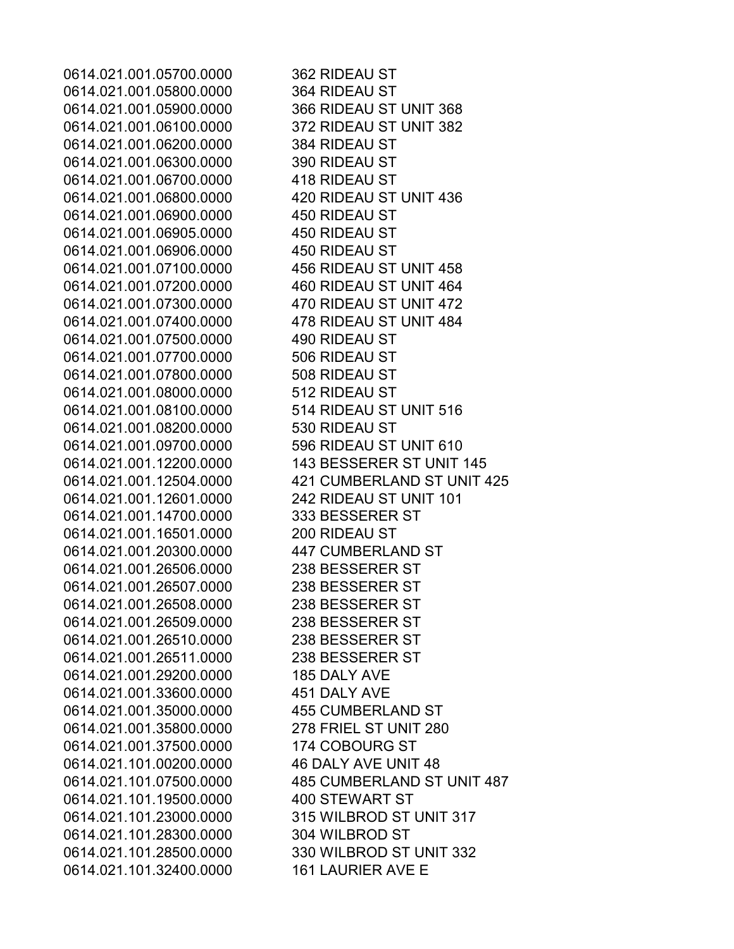0614.021.001.05700.0000 362 RIDEAU ST 0614.021.001.05800.0000 364 RIDEAU ST 0614.021.001.05900.0000 366 RIDEAU ST UNIT 368 0614.021.001.06100.0000 372 RIDEAU ST UNIT 382 0614.021.001.06200.0000 384 RIDEAU ST 0614.021.001.06300.0000 390 RIDEAU ST 0614.021.001.06700.0000 418 RIDEAU ST 0614.021.001.06800.0000 420 RIDEAU ST UNIT 436 0614.021.001.06900.0000 450 RIDEAU ST 0614.021.001.06905.0000 450 RIDEAU ST 0614.021.001.06906.0000 450 RIDEAU ST 0614.021.001.07100.0000 456 RIDEAU ST UNIT 458 0614.021.001.07200.0000 460 RIDEAU ST UNIT 464 0614.021.001.07300.0000 470 RIDEAU ST UNIT 472 0614.021.001.07400.0000 478 RIDEAU ST UNIT 484 0614.021.001.07500.0000 490 RIDEAU ST 0614.021.001.07700.0000 506 RIDEAU ST 0614.021.001.07800.0000 508 RIDEAU ST 0614.021.001.08000.0000 512 RIDEAU ST 0614.021.001.08100.0000 514 RIDEAU ST UNIT 516 0614.021.001.08200.0000 530 RIDEAU ST 0614.021.001.09700.0000 596 RIDEAU ST UNIT 610 0614.021.001.12200.0000 143 BESSERER ST UNIT 145 0614.021.001.12504.0000 421 CUMBERLAND ST UNIT 425 0614.021.001.12601.0000 242 RIDEAU ST UNIT 101 0614.021.001.14700.0000 333 BESSERER ST 0614.021.001.16501.0000 200 RIDEAU ST 0614.021.001.20300.0000 447 CUMBERLAND ST 0614.021.001.26506.0000 238 BESSERER ST 0614.021.001.26507.0000 238 BESSERER ST 0614.021.001.26508.0000 238 BESSERER ST 0614.021.001.26509.0000 238 BESSERER ST 0614.021.001.26510.0000 238 BESSERER ST 0614.021.001.26511.0000 238 BESSERER ST 0614.021.001.29200.0000 185 DALY AVE 0614.021.001.33600.0000 451 DALY AVE 0614.021.001.35000.0000 455 CUMBERLAND ST 0614.021.001.35800.0000 278 FRIEL ST UNIT 280 0614.021.001.37500.0000 174 COBOURG ST 0614.021.101.00200.0000 46 DALY AVE UNIT 48 0614.021.101.07500.0000 485 CUMBERLAND ST UNIT 487 0614.021.101.19500.0000 400 STEWART ST 0614.021.101.23000.0000 315 WILBROD ST UNIT 317 0614.021.101.28300.0000 304 WILBROD ST 0614.021.101.28500.0000 330 WILBROD ST UNIT 332 0614.021.101.32400.0000 161 LAURIER AVE E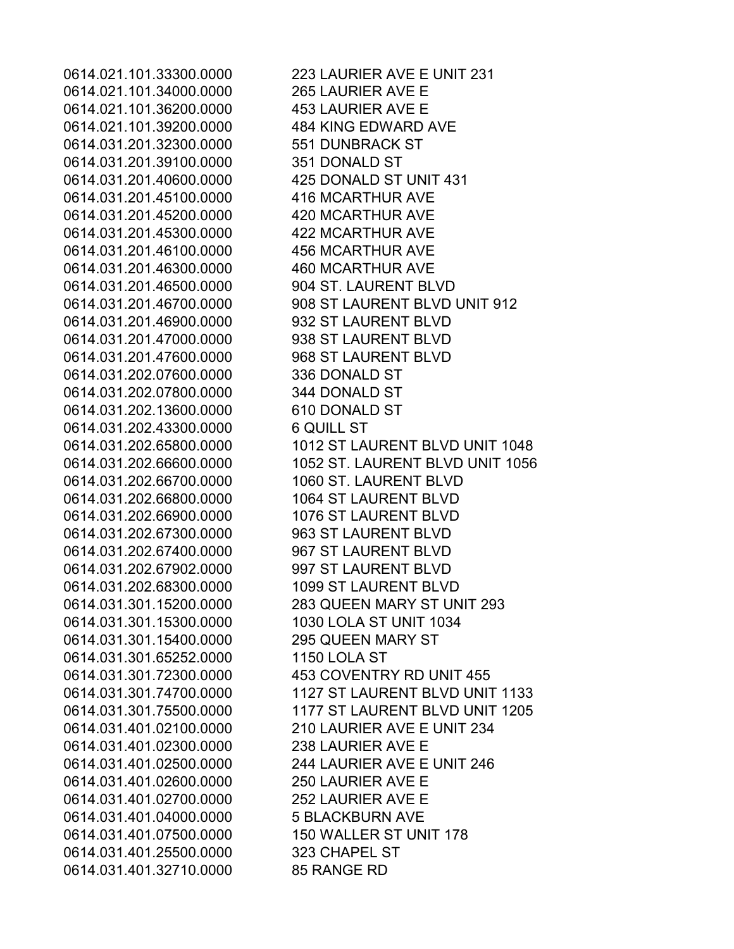0614.021.101.34000.0000 265 LAURIER AVE E 0614.021.101.36200.0000 453 LAURIER AVE E 0614.021.101.39200.0000 484 KING EDWARD AVE 0614.031.201.32300.0000 551 DUNBRACK ST 0614.031.201.39100.0000 351 DONALD ST 0614.031.201.40600.0000 425 DONALD ST UNIT 431 0614.031.201.45100.0000 416 MCARTHUR AVE 0614.031.201.45200.0000 420 MCARTHUR AVE 0614.031.201.45300.0000 422 MCARTHUR AVE 0614.031.201.46100.0000 456 MCARTHUR AVE 0614.031.201.46300.0000 460 MCARTHUR AVE 0614.031.201.46500.0000 904 ST. LAURENT BLVD 0614.031.201.46900.0000 932 ST LAURENT BLVD 0614.031.201.47000.0000 938 ST LAURENT BLVD 0614.031.201.47600.0000 968 ST LAURENT BLVD 0614.031.202.07600.0000 336 DONALD ST 0614.031.202.07800.0000 344 DONALD ST 0614.031.202.13600.0000 610 DONALD ST 0614.031.202.43300.0000 6 QUILL ST 0614.031.202.66700.0000 1060 ST. LAURENT BLVD 0614.031.202.66800.0000 1064 ST LAURENT BLVD 0614.031.202.66900.0000 1076 ST LAURENT BLVD 0614.031.202.67300.0000 963 ST LAURENT BLVD 0614.031.202.67400.0000 967 ST LAURENT BLVD 0614.031.202.67902.0000 997 ST LAURENT BLVD 0614.031.202.68300.0000 1099 ST LAURENT BLVD 0614.031.301.15300.0000 1030 LOLA ST UNIT 1034 0614.031.301.15400.0000 295 QUEEN MARY ST 0614.031.301.65252.0000 1150 LOLA ST 0614.031.301.72300.0000 453 COVENTRY RD UNIT 455 0614.031.401.02100.0000 210 LAURIER AVE E UNIT 234 0614.031.401.02300.0000 238 LAURIER AVE E 0614.031.401.02500.0000 244 LAURIER AVE E UNIT 246 0614.031.401.02600.0000 250 LAURIER AVE E 0614.031.401.02700.0000 252 LAURIER AVE E 0614.031.401.04000.0000 5 BLACKBURN AVE 0614.031.401.07500.0000 150 WALLER ST UNIT 178 0614.031.401.25500.0000 323 CHAPEL ST 0614.031.401.32710.0000 85 RANGE RD

0614.021.101.33300.0000 223 LAURIER AVE E UNIT 231 0614.031.201.46700.0000 908 ST LAURENT BLVD UNIT 912 0614.031.202.65800.0000 1012 ST LAURENT BLVD UNIT 1048 0614.031.202.66600.0000 1052 ST. LAURENT BLVD UNIT 1056 0614.031.301.15200.0000 283 QUEEN MARY ST UNIT 293 0614.031.301.74700.0000 1127 ST LAURENT BLVD UNIT 1133 0614.031.301.75500.0000 1177 ST LAURENT BLVD UNIT 1205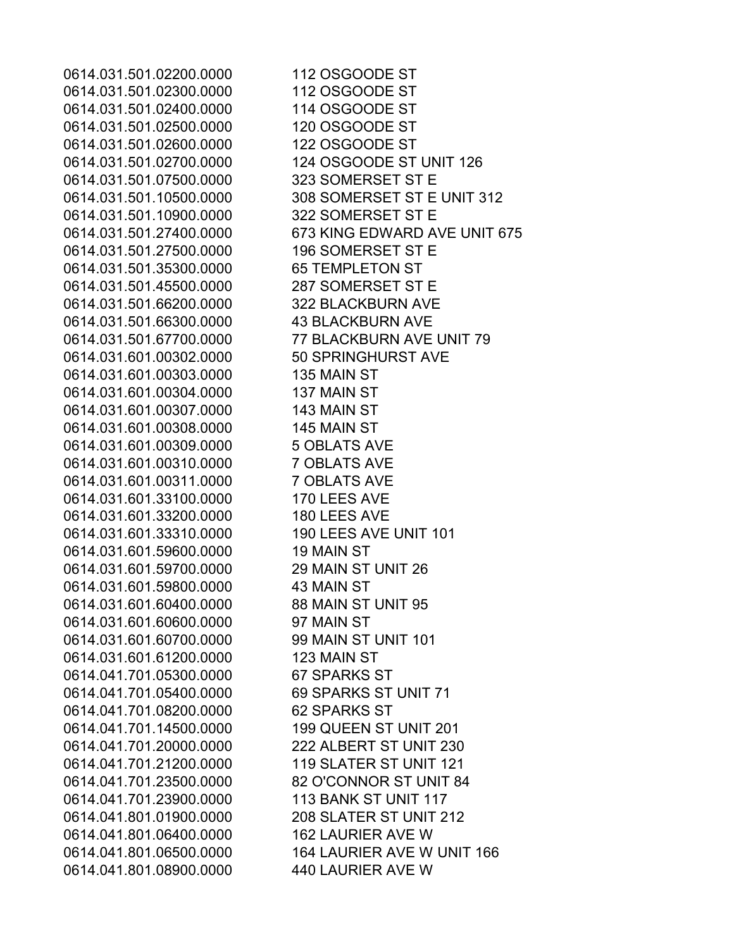0614.031.501.02200.0000 112 OSGOODE ST 0614.031.501.02300.0000 112 OSGOODE ST 0614.031.501.02400.0000 114 OSGOODE ST 0614.031.501.02500.0000 120 OSGOODE ST 0614.031.501.02600.0000 122 OSGOODE ST 0614.031.501.02700.0000 124 OSGOODE ST UNIT 126 0614.031.501.07500.0000 323 SOMERSET ST E 0614.031.501.10500.0000 308 SOMERSET ST E UNIT 312 0614.031.501.10900.0000 322 SOMERSET ST E 0614.031.501.27400.0000 673 KING EDWARD AVE UNIT 675 0614.031.501.27500.0000 196 SOMERSET ST E 0614.031.501.35300.0000 65 TEMPLETON ST 0614.031.501.45500.0000 287 SOMERSET ST E 0614.031.501.66200.0000 322 BLACKBURN AVE 0614.031.501.66300.0000 43 BLACKBURN AVE 0614.031.501.67700.0000 77 BLACKBURN AVE UNIT 79 0614.031.601.00302.0000 50 SPRINGHURST AVE 0614.031.601.00303.0000 135 MAIN ST 0614.031.601.00304.0000 137 MAIN ST 0614.031.601.00307.0000 143 MAIN ST 0614.031.601.00308.0000 145 MAIN ST 0614.031.601.00309.0000 5 OBLATS AVE 0614.031.601.00310.0000 7 OBLATS AVE 0614.031.601.00311.0000 7 OBLATS AVE 0614.031.601.33100.0000 170 LEES AVE 0614.031.601.33200.0000 180 LEES AVE 0614.031.601.33310.0000 190 LEES AVE UNIT 101 0614.031.601.59600.0000 19 MAIN ST 0614.031.601.59700.0000 29 MAIN ST UNIT 26 0614.031.601.59800.0000 43 MAIN ST 0614.031.601.60400.0000 88 MAIN ST UNIT 95 0614.031.601.60600.0000 97 MAIN ST 0614.031.601.60700.0000 99 MAIN ST UNIT 101 0614.031.601.61200.0000 123 MAIN ST 0614.041.701.05300.0000 67 SPARKS ST 0614.041.701.05400.0000 69 SPARKS ST UNIT 71 0614.041.701.08200.0000 62 SPARKS ST 0614.041.701.14500.0000 199 QUEEN ST UNIT 201 0614.041.701.20000.0000 222 ALBERT ST UNIT 230 0614.041.701.21200.0000 119 SLATER ST UNIT 121 0614.041.701.23500.0000 82 O'CONNOR ST UNIT 84 0614.041.701.23900.0000 113 BANK ST UNIT 117 0614.041.801.01900.0000 208 SLATER ST UNIT 212 0614.041.801.06400.0000 162 LAURIER AVE W 0614.041.801.06500.0000 164 LAURIER AVE W UNIT 166 0614.041.801.08900.0000 440 LAURIER AVE W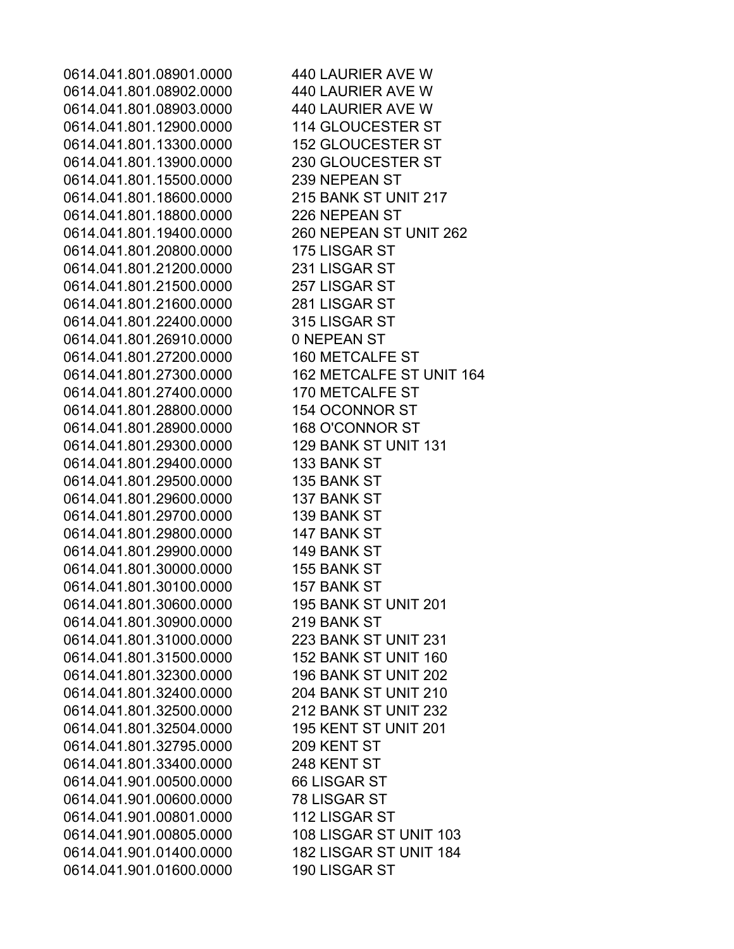0614.041.801.08901.0000 440 LAURIER AVE W 0614.041.801.08902.0000 440 LAURIER AVE W 0614.041.801.08903.0000 440 LAURIER AVE W 0614.041.801.12900.0000 114 GLOUCESTER ST 0614.041.801.13300.0000 152 GLOUCESTER ST 0614.041.801.13900.0000 230 GLOUCESTER ST 0614.041.801.15500.0000 239 NEPEAN ST 0614.041.801.18600.0000 215 BANK ST UNIT 217 0614.041.801.18800.0000 226 NEPEAN ST 0614.041.801.19400.0000 260 NEPEAN ST UNIT 262 0614.041.801.20800.0000 175 LISGAR ST 0614.041.801.21200.0000 231 LISGAR ST 0614.041.801.21500.0000 257 LISGAR ST 0614.041.801.21600.0000 281 LISGAR ST 0614.041.801.22400.0000 315 LISGAR ST 0614.041.801.26910.0000 0 NEPEAN ST 0614.041.801.27200.0000 160 METCALFE ST 0614.041.801.27300.0000 162 METCALFE ST UNIT 164 0614.041.801.27400.0000 170 METCALFE ST 0614.041.801.28800.0000 154 OCONNOR ST 0614.041.801.28900.0000 168 O'CONNOR ST 0614.041.801.29300.0000 129 BANK ST UNIT 131 0614.041.801.29400.0000 133 BANK ST 0614.041.801.29500.0000 135 BANK ST 0614.041.801.29600.0000 137 BANK ST 0614.041.801.29700.0000 139 BANK ST 0614.041.801.29800.0000 147 BANK ST 0614.041.801.29900.0000 149 BANK ST 0614.041.801.30000.0000 155 BANK ST 0614.041.801.30100.0000 157 BANK ST 0614.041.801.30600.0000 195 BANK ST UNIT 201 0614.041.801.30900.0000 219 BANK ST 0614.041.801.31000.0000 223 BANK ST UNIT 231 0614.041.801.31500.0000 152 BANK ST UNIT 160 0614.041.801.32300.0000 196 BANK ST UNIT 202 0614.041.801.32400.0000 204 BANK ST UNIT 210 0614.041.801.32500.0000 212 BANK ST UNIT 232 0614.041.801.32504.0000 195 KENT ST UNIT 201 0614.041.801.32795.0000 209 KENT ST 0614.041.801.33400.0000 248 KENT ST 0614.041.901.00500.0000 66 LISGAR ST 0614.041.901.00600.0000 78 LISGAR ST 0614.041.901.00801.0000 112 LISGAR ST 0614.041.901.00805.0000 108 LISGAR ST UNIT 103 0614.041.901.01400.0000 182 LISGAR ST UNIT 184 0614.041.901.01600.0000 190 LISGAR ST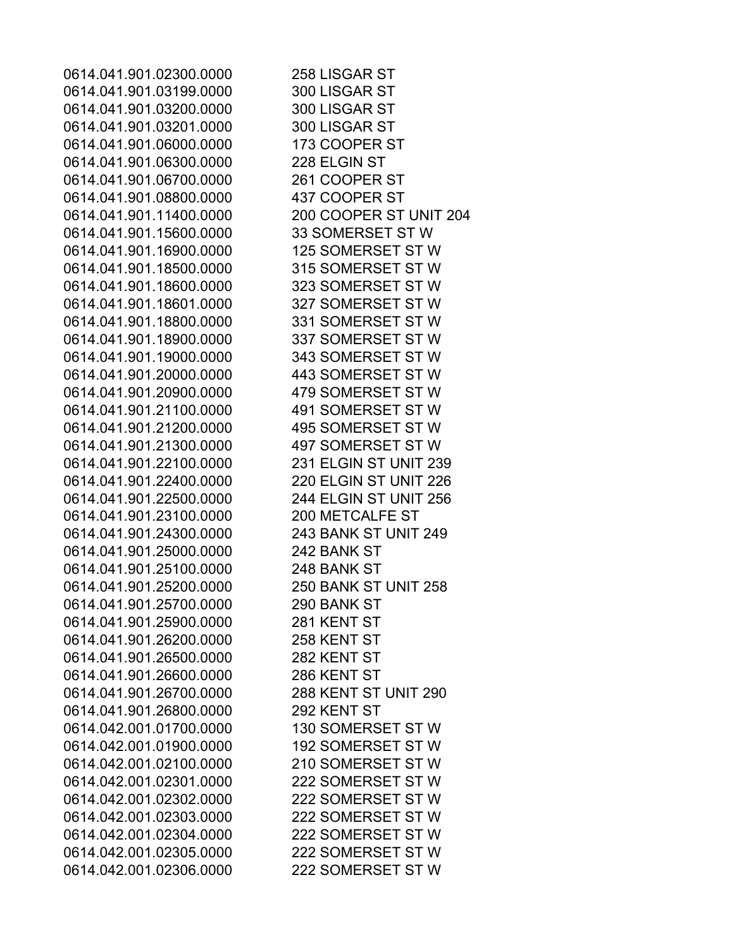0614.041.901.02300.0000 258 LISGAR ST 0614.041.901.03199.0000 300 LISGAR ST 0614.041.901.03200.0000 300 LISGAR ST 0614.041.901.03201.0000 300 LISGAR ST 0614.041.901.06000.0000 173 COOPER ST 0614.041.901.06300.0000 228 ELGIN ST 0614.041.901.06700.0000 261 COOPER ST 0614.041.901.08800.0000 437 COOPER ST 0614.041.901.11400.0000 200 COOPER ST UNIT 204 0614.041.901.15600.0000 33 SOMERSET ST W 0614.041.901.16900.0000 125 SOMERSET ST W 0614.041.901.18500.0000 315 SOMERSET ST W 0614.041.901.18600.0000 323 SOMERSET ST W 0614.041.901.18601.0000 327 SOMERSET ST W 0614.041.901.18800.0000 331 SOMERSET ST W 0614.041.901.18900.0000 337 SOMERSET ST W 0614.041.901.19000.0000 343 SOMERSET ST W 0614.041.901.20000.0000 443 SOMERSET ST W 0614.041.901.20900.0000 479 SOMERSET ST W 0614.041.901.21100.0000 491 SOMERSET ST W 0614.041.901.21200.0000 495 SOMERSET ST W 0614.041.901.21300.0000 497 SOMERSET ST W 0614.041.901.22100.0000 231 ELGIN ST UNIT 239 0614.041.901.22400.0000 220 ELGIN ST UNIT 226 0614.041.901.22500.0000 244 ELGIN ST UNIT 256 0614.041.901.23100.0000 200 METCALFE ST 0614.041.901.24300.0000 243 BANK ST UNIT 249 0614.041.901.25000.0000 242 BANK ST 0614.041.901.25100.0000 248 BANK ST 0614.041.901.25200.0000 250 BANK ST UNIT 258 0614.041.901.25700.0000 290 BANK ST 0614.041.901.25900.0000 281 KENT ST 0614.041.901.26200.0000 258 KENT ST 0614.041.901.26500.0000 282 KENT ST 0614.041.901.26600.0000 286 KENT ST 0614.041.901.26700.0000 288 KENT ST UNIT 290 0614.041.901.26800.0000 292 KENT ST 0614.042.001.01700.0000 130 SOMERSET ST W 0614.042.001.01900.0000 192 SOMERSET ST W 0614.042.001.02100.0000 210 SOMERSET ST W 0614.042.001.02301.0000 222 SOMERSET ST W 0614.042.001.02302.0000 222 SOMERSET ST W 0614.042.001.02303.0000 222 SOMERSET ST W 0614.042.001.02304.0000 222 SOMERSET ST W 0614.042.001.02305.0000 222 SOMERSET ST W 0614.042.001.02306.0000 222 SOMERSET ST W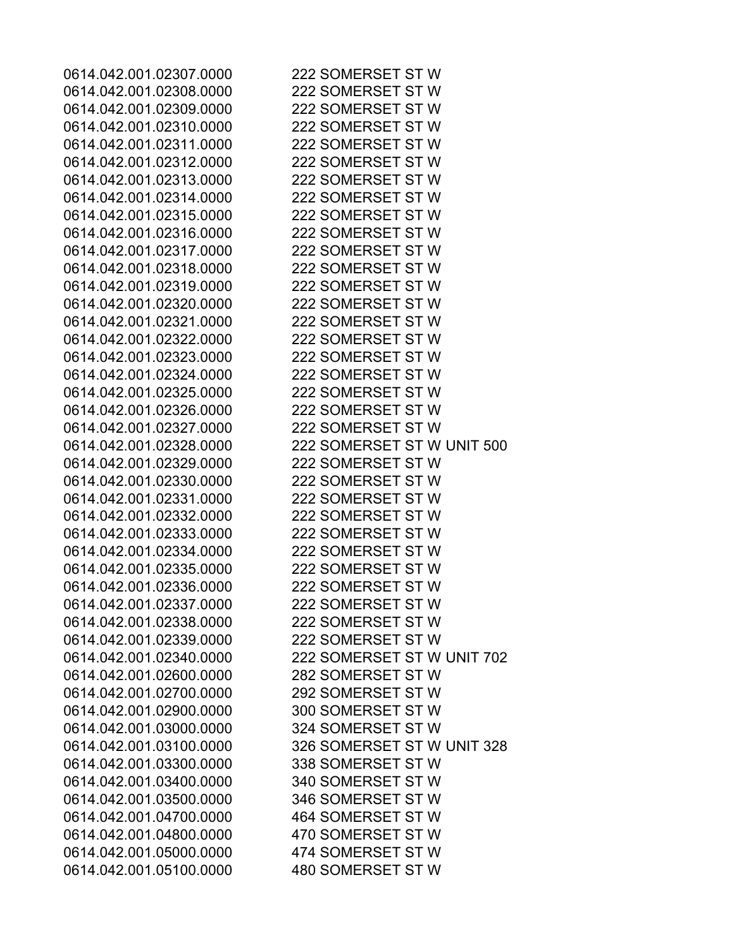0614.042.001.02307.0000 222 SOMERSET ST W 0614.042.001.02308.0000 222 SOMERSET ST W 0614.042.001.02309.0000 222 SOMERSET ST W 0614.042.001.02310.0000 222 SOMERSET ST W 0614.042.001.02311.0000 222 SOMERSET ST W 0614.042.001.02312.0000 222 SOMERSET ST W 0614.042.001.02313.0000 222 SOMERSET ST W 0614.042.001.02314.0000 222 SOMERSET ST W 0614.042.001.02315.0000 222 SOMERSET ST W 0614.042.001.02316.0000 222 SOMERSET ST W 0614.042.001.02317.0000 222 SOMERSET ST W 0614.042.001.02318.0000 222 SOMERSET ST W 0614.042.001.02319.0000 222 SOMERSET ST W 0614.042.001.02320.0000 222 SOMERSET ST W 0614.042.001.02321.0000 222 SOMERSET ST W 0614.042.001.02322.0000 222 SOMERSET ST W 0614.042.001.02323.0000 222 SOMERSET ST W 0614.042.001.02324.0000 222 SOMERSET ST W 0614.042.001.02325.0000 222 SOMERSET ST W 0614.042.001.02326.0000 222 SOMERSET ST W 0614.042.001.02327.0000 222 SOMERSET ST W 0614.042.001.02328.0000 222 SOMERSET ST W UNIT 500 0614.042.001.02329.0000 222 SOMERSET ST W 0614.042.001.02330.0000 222 SOMERSET ST W 0614.042.001.02331.0000 222 SOMERSET ST W 0614.042.001.02332.0000 222 SOMERSET ST W 0614.042.001.02333.0000 222 SOMERSET ST W 0614.042.001.02334.0000 222 SOMERSET ST W 0614.042.001.02335.0000 222 SOMERSET ST W 0614.042.001.02336.0000 222 SOMERSET ST W 0614.042.001.02337.0000 222 SOMERSET ST W 0614.042.001.02338.0000 222 SOMERSET ST W 0614.042.001.02339.0000 222 SOMERSET ST W 0614.042.001.02340.0000 222 SOMERSET ST W UNIT 702 0614.042.001.02600.0000 282 SOMERSET ST W 0614.042.001.02700.0000 292 SOMERSET ST W 0614.042.001.02900.0000 300 SOMERSET ST W 0614.042.001.03000.0000 324 SOMERSET ST W 0614.042.001.03100.0000 326 SOMERSET ST W UNIT 328 0614.042.001.03300.0000 338 SOMERSET ST W 0614.042.001.03400.0000 340 SOMERSET ST W 0614.042.001.03500.0000 346 SOMERSET ST W 0614.042.001.04700.0000 464 SOMERSET ST W 0614.042.001.04800.0000 470 SOMERSET ST W 0614.042.001.05000.0000 474 SOMERSET ST W 0614.042.001.05100.0000 480 SOMERSET ST W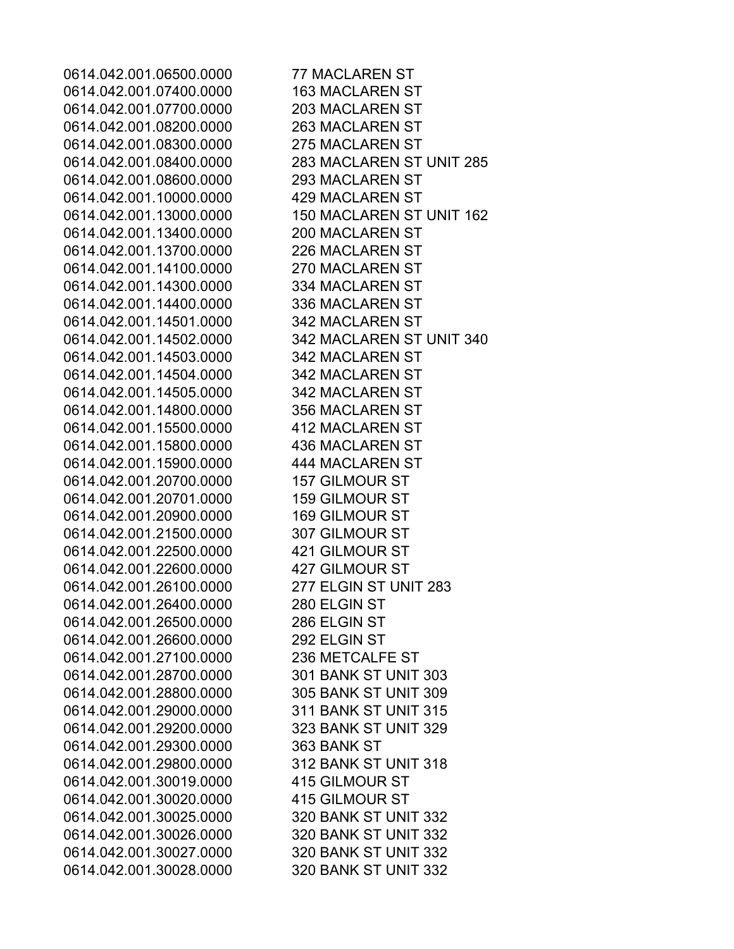0614.042.001.06500.0000 77 MACLAREN ST 0614.042.001.07400.0000 163 MACLAREN ST 0614.042.001.07700.0000 203 MACLAREN ST 0614.042.001.08200.0000 263 MACLAREN ST 0614.042.001.08300.0000 275 MACLAREN ST 0614.042.001.08400.0000 283 MACLAREN ST UNIT 285 0614.042.001.08600.0000 293 MACLAREN ST 0614.042.001.10000.0000 429 MACLAREN ST 0614.042.001.13000.0000 150 MACLAREN ST UNIT 162 0614.042.001.13400.0000 200 MACLAREN ST 0614.042.001.13700.0000 226 MACLAREN ST 0614.042.001.14100.0000 270 MACLAREN ST 0614.042.001.14300.0000 334 MACLAREN ST 0614.042.001.14400.0000 336 MACLAREN ST 0614.042.001.14501.0000 342 MACLAREN ST 0614.042.001.14502.0000 342 MACLAREN ST UNIT 340 0614.042.001.14503.0000 342 MACLAREN ST 0614.042.001.14504.0000 342 MACLAREN ST 0614.042.001.14505.0000 342 MACLAREN ST 0614.042.001.14800.0000 356 MACLAREN ST 0614.042.001.15500.0000 412 MACLAREN ST 0614.042.001.15800.0000 436 MACLAREN ST 0614.042.001.15900.0000 444 MACLAREN ST 0614.042.001.20700.0000 157 GILMOUR ST 0614.042.001.20701.0000 159 GILMOUR ST 0614.042.001.20900.0000 169 GILMOUR ST 0614.042.001.21500.0000 307 GILMOUR ST 0614.042.001.22500.0000 421 GILMOUR ST 0614.042.001.22600.0000 427 GILMOUR ST 0614.042.001.26100.0000 277 ELGIN ST UNIT 283 0614.042.001.26400.0000 280 ELGIN ST 0614.042.001.26500.0000 286 ELGIN ST 0614.042.001.26600.0000 292 ELGIN ST 0614.042.001.27100.0000 236 METCALFE ST 0614.042.001.28700.0000 301 BANK ST UNIT 303 0614.042.001.28800.0000 305 BANK ST UNIT 309 0614.042.001.29000.0000 311 BANK ST UNIT 315 0614.042.001.29200.0000 323 BANK ST UNIT 329 0614.042.001.29300.0000 363 BANK ST 0614.042.001.29800.0000 312 BANK ST UNIT 318 0614.042.001.30019.0000 415 GILMOUR ST 0614.042.001.30020.0000 415 GILMOUR ST 0614.042.001.30025.0000 320 BANK ST UNIT 332 0614.042.001.30026.0000 320 BANK ST UNIT 332 0614.042.001.30027.0000 320 BANK ST UNIT 332 0614.042.001.30028.0000 320 BANK ST UNIT 332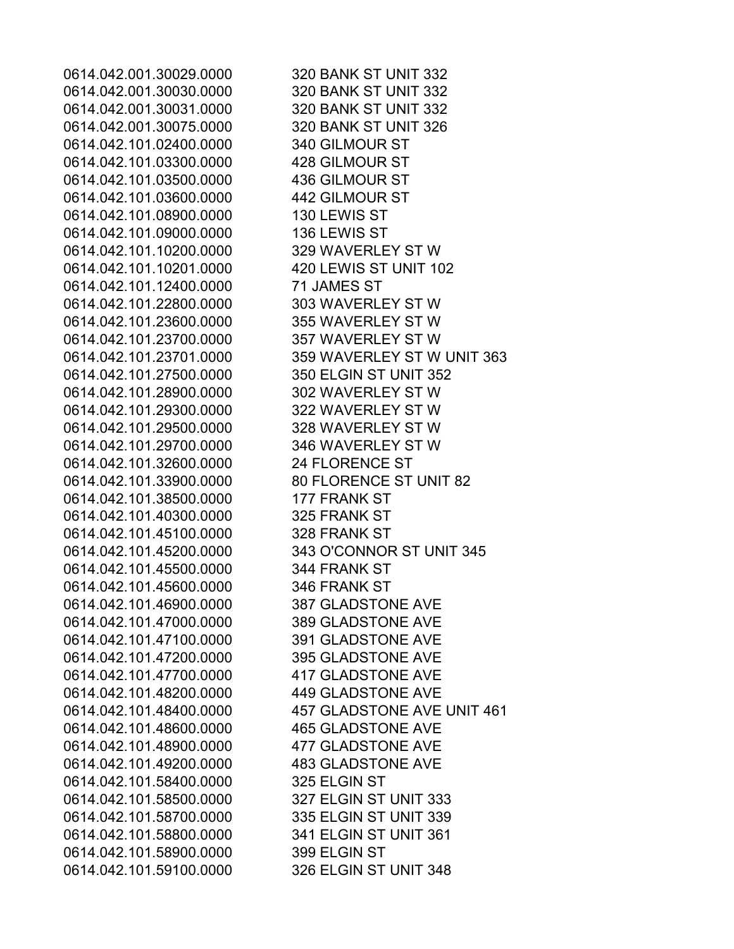0614.042.001.30029.0000 320 BANK ST UNIT 332 0614.042.001.30030.0000 320 BANK ST UNIT 332 0614.042.001.30031.0000 320 BANK ST UNIT 332 0614.042.001.30075.0000 320 BANK ST UNIT 326 0614.042.101.02400.0000 340 GILMOUR ST 0614.042.101.03300.0000 428 GILMOUR ST 0614.042.101.03500.0000 436 GILMOUR ST 0614.042.101.03600.0000 442 GILMOUR ST 0614.042.101.08900.0000 130 LEWIS ST 0614.042.101.09000.0000 136 LEWIS ST 0614.042.101.10200.0000 329 WAVERLEY ST W 0614.042.101.10201.0000 420 LEWIS ST UNIT 102 0614.042.101.12400.0000 71 JAMES ST 0614.042.101.22800.0000 303 WAVERLEY ST W 0614.042.101.23600.0000 355 WAVERLEY ST W 0614.042.101.23700.0000 357 WAVERLEY ST W 0614.042.101.23701.0000 359 WAVERLEY ST W UNIT 363 0614.042.101.27500.0000 350 ELGIN ST UNIT 352 0614.042.101.28900.0000 302 WAVERLEY ST W 0614.042.101.29300.0000 322 WAVERLEY ST W 0614.042.101.29500.0000 328 WAVERLEY ST W 0614.042.101.29700.0000 346 WAVERLEY ST W 0614.042.101.32600.0000 24 FLORENCE ST 0614.042.101.33900.0000 80 FLORENCE ST UNIT 82 0614.042.101.38500.0000 177 FRANK ST 0614.042.101.40300.0000 325 FRANK ST 0614.042.101.45100.0000 328 FRANK ST 0614.042.101.45200.0000 343 O'CONNOR ST UNIT 345 0614.042.101.45500.0000 344 FRANK ST 0614.042.101.45600.0000 346 FRANK ST 0614.042.101.46900.0000 387 GLADSTONE AVE 0614.042.101.47000.0000 389 GLADSTONE AVE 0614.042.101.47100.0000 391 GLADSTONE AVE 0614.042.101.47200.0000 395 GLADSTONE AVE 0614.042.101.47700.0000 417 GLADSTONE AVE 0614.042.101.48200.0000 449 GLADSTONE AVE 0614.042.101.48400.0000 457 GLADSTONE AVE UNIT 461 0614.042.101.48600.0000 465 GLADSTONE AVE 0614.042.101.48900.0000 477 GLADSTONE AVE 0614.042.101.49200.0000 483 GLADSTONE AVE 0614.042.101.58400.0000 325 ELGIN ST 0614.042.101.58500.0000 327 ELGIN ST UNIT 333 0614.042.101.58700.0000 335 ELGIN ST UNIT 339 0614.042.101.58800.0000 341 ELGIN ST UNIT 361 0614.042.101.58900.0000 399 ELGIN ST 0614.042.101.59100.0000 326 ELGIN ST UNIT 348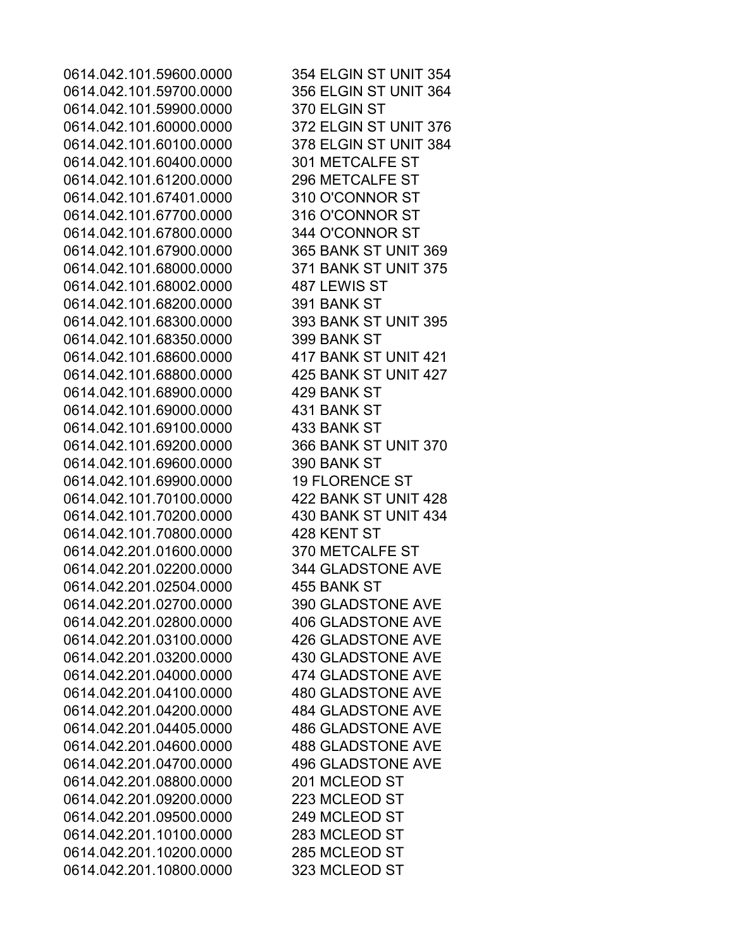0614.042.101.59700.0000 356 ELGIN ST UNIT 364 0614.042.101.59900.0000 370 ELGIN ST 0614.042.101.60000.0000 372 ELGIN ST UNIT 376 0614.042.101.60100.0000 378 ELGIN ST UNIT 384 0614.042.101.60400.0000 301 METCALFE ST 0614.042.101.61200.0000 296 METCALFE ST 0614.042.101.67401.0000 310 O'CONNOR ST 0614.042.101.67700.0000 316 O'CONNOR ST 0614.042.101.67800.0000 344 O'CONNOR ST 0614.042.101.67900.0000 365 BANK ST UNIT 369 0614.042.101.68000.0000 371 BANK ST UNIT 375 0614.042.101.68002.0000 487 LEWIS ST 0614.042.101.68200.0000 391 BANK ST 0614.042.101.68300.0000 393 BANK ST UNIT 395 0614.042.101.68350.0000 399 BANK ST 0614.042.101.68600.0000 417 BANK ST UNIT 421 0614.042.101.68800.0000 425 BANK ST UNIT 427 0614.042.101.68900.0000 429 BANK ST 0614.042.101.69000.0000 431 BANK ST 0614.042.101.69100.0000 433 BANK ST 0614.042.101.69200.0000 366 BANK ST UNIT 370 0614.042.101.69600.0000 390 BANK ST 0614.042.101.69900.0000 19 FLORENCE ST 0614.042.101.70100.0000 422 BANK ST UNIT 428 0614.042.101.70200.0000 430 BANK ST UNIT 434 0614.042.101.70800.0000 428 KENT ST 0614.042.201.01600.0000 370 METCALFE ST 0614.042.201.02200.0000 344 GLADSTONE AVE 0614.042.201.02504.0000 455 BANK ST 0614.042.201.02700.0000 390 GLADSTONE AVE 0614.042.201.02800.0000 406 GLADSTONE AVE 0614.042.201.03100.0000 426 GLADSTONE AVE 0614.042.201.03200.0000 430 GLADSTONE AVE 0614.042.201.04000.0000 474 GLADSTONE AVE 0614.042.201.04100.0000 480 GLADSTONE AVE 0614.042.201.04200.0000 484 GLADSTONE AVE 0614.042.201.04405.0000 486 GLADSTONE AVE 0614.042.201.04600.0000 488 GLADSTONE AVE 0614.042.201.04700.0000 496 GLADSTONE AVE 0614.042.201.08800.0000 201 MCLEOD ST 0614.042.201.09200.0000 223 MCLEOD ST 0614.042.201.09500.0000 249 MCLEOD ST 0614.042.201.10100.0000 283 MCLEOD ST 0614.042.201.10200.0000 285 MCLEOD ST 0614.042.201.10800.0000 323 MCLEOD ST

0614.042.101.59600.0000 354 ELGIN ST UNIT 354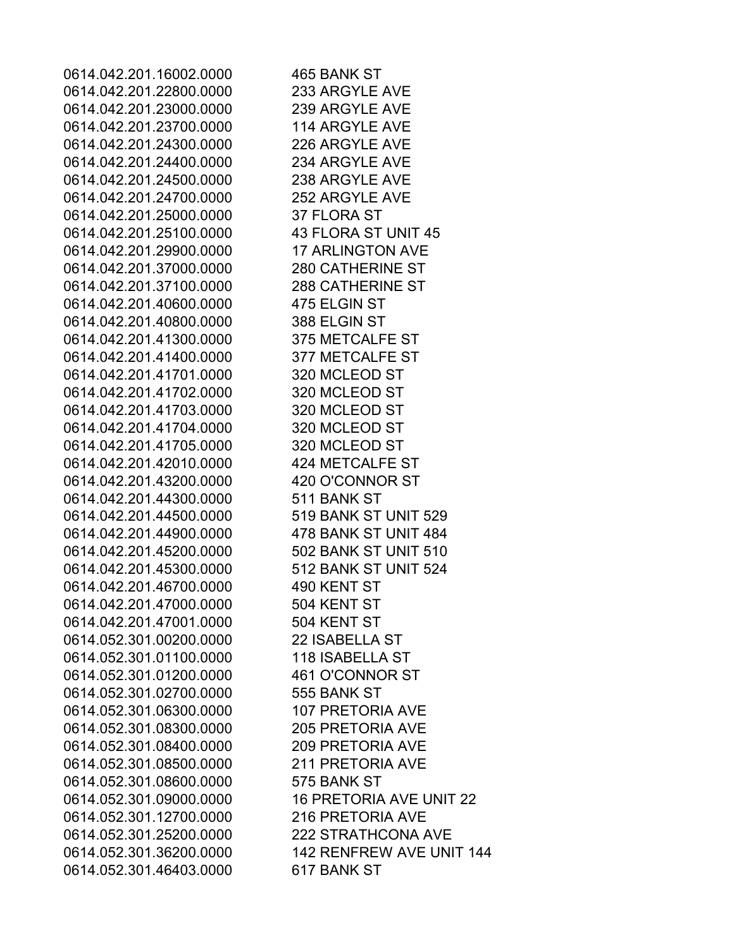0614.042.201.16002.0000 465 BANK ST 0614.042.201.22800.0000 233 ARGYLE AVE 0614.042.201.23000.0000 239 ARGYLE AVE 0614.042.201.23700.0000 114 ARGYLE AVE 0614.042.201.24300.0000 226 ARGYLE AVE 0614.042.201.24400.0000 234 ARGYLE AVE 0614.042.201.24500.0000 238 ARGYLE AVE 0614.042.201.24700.0000 252 ARGYLE AVE 0614.042.201.25000.0000 37 FLORA ST 0614.042.201.25100.0000 43 FLORA ST UNIT 45 0614.042.201.29900.0000 17 ARLINGTON AVE 0614.042.201.37000.0000 280 CATHERINE ST 0614.042.201.37100.0000 288 CATHERINE ST 0614.042.201.40600.0000 475 ELGIN ST 0614.042.201.40800.0000 388 ELGIN ST 0614.042.201.41300.0000 375 METCALFE ST 0614.042.201.41400.0000 377 METCALFE ST 0614.042.201.41701.0000 320 MCLEOD ST 0614.042.201.41702.0000 320 MCLEOD ST 0614.042.201.41703.0000 320 MCLEOD ST 0614.042.201.41704.0000 320 MCLEOD ST 0614.042.201.41705.0000 320 MCLEOD ST 0614.042.201.42010.0000 424 METCALFE ST 0614.042.201.43200.0000 420 O'CONNOR ST 0614.042.201.44300.0000 511 BANK ST 0614.042.201.44500.0000 519 BANK ST UNIT 529 0614.042.201.44900.0000 478 BANK ST UNIT 484 0614.042.201.45200.0000 502 BANK ST UNIT 510 0614.042.201.45300.0000 512 BANK ST UNIT 524 0614.042.201.46700.0000 490 KENT ST 0614.042.201.47000.0000 504 KENT ST 0614.042.201.47001.0000 504 KENT ST 0614.052.301.00200.0000 22 ISABELLA ST 0614.052.301.01100.0000 118 ISABELLA ST 0614.052.301.01200.0000 461 O'CONNOR ST 0614.052.301.02700.0000 555 BANK ST 0614.052.301.06300.0000 107 PRETORIA AVE 0614.052.301.08300.0000 205 PRETORIA AVE 0614.052.301.08400.0000 209 PRETORIA AVE 0614.052.301.08500.0000 211 PRETORIA AVE 0614.052.301.08600.0000 575 BANK ST 0614.052.301.09000.0000 16 PRETORIA AVE UNIT 22 0614.052.301.12700.0000 216 PRETORIA AVE 0614.052.301.25200.0000 222 STRATHCONA AVE 0614.052.301.36200.0000 142 RENFREW AVE UNIT 144 0614.052.301.46403.0000 617 BANK ST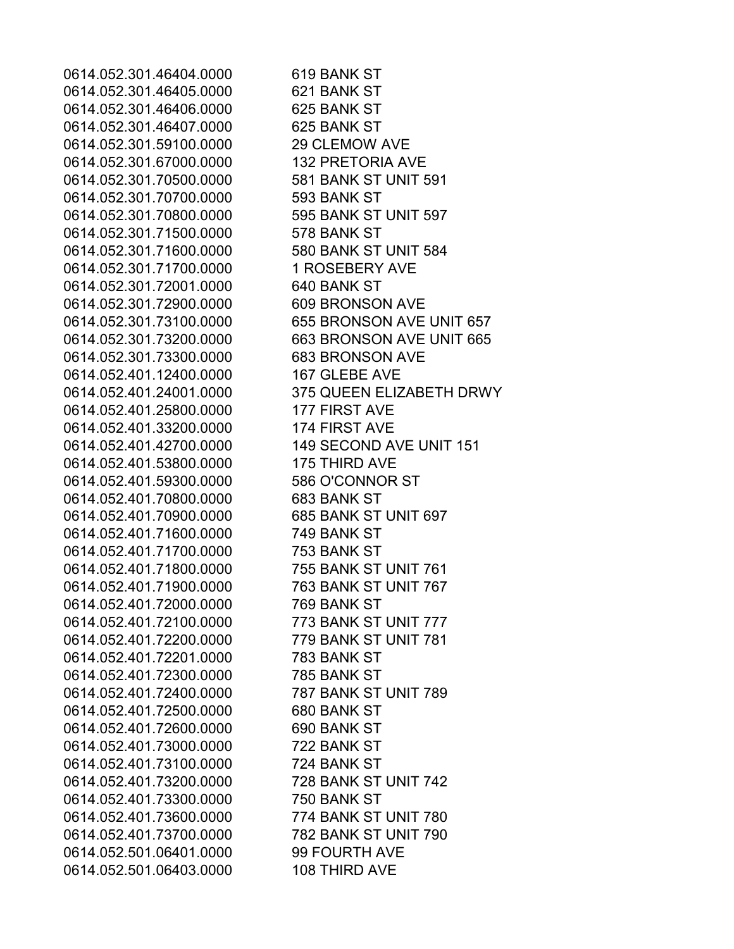0614.052.301.46404.0000 619 BANK ST 0614.052.301.46405.0000 621 BANK ST 0614.052.301.46406.0000 625 BANK ST 0614.052.301.46407.0000 625 BANK ST 0614.052.301.59100.0000 29 CLEMOW AVE 0614.052.301.67000.0000 132 PRETORIA AVE 0614.052.301.70500.0000 581 BANK ST UNIT 591 0614.052.301.70700.0000 593 BANK ST 0614.052.301.70800.0000 595 BANK ST UNIT 597 0614.052.301.71500.0000 578 BANK ST 0614.052.301.71600.0000 580 BANK ST UNIT 584 0614.052.301.71700.0000 1 ROSEBERY AVE 0614.052.301.72001.0000 640 BANK ST 0614.052.301.72900.0000 609 BRONSON AVE 0614.052.301.73100.0000 655 BRONSON AVE UNIT 657 0614.052.301.73200.0000 663 BRONSON AVE UNIT 665 0614.052.301.73300.0000 683 BRONSON AVE 0614.052.401.12400.0000 167 GLEBE AVE 0614.052.401.24001.0000 375 QUEEN ELIZABETH DRWY 0614.052.401.25800.0000 177 FIRST AVE 0614.052.401.33200.0000 174 FIRST AVE 0614.052.401.42700.0000 149 SECOND AVE UNIT 151 0614.052.401.53800.0000 175 THIRD AVE 0614.052.401.59300.0000 586 O'CONNOR ST 0614.052.401.70800.0000 683 BANK ST 0614.052.401.70900.0000 685 BANK ST UNIT 697 0614.052.401.71600.0000 749 BANK ST 0614.052.401.71700.0000 753 BANK ST 0614.052.401.71800.0000 755 BANK ST UNIT 761 0614.052.401.71900.0000 763 BANK ST UNIT 767 0614.052.401.72000.0000 769 BANK ST 0614.052.401.72100.0000 773 BANK ST UNIT 777 0614.052.401.72200.0000 779 BANK ST UNIT 781 0614.052.401.72201.0000 783 BANK ST 0614.052.401.72300.0000 785 BANK ST 0614.052.401.72400.0000 787 BANK ST UNIT 789 0614.052.401.72500.0000 680 BANK ST 0614.052.401.72600.0000 690 BANK ST 0614.052.401.73000.0000 722 BANK ST 0614.052.401.73100.0000 724 BANK ST 0614.052.401.73200.0000 728 BANK ST UNIT 742 0614.052.401.73300.0000 750 BANK ST 0614.052.401.73600.0000 774 BANK ST UNIT 780 0614.052.401.73700.0000 782 BANK ST UNIT 790 0614.052.501.06401.0000 99 FOURTH AVE 0614.052.501.06403.0000 108 THIRD AVE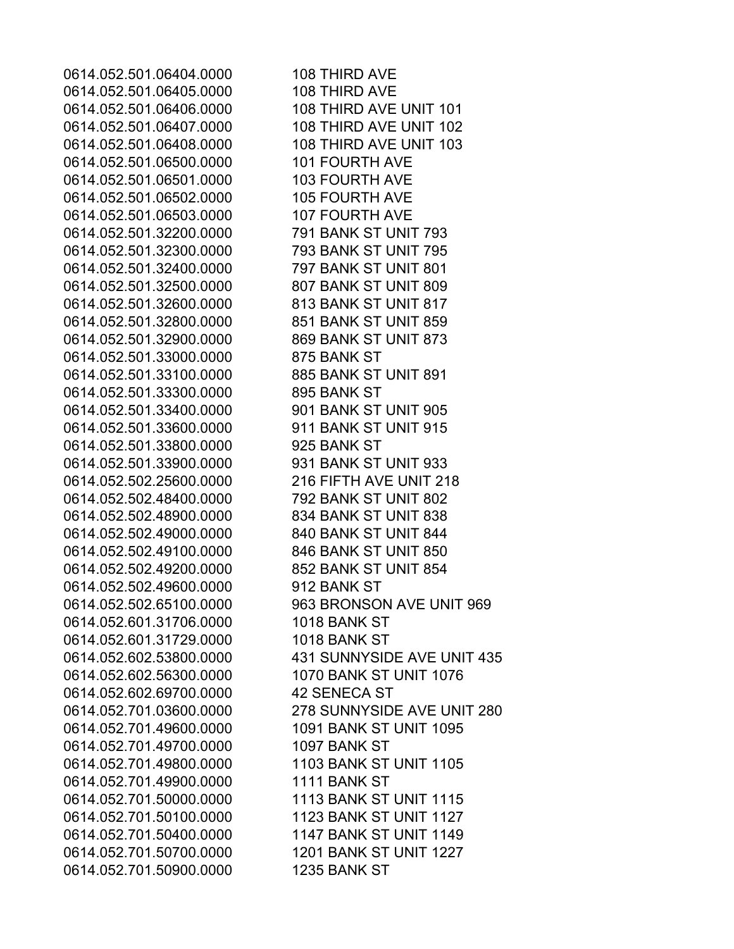0614.052.501.06404.0000 108 THIRD AVE 0614.052.501.06405.0000 108 THIRD AVE 0614.052.501.06406.0000 108 THIRD AVE UNIT 101 0614.052.501.06407.0000 108 THIRD AVE UNIT 102 0614.052.501.06408.0000 108 THIRD AVE UNIT 103 0614.052.501.06500.0000 101 FOURTH AVE 0614.052.501.06501.0000 103 FOURTH AVE 0614.052.501.06502.0000 105 FOURTH AVE 0614.052.501.06503.0000 107 FOURTH AVE 0614.052.501.32200.0000 791 BANK ST UNIT 793 0614.052.501.32300.0000 793 BANK ST UNIT 795 0614.052.501.32400.0000 797 BANK ST UNIT 801 0614.052.501.32500.0000 807 BANK ST UNIT 809 0614.052.501.32600.0000 813 BANK ST UNIT 817 0614.052.501.32800.0000 851 BANK ST UNIT 859 0614.052.501.32900.0000 869 BANK ST UNIT 873 0614.052.501.33000.0000 875 BANK ST 0614.052.501.33100.0000 885 BANK ST UNIT 891 0614.052.501.33300.0000 895 BANK ST 0614.052.501.33400.0000 901 BANK ST UNIT 905 0614.052.501.33600.0000 911 BANK ST UNIT 915 0614.052.501.33800.0000 925 BANK ST 0614.052.501.33900.0000 931 BANK ST UNIT 933 0614.052.502.25600.0000 216 FIFTH AVE UNIT 218 0614.052.502.48400.0000 792 BANK ST UNIT 802 0614.052.502.48900.0000 834 BANK ST UNIT 838 0614.052.502.49000.0000 840 BANK ST UNIT 844 0614.052.502.49100.0000 846 BANK ST UNIT 850 0614.052.502.49200.0000 852 BANK ST UNIT 854 0614.052.502.49600.0000 912 BANK ST 0614.052.601.31706.0000 1018 BANK ST 0614.052.601.31729.0000 1018 BANK ST 0614.052.602.56300.0000 1070 BANK ST UNIT 1076 0614.052.602.69700.0000 42 SENECA ST 0614.052.701.49600.0000 1091 BANK ST UNIT 1095 0614.052.701.49700.0000 1097 BANK ST 0614.052.701.49800.0000 1103 BANK ST UNIT 1105 0614.052.701.49900.0000 1111 BANK ST 0614.052.701.50000.0000 1113 BANK ST UNIT 1115 0614.052.701.50100.0000 1123 BANK ST UNIT 1127 0614.052.701.50400.0000 1147 BANK ST UNIT 1149 0614.052.701.50700.0000 1201 BANK ST UNIT 1227 0614.052.701.50900.0000 1235 BANK ST

0614.052.502.65100.0000 963 BRONSON AVE UNIT 969 0614.052.602.53800.0000 431 SUNNYSIDE AVE UNIT 435 0614.052.701.03600.0000 278 SUNNYSIDE AVE UNIT 280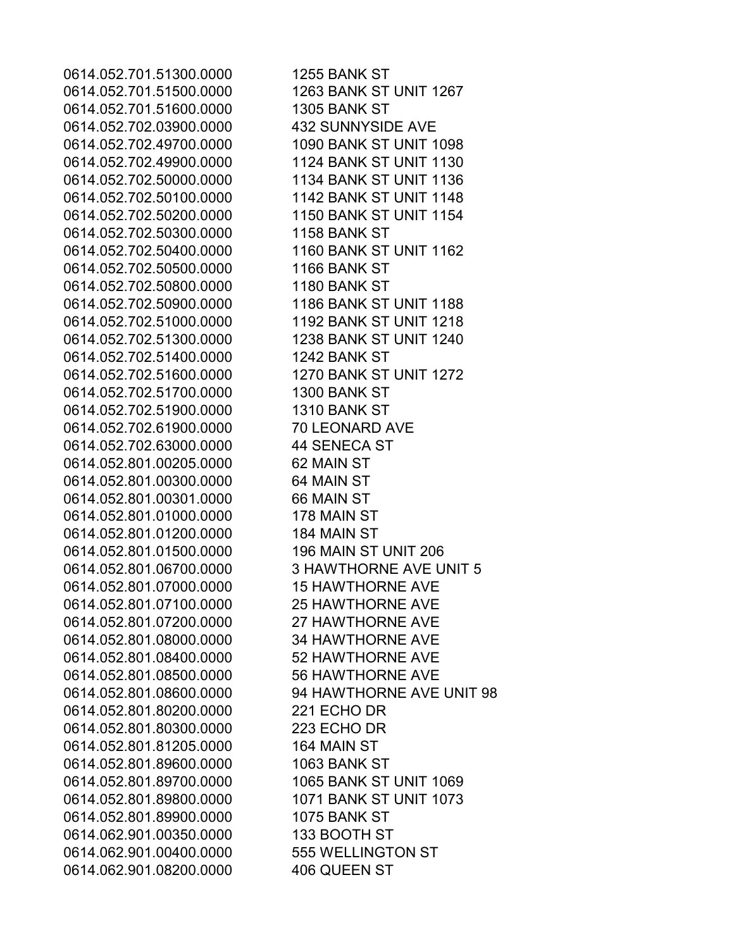0614.052.701.51300.0000 1255 BANK ST 0614.052.701.51500.0000 1263 BANK ST UNIT 1267 0614.052.701.51600.0000 1305 BANK ST 0614.052.702.03900.0000 432 SUNNYSIDE AVE 0614.052.702.49700.0000 1090 BANK ST UNIT 1098 0614.052.702.49900.0000 1124 BANK ST UNIT 1130 0614.052.702.50000.0000 1134 BANK ST UNIT 1136 0614.052.702.50100.0000 1142 BANK ST UNIT 1148 0614.052.702.50200.0000 1150 BANK ST UNIT 1154 0614.052.702.50300.0000 1158 BANK ST 0614.052.702.50400.0000 1160 BANK ST UNIT 1162 0614.052.702.50500.0000 1166 BANK ST 0614.052.702.50800.0000 1180 BANK ST 0614.052.702.50900.0000 1186 BANK ST UNIT 1188 0614.052.702.51000.0000 1192 BANK ST UNIT 1218 0614.052.702.51300.0000 1238 BANK ST UNIT 1240 0614.052.702.51400.0000 1242 BANK ST 0614.052.702.51600.0000 1270 BANK ST UNIT 1272 0614.052.702.51700.0000 1300 BANK ST 0614.052.702.51900.0000 1310 BANK ST 0614.052.702.61900.0000 70 LEONARD AVE 0614.052.702.63000.0000 44 SENECA ST 0614.052.801.00205.0000 62 MAIN ST 0614.052.801.00300.0000 64 MAIN ST 0614.052.801.00301.0000 66 MAIN ST 0614.052.801.01000.0000 178 MAIN ST 0614.052.801.01200.0000 184 MAIN ST 0614.052.801.01500.0000 196 MAIN ST UNIT 206 0614.052.801.07000.0000 15 HAWTHORNE AVE 0614.052.801.07100.0000 25 HAWTHORNE AVE 0614.052.801.07200.0000 27 HAWTHORNE AVE 0614.052.801.08000.0000 34 HAWTHORNE AVE 0614.052.801.08400.0000 52 HAWTHORNE AVE 0614.052.801.08500.0000 56 HAWTHORNE AVE 0614.052.801.80200.0000 221 ECHO DR 0614.052.801.80300.0000 223 ECHO DR 0614.052.801.81205.0000 164 MAIN ST 0614.052.801.89600.0000 1063 BANK ST 0614.052.801.89700.0000 1065 BANK ST UNIT 1069 0614.052.801.89800.0000 1071 BANK ST UNIT 1073 0614.052.801.89900.0000 1075 BANK ST 0614.062.901.00350.0000 133 BOOTH ST 0614.062.901.00400.0000 555 WELLINGTON ST 0614.062.901.08200.0000 406 QUEEN ST

0614.052.801.06700.0000 3 HAWTHORNE AVE UNIT 5 0614.052.801.08600.0000 94 HAWTHORNE AVE UNIT 98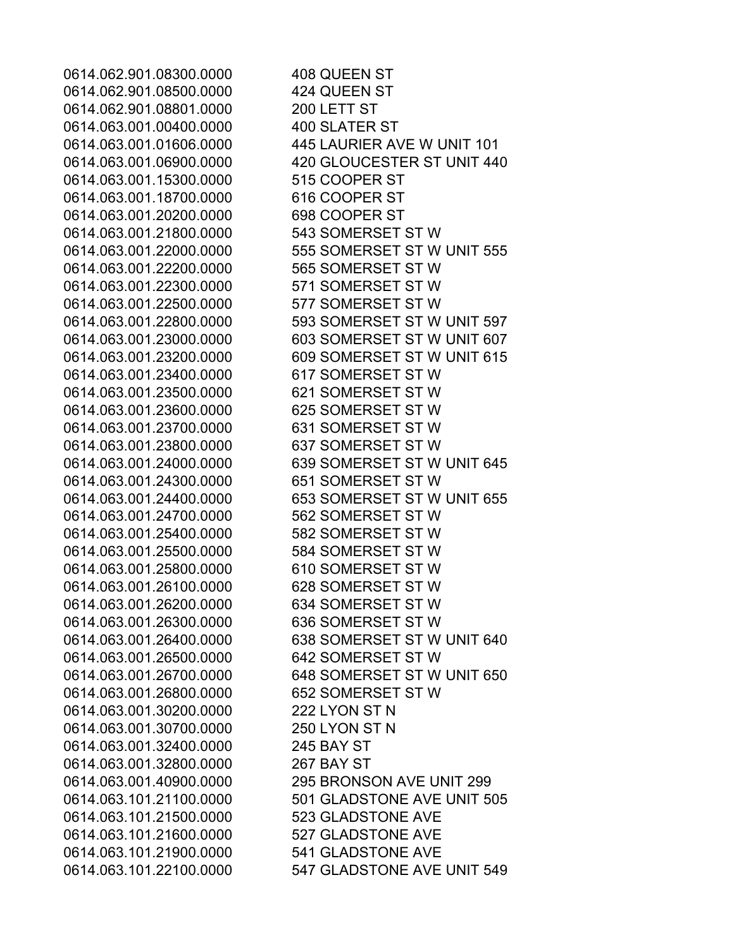0614.062.901.08300.0000 408 QUEEN ST 0614.062.901.08500.0000 424 QUEEN ST 0614.062.901.08801.0000 200 LETT ST 0614.063.001.00400.0000 400 SLATER ST 0614.063.001.01606.0000 445 LAURIER AVE W UNIT 101 0614.063.001.06900.0000 420 GLOUCESTER ST UNIT 440 0614.063.001.15300.0000 515 COOPER ST 0614.063.001.18700.0000 616 COOPER ST 0614.063.001.20200.0000 698 COOPER ST 0614.063.001.21800.0000 543 SOMERSET ST W 0614.063.001.22000.0000 555 SOMERSET ST W UNIT 555 0614.063.001.22200.0000 565 SOMERSET ST W 0614.063.001.22300.0000 571 SOMERSET ST W 0614.063.001.22500.0000 577 SOMERSET ST W 0614.063.001.22800.0000 593 SOMERSET ST W UNIT 597 0614.063.001.23000.0000 603 SOMERSET ST W UNIT 607 0614.063.001.23200.0000 609 SOMERSET ST W UNIT 615 0614.063.001.23400.0000 617 SOMERSET ST W 0614.063.001.23500.0000 621 SOMERSET ST W 0614.063.001.23600.0000 625 SOMERSET ST W 0614.063.001.23700.0000 631 SOMERSET ST W 0614.063.001.23800.0000 637 SOMERSET ST W 0614.063.001.24000.0000 639 SOMERSET ST W UNIT 645 0614.063.001.24300.0000 651 SOMERSET ST W 0614.063.001.24400.0000 653 SOMERSET ST W UNIT 655 0614.063.001.24700.0000 562 SOMERSET ST W 0614.063.001.25400.0000 582 SOMERSET ST W 0614.063.001.25500.0000 584 SOMERSET ST W 0614.063.001.25800.0000 610 SOMERSET ST W 0614.063.001.26100.0000 628 SOMERSET ST W 0614.063.001.26200.0000 634 SOMERSET ST W 0614.063.001.26300.0000 636 SOMERSET ST W 0614.063.001.26400.0000 638 SOMERSET ST W UNIT 640 0614.063.001.26500.0000 642 SOMERSET ST W 0614.063.001.26700.0000 648 SOMERSET ST W UNIT 650 0614.063.001.26800.0000 652 SOMERSET ST W 0614.063.001.30200.0000 222 LYON ST N 0614.063.001.30700.0000 250 LYON ST N 0614.063.001.32400.0000 245 BAY ST 0614.063.001.32800.0000 267 BAY ST 0614.063.001.40900.0000 295 BRONSON AVE UNIT 299 0614.063.101.21100.0000 501 GLADSTONE AVE UNIT 505 0614.063.101.21500.0000 523 GLADSTONE AVE 0614.063.101.21600.0000 527 GLADSTONE AVE 0614.063.101.21900.0000 541 GLADSTONE AVE 0614.063.101.22100.0000 547 GLADSTONE AVE UNIT 549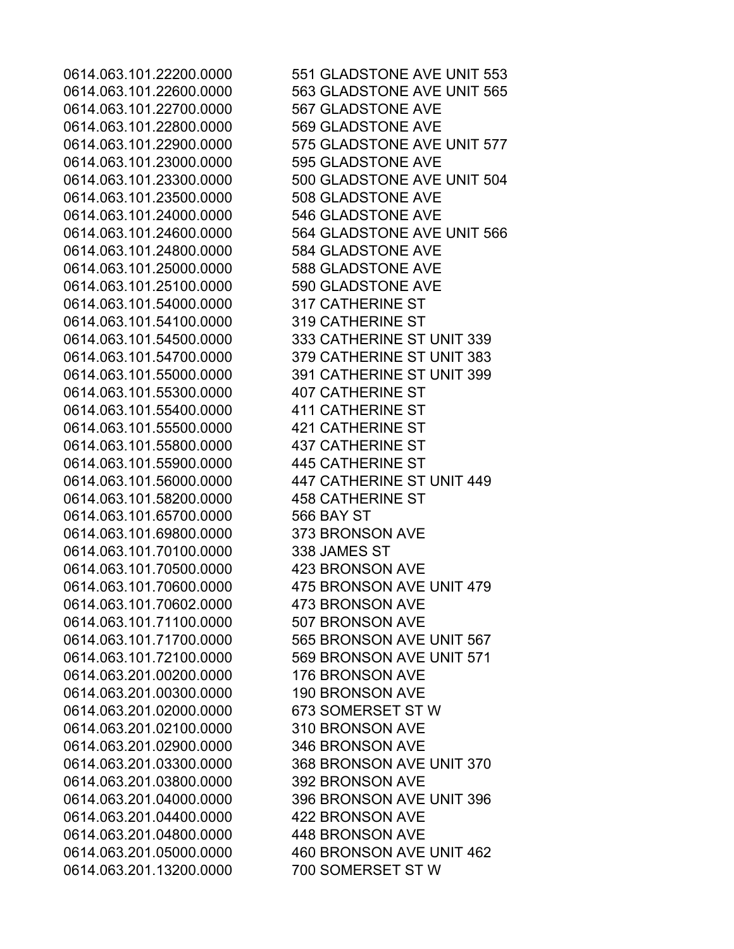0614.063.101.22700.0000 567 GLADSTONE AVE 0614.063.101.22800.0000 569 GLADSTONE AVE 0614.063.101.23000.0000 595 GLADSTONE AVE 0614.063.101.23500.0000 508 GLADSTONE AVE 0614.063.101.24000.0000 546 GLADSTONE AVE 0614.063.101.24800.0000 584 GLADSTONE AVE 0614.063.101.25000.0000 588 GLADSTONE AVE 0614.063.101.25100.0000 590 GLADSTONE AVE 0614.063.101.54000.0000 317 CATHERINE ST 0614.063.101.54100.0000 319 CATHERINE ST 0614.063.101.55300.0000 407 CATHERINE ST 0614.063.101.55400.0000 411 CATHERINE ST 0614.063.101.55500.0000 421 CATHERINE ST 0614.063.101.55800.0000 437 CATHERINE ST 0614.063.101.55900.0000 445 CATHERINE ST 0614.063.101.58200.0000 458 CATHERINE ST 0614.063.101.65700.0000 566 BAY ST 0614.063.101.69800.0000 373 BRONSON AVE 0614.063.101.70100.0000 338 JAMES ST 0614.063.101.70500.0000 423 BRONSON AVE 0614.063.101.70602.0000 473 BRONSON AVE 0614.063.101.71100.0000 507 BRONSON AVE 0614.063.201.00200.0000 176 BRONSON AVE 0614.063.201.00300.0000 190 BRONSON AVE 0614.063.201.02000.0000 673 SOMERSET ST W 0614.063.201.02100.0000 310 BRONSON AVE 0614.063.201.02900.0000 346 BRONSON AVE 0614.063.201.03800.0000 392 BRONSON AVE 0614.063.201.04400.0000 422 BRONSON AVE 0614.063.201.04800.0000 448 BRONSON AVE 0614.063.201.13200.0000 700 SOMERSET ST W

0614.063.101.22200.0000 551 GLADSTONE AVE UNIT 553 0614.063.101.22600.0000 563 GLADSTONE AVE UNIT 565 0614.063.101.22900.0000 575 GLADSTONE AVE UNIT 577 0614.063.101.23300.0000 500 GLADSTONE AVE UNIT 504 0614.063.101.24600.0000 564 GLADSTONE AVE UNIT 566 0614.063.101.54500.0000 333 CATHERINE ST UNIT 339 0614.063.101.54700.0000 379 CATHERINE ST UNIT 383 0614.063.101.55000.0000 391 CATHERINE ST UNIT 399 0614.063.101.56000.0000 447 CATHERINE ST UNIT 449 0614.063.101.70600.0000 475 BRONSON AVE UNIT 479 0614.063.101.71700.0000 565 BRONSON AVE UNIT 567 0614.063.101.72100.0000 569 BRONSON AVE UNIT 571 0614.063.201.03300.0000 368 BRONSON AVE UNIT 370 0614.063.201.04000.0000 396 BRONSON AVE UNIT 396 0614.063.201.05000.0000 460 BRONSON AVE UNIT 462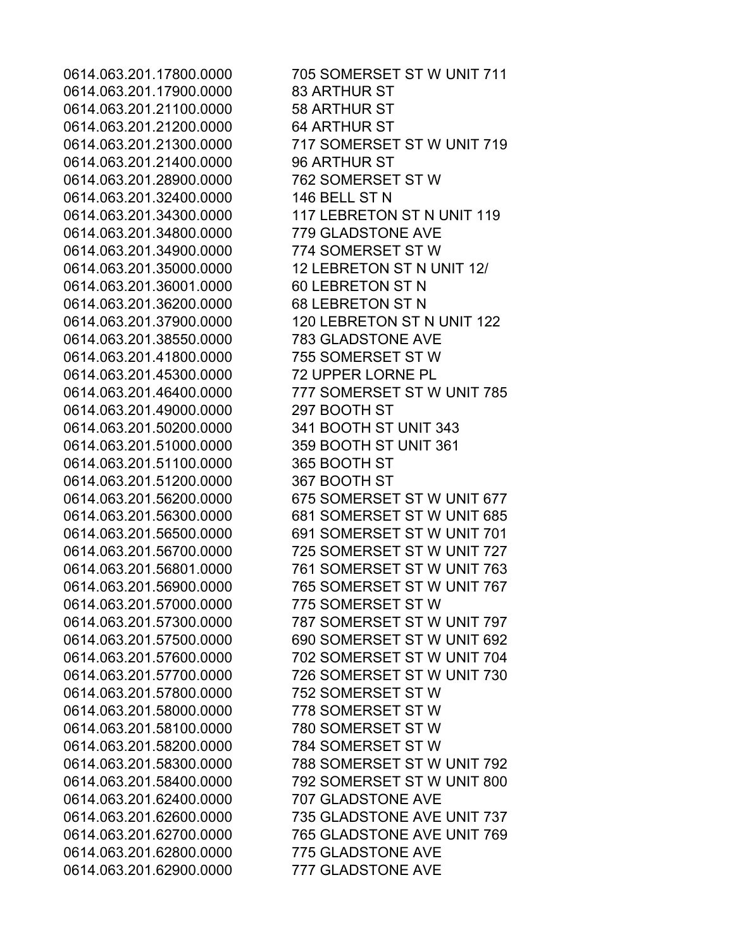0614.063.201.17900.0000 83 ARTHUR ST 0614.063.201.21100.0000 58 ARTHUR ST 0614.063.201.21200.0000 64 ARTHUR ST 0614.063.201.21400.0000 96 ARTHUR ST 0614.063.201.28900.0000 762 SOMERSET ST W 0614.063.201.32400.0000 146 BELL ST N 0614.063.201.34800.0000 779 GLADSTONE AVE 0614.063.201.34900.0000 774 SOMERSET ST W 0614.063.201.35000.0000 12 LEBRETON ST N UNIT 12/ 0614.063.201.36001.0000 60 LEBRETON ST N 0614.063.201.36200.0000 68 LEBRETON ST N 0614.063.201.38550.0000 783 GLADSTONE AVE 0614.063.201.41800.0000 755 SOMERSET ST W 0614.063.201.45300.0000 72 UPPER LORNE PL 0614.063.201.49000.0000 297 BOOTH ST 0614.063.201.50200.0000 341 BOOTH ST UNIT 343 0614.063.201.51000.0000 359 BOOTH ST UNIT 361 0614.063.201.51100.0000 365 BOOTH ST 0614.063.201.51200.0000 367 BOOTH ST 0614.063.201.57000.0000 775 SOMERSET ST W 0614.063.201.57800.0000 752 SOMERSET ST W 0614.063.201.58000.0000 778 SOMERSET ST W 0614.063.201.58100.0000 780 SOMERSET ST W 0614.063.201.58200.0000 784 SOMERSET ST W 0614.063.201.62400.0000 707 GLADSTONE AVE 0614.063.201.62800.0000 775 GLADSTONE AVE 0614.063.201.62900.0000 777 GLADSTONE AVE

0614.063.201.17800.0000 705 SOMERSET ST W UNIT 711 0614.063.201.21300.0000 717 SOMERSET ST W UNIT 719 0614.063.201.34300.0000 117 LEBRETON ST N UNIT 119 0614.063.201.37900.0000 120 LEBRETON ST N UNIT 122 0614.063.201.46400.0000 777 SOMERSET ST W UNIT 785 0614.063.201.56200.0000 675 SOMERSET ST W UNIT 677 0614.063.201.56300.0000 681 SOMERSET ST W UNIT 685 0614.063.201.56500.0000 691 SOMERSET ST W UNIT 701 0614.063.201.56700.0000 725 SOMERSET ST W UNIT 727 0614.063.201.56801.0000 761 SOMERSET ST W UNIT 763 0614.063.201.56900.0000 765 SOMERSET ST W UNIT 767 0614.063.201.57300.0000 787 SOMERSET ST W UNIT 797 0614.063.201.57500.0000 690 SOMERSET ST W UNIT 692 0614.063.201.57600.0000 702 SOMERSET ST W UNIT 704 0614.063.201.57700.0000 726 SOMERSET ST W UNIT 730 0614.063.201.58300.0000 788 SOMERSET ST W UNIT 792 0614.063.201.58400.0000 792 SOMERSET ST W UNIT 800 0614.063.201.62600.0000 735 GLADSTONE AVE UNIT 737 0614.063.201.62700.0000 765 GLADSTONE AVE UNIT 769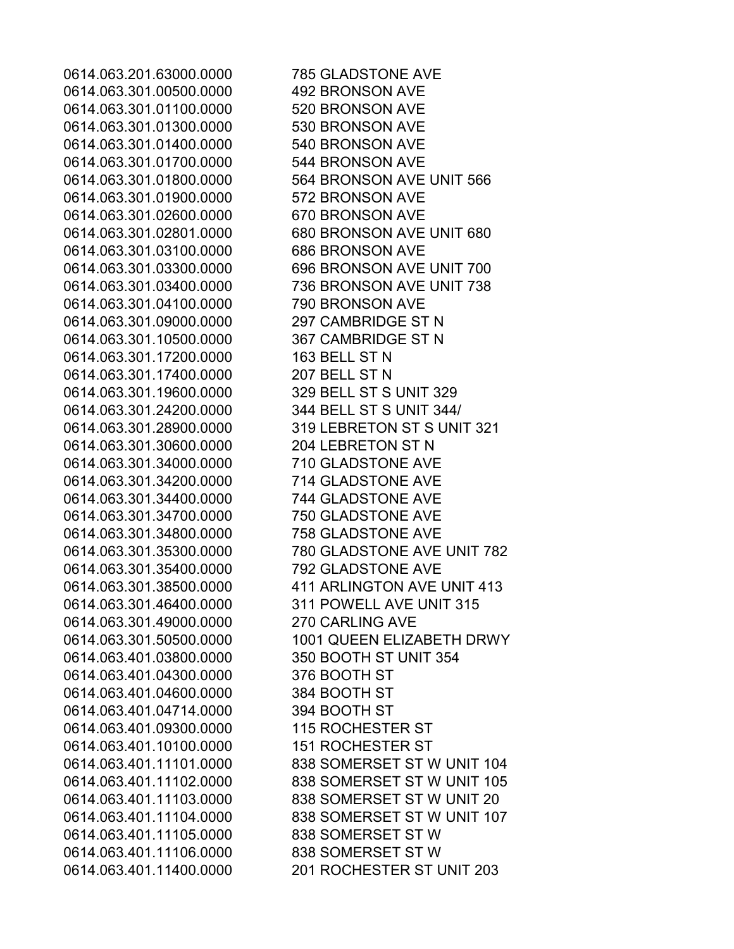0614.063.301.00500.0000 492 BRONSON AVE 0614.063.301.01100.0000 520 BRONSON AVE 0614.063.301.01300.0000 530 BRONSON AVE 0614.063.301.01400.0000 540 BRONSON AVE 0614.063.301.01700.0000 544 BRONSON AVE 0614.063.301.01900.0000 572 BRONSON AVE 0614.063.301.02600.0000 670 BRONSON AVE 0614.063.301.03100.0000 686 BRONSON AVE 0614.063.301.04100.0000 790 BRONSON AVE 0614.063.301.09000.0000 297 CAMBRIDGE ST N 0614.063.301.10500.0000 367 CAMBRIDGE ST N 0614.063.301.17200.0000 163 BELL ST N 0614.063.301.17400.0000 207 BELL ST N 0614.063.301.19600.0000 329 BELL ST S UNIT 329 0614.063.301.24200.0000 344 BELL ST S UNIT 344/ 0614.063.301.30600.0000 204 LEBRETON ST N 0614.063.301.34000.0000 710 GLADSTONE AVE 0614.063.301.34200.0000 714 GLADSTONE AVE 0614.063.301.34400.0000 744 GLADSTONE AVE 0614.063.301.34700.0000 750 GLADSTONE AVE 0614.063.301.34800.0000 758 GLADSTONE AVE 0614.063.301.35400.0000 792 GLADSTONE AVE 0614.063.301.46400.0000 311 POWELL AVE UNIT 315 0614.063.301.49000.0000 270 CARLING AVE 0614.063.401.03800.0000 350 BOOTH ST UNIT 354 0614.063.401.04300.0000 376 BOOTH ST 0614.063.401.04600.0000 384 BOOTH ST 0614.063.401.04714.0000 394 BOOTH ST 0614.063.401.09300.0000 115 ROCHESTER ST 0614.063.401.10100.0000 151 ROCHESTER ST 0614.063.401.11105.0000 838 SOMERSET ST W 0614.063.401.11106.0000 838 SOMERSET ST W

0614.063.201.63000.0000 785 GLADSTONE AVE 0614.063.301.01800.0000 564 BRONSON AVE UNIT 566 0614.063.301.02801.0000 680 BRONSON AVE UNIT 680 0614.063.301.03300.0000 696 BRONSON AVE UNIT 700 0614.063.301.03400.0000 736 BRONSON AVE UNIT 738 0614.063.301.28900.0000 319 LEBRETON ST S UNIT 321 0614.063.301.35300.0000 780 GLADSTONE AVE UNIT 782 0614.063.301.38500.0000 411 ARLINGTON AVE UNIT 413 0614.063.301.50500.0000 1001 QUEEN ELIZABETH DRWY 0614.063.401.11101.0000 838 SOMERSET ST W UNIT 104 0614.063.401.11102.0000 838 SOMERSET ST W UNIT 105 0614.063.401.11103.0000 838 SOMERSET ST W UNIT 20 0614.063.401.11104.0000 838 SOMERSET ST W UNIT 107 0614.063.401.11400.0000 201 ROCHESTER ST UNIT 203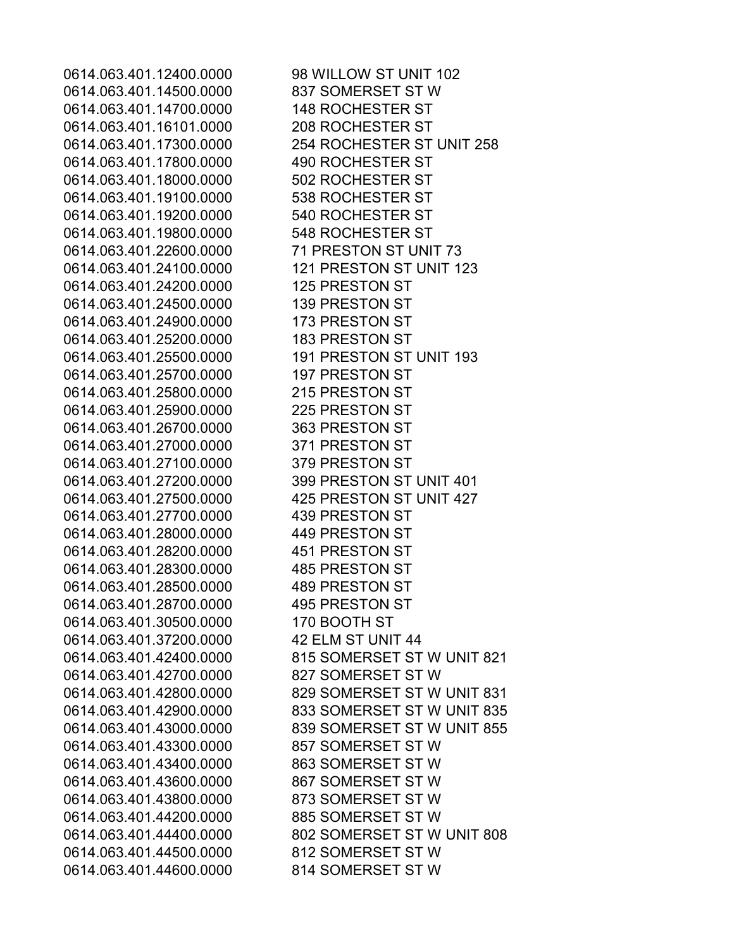0614.063.401.14500.0000 837 SOMERSET ST W 0614.063.401.14700.0000 148 ROCHESTER ST 0614.063.401.16101.0000 208 ROCHESTER ST 0614.063.401.17800.0000 490 ROCHESTER ST 0614.063.401.18000.0000 502 ROCHESTER ST 0614.063.401.19100.0000 538 ROCHESTER ST 0614.063.401.19200.0000 540 ROCHESTER ST 0614.063.401.19800.0000 548 ROCHESTER ST 0614.063.401.22600.0000 71 PRESTON ST UNIT 73 0614.063.401.24100.0000 121 PRESTON ST UNIT 123 0614.063.401.24200.0000 125 PRESTON ST 0614.063.401.24500.0000 139 PRESTON ST 0614.063.401.24900.0000 173 PRESTON ST 0614.063.401.25200.0000 183 PRESTON ST 0614.063.401.25500.0000 191 PRESTON ST UNIT 193 0614.063.401.25700.0000 197 PRESTON ST 0614.063.401.25800.0000 215 PRESTON ST 0614.063.401.25900.0000 225 PRESTON ST 0614.063.401.26700.0000 363 PRESTON ST 0614.063.401.27000.0000 371 PRESTON ST 0614.063.401.27100.0000 379 PRESTON ST 0614.063.401.27200.0000 399 PRESTON ST UNIT 401 0614.063.401.27500.0000 425 PRESTON ST UNIT 427 0614.063.401.27700.0000 439 PRESTON ST 0614.063.401.28000.0000 449 PRESTON ST 0614.063.401.28200.0000 451 PRESTON ST 0614.063.401.28300.0000 485 PRESTON ST 0614.063.401.28500.0000 489 PRESTON ST 0614.063.401.28700.0000 495 PRESTON ST 0614.063.401.30500.0000 170 BOOTH ST 0614.063.401.37200.0000 42 ELM ST UNIT 44 0614.063.401.42700.0000 827 SOMERSET ST W 0614.063.401.43300.0000 857 SOMERSET ST W 0614.063.401.43400.0000 863 SOMERSET ST W 0614.063.401.43600.0000 867 SOMERSET ST W 0614.063.401.43800.0000 873 SOMERSET ST W 0614.063.401.44200.0000 885 SOMERSET ST W 0614.063.401.44500.0000 812 SOMERSET ST W 0614.063.401.44600.0000 814 SOMERSET ST W

0614.063.401.12400.0000 98 WILLOW ST UNIT 102 0614.063.401.17300.0000 254 ROCHESTER ST UNIT 258 0614.063.401.42400.0000 815 SOMERSET ST W UNIT 821 0614.063.401.42800.0000 829 SOMERSET ST W UNIT 831 0614.063.401.42900.0000 833 SOMERSET ST W UNIT 835 0614.063.401.43000.0000 839 SOMERSET ST W UNIT 855 0614.063.401.44400.0000 802 SOMERSET ST W UNIT 808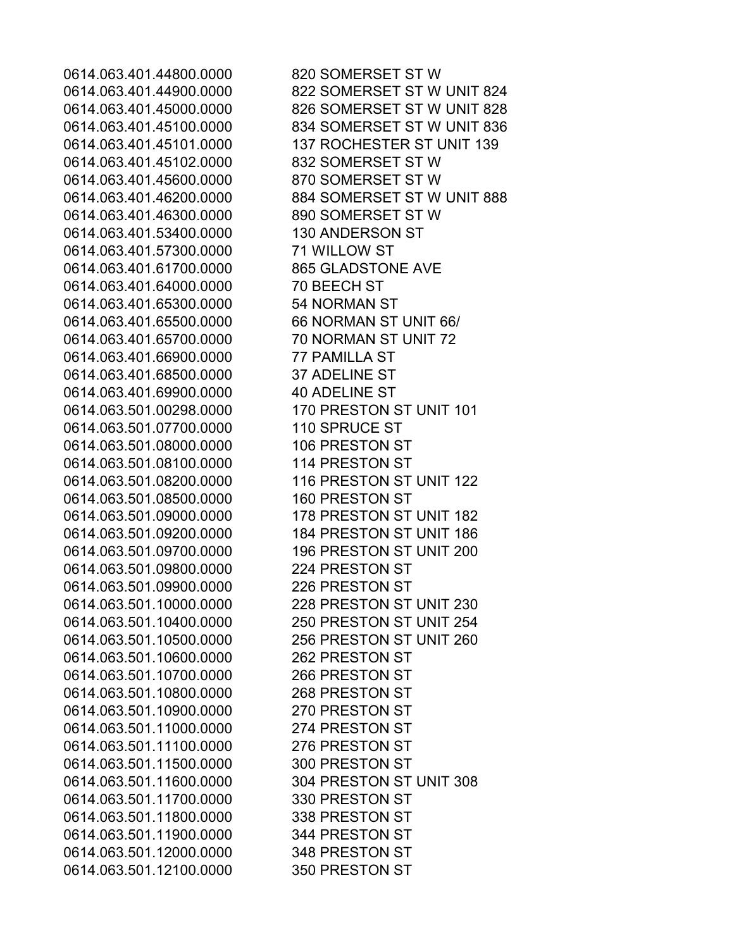0614.063.401.44800.0000 820 SOMERSET ST W 0614.063.401.44900.0000 822 SOMERSET ST W UNIT 824 0614.063.401.45000.0000 826 SOMERSET ST W UNIT 828 0614.063.401.45100.0000 834 SOMERSET ST W UNIT 836 0614.063.401.45101.0000 137 ROCHESTER ST UNIT 139 0614.063.401.45102.0000 832 SOMERSET ST W 0614.063.401.45600.0000 870 SOMERSET ST W 0614.063.401.46200.0000 884 SOMERSET ST W UNIT 888 0614.063.401.46300.0000 890 SOMERSET ST W 0614.063.401.53400.0000 130 ANDERSON ST 0614.063.401.57300.0000 71 WILLOW ST 0614.063.401.61700.0000 865 GLADSTONE AVE 0614.063.401.64000.0000 70 BEECH ST 0614.063.401.65300.0000 54 NORMAN ST 0614.063.401.65500.0000 66 NORMAN ST UNIT 66/ 0614.063.401.65700.0000 70 NORMAN ST UNIT 72 0614.063.401.66900.0000 77 PAMILLA ST 0614.063.401.68500.0000 37 ADELINE ST 0614.063.401.69900.0000 40 ADELINE ST 0614.063.501.00298.0000 170 PRESTON ST UNIT 101 0614.063.501.07700.0000 110 SPRUCE ST 0614.063.501.08000.0000 106 PRESTON ST 0614.063.501.08100.0000 114 PRESTON ST 0614.063.501.08200.0000 116 PRESTON ST UNIT 122 0614.063.501.08500.0000 160 PRESTON ST 0614.063.501.09000.0000 178 PRESTON ST UNIT 182 0614.063.501.09200.0000 184 PRESTON ST UNIT 186 0614.063.501.09700.0000 196 PRESTON ST UNIT 200 0614.063.501.09800.0000 224 PRESTON ST 0614.063.501.09900.0000 226 PRESTON ST 0614.063.501.10000.0000 228 PRESTON ST UNIT 230 0614.063.501.10400.0000 250 PRESTON ST UNIT 254 0614.063.501.10500.0000 256 PRESTON ST UNIT 260 0614.063.501.10600.0000 262 PRESTON ST 0614.063.501.10700.0000 266 PRESTON ST 0614.063.501.10800.0000 268 PRESTON ST 0614.063.501.10900.0000 270 PRESTON ST 0614.063.501.11000.0000 274 PRESTON ST 0614.063.501.11100.0000 276 PRESTON ST 0614.063.501.11500.0000 300 PRESTON ST 0614.063.501.11600.0000 304 PRESTON ST UNIT 308 0614.063.501.11700.0000 330 PRESTON ST 0614.063.501.11800.0000 338 PRESTON ST 0614.063.501.11900.0000 344 PRESTON ST 0614.063.501.12000.0000 348 PRESTON ST 0614.063.501.12100.0000 350 PRESTON ST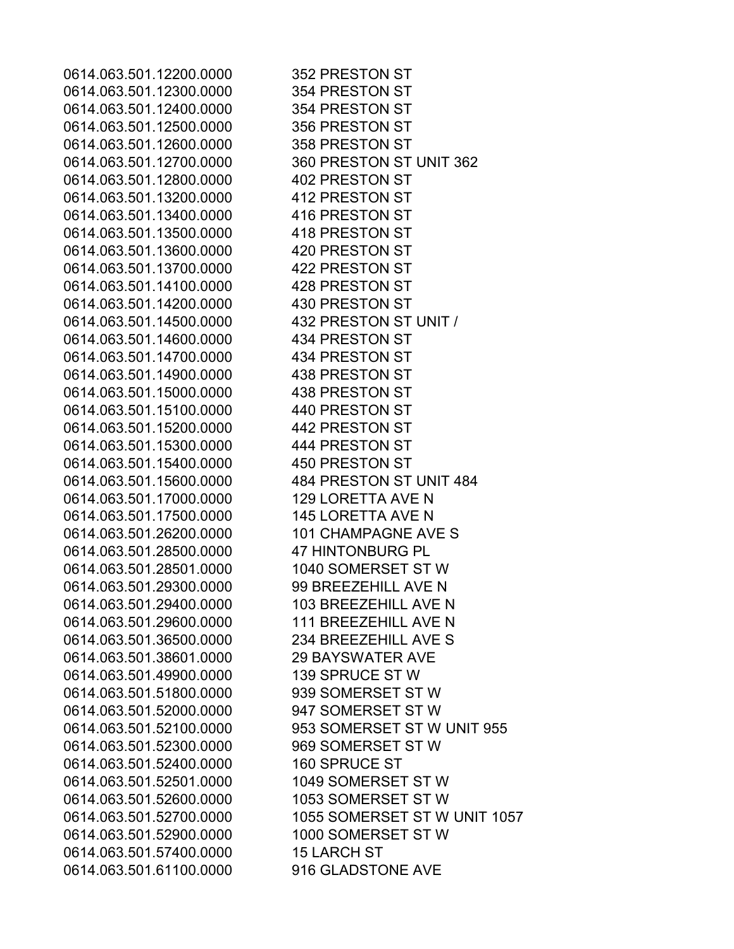0614.063.501.12200.0000 352 PRESTON ST 0614.063.501.12300.0000 354 PRESTON ST 0614.063.501.12400.0000 354 PRESTON ST 0614.063.501.12500.0000 356 PRESTON ST 0614.063.501.12600.0000 358 PRESTON ST 0614.063.501.12700.0000 360 PRESTON ST UNIT 362 0614.063.501.12800.0000 402 PRESTON ST 0614.063.501.13200.0000 412 PRESTON ST 0614.063.501.13400.0000 416 PRESTON ST 0614.063.501.13500.0000 418 PRESTON ST 0614.063.501.13600.0000 420 PRESTON ST 0614.063.501.13700.0000 422 PRESTON ST 0614.063.501.14100.0000 428 PRESTON ST 0614.063.501.14200.0000 430 PRESTON ST 0614.063.501.14500.0000 432 PRESTON ST UNIT / 0614.063.501.14600.0000 434 PRESTON ST 0614.063.501.14700.0000 434 PRESTON ST 0614.063.501.14900.0000 438 PRESTON ST 0614.063.501.15000.0000 438 PRESTON ST 0614.063.501.15100.0000 440 PRESTON ST 0614.063.501.15200.0000 442 PRESTON ST 0614.063.501.15300.0000 444 PRESTON ST 0614.063.501.15400.0000 450 PRESTON ST 0614.063.501.15600.0000 484 PRESTON ST UNIT 484 0614.063.501.17000.0000 129 LORETTA AVE N 0614.063.501.17500.0000 145 LORETTA AVE N 0614.063.501.26200.0000 101 CHAMPAGNE AVE S 0614.063.501.28500.0000 47 HINTONBURG PL 0614.063.501.28501.0000 1040 SOMERSET ST W 0614.063.501.29300.0000 99 BREEZEHILL AVE N 0614.063.501.29400.0000 103 BREEZEHILL AVE N 0614.063.501.29600.0000 111 BREEZEHILL AVE N 0614.063.501.36500.0000 234 BREEZEHILL AVE S 0614.063.501.38601.0000 29 BAYSWATER AVE 0614.063.501.49900.0000 139 SPRUCE ST W 0614.063.501.51800.0000 939 SOMERSET ST W 0614.063.501.52000.0000 947 SOMERSET ST W 0614.063.501.52100.0000 953 SOMERSET ST W UNIT 955 0614.063.501.52300.0000 969 SOMERSET ST W 0614.063.501.52400.0000 160 SPRUCE ST 0614.063.501.52501.0000 1049 SOMERSET ST W 0614.063.501.52600.0000 1053 SOMERSET ST W 0614.063.501.52700.0000 1055 SOMERSET ST W UNIT 1057 0614.063.501.52900.0000 1000 SOMERSET ST W 0614.063.501.57400.0000 15 LARCH ST 0614.063.501.61100.0000 916 GLADSTONE AVE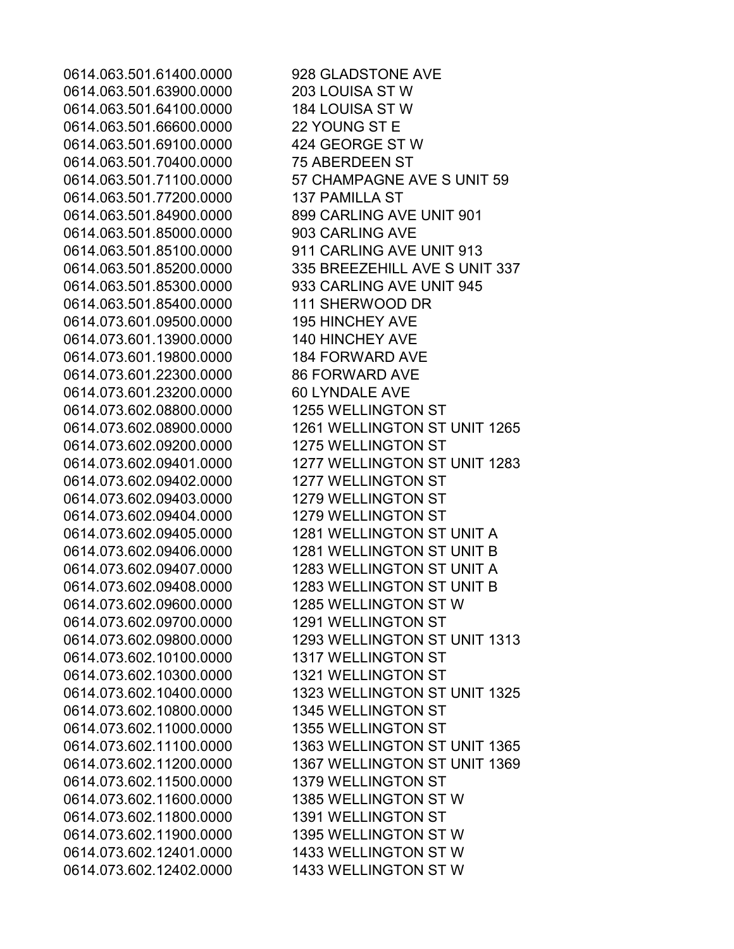0614.063.501.63900.0000 203 LOUISA ST W 0614.063.501.64100.0000 184 LOUISA ST W 0614.063.501.66600.0000 22 YOUNG ST E 0614.063.501.69100.0000 424 GEORGE ST W 0614.063.501.70400.0000 75 ABERDEEN ST 0614.063.501.77200.0000 137 PAMILLA ST 0614.063.501.84900.0000 899 CARLING AVE UNIT 901 0614.063.501.85000.0000 903 CARLING AVE 0614.063.501.85100.0000 911 CARLING AVE UNIT 913 0614.063.501.85300.0000 933 CARLING AVE UNIT 945 0614.063.501.85400.0000 111 SHERWOOD DR 0614.073.601.09500.0000 195 HINCHEY AVE 0614.073.601.13900.0000 140 HINCHEY AVE 0614.073.601.19800.0000 184 FORWARD AVE 0614.073.601.22300.0000 86 FORWARD AVE 0614.073.601.23200.0000 60 LYNDALE AVE 0614.073.602.08800.0000 1255 WELLINGTON ST 0614.073.602.09200.0000 1275 WELLINGTON ST 0614.073.602.09402.0000 1277 WELLINGTON ST 0614.073.602.09403.0000 1279 WELLINGTON ST 0614.073.602.09404.0000 1279 WELLINGTON ST 0614.073.602.09600.0000 1285 WELLINGTON ST W 0614.073.602.09700.0000 1291 WELLINGTON ST 0614.073.602.10100.0000 1317 WELLINGTON ST 0614.073.602.10300.0000 1321 WELLINGTON ST 0614.073.602.10800.0000 1345 WELLINGTON ST 0614.073.602.11000.0000 1355 WELLINGTON ST 0614.073.602.11500.0000 1379 WELLINGTON ST 0614.073.602.11600.0000 1385 WELLINGTON ST W 0614.073.602.11800.0000 1391 WELLINGTON ST 0614.073.602.11900.0000 1395 WELLINGTON ST W 0614.073.602.12401.0000 1433 WELLINGTON ST W 0614.073.602.12402.0000 1433 WELLINGTON ST W

0614.063.501.61400.0000 928 GLADSTONE AVE 0614.063.501.71100.0000 57 CHAMPAGNE AVE SUNIT 59 0614.063.501.85200.0000 335 BREEZEHILL AVE SUNIT 337 0614.073.602.08900.0000 1261 WELLINGTON ST UNIT 1265 0614.073.602.09401.0000 1277 WELLINGTON ST UNIT 1283 0614.073.602.09405.0000 1281 WELLINGTON ST UNIT A 0614.073.602.09406.0000 1281 WELLINGTON ST UNIT B 0614.073.602.09407.0000 1283 WELLINGTON ST UNIT A 0614.073.602.09408.0000 1283 WELLINGTON ST UNIT B 0614.073.602.09800.0000 1293 WELLINGTON ST UNIT 1313 0614.073.602.10400.0000 1323 WELLINGTON ST UNIT 1325 0614.073.602.11100.0000 1363 WELLINGTON ST UNIT 1365 0614.073.602.11200.0000 1367 WELLINGTON ST UNIT 1369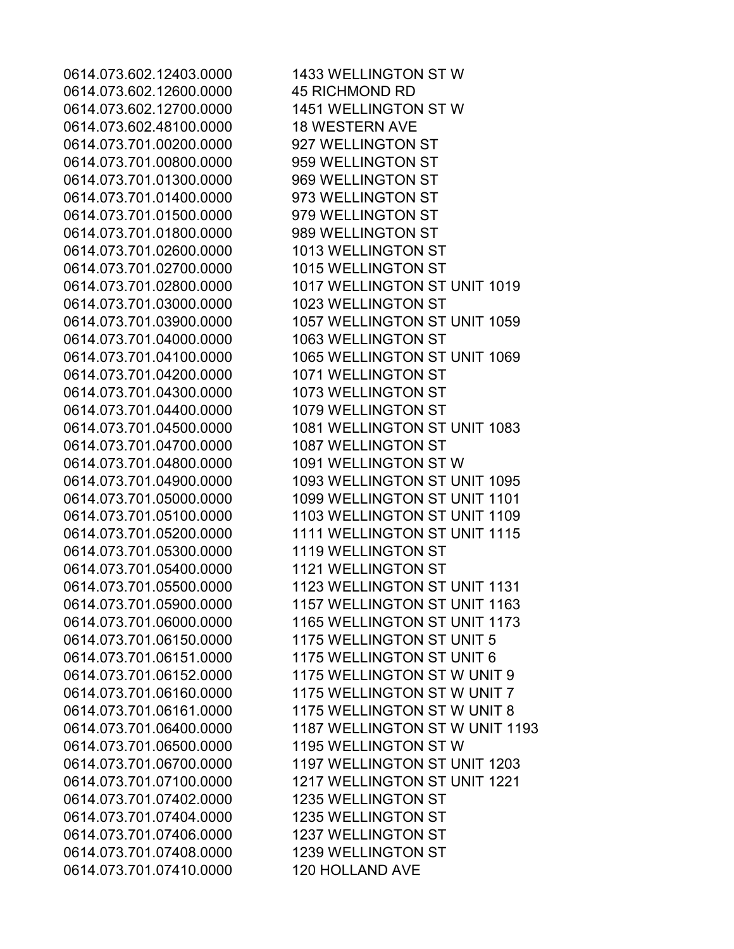0614.073.602.12600.0000 45 RICHMOND RD 0614.073.602.12700.0000 1451 WELLINGTON ST W 0614.073.602.48100.0000 18 WESTERN AVE 0614.073.701.00200.0000 927 WELLINGTON ST 0614.073.701.00800.0000 959 WELLINGTON ST 0614.073.701.01300.0000 969 WELLINGTON ST 0614.073.701.01400.0000 973 WELLINGTON ST 0614.073.701.01500.0000 979 WELLINGTON ST 0614.073.701.01800.0000 989 WELLINGTON ST 0614.073.701.02600.0000 1013 WELLINGTON ST 0614.073.701.02700.0000 1015 WELLINGTON ST 0614.073.701.03000.0000 1023 WELLINGTON ST 0614.073.701.04000.0000 1063 WELLINGTON ST 0614.073.701.04200.0000 1071 WELLINGTON ST 0614.073.701.04300.0000 1073 WELLINGTON ST 0614.073.701.04400.0000 1079 WELLINGTON ST 0614.073.701.04700.0000 1087 WELLINGTON ST 0614.073.701.04800.0000 1091 WELLINGTON ST W 0614.073.701.05300.0000 1119 WELLINGTON ST 0614.073.701.05400.0000 1121 WELLINGTON ST 0614.073.701.06500.0000 1195 WELLINGTON ST W 0614.073.701.07402.0000 1235 WELLINGTON ST 0614.073.701.07404.0000 1235 WELLINGTON ST 0614.073.701.07406.0000 1237 WELLINGTON ST 0614.073.701.07408.0000 1239 WELLINGTON ST 0614.073.701.07410.0000 120 HOLLAND AVE

0614.073.602.12403.0000 1433 WELLINGTON ST W 0614.073.701.02800.0000 1017 WELLINGTON ST UNIT 1019 0614.073.701.03900.0000 1057 WELLINGTON ST UNIT 1059 0614.073.701.04100.0000 1065 WELLINGTON ST UNIT 1069 0614.073.701.04500.0000 1081 WELLINGTON ST UNIT 1083 0614.073.701.04900.0000 1093 WELLINGTON ST UNIT 1095 0614.073.701.05000.0000 1099 WELLINGTON ST UNIT 1101 0614.073.701.05100.0000 1103 WELLINGTON ST UNIT 1109 0614.073.701.05200.0000 1111 WELLINGTON ST UNIT 1115 0614.073.701.05500.0000 1123 WELLINGTON ST UNIT 1131 0614.073.701.05900.0000 1157 WELLINGTON ST UNIT 1163 0614.073.701.06000.0000 1165 WELLINGTON ST UNIT 1173 0614.073.701.06150.0000 1175 WELLINGTON ST UNIT 5 0614.073.701.06151.0000 1175 WELLINGTON ST UNIT 6 0614.073.701.06152.0000 1175 WELLINGTON ST W UNIT 9 0614.073.701.06160.0000 1175 WELLINGTON ST W UNIT 7 0614.073.701.06161.0000 1175 WELLINGTON ST W UNIT 8 0614.073.701.06400.0000 1187 WELLINGTON ST W UNIT 1193 0614.073.701.06700.0000 1197 WELLINGTON ST UNIT 1203 0614.073.701.07100.0000 1217 WELLINGTON ST UNIT 1221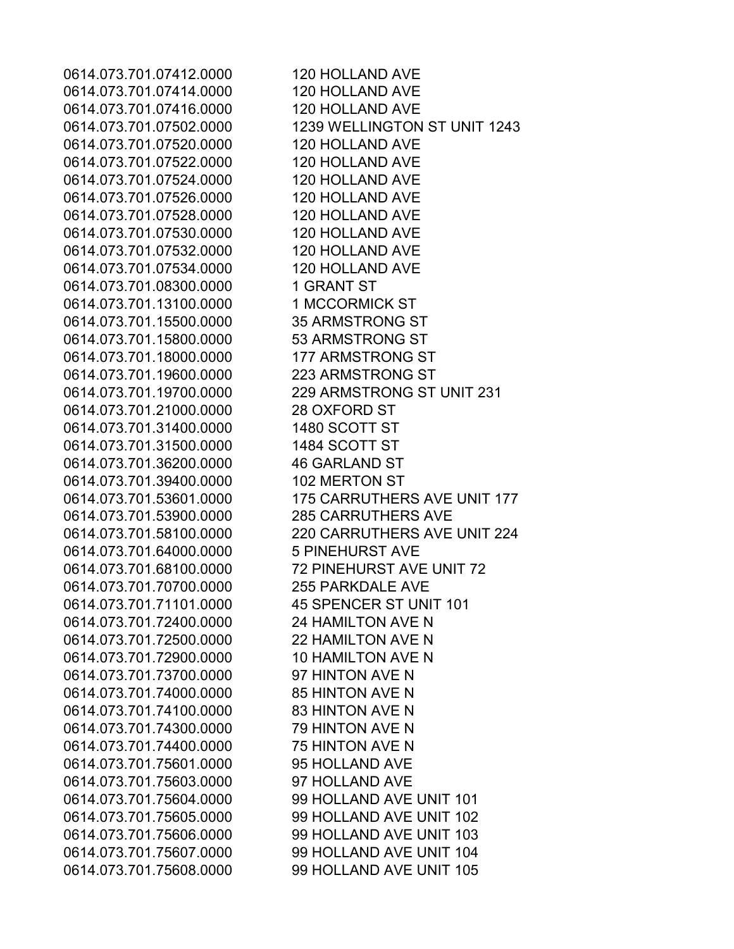0614.073.701.07412.0000 120 HOLLAND AVE 0614.073.701.07414.0000 120 HOLLAND AVE 0614.073.701.07416.0000 120 HOLLAND AVE 0614.073.701.07502.0000 1239 WELLINGTON ST UNIT 1243 0614.073.701.07520.0000 120 HOLLAND AVE 0614.073.701.07522.0000 120 HOLLAND AVE 0614.073.701.07524.0000 120 HOLLAND AVE 0614.073.701.07526.0000 120 HOLLAND AVE 0614.073.701.07528.0000 120 HOLLAND AVE 0614.073.701.07530.0000 120 HOLLAND AVE 0614.073.701.07532.0000 120 HOLLAND AVE 0614.073.701.07534.0000 120 HOLLAND AVE 0614.073.701.08300.0000 1 GRANT ST 0614.073.701.13100.0000 1 MCCORMICK ST 0614.073.701.15500.0000 35 ARMSTRONG ST 0614.073.701.15800.0000 53 ARMSTRONG ST 0614.073.701.18000.0000 177 ARMSTRONG ST 0614.073.701.19600.0000 223 ARMSTRONG ST 0614.073.701.19700.0000 229 ARMSTRONG ST UNIT 231 0614.073.701.21000.0000 28 OXFORD ST 0614.073.701.31400.0000 1480 SCOTT ST 0614.073.701.31500.0000 1484 SCOTT ST 0614.073.701.36200.0000 46 GARLAND ST 0614.073.701.39400.0000 102 MERTON ST 0614.073.701.53601.0000 175 CARRUTHERS AVE UNIT 177 0614.073.701.53900.0000 285 CARRUTHERS AVE 0614.073.701.58100.0000 220 CARRUTHERS AVE UNIT 224 0614.073.701.64000.0000 5 PINEHURST AVE 0614.073.701.68100.0000 72 PINEHURST AVE UNIT 72 0614.073.701.70700.0000 255 PARKDALE AVE 0614.073.701.71101.0000 45 SPENCER ST UNIT 101 0614.073.701.72400.0000 24 HAMILTON AVE N 0614.073.701.72500.0000 22 HAMILTON AVE N 0614.073.701.72900.0000 10 HAMILTON AVE N 0614.073.701.73700.0000 97 HINTON AVE N 0614.073.701.74000.0000 85 HINTON AVE N 0614.073.701.74100.0000 83 HINTON AVE N 0614.073.701.74300.0000 79 HINTON AVE N 0614.073.701.74400.0000 75 HINTON AVE N 0614.073.701.75601.0000 95 HOLLAND AVE 0614.073.701.75603.0000 97 HOLLAND AVE 0614.073.701.75604.0000 99 HOLLAND AVE UNIT 101 0614.073.701.75605.0000 99 HOLLAND AVE UNIT 102 0614.073.701.75606.0000 99 HOLLAND AVE UNIT 103 0614.073.701.75607.0000 99 HOLLAND AVE UNIT 104 0614.073.701.75608.0000 99 HOLLAND AVE UNIT 105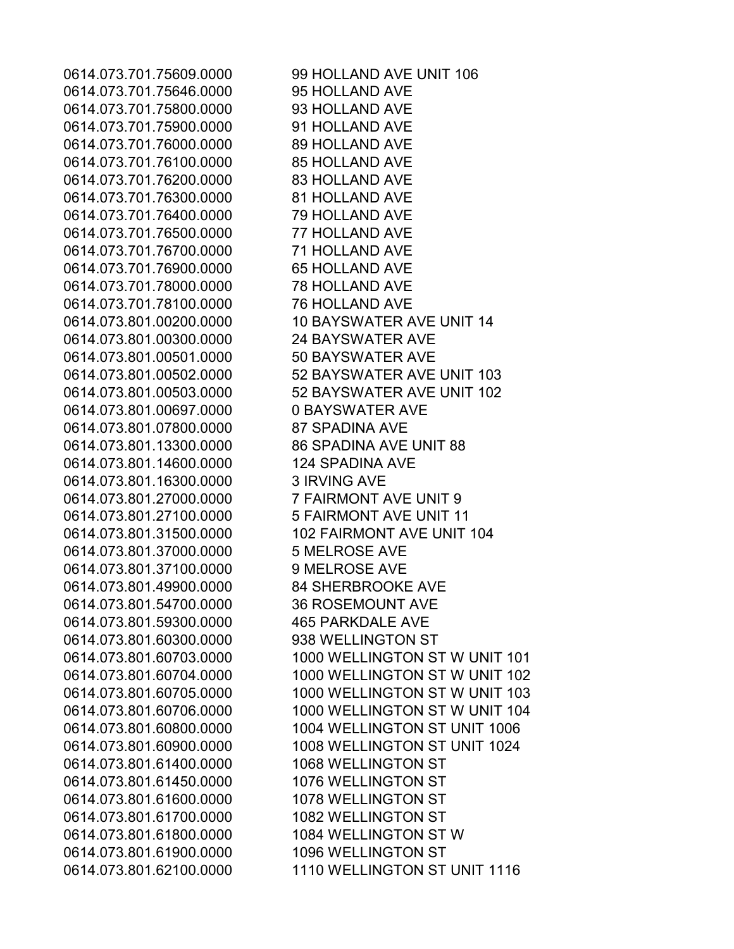0614.073.701.75609.0000 99 HOLLAND AVE UNIT 106 0614.073.701.75646.0000 95 HOLLAND AVE 0614.073.701.75800.0000 93 HOLLAND AVE 0614.073.701.75900.0000 91 HOLLAND AVE 0614.073.701.76000.0000 89 HOLLAND AVE 0614.073.701.76100.0000 85 HOLLAND AVE 0614.073.701.76200.0000 83 HOLLAND AVE 0614.073.701.76300.0000 81 HOLLAND AVE 0614.073.701.76400.0000 79 HOLLAND AVE 0614.073.701.76500.0000 77 HOLLAND AVE 0614.073.701.76700.0000 71 HOLLAND AVE 0614.073.701.76900.0000 65 HOLLAND AVE 0614.073.701.78000.0000 78 HOLLAND AVE 0614.073.701.78100.0000 76 HOLLAND AVE 0614.073.801.00200.0000 10 BAYSWATER AVE UNIT 14 0614.073.801.00300.0000 24 BAYSWATER AVE 0614.073.801.00501.0000 50 BAYSWATER AVE 0614.073.801.00502.0000 52 BAYSWATER AVE UNIT 103 0614.073.801.00503.0000 52 BAYSWATER AVE UNIT 102 0614.073.801.00697.0000 0 BAYSWATER AVE 0614.073.801.07800.0000 87 SPADINA AVE 0614.073.801.13300.0000 86 SPADINA AVE UNIT 88 0614.073.801.14600.0000 124 SPADINA AVE 0614.073.801.16300.0000 3 IRVING AVE 0614.073.801.27000.0000 7 FAIRMONT AVE UNIT 9 0614.073.801.27100.0000 5 FAIRMONT AVE UNIT 11 0614.073.801.31500.0000 102 FAIRMONT AVE UNIT 104 0614.073.801.37000.0000 5 MELROSE AVE 0614.073.801.37100.0000 9 MELROSE AVE 0614.073.801.49900.0000 84 SHERBROOKE AVE 0614.073.801.54700.0000 36 ROSEMOUNT AVE 0614.073.801.59300.0000 465 PARKDALE AVE 0614.073.801.60300.0000 938 WELLINGTON ST 0614.073.801.60703.0000 1000 WELLINGTON ST W UNIT 101 0614.073.801.60704.0000 1000 WELLINGTON ST W UNIT 102 0614.073.801.60705.0000 1000 WELLINGTON ST W UNIT 103 0614.073.801.60706.0000 1000 WELLINGTON ST W UNIT 104 0614.073.801.60800.0000 1004 WELLINGTON ST UNIT 1006 0614.073.801.60900.0000 1008 WELLINGTON ST UNIT 1024 0614.073.801.61400.0000 1068 WELLINGTON ST 0614.073.801.61450.0000 1076 WELLINGTON ST 0614.073.801.61600.0000 1078 WELLINGTON ST 0614.073.801.61700.0000 1082 WELLINGTON ST 0614.073.801.61800.0000 1084 WELLINGTON ST W 0614.073.801.61900.0000 1096 WELLINGTON ST 0614.073.801.62100.0000 1110 WELLINGTON ST UNIT 1116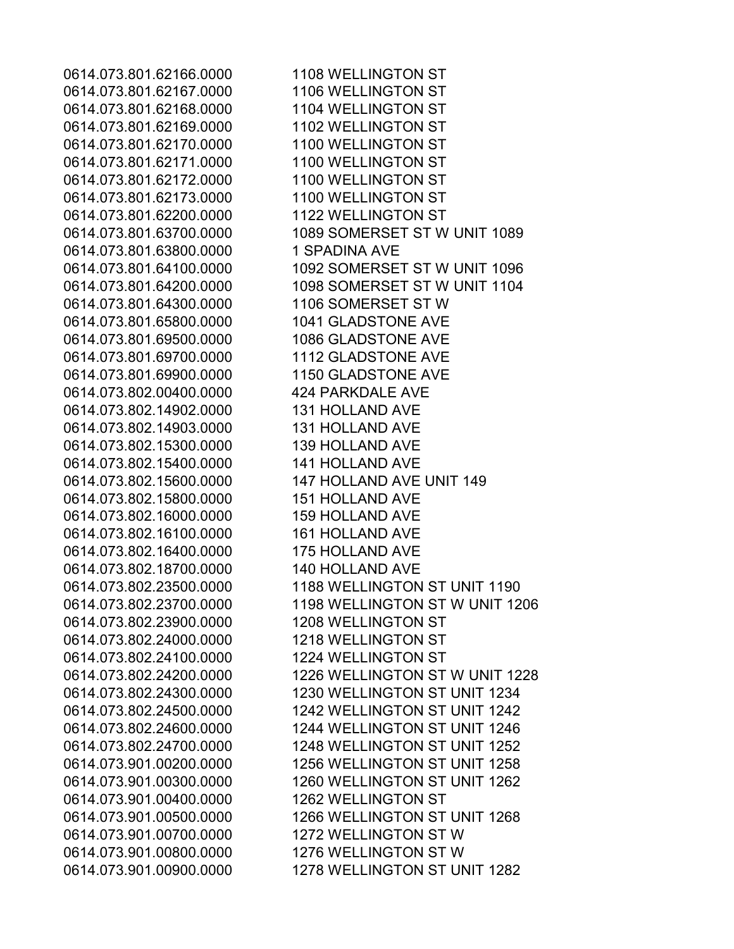0614.073.801.62166.0000 1108 WELLINGTON ST 0614.073.801.62167.0000 1106 WELLINGTON ST 0614.073.801.62168.0000 1104 WELLINGTON ST 0614.073.801.62169.0000 1102 WELLINGTON ST 0614.073.801.62170.0000 1100 WELLINGTON ST 0614.073.801.62171.0000 1100 WELLINGTON ST 0614.073.801.62172.0000 1100 WELLINGTON ST 0614.073.801.62173.0000 1100 WELLINGTON ST 0614.073.801.62200.0000 1122 WELLINGTON ST 0614.073.801.63700.0000 1089 SOMERSET ST W UNIT 1089 0614.073.801.63800.0000 1 SPADINA AVE 0614.073.801.64100.0000 1092 SOMERSET ST W UNIT 1096 0614.073.801.64200.0000 1098 SOMERSET ST W UNIT 1104 0614.073.801.64300.0000 1106 SOMERSET ST W 0614.073.801.65800.0000 1041 GLADSTONE AVE 0614.073.801.69500.0000 1086 GLADSTONE AVE 0614.073.801.69700.0000 1112 GLADSTONE AVE 0614.073.801.69900.0000 1150 GLADSTONE AVE 0614.073.802.00400.0000 424 PARKDALE AVE 0614.073.802.14902.0000 131 HOLLAND AVE 0614.073.802.14903.0000 131 HOLLAND AVE 0614.073.802.15300.0000 139 HOLLAND AVE 0614.073.802.15400.0000 141 HOLLAND AVE 0614.073.802.15600.0000 147 HOLLAND AVE UNIT 149 0614.073.802.15800.0000 151 HOLLAND AVE 0614.073.802.16000.0000 159 HOLLAND AVE 0614.073.802.16100.0000 161 HOLLAND AVE 0614.073.802.16400.0000 175 HOLLAND AVE 0614.073.802.18700.0000 140 HOLLAND AVE 0614.073.802.23500.0000 1188 WELLINGTON ST UNIT 1190 0614.073.802.23700.0000 1198 WELLINGTON ST W UNIT 1206 0614.073.802.23900.0000 1208 WELLINGTON ST 0614.073.802.24000.0000 1218 WELLINGTON ST 0614.073.802.24100.0000 1224 WELLINGTON ST 0614.073.802.24200.0000 1226 WELLINGTON ST W UNIT 1228 0614.073.802.24300.0000 1230 WELLINGTON ST UNIT 1234 0614.073.802.24500.0000 1242 WELLINGTON ST UNIT 1242 0614.073.802.24600.0000 1244 WELLINGTON ST UNIT 1246 0614.073.802.24700.0000 1248 WELLINGTON ST UNIT 1252 0614.073.901.00200.0000 1256 WELLINGTON ST UNIT 1258 0614.073.901.00300.0000 1260 WELLINGTON ST UNIT 1262 0614.073.901.00400.0000 1262 WELLINGTON ST 0614.073.901.00500.0000 1266 WELLINGTON ST UNIT 1268 0614.073.901.00700.0000 1272 WELLINGTON ST W 0614.073.901.00800.0000 1276 WELLINGTON ST W 0614.073.901.00900.0000 1278 WELLINGTON ST UNIT 1282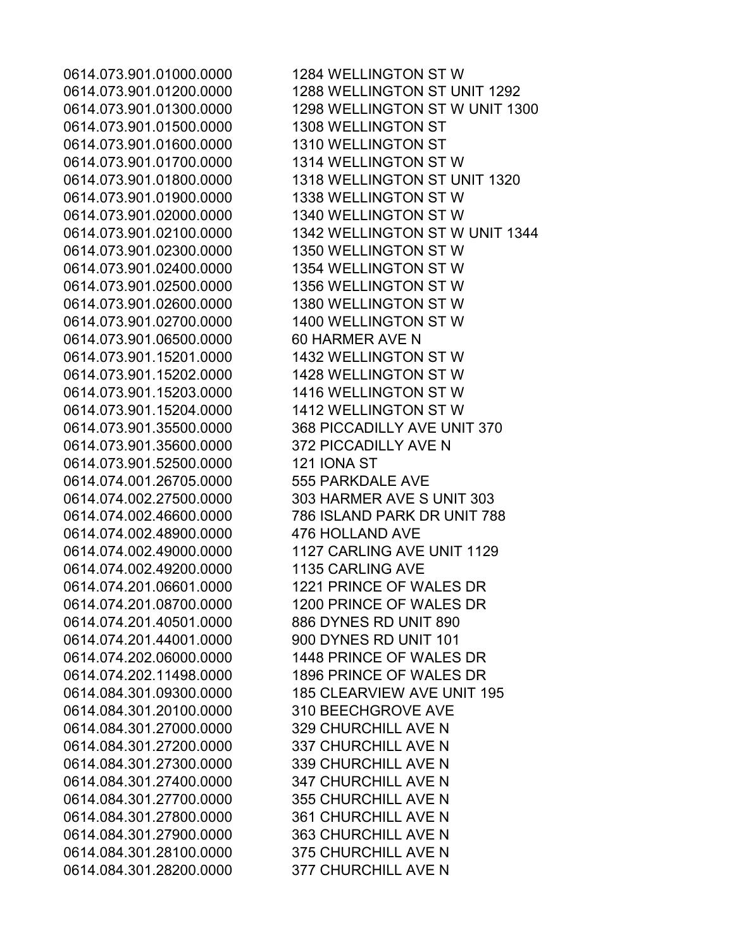0614.073.901.01500.0000 1308 WELLINGTON ST 0614.073.901.01600.0000 1310 WELLINGTON ST 0614.073.901.01700.0000 1314 WELLINGTON ST W 0614.073.901.01900.0000 1338 WELLINGTON ST W 0614.073.901.02000.0000 1340 WELLINGTON ST W 0614.073.901.02300.0000 1350 WELLINGTON ST W 0614.073.901.02400.0000 1354 WELLINGTON ST W 0614.073.901.02500.0000 1356 WELLINGTON ST W 0614.073.901.02600.0000 1380 WELLINGTON ST W 0614.073.901.02700.0000 1400 WELLINGTON ST W 0614.073.901.06500.0000 60 HARMER AVE N 0614.073.901.15201.0000 1432 WELLINGTON ST W 0614.073.901.15202.0000 1428 WELLINGTON ST W 0614.073.901.15203.0000 1416 WELLINGTON ST W 0614.073.901.15204.0000 1412 WELLINGTON ST W 0614.073.901.35600.0000 372 PICCADILLY AVE N 0614.073.901.52500.0000 121 IONA ST 0614.074.001.26705.0000 555 PARKDALE AVE 0614.074.002.48900.0000 476 HOLLAND AVE 0614.074.002.49200.0000 1135 CARLING AVE 0614.074.201.40501.0000 886 DYNES RD UNIT 890 0614.074.201.44001.0000 900 DYNES RD UNIT 101 0614.084.301.20100.0000 310 BEECHGROVE AVE 0614.084.301.27000.0000 329 CHURCHILL AVE N 0614.084.301.27200.0000 337 CHURCHILL AVE N 0614.084.301.27300.0000 339 CHURCHILL AVE N 0614.084.301.27400.0000 347 CHURCHILL AVE N 0614.084.301.27700.0000 355 CHURCHILL AVE N 0614.084.301.27800.0000 361 CHURCHILL AVE N 0614.084.301.27900.0000 363 CHURCHILL AVE N 0614.084.301.28100.0000 375 CHURCHILL AVE N 0614.084.301.28200.0000 377 CHURCHILL AVE N

0614.073.901.01000.0000 1284 WELLINGTON ST W 0614.073.901.01200.0000 1288 WELLINGTON ST UNIT 1292 0614.073.901.01300.0000 1298 WELLINGTON ST W UNIT 1300 0614.073.901.01800.0000 1318 WELLINGTON ST UNIT 1320 0614.073.901.02100.0000 1342 WELLINGTON ST W UNIT 1344 0614.073.901.35500.0000 368 PICCADILLY AVE UNIT 370 0614.074.002.27500.0000 303 HARMER AVE S UNIT 303 0614.074.002.46600.0000 786 ISLAND PARK DR UNIT 788 0614.074.002.49000.0000 1127 CARLING AVE UNIT 1129 0614.074.201.06601.0000 1221 PRINCE OF WALES DR 0614.074.201.08700.0000 1200 PRINCE OF WALES DR 0614.074.202.06000.0000 1448 PRINCE OF WALES DR 0614.074.202.11498.0000 1896 PRINCE OF WALES DR 0614.084.301.09300.0000 185 CLEARVIEW AVE UNIT 195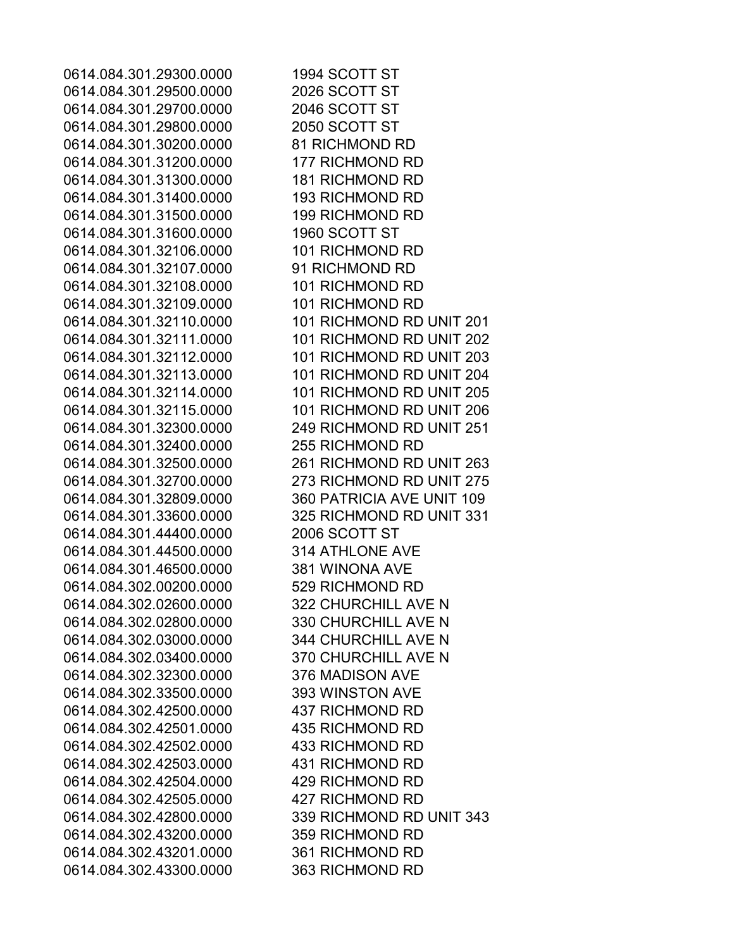0614.084.301.29300.0000 1994 SCOTT ST 0614.084.301.29500.0000 2026 SCOTT ST 0614.084.301.29700.0000 2046 SCOTT ST 0614.084.301.29800.0000 2050 SCOTT ST 0614.084.301.30200.0000 81 RICHMOND RD 0614.084.301.31200.0000 177 RICHMOND RD 0614.084.301.31300.0000 181 RICHMOND RD 0614.084.301.31400.0000 193 RICHMOND RD 0614.084.301.31500.0000 199 RICHMOND RD 0614.084.301.31600.0000 1960 SCOTT ST 0614.084.301.32106.0000 101 RICHMOND RD 0614.084.301.32107.0000 91 RICHMOND RD 0614.084.301.32108.0000 101 RICHMOND RD 0614.084.301.32109.0000 101 RICHMOND RD 0614.084.301.32110.0000 101 RICHMOND RD UNIT 201 0614.084.301.32111.0000 101 RICHMOND RD UNIT 202 0614.084.301.32112.0000 101 RICHMOND RD UNIT 203 0614.084.301.32113.0000 101 RICHMOND RD UNIT 204 0614.084.301.32114.0000 101 RICHMOND RD UNIT 205 0614.084.301.32115.0000 101 RICHMOND RD UNIT 206 0614.084.301.32300.0000 249 RICHMOND RD UNIT 251 0614.084.301.32400.0000 255 RICHMOND RD 0614.084.301.32500.0000 261 RICHMOND RD UNIT 263 0614.084.301.32700.0000 273 RICHMOND RD UNIT 275 0614.084.301.32809.0000 360 PATRICIA AVE UNIT 109 0614.084.301.33600.0000 325 RICHMOND RD UNIT 331 0614.084.301.44400.0000 2006 SCOTT ST 0614.084.301.44500.0000 314 ATHLONE AVE 0614.084.301.46500.0000 381 WINONA AVE 0614.084.302.00200.0000 529 RICHMOND RD 0614.084.302.02600.0000 322 CHURCHILL AVE N 0614.084.302.02800.0000 330 CHURCHILL AVE N 0614.084.302.03000.0000 344 CHURCHILL AVE N 0614.084.302.03400.0000 370 CHURCHILL AVE N 0614.084.302.32300.0000 376 MADISON AVE 0614.084.302.33500.0000 393 WINSTON AVE 0614.084.302.42500.0000 437 RICHMOND RD 0614.084.302.42501.0000 435 RICHMOND RD 0614.084.302.42502.0000 433 RICHMOND RD 0614.084.302.42503.0000 431 RICHMOND RD 0614.084.302.42504.0000 429 RICHMOND RD 0614.084.302.42505.0000 427 RICHMOND RD 0614.084.302.42800.0000 339 RICHMOND RD UNIT 343 0614.084.302.43200.0000 359 RICHMOND RD 0614.084.302.43201.0000 361 RICHMOND RD 0614.084.302.43300.0000 363 RICHMOND RD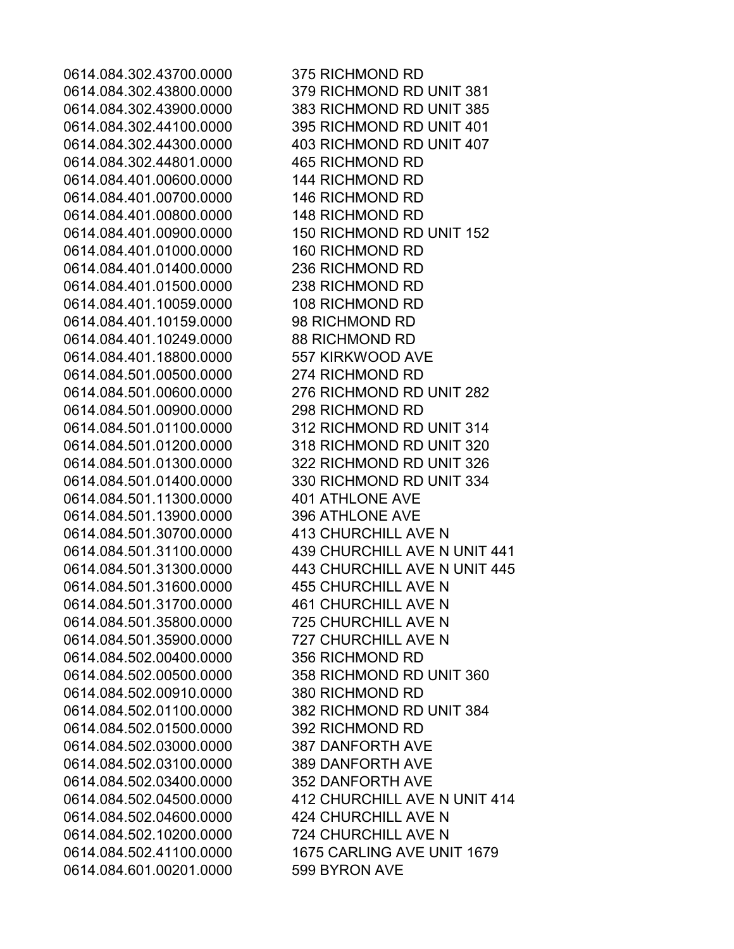0614.084.302.43700.0000 375 RICHMOND RD 0614.084.302.44801.0000 465 RICHMOND RD 0614.084.401.00600.0000 144 RICHMOND RD 0614.084.401.00700.0000 146 RICHMOND RD 0614.084.401.00800.0000 148 RICHMOND RD 0614.084.401.01000.0000 160 RICHMOND RD 0614.084.401.01400.0000 236 RICHMOND RD 0614.084.401.01500.0000 238 RICHMOND RD 0614.084.401.10059.0000 108 RICHMOND RD 0614.084.401.10159.0000 98 RICHMOND RD 0614.084.401.10249.0000 88 RICHMOND RD 0614.084.401.18800.0000 557 KIRKWOOD AVE 0614.084.501.00500.0000 274 RICHMOND RD 0614.084.501.00900.0000 298 RICHMOND RD 0614.084.501.11300.0000 401 ATHLONE AVE 0614.084.501.13900.0000 396 ATHLONE AVE 0614.084.501.30700.0000 413 CHURCHILL AVE N 0614.084.501.31600.0000 455 CHURCHILL AVE N 0614.084.501.31700.0000 461 CHURCHILL AVE N 0614.084.501.35800.0000 725 CHURCHILL AVE N 0614.084.501.35900.0000 727 CHURCHILL AVE N 0614.084.502.00400.0000 356 RICHMOND RD 0614.084.502.00910.0000 380 RICHMOND RD 0614.084.502.01500.0000 392 RICHMOND RD 0614.084.502.03000.0000 387 DANFORTH AVE 0614.084.502.03100.0000 389 DANFORTH AVE 0614.084.502.03400.0000 352 DANFORTH AVE 0614.084.502.04600.0000 424 CHURCHILL AVE N 0614.084.502.10200.0000 724 CHURCHILL AVE N 0614.084.601.00201.0000 599 BYRON AVE

0614.084.302.43800.0000 379 RICHMOND RD UNIT 381 0614.084.302.43900.0000 383 RICHMOND RD UNIT 385 0614.084.302.44100.0000 395 RICHMOND RD UNIT 401 0614.084.302.44300.0000 403 RICHMOND RD UNIT 407 0614.084.401.00900.0000 150 RICHMOND RD UNIT 152 0614.084.501.00600.0000 276 RICHMOND RD UNIT 282 0614.084.501.01100.0000 312 RICHMOND RD UNIT 314 0614.084.501.01200.0000 318 RICHMOND RD UNIT 320 0614.084.501.01300.0000 322 RICHMOND RD UNIT 326 0614.084.501.01400.0000 330 RICHMOND RD UNIT 334 0614.084.501.31100.0000 439 CHURCHILL AVE N UNIT 441 0614.084.501.31300.0000 443 CHURCHILL AVE N UNIT 445 0614.084.502.00500.0000 358 RICHMOND RD UNIT 360 0614.084.502.01100.0000 382 RICHMOND RD UNIT 384 0614.084.502.04500.0000 412 CHURCHILL AVE N UNIT 414 0614.084.502.41100.0000 1675 CARLING AVE UNIT 1679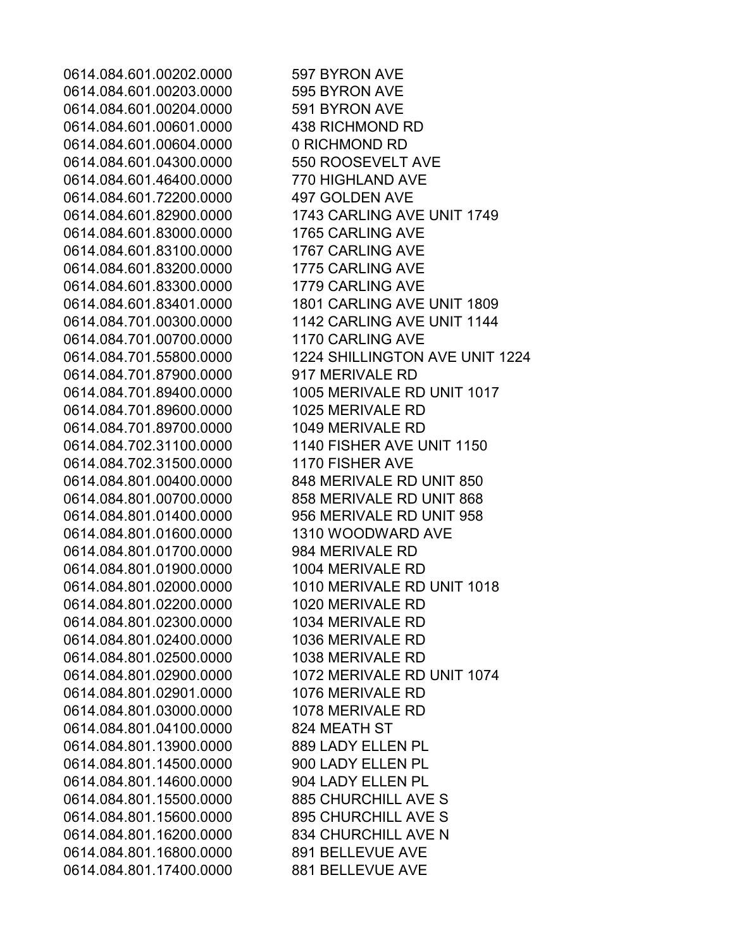0614.084.601.00202.0000 597 BYRON AVE 0614.084.601.00203.0000 595 BYRON AVE 0614.084.601.00204.0000 591 BYRON AVE 0614.084.601.00601.0000 438 RICHMOND RD 0614.084.601.00604.0000 0 RICHMOND RD 0614.084.601.04300.0000 550 ROOSEVELT AVE 0614.084.601.46400.0000 770 HIGHLAND AVE 0614.084.601.72200.0000 497 GOLDEN AVE 0614.084.601.83000.0000 1765 CARLING AVE 0614.084.601.83100.0000 1767 CARLING AVE 0614.084.601.83200.0000 1775 CARLING AVE 0614.084.601.83300.0000 1779 CARLING AVE 0614.084.701.00700.0000 1170 CARLING AVE 0614.084.701.87900.0000 917 MERIVALE RD 0614.084.701.89600.0000 1025 MERIVALE RD 0614.084.701.89700.0000 1049 MERIVALE RD 0614.084.702.31100.0000 1140 FISHER AVE UNIT 1150 0614.084.702.31500.0000 1170 FISHER AVE 0614.084.801.00400.0000 848 MERIVALE RD UNIT 850 0614.084.801.00700.0000 858 MERIVALE RD UNIT 868 0614.084.801.01400.0000 956 MERIVALE RD UNIT 958 0614.084.801.01600.0000 1310 WOODWARD AVE 0614.084.801.01700.0000 984 MERIVALE RD 0614.084.801.01900.0000 1004 MERIVALE RD 0614.084.801.02200.0000 1020 MERIVALE RD 0614.084.801.02300.0000 1034 MERIVALE RD 0614.084.801.02400.0000 1036 MERIVALE RD 0614.084.801.02500.0000 1038 MERIVALE RD 0614.084.801.02901.0000 1076 MERIVALE RD 0614.084.801.03000.0000 1078 MERIVALE RD 0614.084.801.04100.0000 824 MEATH ST 0614.084.801.13900.0000 889 LADY ELLEN PL 0614.084.801.14500.0000 900 LADY ELLEN PL 0614.084.801.14600.0000 904 LADY ELLEN PL 0614.084.801.15500.0000 885 CHURCHILL AVE S 0614.084.801.15600.0000 895 CHURCHILL AVE S 0614.084.801.16200.0000 834 CHURCHILL AVE N 0614.084.801.16800.0000 891 BELLEVUE AVE 0614.084.801.17400.0000 881 BELLEVUE AVE

0614.084.601.82900.0000 1743 CARLING AVE UNIT 1749 0614.084.601.83401.0000 1801 CARLING AVE UNIT 1809 0614.084.701.00300.0000 1142 CARLING AVE UNIT 1144 0614.084.701.55800.0000 1224 SHILLINGTON AVE UNIT 1224 0614.084.701.89400.0000 1005 MERIVALE RD UNIT 1017 0614.084.801.02000.0000 1010 MERIVALE RD UNIT 1018 0614.084.801.02900.0000 1072 MERIVALE RD UNIT 1074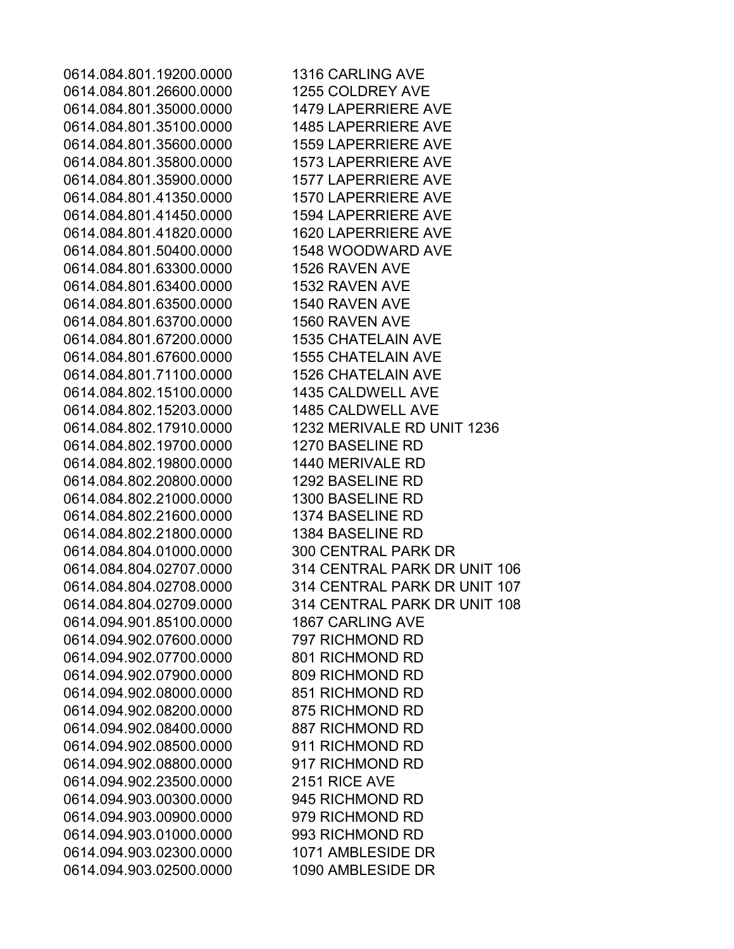0614.084.801.19200.0000 1316 CARLING AVE 0614.084.801.26600.0000 1255 COLDREY AVE 0614.084.801.35000.0000 1479 LAPERRIERE AVE 0614.084.801.35100.0000 1485 LAPERRIERE AVE 0614.084.801.35600.0000 1559 LAPERRIERE AVE 0614.084.801.35800.0000 1573 LAPERRIERE AVE 0614.084.801.35900.0000 1577 LAPERRIERE AVE 0614.084.801.41350.0000 1570 LAPERRIERE AVE 0614.084.801.41450.0000 1594 LAPERRIERE AVE 0614.084.801.41820.0000 1620 LAPERRIERE AVE 0614.084.801.50400.0000 1548 WOODWARD AVE 0614.084.801.63300.0000 1526 RAVEN AVE 0614.084.801.63400.0000 1532 RAVEN AVE 0614.084.801.63500.0000 1540 RAVEN AVE 0614.084.801.63700.0000 1560 RAVEN AVE 0614.084.801.67200.0000 1535 CHATELAIN AVE 0614.084.801.67600.0000 1555 CHATELAIN AVE 0614.084.801.71100.0000 1526 CHATELAIN AVE 0614.084.802.15100.0000 1435 CALDWELL AVE 0614.084.802.15203.0000 1485 CALDWELL AVE 0614.084.802.17910.0000 1232 MERIVALE RD UNIT 1236 0614.084.802.19700.0000 1270 BASELINE RD 0614.084.802.19800.0000 1440 MERIVALE RD 0614.084.802.20800.0000 1292 BASELINE RD 0614.084.802.21000.0000 1300 BASELINE RD 0614.084.802.21600.0000 1374 BASELINE RD 0614.084.802.21800.0000 1384 BASELINE RD 0614.084.804.01000.0000 300 CENTRAL PARK DR 0614.084.804.02707.0000 314 CENTRAL PARK DR UNIT 106 0614.084.804.02708.0000 314 CENTRAL PARK DR UNIT 107 0614.084.804.02709.0000 314 CENTRAL PARK DR UNIT 108 0614.094.901.85100.0000 1867 CARLING AVE 0614.094.902.07600.0000 797 RICHMOND RD 0614.094.902.07700.0000 801 RICHMOND RD 0614.094.902.07900.0000 809 RICHMOND RD 0614.094.902.08000.0000 851 RICHMOND RD 0614.094.902.08200.0000 875 RICHMOND RD 0614.094.902.08400.0000 887 RICHMOND RD 0614.094.902.08500.0000 911 RICHMOND RD 0614.094.902.08800.0000 917 RICHMOND RD 0614.094.902.23500.0000 2151 RICE AVE 0614.094.903.00300.0000 945 RICHMOND RD 0614.094.903.00900.0000 979 RICHMOND RD 0614.094.903.01000.0000 993 RICHMOND RD 0614.094.903.02300.0000 1071 AMBLESIDE DR 0614.094.903.02500.0000 1090 AMBLESIDE DR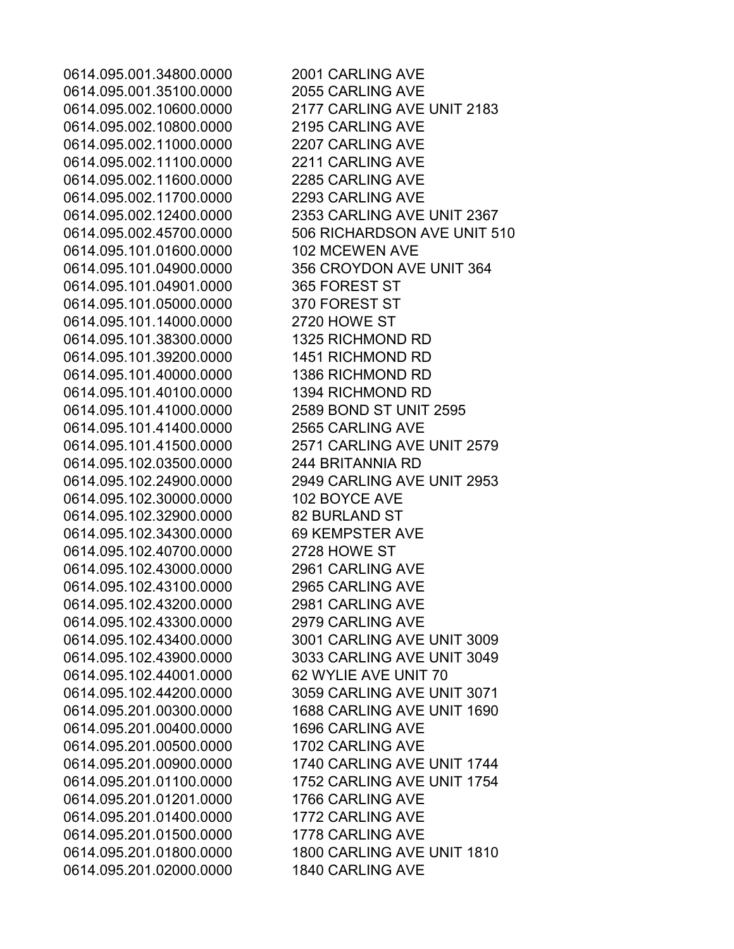0614.095.001.34800.0000 2001 CARLING AVE 0614.095.001.35100.0000 2055 CARLING AVE 0614.095.002.10800.0000 2195 CARLING AVE 0614.095.002.11000.0000 2207 CARLING AVE 0614.095.002.11100.0000 2211 CARLING AVE 0614.095.002.11600.0000 2285 CARLING AVE 0614.095.002.11700.0000 2293 CARLING AVE 0614.095.101.01600.0000 102 MCEWEN AVE 0614.095.101.04901.0000 365 FOREST ST 0614.095.101.05000.0000 370 FOREST ST 0614.095.101.14000.0000 2720 HOWE ST 0614.095.101.38300.0000 1325 RICHMOND RD 0614.095.101.39200.0000 1451 RICHMOND RD 0614.095.101.40000.0000 1386 RICHMOND RD 0614.095.101.40100.0000 1394 RICHMOND RD 0614.095.101.41000.0000 2589 BOND ST UNIT 2595 0614.095.101.41400.0000 2565 CARLING AVE 0614.095.102.03500.0000 244 BRITANNIA RD 0614.095.102.30000.0000 102 BOYCE AVE 0614.095.102.32900.0000 82 BURLAND ST 0614.095.102.34300.0000 69 KEMPSTER AVE 0614.095.102.40700.0000 2728 HOWE ST 0614.095.102.43000.0000 2961 CARLING AVE 0614.095.102.43100.0000 2965 CARLING AVE 0614.095.102.43200.0000 2981 CARLING AVE 0614.095.102.43300.0000 2979 CARLING AVE 0614.095.102.44001.0000 62 WYLIE AVE UNIT 70 0614.095.201.00400.0000 1696 CARLING AVE 0614.095.201.00500.0000 1702 CARLING AVE 0614.095.201.01201.0000 1766 CARLING AVE 0614.095.201.01400.0000 1772 CARLING AVE 0614.095.201.01500.0000 1778 CARLING AVE 0614.095.201.02000.0000 1840 CARLING AVE

0614.095.002.10600.0000 2177 CARLING AVE UNIT 2183 0614.095.002.12400.0000 2353 CARLING AVE UNIT 2367 0614.095.002.45700.0000 506 RICHARDSON AVE UNIT 510 0614.095.101.04900.0000 356 CROYDON AVE UNIT 364 0614.095.101.41500.0000 2571 CARLING AVE UNIT 2579 0614.095.102.24900.0000 2949 CARLING AVE UNIT 2953 0614.095.102.43400.0000 3001 CARLING AVE UNIT 3009 0614.095.102.43900.0000 3033 CARLING AVE UNIT 3049 0614.095.102.44200.0000 3059 CARLING AVE UNIT 3071 0614.095.201.00300.0000 1688 CARLING AVE UNIT 1690 0614.095.201.00900.0000 1740 CARLING AVE UNIT 1744 0614.095.201.01100.0000 1752 CARLING AVE UNIT 1754 0614.095.201.01800.0000 1800 CARLING AVE UNIT 1810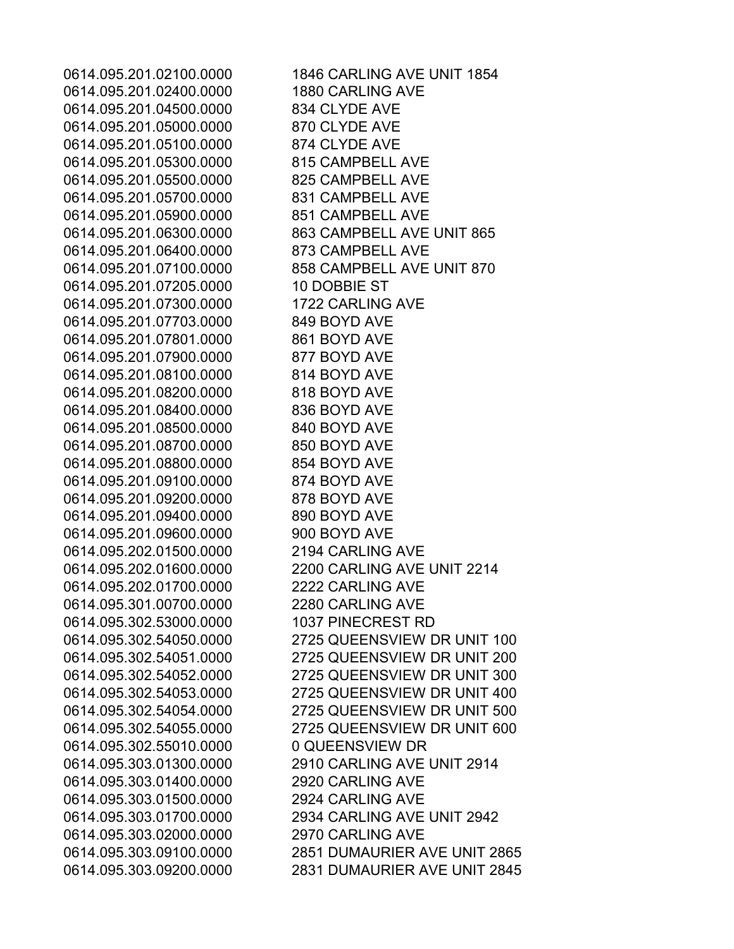0614.095.201.02100.0000 1846 CARLING AVE UNIT 1854 0614.095.201.02400.0000 1880 CARLING AVE 0614.095.201.04500.0000 834 CLYDE AVE 0614.095.201.05000.0000 870 CLYDE AVE 0614.095.201.05100.0000 874 CLYDE AVE 0614.095.201.05300.0000 815 CAMPBELL AVE 0614.095.201.05500.0000 825 CAMPBELL AVE 0614.095.201.05700.0000 831 CAMPBELL AVE 0614.095.201.05900.0000 851 CAMPBELL AVE 0614.095.201.06300.0000 863 CAMPBELL AVE UNIT 865 0614.095.201.06400.0000 873 CAMPBELL AVE 0614.095.201.07100.0000 858 CAMPBELL AVE UNIT 870 0614.095.201.07205.0000 10 DOBBIE ST 0614.095.201.07300.0000 1722 CARLING AVE 0614.095.201.07703.0000 849 BOYD AVE 0614.095.201.07801.0000 861 BOYD AVE 0614.095.201.07900.0000 877 BOYD AVE 0614.095.201.08100.0000 814 BOYD AVE 0614.095.201.08200.0000 818 BOYD AVE 0614.095.201.08400.0000 836 BOYD AVE 0614.095.201.08500.0000 840 BOYD AVE 0614.095.201.08700.0000 850 BOYD AVE 0614.095.201.08800.0000 854 BOYD AVE 0614.095.201.09100.0000 874 BOYD AVE 0614.095.201.09200.0000 878 BOYD AVE 0614.095.201.09400.0000 890 BOYD AVE 0614.095.201.09600.0000 900 BOYD AVE 0614.095.202.01500.0000 2194 CARLING AVE 0614.095.202.01600.0000 2200 CARLING AVE UNIT 2214 0614.095.202.01700.0000 2222 CARLING AVE 0614.095.301.00700.0000 2280 CARLING AVE 0614.095.302.53000.0000 1037 PINECREST RD 0614.095.302.54050.0000 2725 QUEENSVIEW DR UNIT 100 0614.095.302.54051.0000 2725 QUEENSVIEW DR UNIT 200 0614.095.302.54052.0000 2725 QUEENSVIEW DR UNIT 300 0614.095.302.54053.0000 2725 QUEENSVIEW DR UNIT 400 0614.095.302.54054.0000 2725 QUEENSVIEW DR UNIT 500 0614.095.302.54055.0000 2725 QUEENSVIEW DR UNIT 600 0614.095.302.55010.0000 0 QUEENSVIEW DR 0614.095.303.01300.0000 2910 CARLING AVE UNIT 2914 0614.095.303.01400.0000 2920 CARLING AVE 0614.095.303.01500.0000 2924 CARLING AVE 0614.095.303.01700.0000 2934 CARLING AVE UNIT 2942 0614.095.303.02000.0000 2970 CARLING AVE 0614.095.303.09100.0000 2851 DUMAURIER AVE UNIT 2865 0614.095.303.09200.0000 2831 DUMAURIER AVE UNIT 2845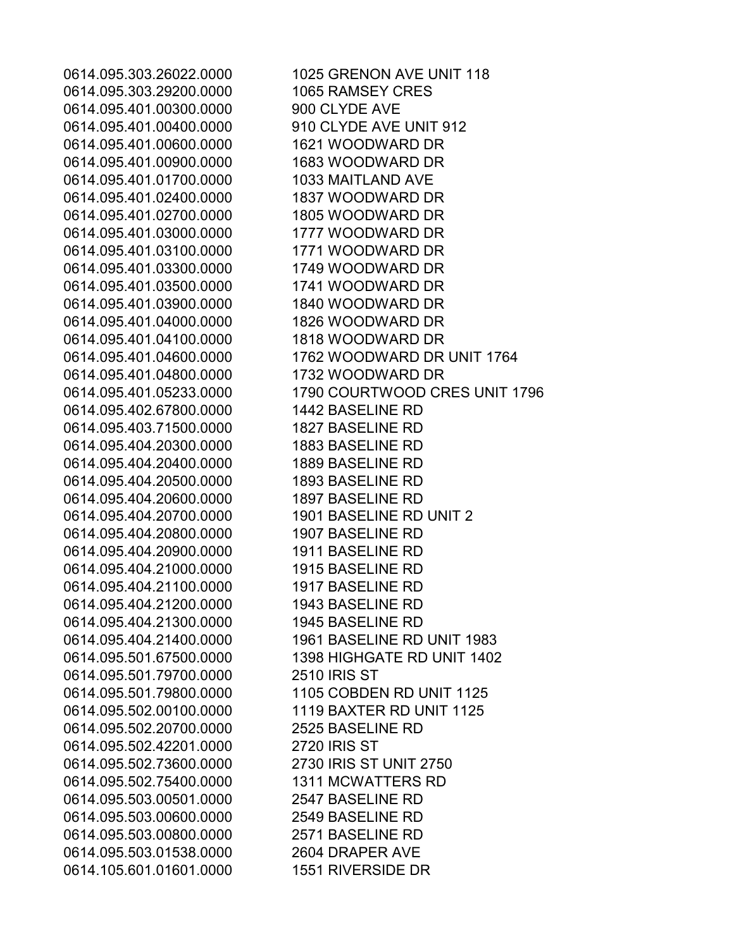0614.095.303.29200.0000 1065 RAMSEY CRES 0614.095.401.00300.0000 900 CLYDE AVE 0614.095.401.00400.0000 910 CLYDE AVE UNIT 912 0614.095.401.00600.0000 1621 WOODWARD DR 0614.095.401.00900.0000 1683 WOODWARD DR 0614.095.401.01700.0000 1033 MAITLAND AVE 0614.095.401.02400.0000 1837 WOODWARD DR 0614.095.401.02700.0000 1805 WOODWARD DR 0614.095.401.03000.0000 1777 WOODWARD DR 0614.095.401.03100.0000 1771 WOODWARD DR 0614.095.401.03300.0000 1749 WOODWARD DR 0614.095.401.03500.0000 1741 WOODWARD DR 0614.095.401.03900.0000 1840 WOODWARD DR 0614.095.401.04000.0000 1826 WOODWARD DR 0614.095.401.04100.0000 1818 WOODWARD DR 0614.095.401.04800.0000 1732 WOODWARD DR 0614.095.402.67800.0000 1442 BASELINE RD 0614.095.403.71500.0000 1827 BASELINE RD 0614.095.404.20300.0000 1883 BASELINE RD 0614.095.404.20400.0000 1889 BASELINE RD 0614.095.404.20500.0000 1893 BASELINE RD 0614.095.404.20600.0000 1897 BASELINE RD 0614.095.404.20700.0000 1901 BASELINE RD UNIT 2 0614.095.404.20800.0000 1907 BASELINE RD 0614.095.404.20900.0000 1911 BASELINE RD 0614.095.404.21000.0000 1915 BASELINE RD 0614.095.404.21100.0000 1917 BASELINE RD 0614.095.404.21200.0000 1943 BASELINE RD 0614.095.404.21300.0000 1945 BASELINE RD 0614.095.501.79700.0000 2510 IRIS ST 0614.095.502.00100.0000 1119 BAXTER RD UNIT 1125 0614.095.502.20700.0000 2525 BASELINE RD 0614.095.502.42201.0000 2720 IRIS ST 0614.095.502.73600.0000 2730 IRIS ST UNIT 2750 0614.095.502.75400.0000 1311 MCWATTERS RD 0614.095.503.00501.0000 2547 BASELINE RD 0614.095.503.00600.0000 2549 BASELINE RD 0614.095.503.00800.0000 2571 BASELINE RD 0614.095.503.01538.0000 2604 DRAPER AVE 0614.105.601.01601.0000 1551 RIVERSIDE DR

0614.095.303.26022.0000 1025 GRENON AVE UNIT 118 0614.095.401.04600.0000 1762 WOODWARD DR UNIT 1764 0614.095.401.05233.0000 1790 COURTWOOD CRES UNIT 1796 0614.095.404.21400.0000 1961 BASELINE RD UNIT 1983 0614.095.501.67500.0000 1398 HIGHGATE RD UNIT 1402 0614.095.501.79800.0000 1105 COBDEN RD UNIT 1125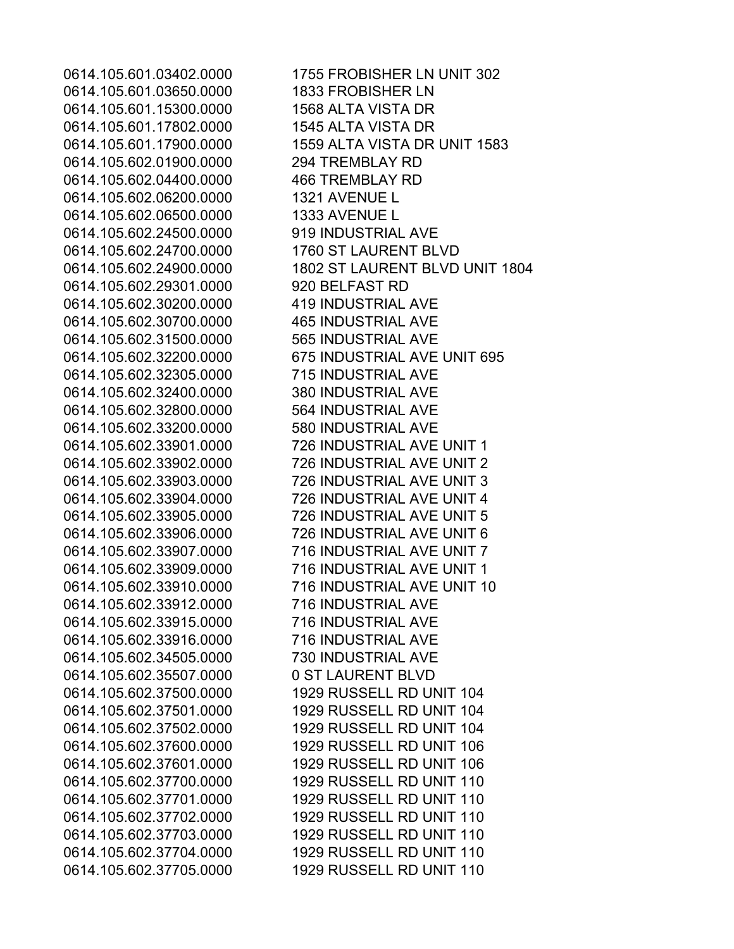0614.105.601.03650.0000 1833 FROBISHER LN 0614.105.601.15300.0000 1568 ALTA VISTA DR 0614.105.601.17802.0000 1545 ALTA VISTA DR 0614.105.602.01900.0000 294 TREMBLAY RD 0614.105.602.04400.0000 466 TREMBLAY RD 0614.105.602.06200.0000 1321 AVENUE L 0614.105.602.06500.0000 1333 AVENUE L 0614.105.602.24500.0000 919 INDUSTRIAL AVE 0614.105.602.24700.0000 1760 ST LAURENT BLVD 0614.105.602.29301.0000 920 BELFAST RD 0614.105.602.30200.0000 419 INDUSTRIAL AVE 0614.105.602.30700.0000 465 INDUSTRIAL AVE 0614.105.602.31500.0000 565 INDUSTRIAL AVE 0614.105.602.32305.0000 715 INDUSTRIAL AVE 0614.105.602.32400.0000 380 INDUSTRIAL AVE 0614.105.602.32800.0000 564 INDUSTRIAL AVE 0614.105.602.33200.0000 580 INDUSTRIAL AVE 0614.105.602.33912.0000 716 INDUSTRIAL AVE 0614.105.602.33915.0000 716 INDUSTRIAL AVE 0614.105.602.33916.0000 716 INDUSTRIAL AVE 0614.105.602.34505.0000 730 INDUSTRIAL AVE 0614.105.602.35507.0000 0 ST LAURENT BLVD

0614.105.601.03402.0000 1755 FROBISHER LN UNIT 302 0614.105.601.17900.0000 1559 ALTA VISTA DR UNIT 1583 0614.105.602.24900.0000 1802 ST LAURENT BLVD UNIT 1804 0614.105.602.32200.0000 675 INDUSTRIAL AVE UNIT 695 0614.105.602.33901.0000 726 INDUSTRIAL AVE UNIT 1 0614.105.602.33902.0000 726 INDUSTRIAL AVE UNIT 2 0614.105.602.33903.0000 726 INDUSTRIAL AVE UNIT 3 0614.105.602.33904.0000 726 INDUSTRIAL AVE UNIT 4 0614.105.602.33905.0000 726 INDUSTRIAL AVE UNIT 5 0614.105.602.33906.0000 726 INDUSTRIAL AVE UNIT 6 0614.105.602.33907.0000 716 INDUSTRIAL AVE UNIT 7 0614.105.602.33909.0000 716 INDUSTRIAL AVE UNIT 1 0614.105.602.33910.0000 716 INDUSTRIAL AVE UNIT 10 0614.105.602.37500.0000 1929 RUSSELL RD UNIT 104 0614.105.602.37501.0000 1929 RUSSELL RD UNIT 104 0614.105.602.37502.0000 1929 RUSSELL RD UNIT 104 0614.105.602.37600.0000 1929 RUSSELL RD UNIT 106 0614.105.602.37601.0000 1929 RUSSELL RD UNIT 106 0614.105.602.37700.0000 1929 RUSSELL RD UNIT 110 0614.105.602.37701.0000 1929 RUSSELL RD UNIT 110 0614.105.602.37702.0000 1929 RUSSELL RD UNIT 110 0614.105.602.37703.0000 1929 RUSSELL RD UNIT 110 0614.105.602.37704.0000 1929 RUSSELL RD UNIT 110 0614.105.602.37705.0000 1929 RUSSELL RD UNIT 110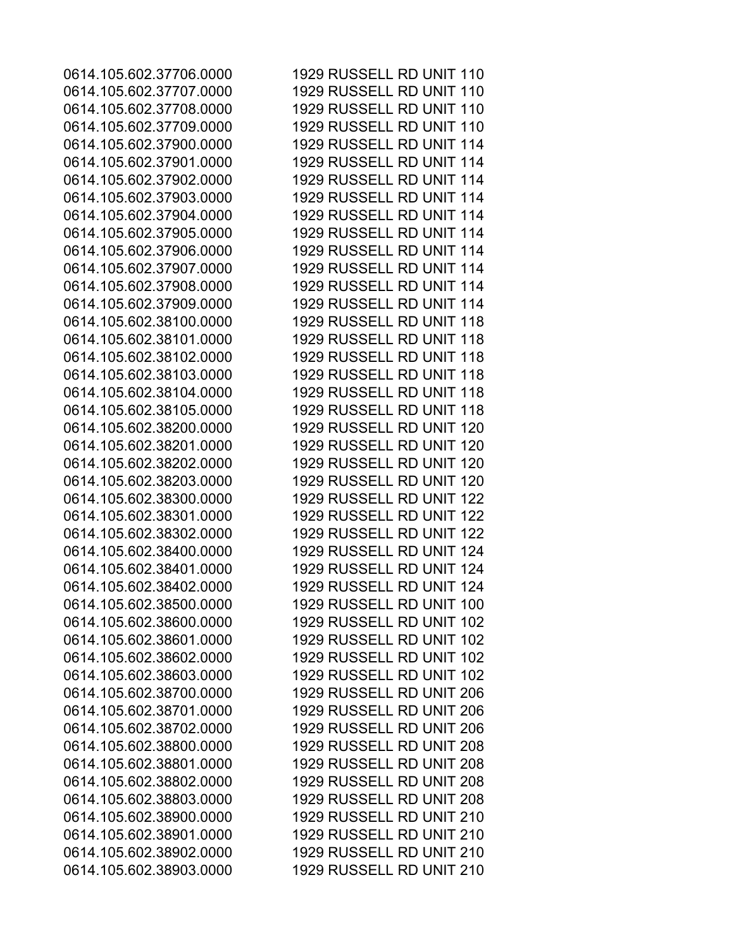0614.105.602.37706.0000 1929 RUSSELL RD UNIT 110 0614.105.602.37707.0000 1929 RUSSELL RD UNIT 110 0614.105.602.37708.0000 1929 RUSSELL RD UNIT 110 0614.105.602.37709.0000 1929 RUSSELL RD UNIT 110 0614.105.602.37900.0000 1929 RUSSELL RD UNIT 114 0614.105.602.37901.0000 1929 RUSSELL RD UNIT 114 0614.105.602.37902.0000 1929 RUSSELL RD UNIT 114 0614.105.602.37903.0000 1929 RUSSELL RD UNIT 114 0614.105.602.37904.0000 1929 RUSSELL RD UNIT 114 0614.105.602.37905.0000 1929 RUSSELL RD UNIT 114 0614.105.602.37906.0000 1929 RUSSELL RD UNIT 114 0614.105.602.37907.0000 1929 RUSSELL RD UNIT 114 0614.105.602.37908.0000 1929 RUSSELL RD UNIT 114 0614.105.602.37909.0000 1929 RUSSELL RD UNIT 114 0614.105.602.38100.0000 1929 RUSSELL RD UNIT 118 0614.105.602.38101.0000 1929 RUSSELL RD UNIT 118 0614.105.602.38102.0000 1929 RUSSELL RD UNIT 118 0614.105.602.38103.0000 1929 RUSSELL RD UNIT 118 0614.105.602.38104.0000 1929 RUSSELL RD UNIT 118 0614.105.602.38105.0000 1929 RUSSELL RD UNIT 118 0614.105.602.38200.0000 1929 RUSSELL RD UNIT 120 0614.105.602.38201.0000 1929 RUSSELL RD UNIT 120 0614.105.602.38202.0000 1929 RUSSELL RD UNIT 120 0614.105.602.38203.0000 1929 RUSSELL RD UNIT 120 0614.105.602.38300.0000 1929 RUSSELL RD UNIT 122 0614.105.602.38301.0000 1929 RUSSELL RD UNIT 122 0614.105.602.38302.0000 1929 RUSSELL RD UNIT 122 0614.105.602.38400.0000 1929 RUSSELL RD UNIT 124 0614.105.602.38401.0000 1929 RUSSELL RD UNIT 124 0614.105.602.38402.0000 1929 RUSSELL RD UNIT 124 0614.105.602.38500.0000 1929 RUSSELL RD UNIT 100 0614.105.602.38600.0000 1929 RUSSELL RD UNIT 102 0614.105.602.38601.0000 1929 RUSSELL RD UNIT 102 0614.105.602.38602.0000 1929 RUSSELL RD UNIT 102 0614.105.602.38603.0000 1929 RUSSELL RD UNIT 102 0614.105.602.38700.0000 1929 RUSSELL RD UNIT 206 0614.105.602.38701.0000 1929 RUSSELL RD UNIT 206 0614.105.602.38702.0000 1929 RUSSELL RD UNIT 206 0614.105.602.38800.0000 1929 RUSSELL RD UNIT 208 0614.105.602.38801.0000 1929 RUSSELL RD UNIT 208 0614.105.602.38802.0000 1929 RUSSELL RD UNIT 208 0614.105.602.38803.0000 1929 RUSSELL RD UNIT 208 0614.105.602.38900.0000 1929 RUSSELL RD UNIT 210 0614.105.602.38901.0000 1929 RUSSELL RD UNIT 210 0614.105.602.38902.0000 1929 RUSSELL RD UNIT 210 0614.105.602.38903.0000 1929 RUSSELL RD UNIT 210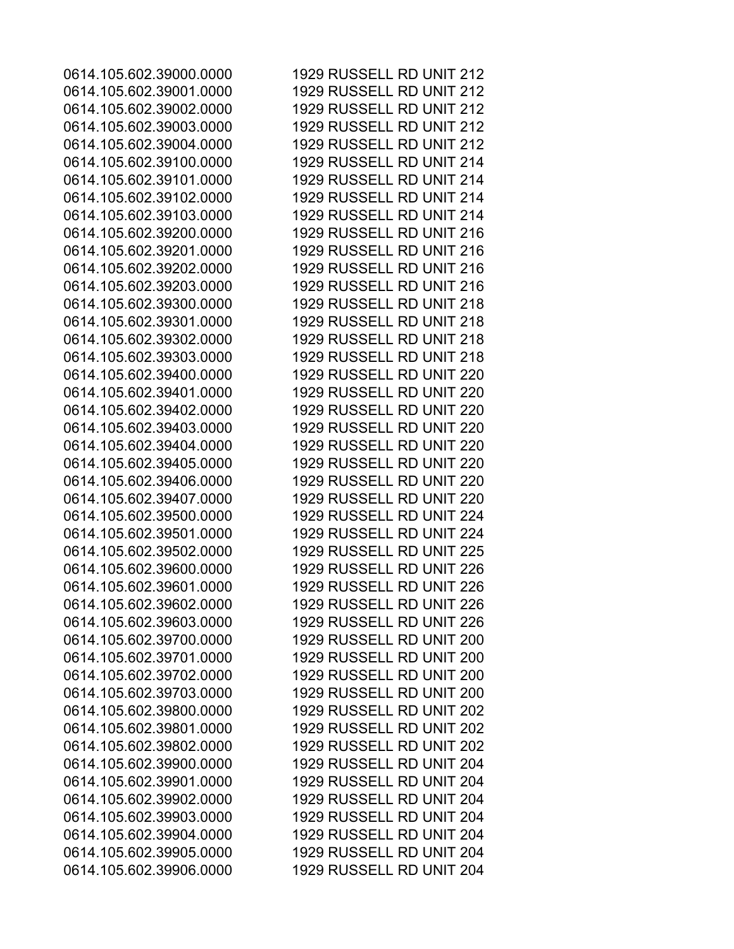0614.105.602.39000.0000 1929 RUSSELL RD UNIT 212 0614.105.602.39001.0000 1929 RUSSELL RD UNIT 212 0614.105.602.39002.0000 1929 RUSSELL RD UNIT 212 0614.105.602.39003.0000 1929 RUSSELL RD UNIT 212 0614.105.602.39004.0000 1929 RUSSELL RD UNIT 212 0614.105.602.39100.0000 1929 RUSSELL RD UNIT 214 0614.105.602.39101.0000 1929 RUSSELL RD UNIT 214 0614.105.602.39102.0000 1929 RUSSELL RD UNIT 214 0614.105.602.39103.0000 1929 RUSSELL RD UNIT 214 0614.105.602.39200.0000 1929 RUSSELL RD UNIT 216 0614.105.602.39201.0000 1929 RUSSELL RD UNIT 216 0614.105.602.39202.0000 1929 RUSSELL RD UNIT 216 0614.105.602.39203.0000 1929 RUSSELL RD UNIT 216 0614.105.602.39300.0000 1929 RUSSELL RD UNIT 218 0614.105.602.39301.0000 1929 RUSSELL RD UNIT 218 0614.105.602.39302.0000 1929 RUSSELL RD UNIT 218 0614.105.602.39303.0000 1929 RUSSELL RD UNIT 218 0614.105.602.39400.0000 1929 RUSSELL RD UNIT 220 0614.105.602.39401.0000 1929 RUSSELL RD UNIT 220 0614.105.602.39402.0000 1929 RUSSELL RD UNIT 220 0614.105.602.39403.0000 1929 RUSSELL RD UNIT 220 0614.105.602.39404.0000 1929 RUSSELL RD UNIT 220 0614.105.602.39405.0000 1929 RUSSELL RD UNIT 220 0614.105.602.39406.0000 1929 RUSSELL RD UNIT 220 0614.105.602.39407.0000 1929 RUSSELL RD UNIT 220 0614.105.602.39500.0000 1929 RUSSELL RD UNIT 224 0614.105.602.39501.0000 1929 RUSSELL RD UNIT 224 0614.105.602.39502.0000 1929 RUSSELL RD UNIT 225 0614.105.602.39600.0000 1929 RUSSELL RD UNIT 226 0614.105.602.39601.0000 1929 RUSSELL RD UNIT 226 0614.105.602.39602.0000 1929 RUSSELL RD UNIT 226 0614.105.602.39603.0000 1929 RUSSELL RD UNIT 226 0614.105.602.39700.0000 1929 RUSSELL RD UNIT 200 0614.105.602.39701.0000 1929 RUSSELL RD UNIT 200 0614.105.602.39702.0000 1929 RUSSELL RD UNIT 200 0614.105.602.39703.0000 1929 RUSSELL RD UNIT 200 0614.105.602.39800.0000 1929 RUSSELL RD UNIT 202 0614.105.602.39801.0000 1929 RUSSELL RD UNIT 202 0614.105.602.39802.0000 1929 RUSSELL RD UNIT 202 0614.105.602.39900.0000 1929 RUSSELL RD UNIT 204 0614.105.602.39901.0000 1929 RUSSELL RD UNIT 204 0614.105.602.39902.0000 1929 RUSSELL RD UNIT 204 0614.105.602.39903.0000 1929 RUSSELL RD UNIT 204 0614.105.602.39904.0000 1929 RUSSELL RD UNIT 204 0614.105.602.39905.0000 1929 RUSSELL RD UNIT 204 0614.105.602.39906.0000 1929 RUSSELL RD UNIT 204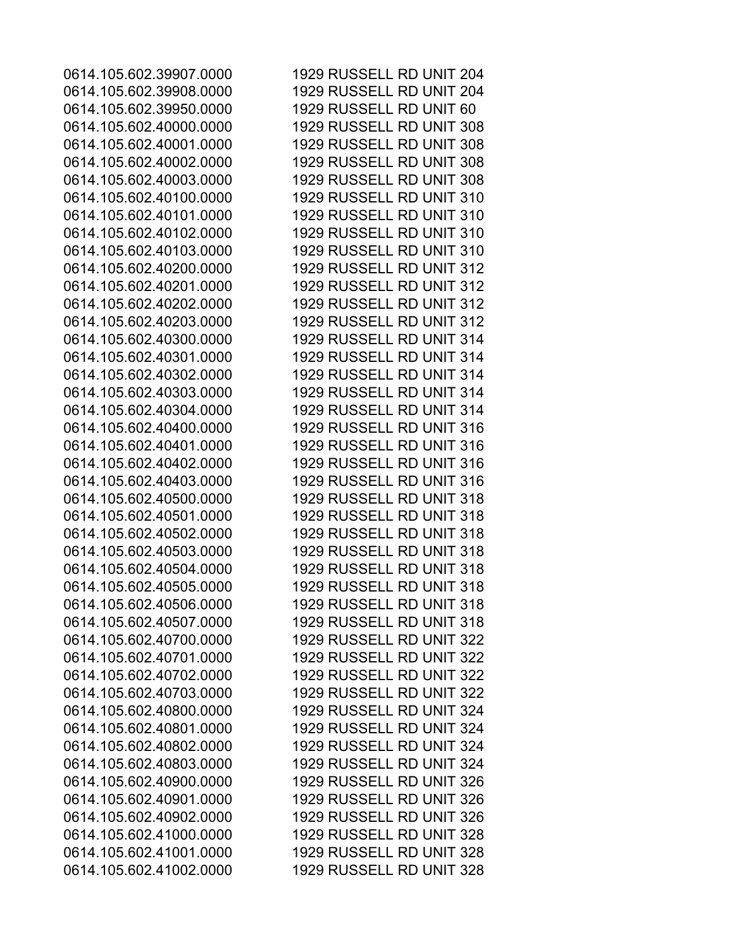0614.105.602.39907.0000 1929 RUSSELL RD UNIT 204 0614.105.602.39908.0000 1929 RUSSELL RD UNIT 204 0614.105.602.39950.0000 1929 RUSSELL RD UNIT 60 0614.105.602.40000.0000 1929 RUSSELL RD UNIT 308 0614.105.602.40001.0000 1929 RUSSELL RD UNIT 308 0614.105.602.40002.0000 1929 RUSSELL RD UNIT 308 0614.105.602.40003.0000 1929 RUSSELL RD UNIT 308 0614.105.602.40100.0000 1929 RUSSELL RD UNIT 310 0614.105.602.40101.0000 1929 RUSSELL RD UNIT 310 0614.105.602.40102.0000 1929 RUSSELL RD UNIT 310 0614.105.602.40103.0000 1929 RUSSELL RD UNIT 310 0614.105.602.40200.0000 1929 RUSSELL RD UNIT 312 0614.105.602.40201.0000 1929 RUSSELL RD UNIT 312 0614.105.602.40202.0000 1929 RUSSELL RD UNIT 312 0614.105.602.40203.0000 1929 RUSSELL RD UNIT 312 0614.105.602.40300.0000 1929 RUSSELL RD UNIT 314 0614.105.602.40301.0000 1929 RUSSELL RD UNIT 314 0614.105.602.40302.0000 1929 RUSSELL RD UNIT 314 0614.105.602.40303.0000 1929 RUSSELL RD UNIT 314 0614.105.602.40304.0000 1929 RUSSELL RD UNIT 314 0614.105.602.40400.0000 1929 RUSSELL RD UNIT 316 0614.105.602.40401.0000 1929 RUSSELL RD UNIT 316 0614.105.602.40402.0000 1929 RUSSELL RD UNIT 316 0614.105.602.40403.0000 1929 RUSSELL RD UNIT 316 0614.105.602.40500.0000 1929 RUSSELL RD UNIT 318 0614.105.602.40501.0000 1929 RUSSELL RD UNIT 318 0614.105.602.40502.0000 1929 RUSSELL RD UNIT 318 0614.105.602.40503.0000 1929 RUSSELL RD UNIT 318 0614.105.602.40504.0000 1929 RUSSELL RD UNIT 318 0614.105.602.40505.0000 1929 RUSSELL RD UNIT 318 0614.105.602.40506.0000 1929 RUSSELL RD UNIT 318 0614.105.602.40507.0000 1929 RUSSELL RD UNIT 318 0614.105.602.40700.0000 1929 RUSSELL RD UNIT 322 0614.105.602.40701.0000 1929 RUSSELL RD UNIT 322 0614.105.602.40702.0000 1929 RUSSELL RD UNIT 322 0614.105.602.40703.0000 1929 RUSSELL RD UNIT 322 0614.105.602.40800.0000 1929 RUSSELL RD UNIT 324 0614.105.602.40801.0000 1929 RUSSELL RD UNIT 324 0614.105.602.40802.0000 1929 RUSSELL RD UNIT 324 0614.105.602.40803.0000 1929 RUSSELL RD UNIT 324 0614.105.602.40900.0000 1929 RUSSELL RD UNIT 326 0614.105.602.40901.0000 1929 RUSSELL RD UNIT 326 0614.105.602.40902.0000 1929 RUSSELL RD UNIT 326 0614.105.602.41000.0000 1929 RUSSELL RD UNIT 328 0614.105.602.41001.0000 1929 RUSSELL RD UNIT 328 0614.105.602.41002.0000 1929 RUSSELL RD UNIT 328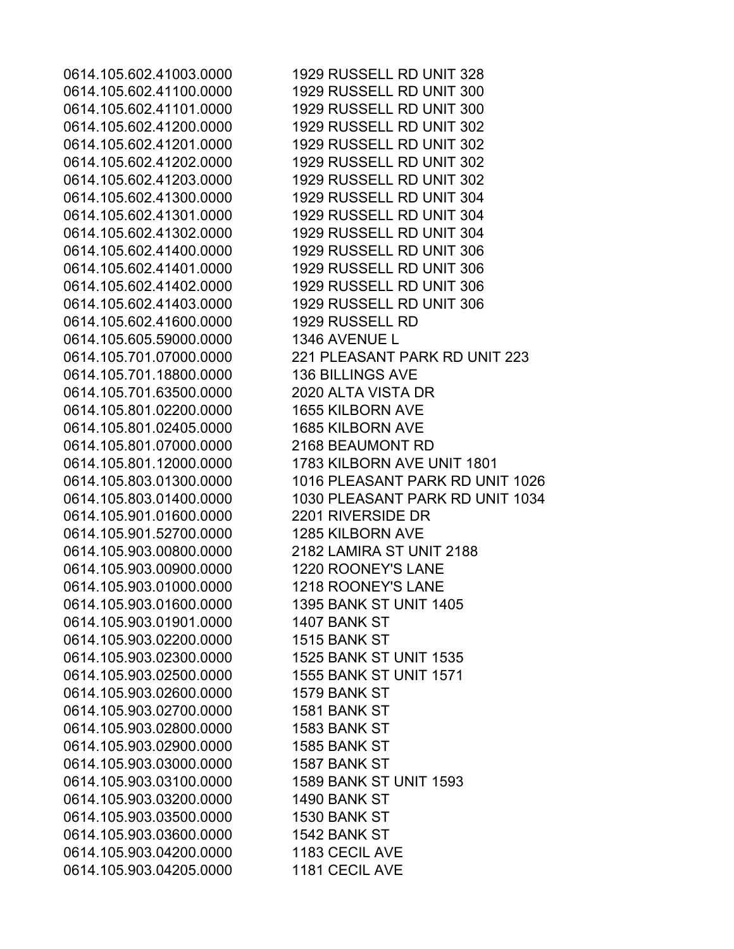0614.105.602.41100.0000 1929 RUSSELL RD UNIT 300 0614.105.602.41101.0000 1929 RUSSELL RD UNIT 300 0614.105.602.41200.0000 1929 RUSSELL RD UNIT 302 0614.105.602.41201.0000 1929 RUSSELL RD UNIT 302 0614.105.602.41202.0000 1929 RUSSELL RD UNIT 302 0614.105.602.41203.0000 1929 RUSSELL RD UNIT 302 0614.105.602.41300.0000 1929 RUSSELL RD UNIT 304 0614.105.602.41301.0000 1929 RUSSELL RD UNIT 304 0614.105.602.41302.0000 1929 RUSSELL RD UNIT 304 0614.105.602.41400.0000 1929 RUSSELL RD UNIT 306 0614.105.602.41401.0000 1929 RUSSELL RD UNIT 306 0614.105.602.41402.0000 1929 RUSSELL RD UNIT 306 0614.105.602.41403.0000 1929 RUSSELL RD UNIT 306 0614.105.602.41600.0000 1929 RUSSELL RD 0614.105.605.59000.0000 1346 AVENUE L 0614.105.701.18800.0000 136 BILLINGS AVE 0614.105.701.63500.0000 2020 ALTA VISTA DR 0614.105.801.02200.0000 1655 KILBORN AVE 0614.105.801.02405.0000 1685 KILBORN AVE 0614.105.801.07000.0000 2168 BEAUMONT RD 0614.105.801.12000.0000 1783 KILBORN AVE UNIT 1801 0614.105.901.01600.0000 2201 RIVERSIDE DR 0614.105.901.52700.0000 1285 KILBORN AVE 0614.105.903.00800.0000 2182 LAMIRA ST UNIT 2188 0614.105.903.00900.0000 1220 ROONEY'S LANE 0614.105.903.01000.0000 1218 ROONEY'S LANE 0614.105.903.01600.0000 1395 BANK ST UNIT 1405 0614.105.903.01901.0000 1407 BANK ST 0614.105.903.02200.0000 1515 BANK ST 0614.105.903.02300.0000 1525 BANK ST UNIT 1535 0614.105.903.02500.0000 1555 BANK ST UNIT 1571 0614.105.903.02600.0000 1579 BANK ST 0614.105.903.02700.0000 1581 BANK ST 0614.105.903.02800.0000 1583 BANK ST 0614.105.903.02900.0000 1585 BANK ST 0614.105.903.03000.0000 1587 BANK ST 0614.105.903.03100.0000 1589 BANK ST UNIT 1593 0614.105.903.03200.0000 1490 BANK ST 0614.105.903.03500.0000 1530 BANK ST 0614.105.903.03600.0000 1542 BANK ST 0614.105.903.04200.0000 1183 CECIL AVE 0614.105.903.04205.0000 1181 CECIL AVE

0614.105.602.41003.0000 1929 RUSSELL RD UNIT 328 0614.105.701.07000.0000 221 PLEASANT PARK RD UNIT 223 0614.105.803.01300.0000 1016 PLEASANT PARK RD UNIT 1026 0614.105.803.01400.0000 1030 PLEASANT PARK RD UNIT 1034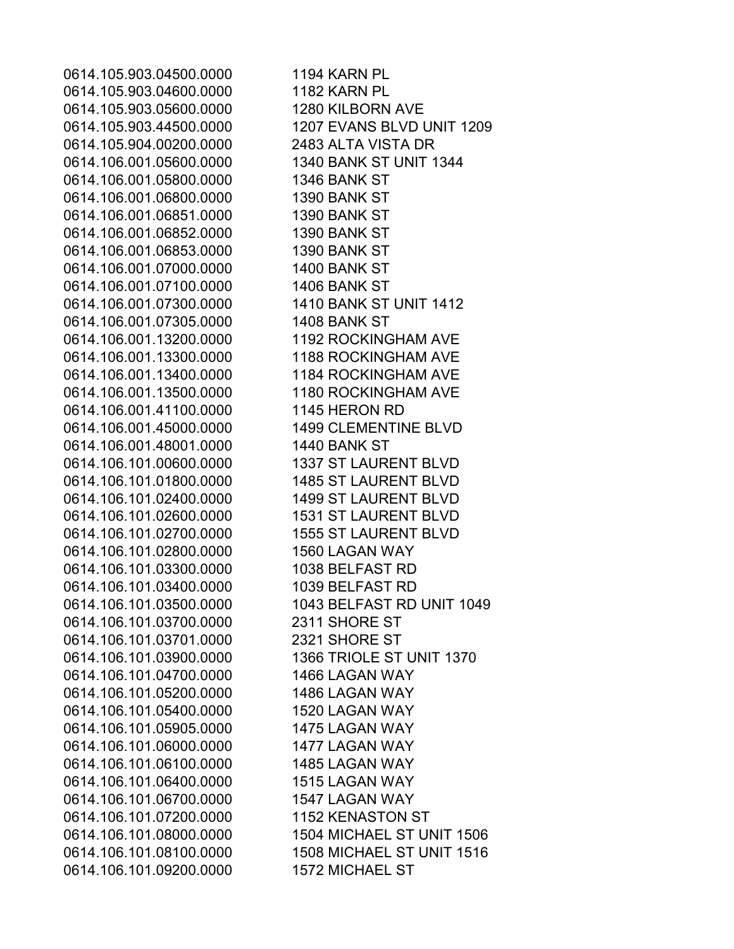0614.105.903.04500.0000 1194 KARN PL 0614.105.903.04600.0000 1182 KARN PL 0614.105.903.05600.0000 1280 KILBORN AVE 0614.105.903.44500.0000 1207 EVANS BLVD UNIT 1209 0614.105.904.00200.0000 2483 ALTA VISTA DR 0614.106.001.05600.0000 1340 BANK ST UNIT 1344 0614.106.001.05800.0000 1346 BANK ST 0614.106.001.06800.0000 1390 BANK ST 0614.106.001.06851.0000 1390 BANK ST 0614.106.001.06852.0000 1390 BANK ST 0614.106.001.06853.0000 1390 BANK ST 0614.106.001.07000.0000 1400 BANK ST 0614.106.001.07100.0000 1406 BANK ST 0614.106.001.07300.0000 1410 BANK ST UNIT 1412 0614.106.001.07305.0000 1408 BANK ST 0614.106.001.13200.0000 1192 ROCKINGHAM AVE 0614.106.001.13300.0000 1188 ROCKINGHAM AVE 0614.106.001.13400.0000 1184 ROCKINGHAM AVE 0614.106.001.13500.0000 1180 ROCKINGHAM AVE 0614.106.001.41100.0000 1145 HERON RD 0614.106.001.45000.0000 1499 CLEMENTINE BLVD 0614.106.001.48001.0000 1440 BANK ST 0614.106.101.00600.0000 1337 ST LAURENT BLVD 0614.106.101.01800.0000 1485 ST LAURENT BLVD 0614.106.101.02400.0000 1499 ST LAURENT BLVD 0614.106.101.02600.0000 1531 ST LAURENT BLVD 0614.106.101.02700.0000 1555 ST LAURENT BLVD 0614.106.101.02800.0000 1560 LAGAN WAY 0614.106.101.03300.0000 1038 BELFAST RD 0614.106.101.03400.0000 1039 BELFAST RD 0614.106.101.03500.0000 1043 BELFAST RD UNIT 1049 0614.106.101.03700.0000 2311 SHORE ST 0614.106.101.03701.0000 2321 SHORE ST 0614.106.101.03900.0000 1366 TRIOLE ST UNIT 1370 0614.106.101.04700.0000 1466 LAGAN WAY 0614.106.101.05200.0000 1486 LAGAN WAY 0614.106.101.05400.0000 1520 LAGAN WAY 0614.106.101.05905.0000 1475 LAGAN WAY 0614.106.101.06000.0000 1477 LAGAN WAY 0614.106.101.06100.0000 1485 LAGAN WAY 0614.106.101.06400.0000 1515 LAGAN WAY 0614.106.101.06700.0000 1547 LAGAN WAY 0614.106.101.07200.0000 1152 KENASTON ST 0614.106.101.08000.0000 1504 MICHAEL ST UNIT 1506 0614.106.101.08100.0000 1508 MICHAEL ST UNIT 1516 0614.106.101.09200.0000 1572 MICHAEL ST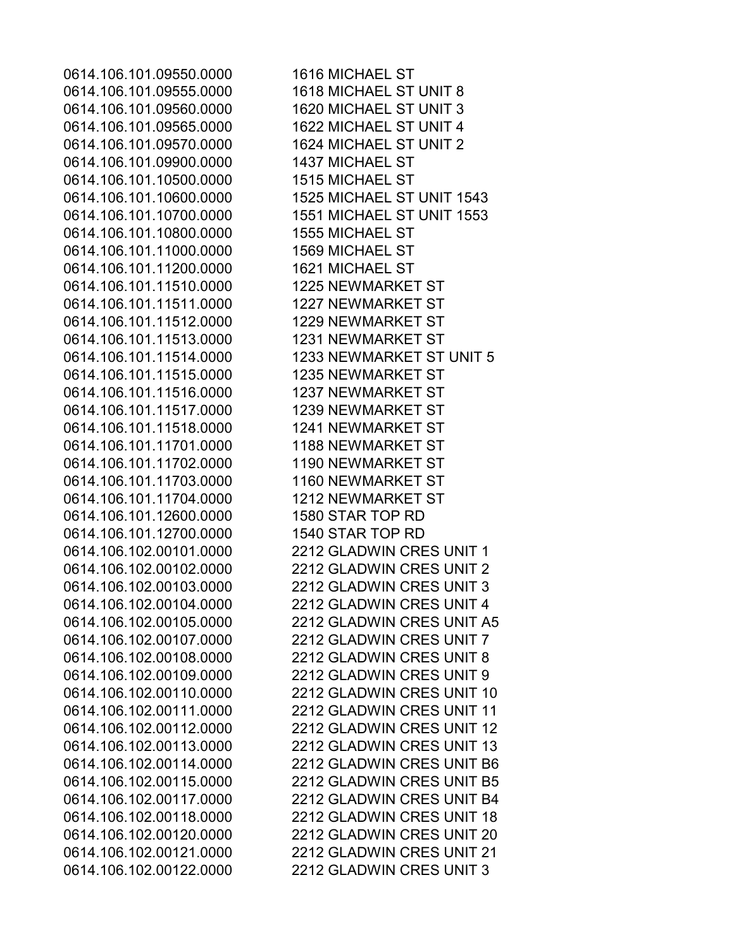0614.106.101.09550.0000 1616 MICHAEL ST 0614.106.101.09555.0000 1618 MICHAEL ST UNIT 8 0614.106.101.09560.0000 1620 MICHAEL ST UNIT 3 0614.106.101.09565.0000 1622 MICHAEL ST UNIT 4 0614.106.101.09570.0000 1624 MICHAEL ST UNIT 2 0614.106.101.09900.0000 1437 MICHAEL ST 0614.106.101.10500.0000 1515 MICHAEL ST 0614.106.101.10800.0000 1555 MICHAEL ST 0614.106.101.11000.0000 1569 MICHAEL ST 0614.106.101.11200.0000 1621 MICHAEL ST 0614.106.101.11510.0000 1225 NEWMARKET ST 0614.106.101.11511.0000 1227 NEWMARKET ST 0614.106.101.11512.0000 1229 NEWMARKET ST 0614.106.101.11513.0000 1231 NEWMARKET ST 0614.106.101.11515.0000 1235 NEWMARKET ST 0614.106.101.11516.0000 1237 NEWMARKET ST 0614.106.101.11517.0000 1239 NEWMARKET ST 0614.106.101.11518.0000 1241 NEWMARKET ST 0614.106.101.11701.0000 1188 NEWMARKET ST 0614.106.101.11702.0000 1190 NEWMARKET ST 0614.106.101.11703.0000 1160 NEWMARKET ST 0614.106.101.11704.0000 1212 NEWMARKET ST 0614.106.101.12600.0000 1580 STAR TOP RD 0614.106.101.12700.0000 1540 STAR TOP RD

0614.106.101.10600.0000 1525 MICHAEL ST UNIT 1543 0614.106.101.10700.0000 1551 MICHAEL ST UNIT 1553 0614.106.101.11514.0000 1233 NEWMARKET ST UNIT 5 0614.106.102.00101.0000 2212 GLADWIN CRES UNIT 1 0614.106.102.00102.0000 2212 GLADWIN CRES UNIT 2 0614.106.102.00103.0000 2212 GLADWIN CRES UNIT 3 0614.106.102.00104.0000 2212 GLADWIN CRES UNIT 4 0614.106.102.00105.0000 2212 GLADWIN CRES UNIT A5 0614.106.102.00107.0000 2212 GLADWIN CRES UNIT 7 0614.106.102.00108.0000 2212 GLADWIN CRES UNIT 8 0614.106.102.00109.0000 2212 GLADWIN CRES UNIT 9 0614.106.102.00110.0000 2212 GLADWIN CRES UNIT 10 0614.106.102.00111.0000 2212 GLADWIN CRES UNIT 11 0614.106.102.00112.0000 2212 GLADWIN CRES UNIT 12 0614.106.102.00113.0000 2212 GLADWIN CRES UNIT 13 0614.106.102.00114.0000 2212 GLADWIN CRES UNIT B6 0614.106.102.00115.0000 2212 GLADWIN CRES UNIT B5 0614.106.102.00117.0000 2212 GLADWIN CRES UNIT B4 0614.106.102.00118.0000 2212 GLADWIN CRES UNIT 18 0614.106.102.00120.0000 2212 GLADWIN CRES UNIT 20 0614.106.102.00121.0000 2212 GLADWIN CRES UNIT 21 0614.106.102.00122.0000 2212 GLADWIN CRES UNIT 3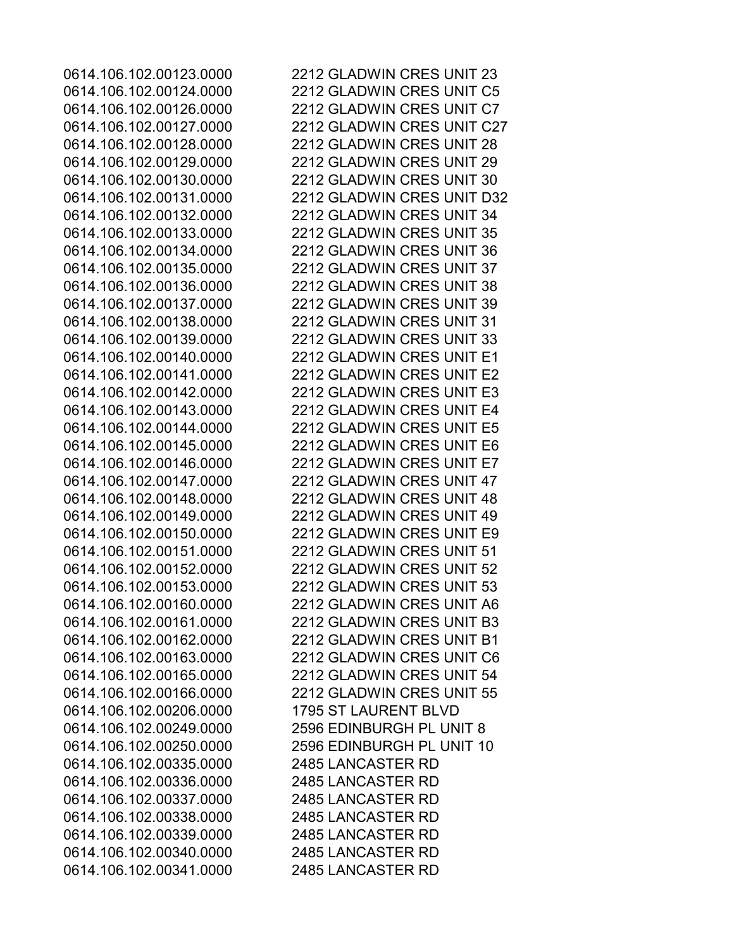0614.106.102.00206.0000 1795 ST LAURENT BLVD 0614.106.102.00335.0000 2485 LANCASTER RD 0614.106.102.00336.0000 2485 LANCASTER RD 0614.106.102.00337.0000 2485 LANCASTER RD 0614.106.102.00338.0000 2485 LANCASTER RD 0614.106.102.00339.0000 2485 LANCASTER RD 0614.106.102.00340.0000 2485 LANCASTER RD 0614.106.102.00341.0000 2485 LANCASTER RD

0614.106.102.00123.0000 2212 GLADWIN CRES UNIT 23 0614.106.102.00124.0000 2212 GLADWIN CRES UNIT C5 0614.106.102.00126.0000 2212 GLADWIN CRES UNIT C7 0614.106.102.00127.0000 2212 GLADWIN CRES UNIT C27 0614.106.102.00128.0000 2212 GLADWIN CRES UNIT 28 0614.106.102.00129.0000 2212 GLADWIN CRES UNIT 29 0614.106.102.00130.0000 2212 GLADWIN CRES UNIT 30 0614.106.102.00131.0000 2212 GLADWIN CRES UNIT D32 0614.106.102.00132.0000 2212 GLADWIN CRES UNIT 34 0614.106.102.00133.0000 2212 GLADWIN CRES UNIT 35 0614.106.102.00134.0000 2212 GLADWIN CRES UNIT 36 0614.106.102.00135.0000 2212 GLADWIN CRES UNIT 37 0614.106.102.00136.0000 2212 GLADWIN CRES UNIT 38 0614.106.102.00137.0000 2212 GLADWIN CRES UNIT 39 0614.106.102.00138.0000 2212 GLADWIN CRES UNIT 31 0614.106.102.00139.0000 2212 GLADWIN CRES UNIT 33 0614.106.102.00140.0000 2212 GLADWIN CRES UNIT E1 0614.106.102.00141.0000 2212 GLADWIN CRES UNIT E2 0614.106.102.00142.0000 2212 GLADWIN CRES UNIT E3 0614.106.102.00143.0000 2212 GLADWIN CRES UNIT E4 0614.106.102.00144.0000 2212 GLADWIN CRES UNIT E5 0614.106.102.00145.0000 2212 GLADWIN CRES UNIT E6 0614.106.102.00146.0000 2212 GLADWIN CRES UNIT E7 0614.106.102.00147.0000 2212 GLADWIN CRES UNIT 47 0614.106.102.00148.0000 2212 GLADWIN CRES UNIT 48 0614.106.102.00149.0000 2212 GLADWIN CRES UNIT 49 0614.106.102.00150.0000 2212 GLADWIN CRES UNIT E9 0614.106.102.00151.0000 2212 GLADWIN CRES UNIT 51 0614.106.102.00152.0000 2212 GLADWIN CRES UNIT 52 0614.106.102.00153.0000 2212 GLADWIN CRES UNIT 53 0614.106.102.00160.0000 2212 GLADWIN CRES UNIT A6 0614.106.102.00161.0000 2212 GLADWIN CRES UNIT B3 0614.106.102.00162.0000 2212 GLADWIN CRES UNIT B1 0614.106.102.00163.0000 2212 GLADWIN CRES UNIT C6 0614.106.102.00165.0000 2212 GLADWIN CRES UNIT 54 0614.106.102.00166.0000 2212 GLADWIN CRES UNIT 55 0614.106.102.00249.0000 2596 EDINBURGH PL UNIT 8 0614.106.102.00250.0000 2596 EDINBURGH PL UNIT 10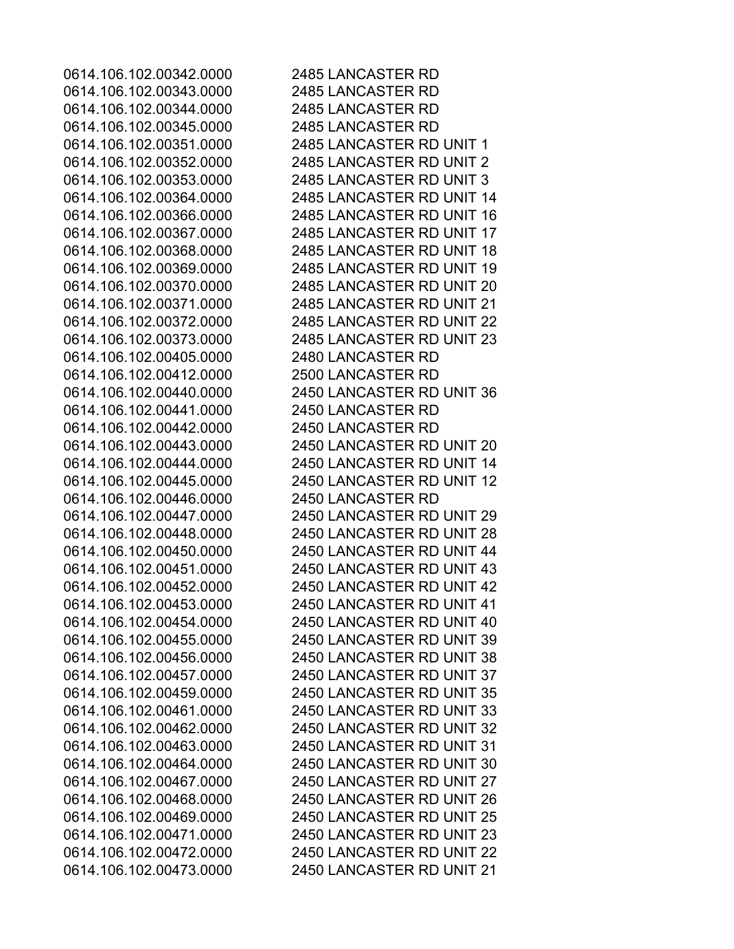0614.106.102.00343.0000 2485 LANCASTER RD 0614.106.102.00344.0000 2485 LANCASTER RD 0614.106.102.00345.0000 2485 LANCASTER RD 0614.106.102.00405.0000 2480 LANCASTER RD 0614.106.102.00412.0000 2500 LANCASTER RD 0614.106.102.00441.0000 2450 LANCASTER RD 0614.106.102.00442.0000 2450 LANCASTER RD 0614.106.102.00446.0000 2450 LANCASTER RD

0614.106.102.00342.0000 2485 LANCASTER RD 0614.106.102.00351.0000 2485 LANCASTER RD UNIT 1 0614.106.102.00352.0000 2485 LANCASTER RD UNIT 2 0614.106.102.00353.0000 2485 LANCASTER RD UNIT 3 0614.106.102.00364.0000 2485 LANCASTER RD UNIT 14 0614.106.102.00366.0000 2485 LANCASTER RD UNIT 16 0614.106.102.00367.0000 2485 LANCASTER RD UNIT 17 0614.106.102.00368.0000 2485 LANCASTER RD UNIT 18 0614.106.102.00369.0000 2485 LANCASTER RD UNIT 19 0614.106.102.00370.0000 2485 LANCASTER RD UNIT 20 0614.106.102.00371.0000 2485 LANCASTER RD UNIT 21 0614.106.102.00372.0000 2485 LANCASTER RD UNIT 22 0614.106.102.00373.0000 2485 LANCASTER RD UNIT 23 0614.106.102.00440.0000 2450 LANCASTER RD UNIT 36 0614.106.102.00443.0000 2450 LANCASTER RD UNIT 20 0614.106.102.00444.0000 2450 LANCASTER RD UNIT 14 0614.106.102.00445.0000 2450 LANCASTER RD UNIT 12 0614.106.102.00447.0000 2450 LANCASTER RD UNIT 29 0614.106.102.00448.0000 2450 LANCASTER RD UNIT 28 0614.106.102.00450.0000 2450 LANCASTER RD UNIT 44 0614.106.102.00451.0000 2450 LANCASTER RD UNIT 43 0614.106.102.00452.0000 2450 LANCASTER RD UNIT 42 0614.106.102.00453.0000 2450 LANCASTER RD UNIT 41 0614.106.102.00454.0000 2450 LANCASTER RD UNIT 40 0614.106.102.00455.0000 2450 LANCASTER RD UNIT 39 0614.106.102.00456.0000 2450 LANCASTER RD UNIT 38 0614.106.102.00457.0000 2450 LANCASTER RD UNIT 37 0614.106.102.00459.0000 2450 LANCASTER RD UNIT 35 0614.106.102.00461.0000 2450 LANCASTER RD UNIT 33 0614.106.102.00462.0000 2450 LANCASTER RD UNIT 32 0614.106.102.00463.0000 2450 LANCASTER RD UNIT 31 0614.106.102.00464.0000 2450 LANCASTER RD UNIT 30 0614.106.102.00467.0000 2450 LANCASTER RD UNIT 27 0614.106.102.00468.0000 2450 LANCASTER RD UNIT 26 0614.106.102.00469.0000 2450 LANCASTER RD UNIT 25 0614.106.102.00471.0000 2450 LANCASTER RD UNIT 23 0614.106.102.00472.0000 2450 LANCASTER RD UNIT 22 0614.106.102.00473.0000 2450 LANCASTER RD UNIT 21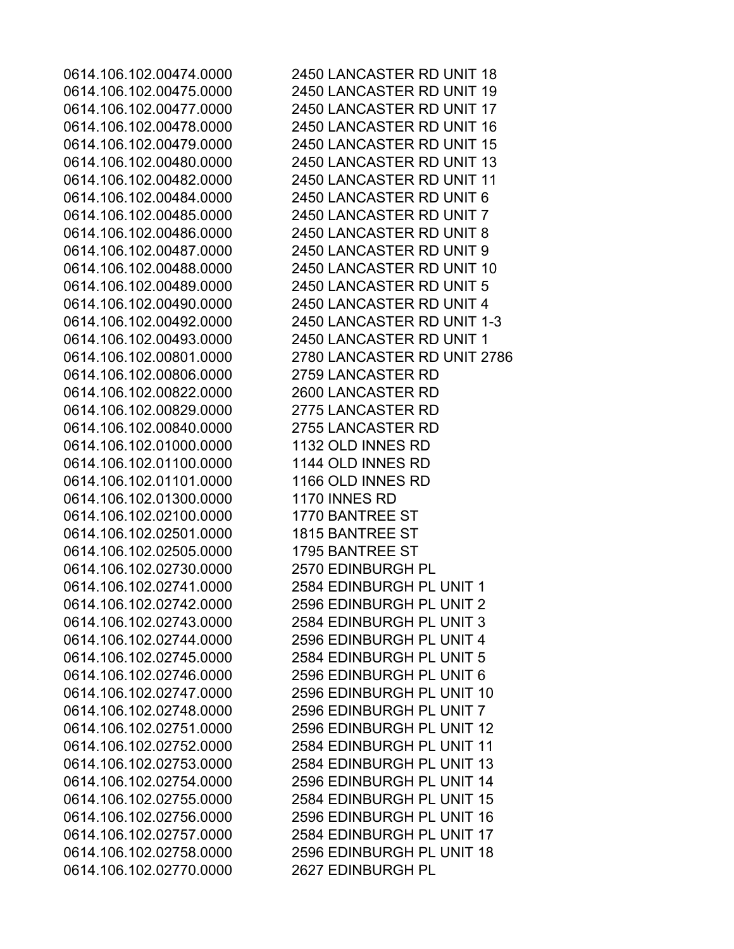0614.106.102.00806.0000 2759 LANCASTER RD 0614.106.102.00822.0000 2600 LANCASTER RD 0614.106.102.00829.0000 2775 LANCASTER RD 0614.106.102.00840.0000 2755 LANCASTER RD 0614.106.102.01000.0000 1132 OLD INNES RD 0614.106.102.01100.0000 1144 OLD INNES RD 0614.106.102.01101.0000 1166 OLD INNES RD 0614.106.102.01300.0000 1170 INNES RD 0614.106.102.02100.0000 1770 BANTREE ST 0614.106.102.02501.0000 1815 BANTREE ST 0614.106.102.02505.0000 1795 BANTREE ST 0614.106.102.02730.0000 2570 EDINBURGH PL 0614.106.102.02770.0000 2627 EDINBURGH PL

0614.106.102.00474.0000 2450 LANCASTER RD UNIT 18 0614.106.102.00475.0000 2450 LANCASTER RD UNIT 19 0614.106.102.00477.0000 2450 LANCASTER RD UNIT 17 0614.106.102.00478.0000 2450 LANCASTER RD UNIT 16 0614.106.102.00479.0000 2450 LANCASTER RD UNIT 15 0614.106.102.00480.0000 2450 LANCASTER RD UNIT 13 0614.106.102.00482.0000 2450 LANCASTER RD UNIT 11 0614.106.102.00484.0000 2450 LANCASTER RD UNIT 6 0614.106.102.00485.0000 2450 LANCASTER RD UNIT 7 0614.106.102.00486.0000 2450 LANCASTER RD UNIT 8 0614.106.102.00487.0000 2450 LANCASTER RD UNIT 9 0614.106.102.00488.0000 2450 LANCASTER RD UNIT 10 0614.106.102.00489.0000 2450 LANCASTER RD UNIT 5 0614.106.102.00490.0000 2450 LANCASTER RD UNIT 4 0614.106.102.00492.0000 2450 LANCASTER RD UNIT 1-3 0614.106.102.00493.0000 2450 LANCASTER RD UNIT 1 0614.106.102.00801.0000 2780 LANCASTER RD UNIT 2786 0614.106.102.02741.0000 2584 EDINBURGH PL UNIT 1 0614.106.102.02742.0000 2596 EDINBURGH PL UNIT 2 0614.106.102.02743.0000 2584 EDINBURGH PL UNIT 3 0614.106.102.02744.0000 2596 EDINBURGH PL UNIT 4 0614.106.102.02745.0000 2584 EDINBURGH PL UNIT 5 0614.106.102.02746.0000 2596 EDINBURGH PL UNIT 6 0614.106.102.02747.0000 2596 EDINBURGH PL UNIT 10 0614.106.102.02748.0000 2596 EDINBURGH PL UNIT 7 0614.106.102.02751.0000 2596 EDINBURGH PL UNIT 12 0614.106.102.02752.0000 2584 EDINBURGH PL UNIT 11 0614.106.102.02753.0000 2584 EDINBURGH PL UNIT 13 0614.106.102.02754.0000 2596 EDINBURGH PL UNIT 14 0614.106.102.02755.0000 2584 EDINBURGH PL UNIT 15 0614.106.102.02756.0000 2596 EDINBURGH PL UNIT 16 0614.106.102.02757.0000 2584 EDINBURGH PL UNIT 17 0614.106.102.02758.0000 2596 EDINBURGH PL UNIT 18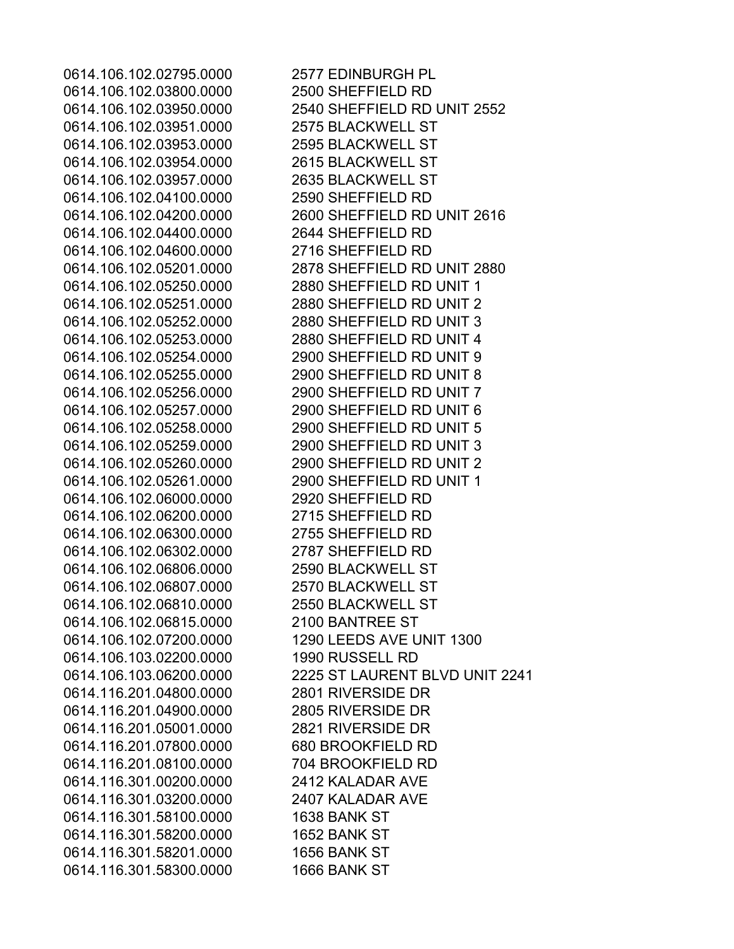0614.106.102.02795.0000 2577 EDINBURGH PL 0614.106.102.03800.0000 2500 SHEFFIELD RD 0614.106.102.03951.0000 2575 BLACKWELL ST 0614.106.102.03953.0000 2595 BLACKWELL ST 0614.106.102.03954.0000 2615 BLACKWELL ST 0614.106.102.03957.0000 2635 BLACKWELL ST 0614.106.102.04100.0000 2590 SHEFFIELD RD 0614.106.102.04400.0000 2644 SHEFFIELD RD 0614.106.102.04600.0000 2716 SHEFFIELD RD 0614.106.102.05250.0000 2880 SHEFFIELD RD UNIT 1 0614.106.102.05251.0000 2880 SHEFFIELD RD UNIT 2 0614.106.102.05252.0000 2880 SHEFFIELD RD UNIT 3 0614.106.102.05253.0000 2880 SHEFFIELD RD UNIT 4 0614.106.102.05254.0000 2900 SHEFFIELD RD UNIT 9 0614.106.102.05255.0000 2900 SHEFFIELD RD UNIT 8 0614.106.102.05256.0000 2900 SHEFFIELD RD UNIT 7 0614.106.102.05257.0000 2900 SHEFFIELD RD UNIT 6 0614.106.102.05258.0000 2900 SHEFFIELD RD UNIT 5 0614.106.102.05259.0000 2900 SHEFFIELD RD UNIT 3 0614.106.102.05260.0000 2900 SHEFFIELD RD UNIT 2 0614.106.102.05261.0000 2900 SHEFFIELD RD UNIT 1 0614.106.102.06000.0000 2920 SHEFFIELD RD 0614.106.102.06200.0000 2715 SHEFFIELD RD 0614.106.102.06300.0000 2755 SHEFFIELD RD 0614.106.102.06302.0000 2787 SHEFFIELD RD 0614.106.102.06806.0000 2590 BLACKWELL ST 0614.106.102.06807.0000 2570 BLACKWELL ST 0614.106.102.06810.0000 2550 BLACKWELL ST 0614.106.102.06815.0000 2100 BANTREE ST 0614.106.102.07200.0000 1290 LEEDS AVE UNIT 1300 0614.106.103.02200.0000 1990 RUSSELL RD 0614.116.201.04800.0000 2801 RIVERSIDE DR 0614.116.201.04900.0000 2805 RIVERSIDE DR 0614.116.201.05001.0000 2821 RIVERSIDE DR 0614.116.201.07800.0000 680 BROOKFIELD RD 0614.116.201.08100.0000 704 BROOKFIELD RD 0614.116.301.00200.0000 2412 KALADAR AVE 0614.116.301.03200.0000 2407 KALADAR AVE 0614.116.301.58100.0000 1638 BANK ST 0614.116.301.58200.0000 1652 BANK ST 0614.116.301.58201.0000 1656 BANK ST 0614.116.301.58300.0000 1666 BANK ST

0614.106.102.03950.0000 2540 SHEFFIELD RD UNIT 2552 0614.106.102.04200.0000 2600 SHEFFIELD RD UNIT 2616 0614.106.102.05201.0000 2878 SHEFFIELD RD UNIT 2880 0614.106.103.06200.0000 2225 ST LAURENT BLVD UNIT 2241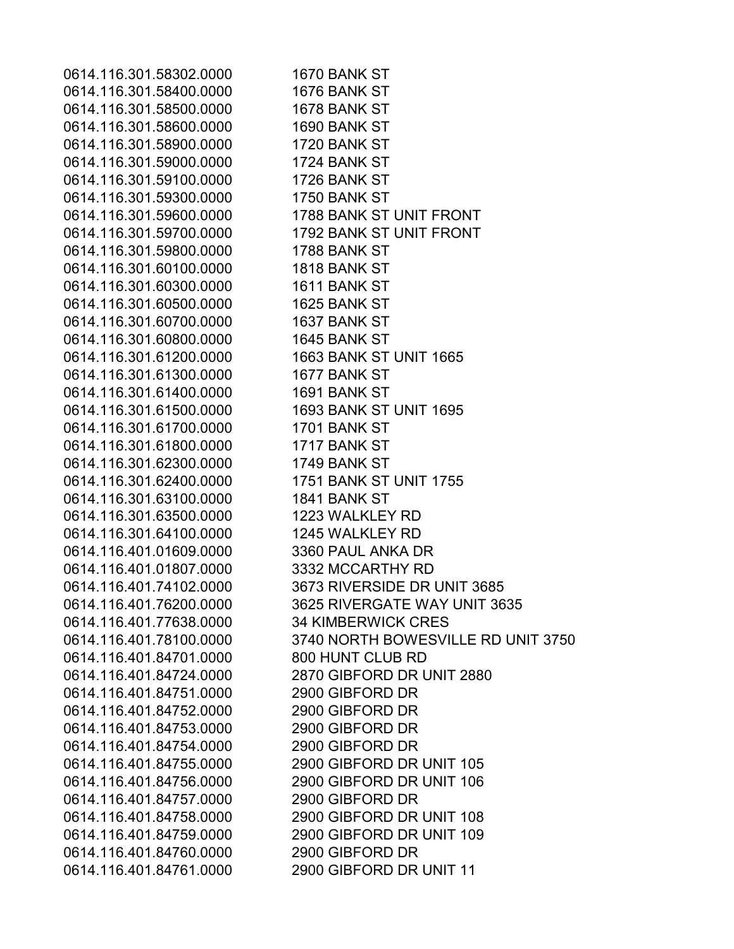0614.116.301.58302.0000 1670 BANK ST 0614.116.301.58400.0000 1676 BANK ST 0614.116.301.58500.0000 1678 BANK ST 0614.116.301.58600.0000 1690 BANK ST 0614.116.301.58900.0000 1720 BANK ST 0614.116.301.59000.0000 1724 BANK ST 0614.116.301.59100.0000 1726 BANK ST 0614.116.301.59300.0000 1750 BANK ST 0614.116.301.59600.0000 1788 BANK ST UNIT FRONT 0614.116.301.59700.0000 1792 BANK ST UNIT FRONT 0614.116.301.59800.0000 1788 BANK ST 0614.116.301.60100.0000 1818 BANK ST 0614.116.301.60300.0000 1611 BANK ST 0614.116.301.60500.0000 1625 BANK ST 0614.116.301.60700.0000 1637 BANK ST 0614.116.301.60800.0000 1645 BANK ST 0614.116.301.61200.0000 1663 BANK ST UNIT 1665 0614.116.301.61300.0000 1677 BANK ST 0614.116.301.61400.0000 1691 BANK ST 0614.116.301.61500.0000 1693 BANK ST UNIT 1695 0614.116.301.61700.0000 1701 BANK ST 0614.116.301.61800.0000 1717 BANK ST 0614.116.301.62300.0000 1749 BANK ST 0614.116.301.62400.0000 1751 BANK ST UNIT 1755 0614.116.301.63100.0000 1841 BANK ST 0614.116.301.63500.0000 1223 WALKLEY RD 0614.116.301.64100.0000 1245 WALKLEY RD 0614.116.401.01609.0000 3360 PAUL ANKA DR 0614.116.401.01807.0000 3332 MCCARTHY RD 0614.116.401.74102.0000 3673 RIVERSIDE DR UNIT 3685 0614.116.401.76200.0000 3625 RIVERGATE WAY UNIT 3635 0614.116.401.77638.0000 34 KIMBERWICK CRES 0614.116.401.78100.0000 3740 NORTH BOWESVILLE RD UNIT 3750 0614.116.401.84701.0000 800 HUNT CLUB RD 0614.116.401.84724.0000 2870 GIBFORD DR UNIT 2880 0614.116.401.84751.0000 2900 GIBFORD DR 0614.116.401.84752.0000 2900 GIBFORD DR 0614.116.401.84753.0000 2900 GIBFORD DR 0614.116.401.84754.0000 2900 GIBFORD DR 0614.116.401.84755.0000 2900 GIBFORD DR UNIT 105 0614.116.401.84756.0000 2900 GIBFORD DR UNIT 106 0614.116.401.84757.0000 2900 GIBFORD DR 0614.116.401.84758.0000 2900 GIBFORD DR UNIT 108 0614.116.401.84759.0000 2900 GIBFORD DR UNIT 109 0614.116.401.84760.0000 2900 GIBFORD DR 0614.116.401.84761.0000 2900 GIBFORD DR UNIT 11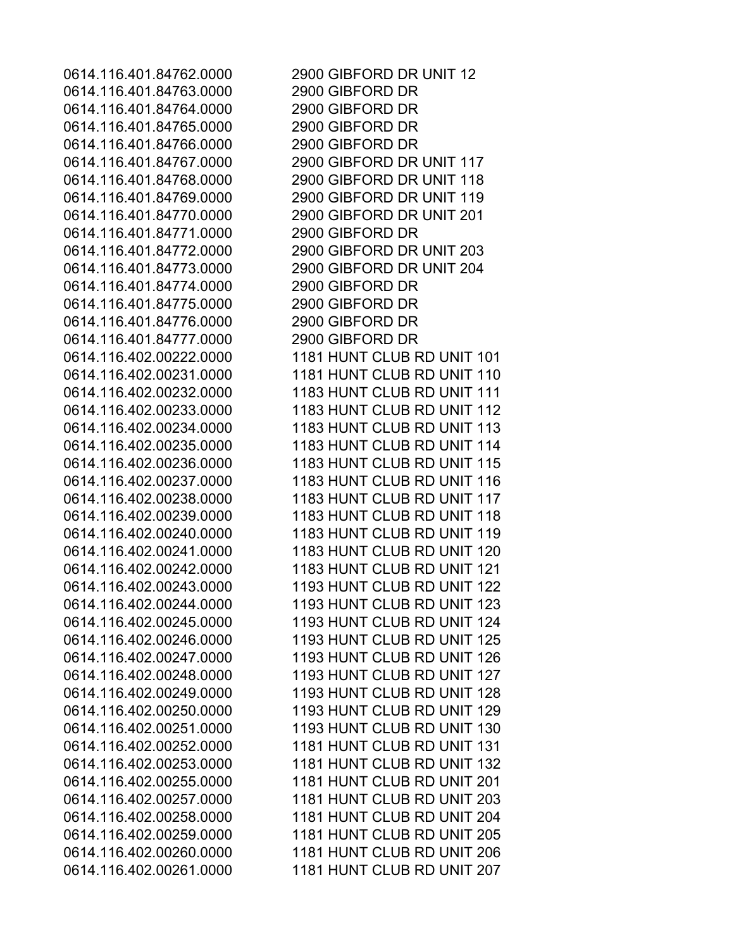0614.116.401.84763.0000 2900 GIBFORD DR 0614.116.401.84764.0000 2900 GIBFORD DR 0614.116.401.84765.0000 2900 GIBFORD DR 0614.116.401.84766.0000 2900 GIBFORD DR 0614.116.401.84771.0000 2900 GIBFORD DR 0614.116.401.84774.0000 2900 GIBFORD DR 0614.116.401.84775.0000 2900 GIBFORD DR 0614.116.401.84776.0000 2900 GIBFORD DR 0614.116.401.84777.0000 2900 GIBFORD DR

0614.116.401.84762.0000 2900 GIBFORD DR UNIT 12 0614.116.401.84767.0000 2900 GIBFORD DR UNIT 117 0614.116.401.84768.0000 2900 GIBFORD DR UNIT 118 0614.116.401.84769.0000 2900 GIBFORD DR UNIT 119 0614.116.401.84770.0000 2900 GIBFORD DR UNIT 201 0614.116.401.84772.0000 2900 GIBFORD DR UNIT 203 0614.116.401.84773.0000 2900 GIBFORD DR UNIT 204 0614.116.402.00222.0000 1181 HUNT CLUB RD UNIT 101 0614.116.402.00231.0000 1181 HUNT CLUB RD UNIT 110 0614.116.402.00232.0000 1183 HUNT CLUB RD UNIT 111 0614.116.402.00233.0000 1183 HUNT CLUB RD UNIT 112 0614.116.402.00234.0000 1183 HUNT CLUB RD UNIT 113 0614.116.402.00235.0000 1183 HUNT CLUB RD UNIT 114 0614.116.402.00236.0000 1183 HUNT CLUB RD UNIT 115 0614.116.402.00237.0000 1183 HUNT CLUB RD UNIT 116 0614.116.402.00238.0000 1183 HUNT CLUB RD UNIT 117 0614.116.402.00239.0000 1183 HUNT CLUB RD UNIT 118 0614.116.402.00240.0000 1183 HUNT CLUB RD UNIT 119 0614.116.402.00241.0000 1183 HUNT CLUB RD UNIT 120 0614.116.402.00242.0000 1183 HUNT CLUB RD UNIT 121 0614.116.402.00243.0000 1193 HUNT CLUB RD UNIT 122 0614.116.402.00244.0000 1193 HUNT CLUB RD UNIT 123 0614.116.402.00245.0000 1193 HUNT CLUB RD UNIT 124 0614.116.402.00246.0000 1193 HUNT CLUB RD UNIT 125 0614.116.402.00247.0000 1193 HUNT CLUB RD UNIT 126 0614.116.402.00248.0000 1193 HUNT CLUB RD UNIT 127 0614.116.402.00249.0000 1193 HUNT CLUB RD UNIT 128 0614.116.402.00250.0000 1193 HUNT CLUB RD UNIT 129 0614.116.402.00251.0000 1193 HUNT CLUB RD UNIT 130 0614.116.402.00252.0000 1181 HUNT CLUB RD UNIT 131 0614.116.402.00253.0000 1181 HUNT CLUB RD UNIT 132 0614.116.402.00255.0000 1181 HUNT CLUB RD UNIT 201 0614.116.402.00257.0000 1181 HUNT CLUB RD UNIT 203 0614.116.402.00258.0000 1181 HUNT CLUB RD UNIT 204 0614.116.402.00259.0000 1181 HUNT CLUB RD UNIT 205 0614.116.402.00260.0000 1181 HUNT CLUB RD UNIT 206 0614.116.402.00261.0000 1181 HUNT CLUB RD UNIT 207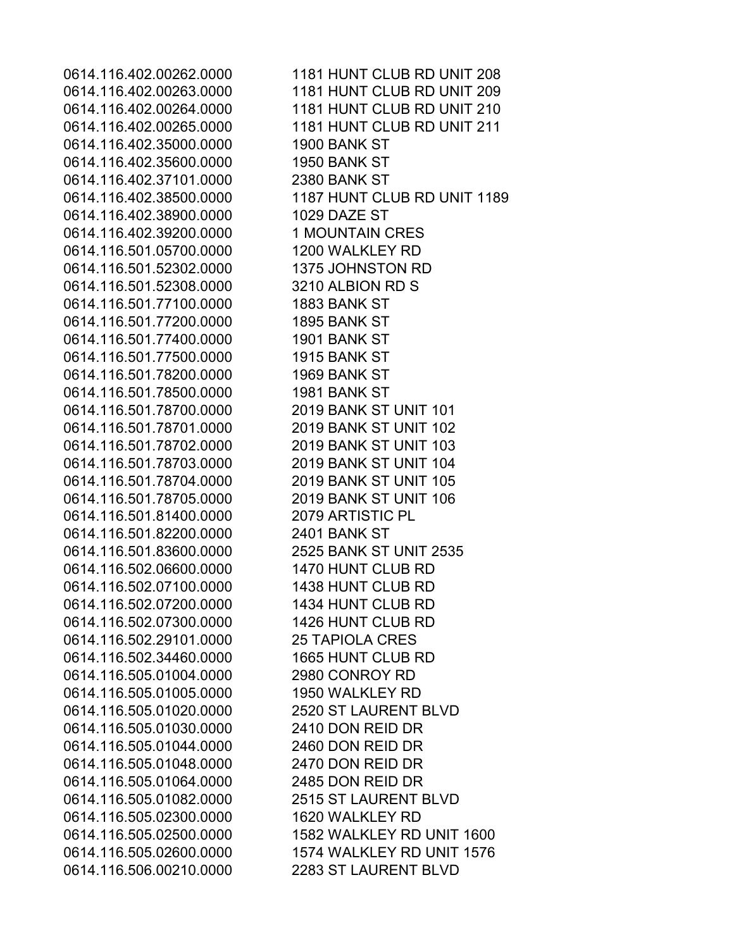0614.116.402.35000.0000 1900 BANK ST 0614.116.402.35600.0000 1950 BANK ST 0614.116.402.37101.0000 2380 BANK ST 0614.116.402.38900.0000 1029 DAZE ST 0614.116.402.39200.0000 1 MOUNTAIN CRES 0614.116.501.05700.0000 1200 WALKLEY RD 0614.116.501.52302.0000 1375 JOHNSTON RD 0614.116.501.52308.0000 3210 ALBION RD S 0614.116.501.77100.0000 1883 BANK ST 0614.116.501.77200.0000 1895 BANK ST 0614.116.501.77400.0000 1901 BANK ST 0614.116.501.77500.0000 1915 BANK ST 0614.116.501.78200.0000 1969 BANK ST 0614.116.501.78500.0000 1981 BANK ST 0614.116.501.78700.0000 2019 BANK ST UNIT 101 0614.116.501.78701.0000 2019 BANK ST UNIT 102 0614.116.501.78702.0000 2019 BANK ST UNIT 103 0614.116.501.78703.0000 2019 BANK ST UNIT 104 0614.116.501.78704.0000 2019 BANK ST UNIT 105 0614.116.501.78705.0000 2019 BANK ST UNIT 106 0614.116.501.81400.0000 2079 ARTISTIC PL 0614.116.501.82200.0000 2401 BANK ST 0614.116.501.83600.0000 2525 BANK ST UNIT 2535 0614.116.502.06600.0000 1470 HUNT CLUB RD 0614.116.502.07100.0000 1438 HUNT CLUB RD 0614.116.502.07200.0000 1434 HUNT CLUB RD 0614.116.502.07300.0000 1426 HUNT CLUB RD 0614.116.502.29101.0000 25 TAPIOLA CRES 0614.116.502.34460.0000 1665 HUNT CLUB RD 0614.116.505.01004.0000 2980 CONROY RD 0614.116.505.01005.0000 1950 WALKLEY RD 0614.116.505.01020.0000 2520 ST LAURENT BLVD 0614.116.505.01030.0000 2410 DON REID DR 0614.116.505.01044.0000 2460 DON REID DR 0614.116.505.01048.0000 2470 DON REID DR 0614.116.505.01064.0000 2485 DON REID DR 0614.116.505.01082.0000 2515 ST LAURENT BLVD 0614.116.505.02300.0000 1620 WALKLEY RD 0614.116.506.00210.0000 2283 ST LAURENT BLVD

0614.116.402.00262.0000 1181 HUNT CLUB RD UNIT 208 0614.116.402.00263.0000 1181 HUNT CLUB RD UNIT 209 0614.116.402.00264.0000 1181 HUNT CLUB RD UNIT 210 0614.116.402.00265.0000 1181 HUNT CLUB RD UNIT 211 0614.116.402.38500.0000 1187 HUNT CLUB RD UNIT 1189 0614.116.505.02500.0000 1582 WALKLEY RD UNIT 1600 0614.116.505.02600.0000 1574 WALKLEY RD UNIT 1576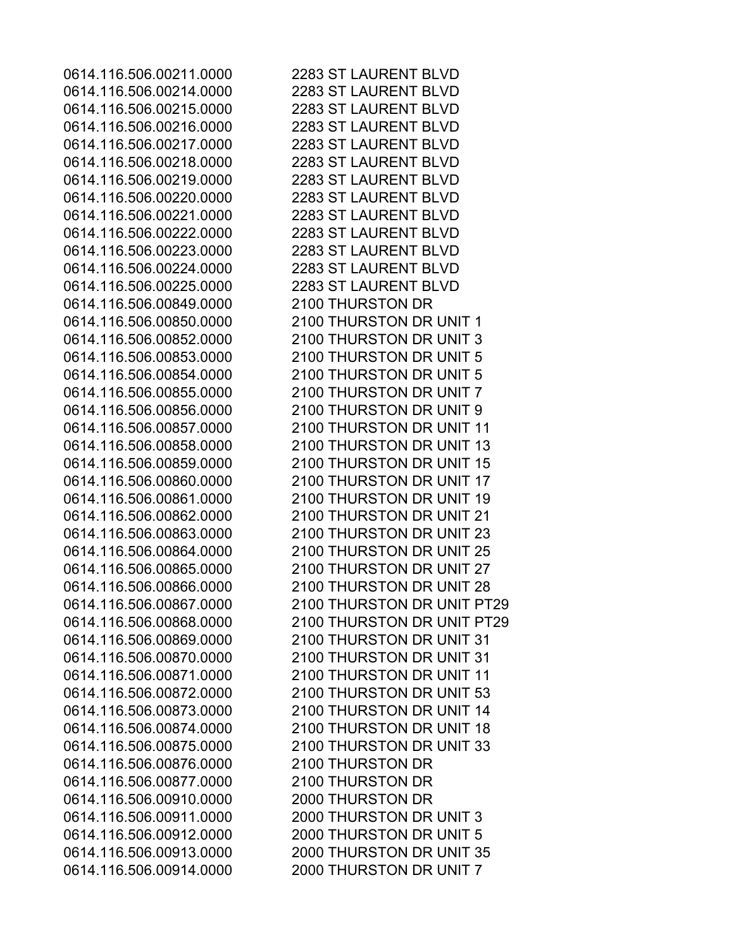0614.116.506.00214.0000 2283 ST LAURENT BLVD 0614.116.506.00215.0000 2283 ST LAURENT BLVD 0614.116.506.00216.0000 2283 ST LAURENT BLVD 0614.116.506.00217.0000 2283 ST LAURENT BLVD 0614.116.506.00218.0000 2283 ST LAURENT BLVD 0614.116.506.00219.0000 2283 ST LAURENT BLVD 0614.116.506.00220.0000 2283 ST LAURENT BLVD 0614.116.506.00221.0000 2283 ST LAURENT BLVD 0614.116.506.00222.0000 2283 ST LAURENT BLVD 0614.116.506.00223.0000 2283 ST LAURENT BLVD 0614.116.506.00224.0000 2283 ST LAURENT BLVD 0614.116.506.00225.0000 2283 ST LAURENT BLVD 0614.116.506.00849.0000 2100 THURSTON DR 0614.116.506.00876.0000 2100 THURSTON DR 0614.116.506.00877.0000 2100 THURSTON DR 0614.116.506.00910.0000 2000 THURSTON DR

0614.116.506.00211.0000 2283 ST LAURENT BLVD 0614.116.506.00850.0000 2100 THURSTON DR UNIT 1 0614.116.506.00852.0000 2100 THURSTON DR UNIT 3 0614.116.506.00853.0000 2100 THURSTON DR UNIT 5 0614.116.506.00854.0000 2100 THURSTON DR UNIT 5 0614.116.506.00855.0000 2100 THURSTON DR UNIT 7 0614.116.506.00856.0000 2100 THURSTON DR UNIT 9 0614.116.506.00857.0000 2100 THURSTON DR UNIT 11 0614.116.506.00858.0000 2100 THURSTON DR UNIT 13 0614.116.506.00859.0000 2100 THURSTON DR UNIT 15 0614.116.506.00860.0000 2100 THURSTON DR UNIT 17 0614.116.506.00861.0000 2100 THURSTON DR UNIT 19 0614.116.506.00862.0000 2100 THURSTON DR UNIT 21 0614.116.506.00863.0000 2100 THURSTON DR UNIT 23 0614.116.506.00864.0000 2100 THURSTON DR UNIT 25 0614.116.506.00865.0000 2100 THURSTON DR UNIT 27 0614.116.506.00866.0000 2100 THURSTON DR UNIT 28 0614.116.506.00867.0000 2100 THURSTON DR UNIT PT29 0614.116.506.00868.0000 2100 THURSTON DR UNIT PT29 0614.116.506.00869.0000 2100 THURSTON DR UNIT 31 0614.116.506.00870.0000 2100 THURSTON DR UNIT 31 0614.116.506.00871.0000 2100 THURSTON DR UNIT 11 0614.116.506.00872.0000 2100 THURSTON DR UNIT 53 0614.116.506.00873.0000 2100 THURSTON DR UNIT 14 0614.116.506.00874.0000 2100 THURSTON DR UNIT 18 0614.116.506.00875.0000 2100 THURSTON DR UNIT 33 0614.116.506.00911.0000 2000 THURSTON DR UNIT 3 0614.116.506.00912.0000 2000 THURSTON DR UNIT 5 0614.116.506.00913.0000 2000 THURSTON DR UNIT 35 0614.116.506.00914.0000 2000 THURSTON DR UNIT 7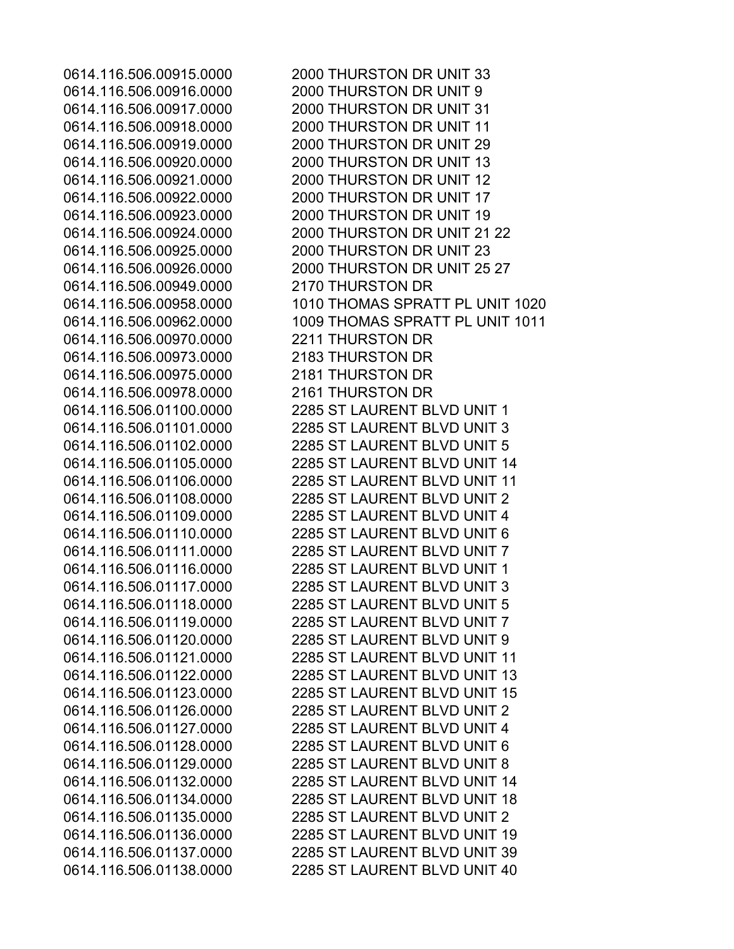0614.116.506.00949.0000 2170 THURSTON DR 0614.116.506.00970.0000 2211 THURSTON DR 0614.116.506.00973.0000 2183 THURSTON DR 0614.116.506.00975.0000 2181 THURSTON DR 0614.116.506.00978.0000 2161 THURSTON DR

0614.116.506.00915.0000 2000 THURSTON DR UNIT 33 0614.116.506.00916.0000 2000 THURSTON DR UNIT 9 0614.116.506.00917.0000 2000 THURSTON DR UNIT 31 0614.116.506.00918.0000 2000 THURSTON DR UNIT 11 0614.116.506.00919.0000 2000 THURSTON DR UNIT 29 0614.116.506.00920.0000 2000 THURSTON DR UNIT 13 0614.116.506.00921.0000 2000 THURSTON DR UNIT 12 0614.116.506.00922.0000 2000 THURSTON DR UNIT 17 0614.116.506.00923.0000 2000 THURSTON DR UNIT 19 0614.116.506.00924.0000 2000 THURSTON DR UNIT 21 22 0614.116.506.00925.0000 2000 THURSTON DR UNIT 23 0614.116.506.00926.0000 2000 THURSTON DR UNIT 25 27 0614.116.506.00958.0000 1010 THOMAS SPRATT PL UNIT 1020 0614.116.506.00962.0000 1009 THOMAS SPRATT PL UNIT 1011 0614.116.506.01100.0000 2285 ST LAURENT BLVD UNIT 1 0614.116.506.01101.0000 2285 ST LAURENT BLVD UNIT 3 0614.116.506.01102.0000 2285 ST LAURENT BLVD UNIT 5 0614.116.506.01105.0000 2285 ST LAURENT BLVD UNIT 14 0614.116.506.01106.0000 2285 ST LAURENT BLVD UNIT 11 0614.116.506.01108.0000 2285 ST LAURENT BLVD UNIT 2 0614.116.506.01109.0000 2285 ST LAURENT BLVD UNIT 4 0614.116.506.01110.0000 2285 ST LAURENT BLVD UNIT 6 0614.116.506.01111.0000 2285 ST LAURENT BLVD UNIT 7 0614.116.506.01116.0000 2285 ST LAURENT BLVD UNIT 1 0614.116.506.01117.0000 2285 ST LAURENT BLVD UNIT 3 0614.116.506.01118.0000 2285 ST LAURENT BLVD UNIT 5 0614.116.506.01119.0000 2285 ST LAURENT BLVD UNIT 7 0614.116.506.01120.0000 2285 ST LAURENT BLVD UNIT 9 0614.116.506.01121.0000 2285 ST LAURENT BLVD UNIT 11 0614.116.506.01122.0000 2285 ST LAURENT BLVD UNIT 13 0614.116.506.01123.0000 2285 ST LAURENT BLVD UNIT 15 0614.116.506.01126.0000 2285 ST LAURENT BLVD UNIT 2 0614.116.506.01127.0000 2285 ST LAURENT BLVD UNIT 4 0614.116.506.01128.0000 2285 ST LAURENT BLVD UNIT 6 0614.116.506.01129.0000 2285 ST LAURENT BLVD UNIT 8 0614.116.506.01132.0000 2285 ST LAURENT BLVD UNIT 14 0614.116.506.01134.0000 2285 ST LAURENT BLVD UNIT 18 0614.116.506.01135.0000 2285 ST LAURENT BLVD UNIT 2 0614.116.506.01136.0000 2285 ST LAURENT BLVD UNIT 19 0614.116.506.01137.0000 2285 ST LAURENT BLVD UNIT 39 0614.116.506.01138.0000 2285 ST LAURENT BLVD UNIT 40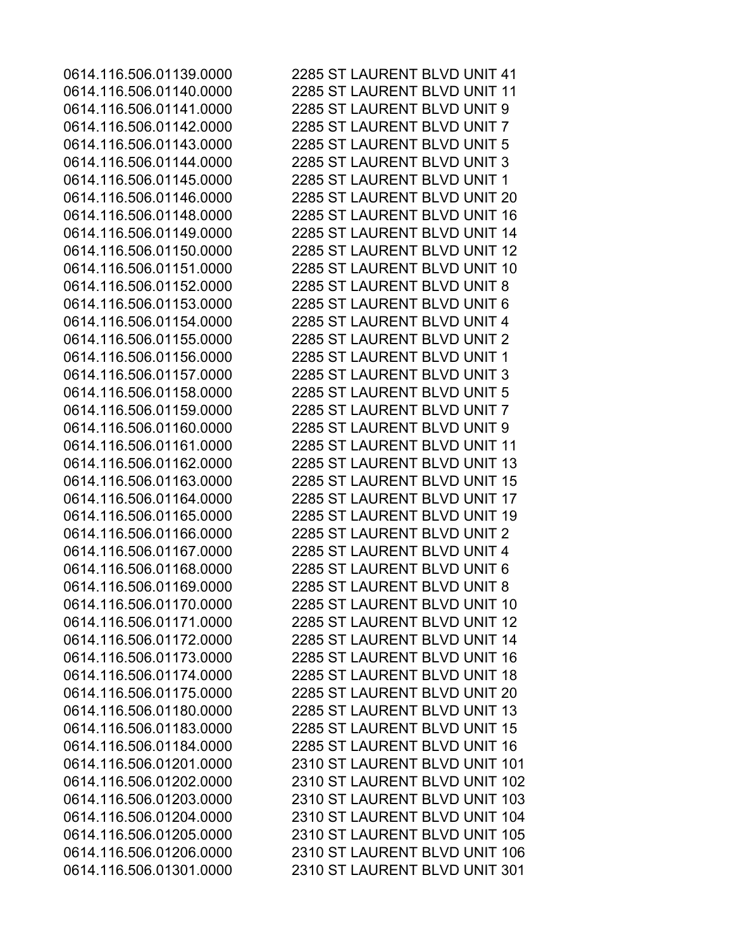0614.116.506.01139.0000 2285 ST LAURENT BLVD UNIT 41 0614.116.506.01140.0000 2285 ST LAURENT BLVD UNIT 11 0614.116.506.01141.0000 2285 ST LAURENT BLVD UNIT 9 0614.116.506.01142.0000 2285 ST LAURENT BLVD UNIT 7 0614.116.506.01143.0000 2285 ST LAURENT BLVD UNIT 5 0614.116.506.01144.0000 2285 ST LAURENT BLVD UNIT 3 0614.116.506.01145.0000 2285 ST LAURENT BLVD UNIT 1 0614.116.506.01146.0000 2285 ST LAURENT BLVD UNIT 20 0614.116.506.01148.0000 2285 ST LAURENT BLVD UNIT 16 0614.116.506.01149.0000 2285 ST LAURENT BLVD UNIT 14 0614.116.506.01150.0000 2285 ST LAURENT BLVD UNIT 12 0614.116.506.01151.0000 2285 ST LAURENT BLVD UNIT 10 0614.116.506.01152.0000 2285 ST LAURENT BLVD UNIT 8 0614.116.506.01153.0000 2285 ST LAURENT BLVD UNIT 6 0614.116.506.01154.0000 2285 ST LAURENT BLVD UNIT 4 0614.116.506.01155.0000 2285 ST LAURENT BLVD UNIT 2 0614.116.506.01156.0000 2285 ST LAURENT BLVD UNIT 1 0614.116.506.01157.0000 2285 ST LAURENT BLVD UNIT 3 0614.116.506.01158.0000 2285 ST LAURENT BLVD UNIT 5 0614.116.506.01159.0000 2285 ST LAURENT BLVD UNIT 7 0614.116.506.01160.0000 2285 ST LAURENT BLVD UNIT 9 0614.116.506.01161.0000 2285 ST LAURENT BLVD UNIT 11 0614.116.506.01162.0000 2285 ST LAURENT BLVD UNIT 13 0614.116.506.01163.0000 2285 ST LAURENT BLVD UNIT 15 0614.116.506.01164.0000 2285 ST LAURENT BLVD UNIT 17 0614.116.506.01165.0000 2285 ST LAURENT BLVD UNIT 19 0614.116.506.01166.0000 2285 ST LAURENT BLVD UNIT 2 0614.116.506.01167.0000 2285 ST LAURENT BLVD UNIT 4 0614.116.506.01168.0000 2285 ST LAURENT BLVD UNIT 6 0614.116.506.01169.0000 2285 ST LAURENT BLVD UNIT 8 0614.116.506.01170.0000 2285 ST LAURENT BLVD UNIT 10 0614.116.506.01171.0000 2285 ST LAURENT BLVD UNIT 12 0614.116.506.01172.0000 2285 ST LAURENT BLVD UNIT 14 0614.116.506.01173.0000 2285 ST LAURENT BLVD UNIT 16 0614.116.506.01174.0000 2285 ST LAURENT BLVD UNIT 18 0614.116.506.01175.0000 2285 ST LAURENT BLVD UNIT 20 0614.116.506.01180.0000 2285 ST LAURENT BLVD UNIT 13 0614.116.506.01183.0000 2285 ST LAURENT BLVD UNIT 15 0614.116.506.01184.0000 2285 ST LAURENT BLVD UNIT 16 0614.116.506.01201.0000 2310 ST LAURENT BLVD UNIT 101 0614.116.506.01202.0000 2310 ST LAURENT BLVD UNIT 102 0614.116.506.01203.0000 2310 ST LAURENT BLVD UNIT 103 0614.116.506.01204.0000 2310 ST LAURENT BLVD UNIT 104 0614.116.506.01205.0000 2310 ST LAURENT BLVD UNIT 105 0614.116.506.01206.0000 2310 ST LAURENT BLVD UNIT 106 0614.116.506.01301.0000 2310 ST LAURENT BLVD UNIT 301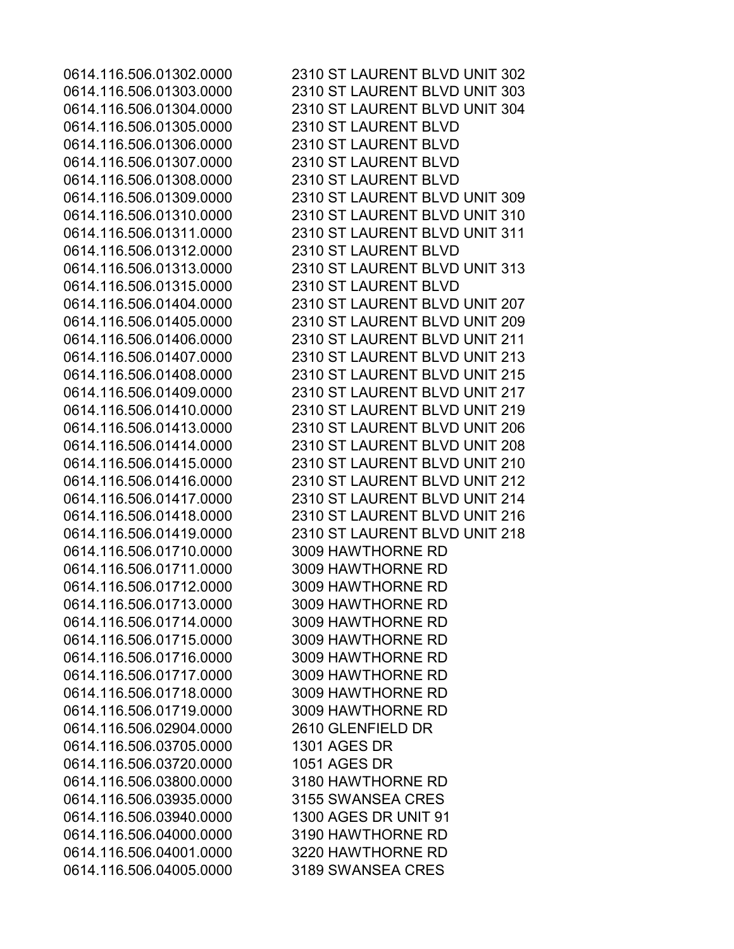0614.116.506.01305.0000 2310 ST LAURENT BLVD 0614.116.506.01306.0000 2310 ST LAURENT BLVD 0614.116.506.01307.0000 2310 ST LAURENT BLVD 0614.116.506.01308.0000 2310 ST LAURENT BLVD 0614.116.506.01312.0000 2310 ST LAURENT BLVD 0614.116.506.01315.0000 2310 ST LAURENT BLVD 0614.116.506.01710.0000 3009 HAWTHORNE RD 0614.116.506.01711.0000 3009 HAWTHORNE RD 0614.116.506.01712.0000 3009 HAWTHORNE RD 0614.116.506.01713.0000 3009 HAWTHORNE RD 0614.116.506.01714.0000 3009 HAWTHORNE RD 0614.116.506.01715.0000 3009 HAWTHORNE RD 0614.116.506.01716.0000 3009 HAWTHORNE RD 0614.116.506.01717.0000 3009 HAWTHORNE RD 0614.116.506.01718.0000 3009 HAWTHORNE RD 0614.116.506.01719.0000 3009 HAWTHORNE RD 0614.116.506.02904.0000 2610 GLENFIELD DR 0614.116.506.03705.0000 1301 AGES DR 0614.116.506.03720.0000 1051 AGES DR 0614.116.506.03800.0000 3180 HAWTHORNE RD 0614.116.506.03935.0000 3155 SWANSEA CRES 0614.116.506.03940.0000 1300 AGES DR UNIT 91 0614.116.506.04000.0000 3190 HAWTHORNE RD 0614.116.506.04001.0000 3220 HAWTHORNE RD 0614.116.506.04005.0000 3189 SWANSEA CRES

0614.116.506.01302.0000 2310 ST LAURENT BLVD UNIT 302 0614.116.506.01303.0000 2310 ST LAURENT BLVD UNIT 303 0614.116.506.01304.0000 2310 ST LAURENT BLVD UNIT 304 0614.116.506.01309.0000 2310 ST LAURENT BLVD UNIT 309 0614.116.506.01310.0000 2310 ST LAURENT BLVD UNIT 310 0614.116.506.01311.0000 2310 ST LAURENT BLVD UNIT 311 0614.116.506.01313.0000 2310 ST LAURENT BLVD UNIT 313 0614.116.506.01404.0000 2310 ST LAURENT BLVD UNIT 207 0614.116.506.01405.0000 2310 ST LAURENT BLVD UNIT 209 0614.116.506.01406.0000 2310 ST LAURENT BLVD UNIT 211 0614.116.506.01407.0000 2310 ST LAURENT BLVD UNIT 213 0614.116.506.01408.0000 2310 ST LAURENT BLVD UNIT 215 0614.116.506.01409.0000 2310 ST LAURENT BLVD UNIT 217 0614.116.506.01410.0000 2310 ST LAURENT BLVD UNIT 219 0614.116.506.01413.0000 2310 ST LAURENT BLVD UNIT 206 0614.116.506.01414.0000 2310 ST LAURENT BLVD UNIT 208 0614.116.506.01415.0000 2310 ST LAURENT BLVD UNIT 210 0614.116.506.01416.0000 2310 ST LAURENT BLVD UNIT 212 0614.116.506.01417.0000 2310 ST LAURENT BLVD UNIT 214 0614.116.506.01418.0000 2310 ST LAURENT BLVD UNIT 216 0614.116.506.01419.0000 2310 ST LAURENT BLVD UNIT 218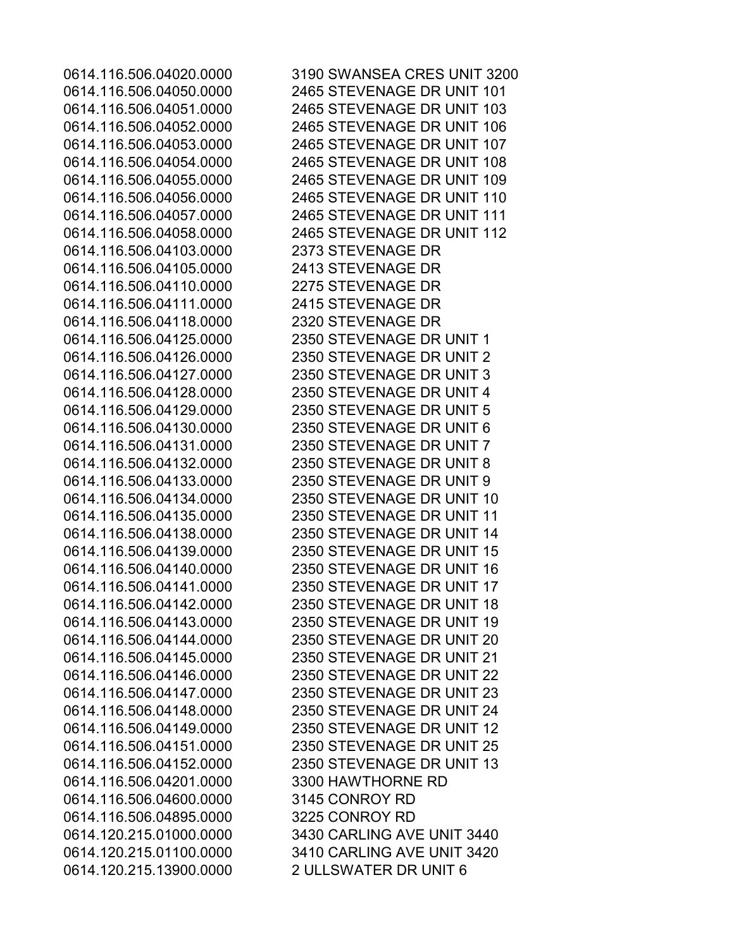0614.116.506.04103.0000 2373 STEVENAGE DR 0614.116.506.04105.0000 2413 STEVENAGE DR 0614.116.506.04110.0000 2275 STEVENAGE DR 0614.116.506.04111.0000 2415 STEVENAGE DR 0614.116.506.04118.0000 2320 STEVENAGE DR 0614.116.506.04201.0000 3300 HAWTHORNE RD 0614.116.506.04600.0000 3145 CONROY RD 0614.116.506.04895.0000 3225 CONROY RD 0614.120.215.13900.0000 2 ULLSWATER DR UNIT 6

0614.116.506.04020.0000 3190 SWANSEA CRES UNIT 3200 0614.116.506.04050.0000 2465 STEVENAGE DR UNIT 101 0614.116.506.04051.0000 2465 STEVENAGE DR UNIT 103 0614.116.506.04052.0000 2465 STEVENAGE DR UNIT 106 0614.116.506.04053.0000 2465 STEVENAGE DR UNIT 107 0614.116.506.04054.0000 2465 STEVENAGE DR UNIT 108 0614.116.506.04055.0000 2465 STEVENAGE DR UNIT 109 0614.116.506.04056.0000 2465 STEVENAGE DR UNIT 110 0614.116.506.04057.0000 2465 STEVENAGE DR UNIT 111 0614.116.506.04058.0000 2465 STEVENAGE DR UNIT 112 0614.116.506.04125.0000 2350 STEVENAGE DR UNIT 1 0614.116.506.04126.0000 2350 STEVENAGE DR UNIT 2 0614.116.506.04127.0000 2350 STEVENAGE DR UNIT 3 0614.116.506.04128.0000 2350 STEVENAGE DR UNIT 4 0614.116.506.04129.0000 2350 STEVENAGE DR UNIT 5 0614.116.506.04130.0000 2350 STEVENAGE DR UNIT 6 0614.116.506.04131.0000 2350 STEVENAGE DR UNIT 7 0614.116.506.04132.0000 2350 STEVENAGE DR UNIT 8 0614.116.506.04133.0000 2350 STEVENAGE DR UNIT 9 0614.116.506.04134.0000 2350 STEVENAGE DR UNIT 10 0614.116.506.04135.0000 2350 STEVENAGE DR UNIT 11 0614.116.506.04138.0000 2350 STEVENAGE DR UNIT 14 0614.116.506.04139.0000 2350 STEVENAGE DR UNIT 15 0614.116.506.04140.0000 2350 STEVENAGE DR UNIT 16 0614.116.506.04141.0000 2350 STEVENAGE DR UNIT 17 0614.116.506.04142.0000 2350 STEVENAGE DR UNIT 18 0614.116.506.04143.0000 2350 STEVENAGE DR UNIT 19 0614.116.506.04144.0000 2350 STEVENAGE DR UNIT 20 0614.116.506.04145.0000 2350 STEVENAGE DR UNIT 21 0614.116.506.04146.0000 2350 STEVENAGE DR UNIT 22 0614.116.506.04147.0000 2350 STEVENAGE DR UNIT 23 0614.116.506.04148.0000 2350 STEVENAGE DR UNIT 24 0614.116.506.04149.0000 2350 STEVENAGE DR UNIT 12 0614.116.506.04151.0000 2350 STEVENAGE DR UNIT 25 0614.116.506.04152.0000 2350 STEVENAGE DR UNIT 13 0614.120.215.01000.0000 3430 CARLING AVE UNIT 3440 0614.120.215.01100.0000 3410 CARLING AVE UNIT 3420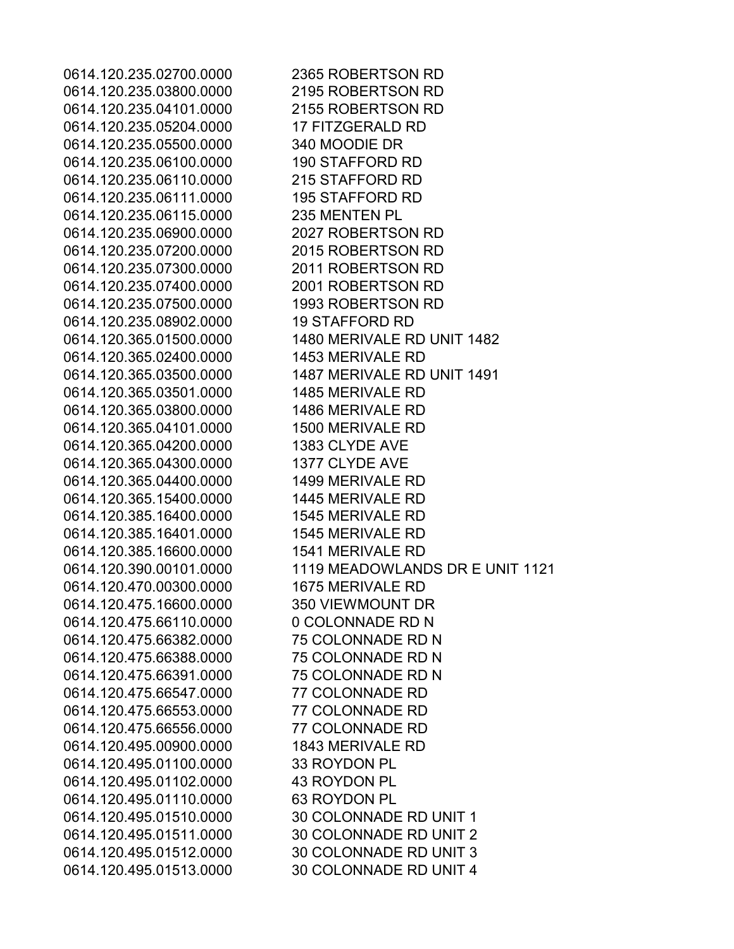0614.120.235.02700.0000 2365 ROBERTSON RD 0614.120.235.03800.0000 2195 ROBERTSON RD 0614.120.235.04101.0000 2155 ROBERTSON RD 0614.120.235.05204.0000 17 FITZGERALD RD 0614.120.235.05500.0000 340 MOODIE DR 0614.120.235.06100.0000 190 STAFFORD RD 0614.120.235.06110.0000 215 STAFFORD RD 0614.120.235.06111.0000 195 STAFFORD RD 0614.120.235.06115.0000 235 MENTEN PL 0614.120.235.06900.0000 2027 ROBERTSON RD 0614.120.235.07200.0000 2015 ROBERTSON RD 0614.120.235.07300.0000 2011 ROBERTSON RD 0614.120.235.07400.0000 2001 ROBERTSON RD 0614.120.235.07500.0000 1993 ROBERTSON RD 0614.120.235.08902.0000 19 STAFFORD RD 0614.120.365.01500.0000 1480 MERIVALE RD UNIT 1482 0614.120.365.02400.0000 1453 MERIVALE RD 0614.120.365.03500.0000 1487 MERIVALE RD UNIT 1491 0614.120.365.03501.0000 1485 MERIVALE RD 0614.120.365.03800.0000 1486 MERIVALE RD 0614.120.365.04101.0000 1500 MERIVALE RD 0614.120.365.04200.0000 1383 CLYDE AVE 0614.120.365.04300.0000 1377 CLYDE AVE 0614.120.365.04400.0000 1499 MERIVALE RD 0614.120.365.15400.0000 1445 MERIVALE RD 0614.120.385.16400.0000 1545 MERIVALE RD 0614.120.385.16401.0000 1545 MERIVALE RD 0614.120.385.16600.0000 1541 MERIVALE RD 0614.120.470.00300.0000 1675 MERIVALE RD 0614.120.475.16600.0000 350 VIEWMOUNT DR 0614.120.475.66110.0000 0 COLONNADE RD N 0614.120.475.66382.0000 75 COLONNADE RD N 0614.120.475.66388.0000 75 COLONNADE RD N 0614.120.475.66391.0000 75 COLONNADE RD N 0614.120.475.66547.0000 77 COLONNADE RD 0614.120.475.66553.0000 77 COLONNADE RD 0614.120.475.66556.0000 77 COLONNADE RD 0614.120.495.00900.0000 1843 MERIVALE RD 0614.120.495.01100.0000 33 ROYDON PL 0614.120.495.01102.0000 43 ROYDON PL 0614.120.495.01110.0000 63 ROYDON PL 0614.120.495.01510.0000 30 COLONNADE RD UNIT 1 0614.120.495.01511.0000 30 COLONNADE RD UNIT 2 0614.120.495.01512.0000 30 COLONNADE RD UNIT 3 0614.120.495.01513.0000 30 COLONNADE RD UNIT 4

0614.120.390.00101.0000 1119 MEADOWLANDS DR E UNIT 1121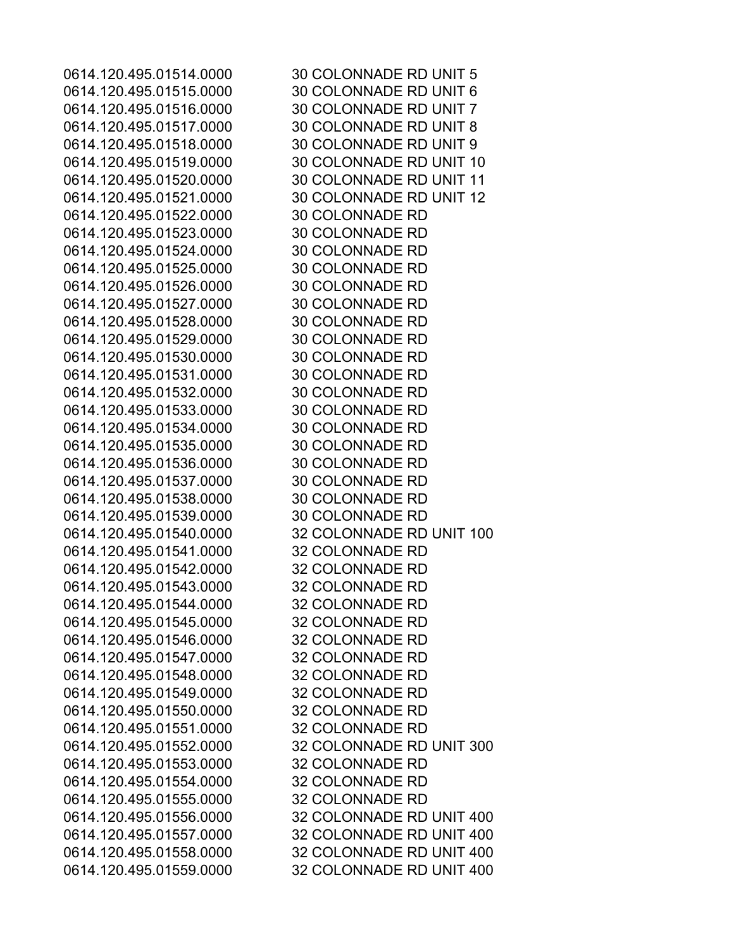0614.120.495.01514.0000 30 COLONNADE RD UNIT 5 0614.120.495.01515.0000 30 COLONNADE RD UNIT 6 0614.120.495.01516.0000 30 COLONNADE RD UNIT 7 0614.120.495.01517.0000 30 COLONNADE RD UNIT 8 0614.120.495.01518.0000 30 COLONNADE RD UNIT 9 0614.120.495.01519.0000 30 COLONNADE RD UNIT 10 0614.120.495.01520.0000 30 COLONNADE RD UNIT 11 0614.120.495.01521.0000 30 COLONNADE RD UNIT 12 0614.120.495.01522.0000 30 COLONNADE RD 0614.120.495.01523.0000 30 COLONNADE RD 0614.120.495.01524.0000 30 COLONNADE RD 0614.120.495.01525.0000 30 COLONNADE RD 0614.120.495.01526.0000 30 COLONNADE RD 0614.120.495.01527.0000 30 COLONNADE RD 0614.120.495.01528.0000 30 COLONNADE RD 0614.120.495.01529.0000 30 COLONNADE RD 0614.120.495.01530.0000 30 COLONNADE RD 0614.120.495.01531.0000 30 COLONNADE RD 0614.120.495.01532.0000 30 COLONNADE RD 0614.120.495.01533.0000 30 COLONNADE RD 0614.120.495.01534.0000 30 COLONNADE RD 0614.120.495.01535.0000 30 COLONNADE RD 0614.120.495.01536.0000 30 COLONNADE RD 0614.120.495.01537.0000 30 COLONNADE RD 0614.120.495.01538.0000 30 COLONNADE RD 0614.120.495.01539.0000 30 COLONNADE RD 0614.120.495.01540.0000 32 COLONNADE RD UNIT 100 0614.120.495.01541.0000 32 COLONNADE RD 0614.120.495.01542.0000 32 COLONNADE RD 0614.120.495.01543.0000 32 COLONNADE RD 0614.120.495.01544.0000 32 COLONNADE RD 0614.120.495.01545.0000 32 COLONNADE RD 0614.120.495.01546.0000 32 COLONNADE RD 0614.120.495.01547.0000 32 COLONNADE RD 0614.120.495.01548.0000 32 COLONNADE RD 0614.120.495.01549.0000 32 COLONNADE RD 0614.120.495.01550.0000 32 COLONNADE RD 0614.120.495.01551.0000 32 COLONNADE RD 0614.120.495.01552.0000 32 COLONNADE RD UNIT 300 0614.120.495.01553.0000 32 COLONNADE RD 0614.120.495.01554.0000 32 COLONNADE RD 0614.120.495.01555.0000 32 COLONNADE RD 0614.120.495.01556.0000 32 COLONNADE RD UNIT 400 0614.120.495.01557.0000 32 COLONNADE RD UNIT 400 0614.120.495.01558.0000 32 COLONNADE RD UNIT 400 0614.120.495.01559.0000 32 COLONNADE RD UNIT 400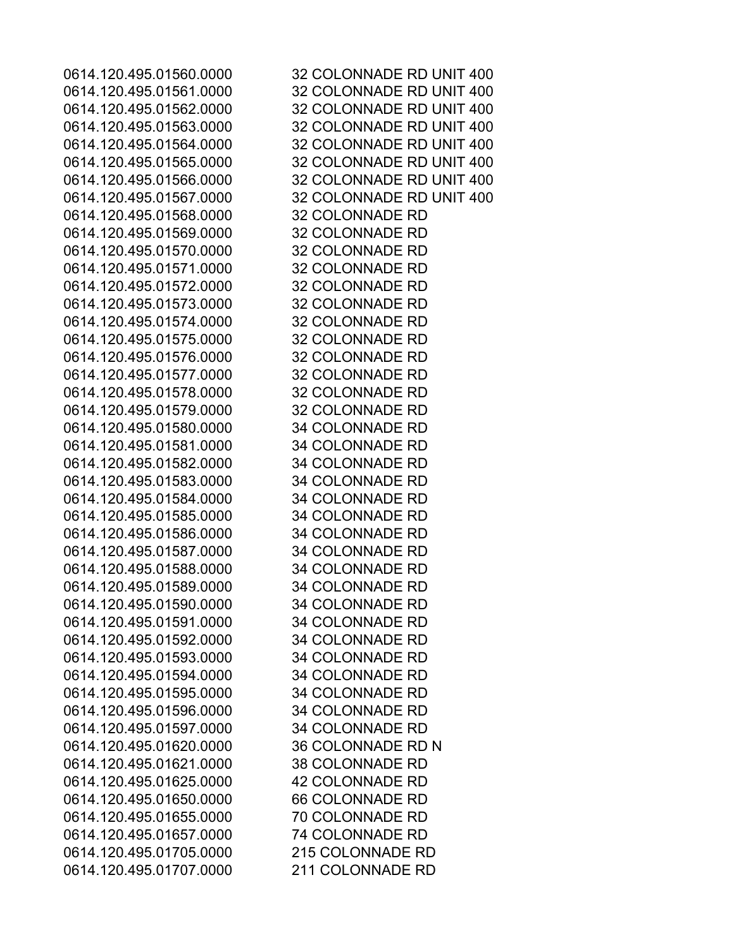0614.120.495.01560.0000 32 COLONNADE RD UNIT 400 0614.120.495.01561.0000 32 COLONNADE RD UNIT 400 0614.120.495.01562.0000 32 COLONNADE RD UNIT 400 0614.120.495.01563.0000 32 COLONNADE RD UNIT 400 0614.120.495.01564.0000 32 COLONNADE RD UNIT 400 0614.120.495.01565.0000 32 COLONNADE RD UNIT 400 0614.120.495.01566.0000 32 COLONNADE RD UNIT 400 0614.120.495.01567.0000 32 COLONNADE RD UNIT 400 0614.120.495.01568.0000 32 COLONNADE RD 0614.120.495.01569.0000 32 COLONNADE RD 0614.120.495.01570.0000 32 COLONNADE RD 0614.120.495.01571.0000 32 COLONNADE RD 0614.120.495.01572.0000 32 COLONNADE RD 0614.120.495.01573.0000 32 COLONNADE RD 0614.120.495.01574.0000 32 COLONNADE RD 0614.120.495.01575.0000 32 COLONNADE RD 0614.120.495.01576.0000 32 COLONNADE RD 0614.120.495.01577.0000 32 COLONNADE RD 0614.120.495.01578.0000 32 COLONNADE RD 0614.120.495.01579.0000 32 COLONNADE RD 0614.120.495.01580.0000 34 COLONNADE RD 0614.120.495.01581.0000 34 COLONNADE RD 0614.120.495.01582.0000 34 COLONNADE RD 0614.120.495.01583.0000 34 COLONNADE RD 0614.120.495.01584.0000 34 COLONNADE RD 0614.120.495.01585.0000 34 COLONNADE RD 0614.120.495.01586.0000 34 COLONNADE RD 0614.120.495.01587.0000 34 COLONNADE RD 0614.120.495.01588.0000 34 COLONNADE RD 0614.120.495.01589.0000 34 COLONNADE RD 0614.120.495.01590.0000 34 COLONNADE RD 0614.120.495.01591.0000 34 COLONNADE RD 0614.120.495.01592.0000 34 COLONNADE RD 0614.120.495.01593.0000 34 COLONNADE RD 0614.120.495.01594.0000 34 COLONNADE RD 0614.120.495.01595.0000 34 COLONNADE RD 0614.120.495.01596.0000 34 COLONNADE RD 0614.120.495.01597.0000 34 COLONNADE RD 0614.120.495.01620.0000 36 COLONNADE RD N 0614.120.495.01621.0000 38 COLONNADE RD 0614.120.495.01625.0000 42 COLONNADE RD 0614.120.495.01650.0000 66 COLONNADE RD 0614.120.495.01655.0000 70 COLONNADE RD 0614.120.495.01657.0000 74 COLONNADE RD 0614.120.495.01705.0000 215 COLONNADE RD 0614.120.495.01707.0000 211 COLONNADE RD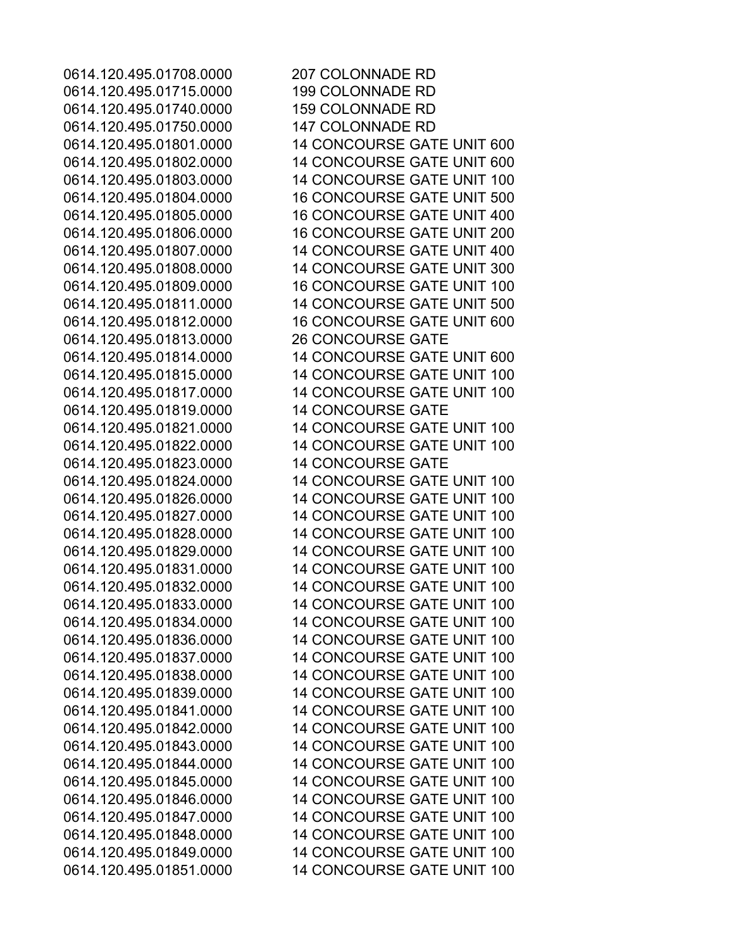0614.120.495.01708.0000 207 COLONNADE RD 0614.120.495.01715.0000 199 COLONNADE RD 0614.120.495.01740.0000 159 COLONNADE RD 0614.120.495.01750.0000 147 COLONNADE RD 0614.120.495.01813.0000 26 CONCOURSE GATE 0614.120.495.01819.0000 14 CONCOURSE GATE 0614.120.495.01823.0000 14 CONCOURSE GATE

0614.120.495.01801.0000 14 CONCOURSE GATE UNIT 600 0614.120.495.01802.0000 14 CONCOURSE GATE UNIT 600 0614.120.495.01803.0000 14 CONCOURSE GATE UNIT 100 0614.120.495.01804.0000 16 CONCOURSE GATE UNIT 500 0614.120.495.01805.0000 16 CONCOURSE GATE UNIT 400 0614.120.495.01806.0000 16 CONCOURSE GATE UNIT 200 0614.120.495.01807.0000 14 CONCOURSE GATE UNIT 400 0614.120.495.01808.0000 14 CONCOURSE GATE UNIT 300 0614.120.495.01809.0000 16 CONCOURSE GATE UNIT 100 0614.120.495.01811.0000 14 CONCOURSE GATE UNIT 500 0614.120.495.01812.0000 16 CONCOURSE GATE UNIT 600 0614.120.495.01814.0000 14 CONCOURSE GATE UNIT 600 0614.120.495.01815.0000 14 CONCOURSE GATE UNIT 100 0614.120.495.01817.0000 14 CONCOURSE GATE UNIT 100 0614.120.495.01821.0000 14 CONCOURSE GATE UNIT 100 0614.120.495.01822.0000 14 CONCOURSE GATE UNIT 100 0614.120.495.01824.0000 14 CONCOURSE GATE UNIT 100 0614.120.495.01826.0000 14 CONCOURSE GATE UNIT 100 0614.120.495.01827.0000 14 CONCOURSE GATE UNIT 100 0614.120.495.01828.0000 14 CONCOURSE GATE UNIT 100 0614.120.495.01829.0000 14 CONCOURSE GATE UNIT 100 0614.120.495.01831.0000 14 CONCOURSE GATE UNIT 100 0614.120.495.01832.0000 14 CONCOURSE GATE UNIT 100 0614.120.495.01833.0000 14 CONCOURSE GATE UNIT 100 0614.120.495.01834.0000 14 CONCOURSE GATE UNIT 100 0614.120.495.01836.0000 14 CONCOURSE GATE UNIT 100 0614.120.495.01837.0000 14 CONCOURSE GATE UNIT 100 0614.120.495.01838.0000 14 CONCOURSE GATE UNIT 100 0614.120.495.01839.0000 14 CONCOURSE GATE UNIT 100 0614.120.495.01841.0000 14 CONCOURSE GATE UNIT 100 0614.120.495.01842.0000 14 CONCOURSE GATE UNIT 100 0614.120.495.01843.0000 14 CONCOURSE GATE UNIT 100 0614.120.495.01844.0000 14 CONCOURSE GATE UNIT 100 0614.120.495.01845.0000 14 CONCOURSE GATE UNIT 100 0614.120.495.01846.0000 14 CONCOURSE GATE UNIT 100 0614.120.495.01847.0000 14 CONCOURSE GATE UNIT 100 0614.120.495.01848.0000 14 CONCOURSE GATE UNIT 100 0614.120.495.01849.0000 14 CONCOURSE GATE UNIT 100 0614.120.495.01851.0000 14 CONCOURSE GATE UNIT 100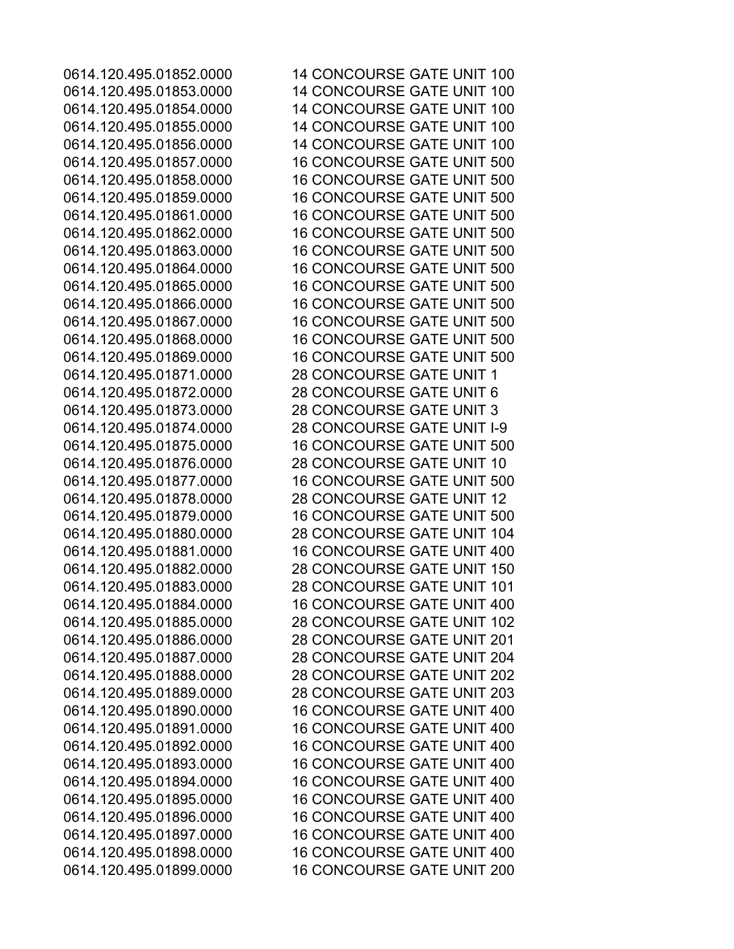0614.120.495.01852.0000 14 CONCOURSE GATE UNIT 100 0614.120.495.01853.0000 14 CONCOURSE GATE UNIT 100 0614.120.495.01854.0000 14 CONCOURSE GATE UNIT 100 0614.120.495.01855.0000 14 CONCOURSE GATE UNIT 100 0614.120.495.01856.0000 14 CONCOURSE GATE UNIT 100 0614.120.495.01857.0000 16 CONCOURSE GATE UNIT 500 0614.120.495.01858.0000 16 CONCOURSE GATE UNIT 500 0614.120.495.01859.0000 16 CONCOURSE GATE UNIT 500 0614.120.495.01861.0000 16 CONCOURSE GATE UNIT 500 0614.120.495.01862.0000 16 CONCOURSE GATE UNIT 500 0614.120.495.01863.0000 16 CONCOURSE GATE UNIT 500 0614.120.495.01864.0000 16 CONCOURSE GATE UNIT 500 0614.120.495.01865.0000 16 CONCOURSE GATE UNIT 500 0614.120.495.01866.0000 16 CONCOURSE GATE UNIT 500 0614.120.495.01867.0000 16 CONCOURSE GATE UNIT 500 0614.120.495.01868.0000 16 CONCOURSE GATE UNIT 500 0614.120.495.01869.0000 16 CONCOURSE GATE UNIT 500 0614.120.495.01871.0000 28 CONCOURSE GATE UNIT 1 0614.120.495.01872.0000 28 CONCOURSE GATE UNIT 6 0614.120.495.01873.0000 28 CONCOURSE GATE UNIT 3 0614.120.495.01874.0000 28 CONCOURSE GATE UNIT I-9 0614.120.495.01875.0000 16 CONCOURSE GATE UNIT 500 0614.120.495.01876.0000 28 CONCOURSE GATE UNIT 10 0614.120.495.01877.0000 16 CONCOURSE GATE UNIT 500 0614.120.495.01878.0000 28 CONCOURSE GATE UNIT 12 0614.120.495.01879.0000 16 CONCOURSE GATE UNIT 500 0614.120.495.01880.0000 28 CONCOURSE GATE UNIT 104 0614.120.495.01881.0000 16 CONCOURSE GATE UNIT 400 0614.120.495.01882.0000 28 CONCOURSE GATE UNIT 150 0614.120.495.01883.0000 28 CONCOURSE GATE UNIT 101 0614.120.495.01884.0000 16 CONCOURSE GATE UNIT 400 0614.120.495.01885.0000 28 CONCOURSE GATE UNIT 102 0614.120.495.01886.0000 28 CONCOURSE GATE UNIT 201 0614.120.495.01887.0000 28 CONCOURSE GATE UNIT 204 0614.120.495.01888.0000 28 CONCOURSE GATE UNIT 202 0614.120.495.01889.0000 28 CONCOURSE GATE UNIT 203 0614.120.495.01890.0000 16 CONCOURSE GATE UNIT 400 0614.120.495.01891.0000 16 CONCOURSE GATE UNIT 400 0614.120.495.01892.0000 16 CONCOURSE GATE UNIT 400 0614.120.495.01893.0000 16 CONCOURSE GATE UNIT 400 0614.120.495.01894.0000 16 CONCOURSE GATE UNIT 400 0614.120.495.01895.0000 16 CONCOURSE GATE UNIT 400 0614.120.495.01896.0000 16 CONCOURSE GATE UNIT 400 0614.120.495.01897.0000 16 CONCOURSE GATE UNIT 400 0614.120.495.01898.0000 16 CONCOURSE GATE UNIT 400 0614.120.495.01899.0000 16 CONCOURSE GATE UNIT 200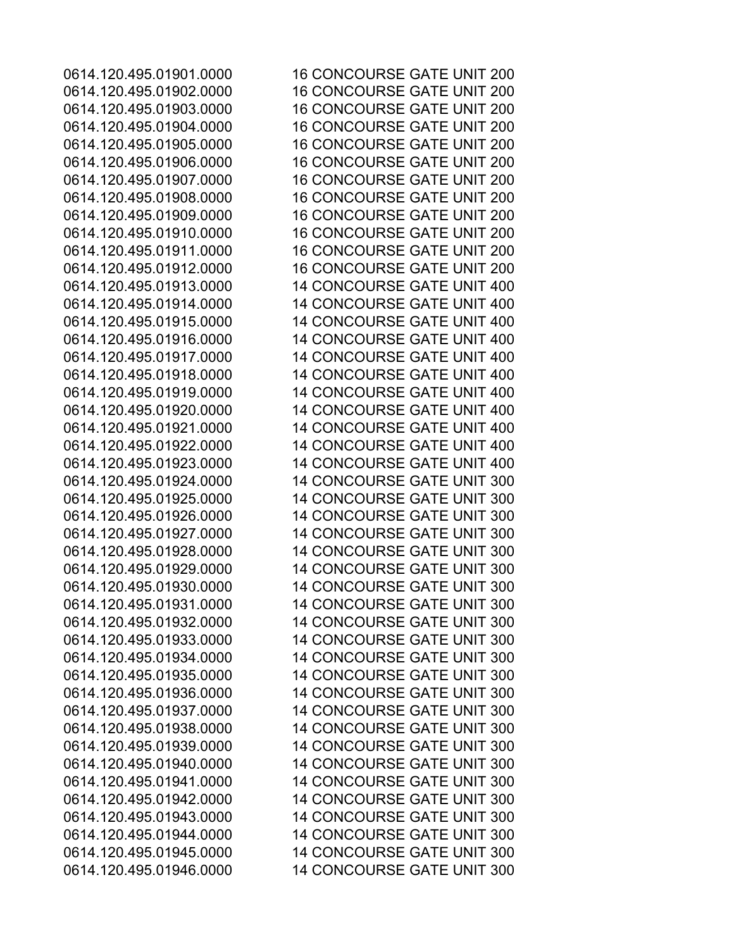0614.120.495.01901.0000 16 CONCOURSE GATE UNIT 200 0614.120.495.01902.0000 16 CONCOURSE GATE UNIT 200 0614.120.495.01903.0000 16 CONCOURSE GATE UNIT 200 0614.120.495.01904.0000 16 CONCOURSE GATE UNIT 200 0614.120.495.01905.0000 16 CONCOURSE GATE UNIT 200 0614.120.495.01906.0000 16 CONCOURSE GATE UNIT 200 0614.120.495.01907.0000 16 CONCOURSE GATE UNIT 200 0614.120.495.01908.0000 16 CONCOURSE GATE UNIT 200 0614.120.495.01909.0000 16 CONCOURSE GATE UNIT 200 0614.120.495.01910.0000 16 CONCOURSE GATE UNIT 200 0614.120.495.01911.0000 16 CONCOURSE GATE UNIT 200 0614.120.495.01912.0000 16 CONCOURSE GATE UNIT 200 0614.120.495.01913.0000 14 CONCOURSE GATE UNIT 400 0614.120.495.01914.0000 14 CONCOURSE GATE UNIT 400 0614.120.495.01915.0000 14 CONCOURSE GATE UNIT 400 0614.120.495.01916.0000 14 CONCOURSE GATE UNIT 400 0614.120.495.01917.0000 14 CONCOURSE GATE UNIT 400 0614.120.495.01918.0000 14 CONCOURSE GATE UNIT 400 0614.120.495.01919.0000 14 CONCOURSE GATE UNIT 400 0614.120.495.01920.0000 14 CONCOURSE GATE UNIT 400 0614.120.495.01921.0000 14 CONCOURSE GATE UNIT 400 0614.120.495.01922.0000 14 CONCOURSE GATE UNIT 400 0614.120.495.01923.0000 14 CONCOURSE GATE UNIT 400 0614.120.495.01924.0000 14 CONCOURSE GATE UNIT 300 0614.120.495.01925.0000 14 CONCOURSE GATE UNIT 300 0614.120.495.01926.0000 14 CONCOURSE GATE UNIT 300 0614.120.495.01927.0000 14 CONCOURSE GATE UNIT 300 0614.120.495.01928.0000 14 CONCOURSE GATE UNIT 300 0614.120.495.01929.0000 14 CONCOURSE GATE UNIT 300 0614.120.495.01930.0000 14 CONCOURSE GATE UNIT 300 0614.120.495.01931.0000 14 CONCOURSE GATE UNIT 300 0614.120.495.01932.0000 14 CONCOURSE GATE UNIT 300 0614.120.495.01933.0000 14 CONCOURSE GATE UNIT 300 0614.120.495.01934.0000 14 CONCOURSE GATE UNIT 300 0614.120.495.01935.0000 14 CONCOURSE GATE UNIT 300 0614.120.495.01936.0000 14 CONCOURSE GATE UNIT 300 0614.120.495.01937.0000 14 CONCOURSE GATE UNIT 300 0614.120.495.01938.0000 14 CONCOURSE GATE UNIT 300 0614.120.495.01939.0000 14 CONCOURSE GATE UNIT 300 0614.120.495.01940.0000 14 CONCOURSE GATE UNIT 300 0614.120.495.01941.0000 14 CONCOURSE GATE UNIT 300 0614.120.495.01942.0000 14 CONCOURSE GATE UNIT 300 0614.120.495.01943.0000 14 CONCOURSE GATE UNIT 300 0614.120.495.01944.0000 14 CONCOURSE GATE UNIT 300 0614.120.495.01945.0000 14 CONCOURSE GATE UNIT 300 0614.120.495.01946.0000 14 CONCOURSE GATE UNIT 300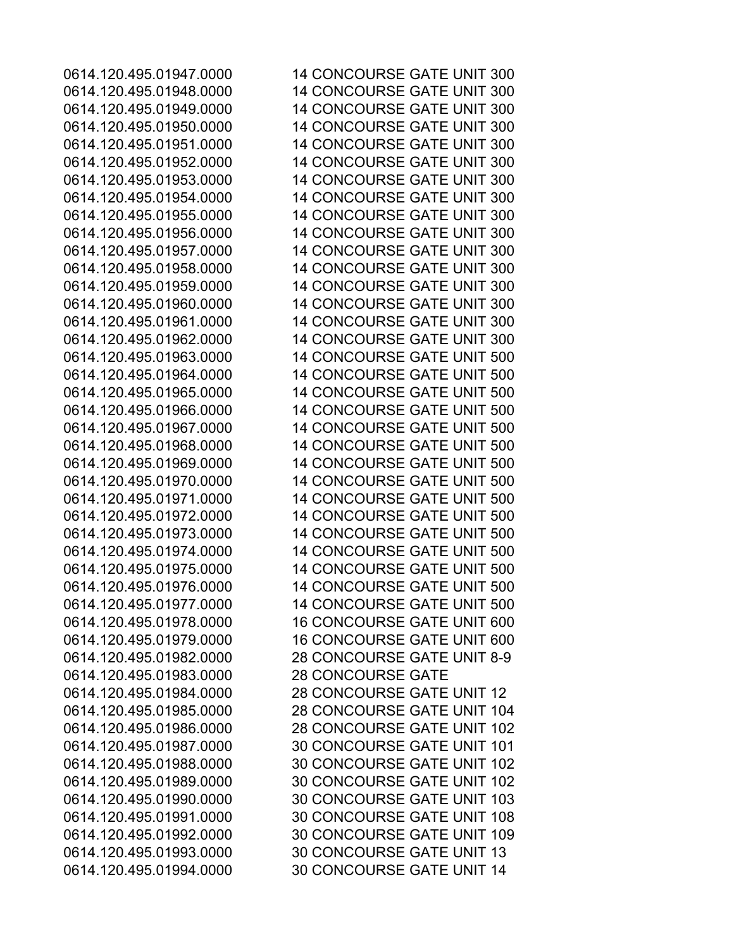0614.120.495.01983.0000 28 CONCOURSE GATE

0614.120.495.01947.0000 14 CONCOURSE GATE UNIT 300 0614.120.495.01948.0000 14 CONCOURSE GATE UNIT 300 0614.120.495.01949.0000 14 CONCOURSE GATE UNIT 300 0614.120.495.01950.0000 14 CONCOURSE GATE UNIT 300 0614.120.495.01951.0000 14 CONCOURSE GATE UNIT 300 0614.120.495.01952.0000 14 CONCOURSE GATE UNIT 300 0614.120.495.01953.0000 14 CONCOURSE GATE UNIT 300 0614.120.495.01954.0000 14 CONCOURSE GATE UNIT 300 0614.120.495.01955.0000 14 CONCOURSE GATE UNIT 300 0614.120.495.01956.0000 14 CONCOURSE GATE UNIT 300 0614.120.495.01957.0000 14 CONCOURSE GATE UNIT 300 0614.120.495.01958.0000 14 CONCOURSE GATE UNIT 300 0614.120.495.01959.0000 14 CONCOURSE GATE UNIT 300 0614.120.495.01960.0000 14 CONCOURSE GATE UNIT 300 0614.120.495.01961.0000 14 CONCOURSE GATE UNIT 300 0614.120.495.01962.0000 14 CONCOURSE GATE UNIT 300 0614.120.495.01963.0000 14 CONCOURSE GATE UNIT 500 0614.120.495.01964.0000 14 CONCOURSE GATE UNIT 500 0614.120.495.01965.0000 14 CONCOURSE GATE UNIT 500 0614.120.495.01966.0000 14 CONCOURSE GATE UNIT 500 0614.120.495.01967.0000 14 CONCOURSE GATE UNIT 500 0614.120.495.01968.0000 14 CONCOURSE GATE UNIT 500 0614.120.495.01969.0000 14 CONCOURSE GATE UNIT 500 0614.120.495.01970.0000 14 CONCOURSE GATE UNIT 500 0614.120.495.01971.0000 14 CONCOURSE GATE UNIT 500 0614.120.495.01972.0000 14 CONCOURSE GATE UNIT 500 0614.120.495.01973.0000 14 CONCOURSE GATE UNIT 500 0614.120.495.01974.0000 14 CONCOURSE GATE UNIT 500 0614.120.495.01975.0000 14 CONCOURSE GATE UNIT 500 0614.120.495.01976.0000 14 CONCOURSE GATE UNIT 500 0614.120.495.01977.0000 14 CONCOURSE GATE UNIT 500 0614.120.495.01978.0000 16 CONCOURSE GATE UNIT 600 0614.120.495.01979.0000 16 CONCOURSE GATE UNIT 600 0614.120.495.01982.0000 28 CONCOURSE GATE UNIT 8-9 0614.120.495.01984.0000 28 CONCOURSE GATE UNIT 12 0614.120.495.01985.0000 28 CONCOURSE GATE UNIT 104 0614.120.495.01986.0000 28 CONCOURSE GATE UNIT 102 0614.120.495.01987.0000 30 CONCOURSE GATE UNIT 101 0614.120.495.01988.0000 30 CONCOURSE GATE UNIT 102 0614.120.495.01989.0000 30 CONCOURSE GATE UNIT 102 0614.120.495.01990.0000 30 CONCOURSE GATE UNIT 103 0614.120.495.01991.0000 30 CONCOURSE GATE UNIT 108 0614.120.495.01992.0000 30 CONCOURSE GATE UNIT 109 0614.120.495.01993.0000 30 CONCOURSE GATE UNIT 13 0614.120.495.01994.0000 30 CONCOURSE GATE UNIT 14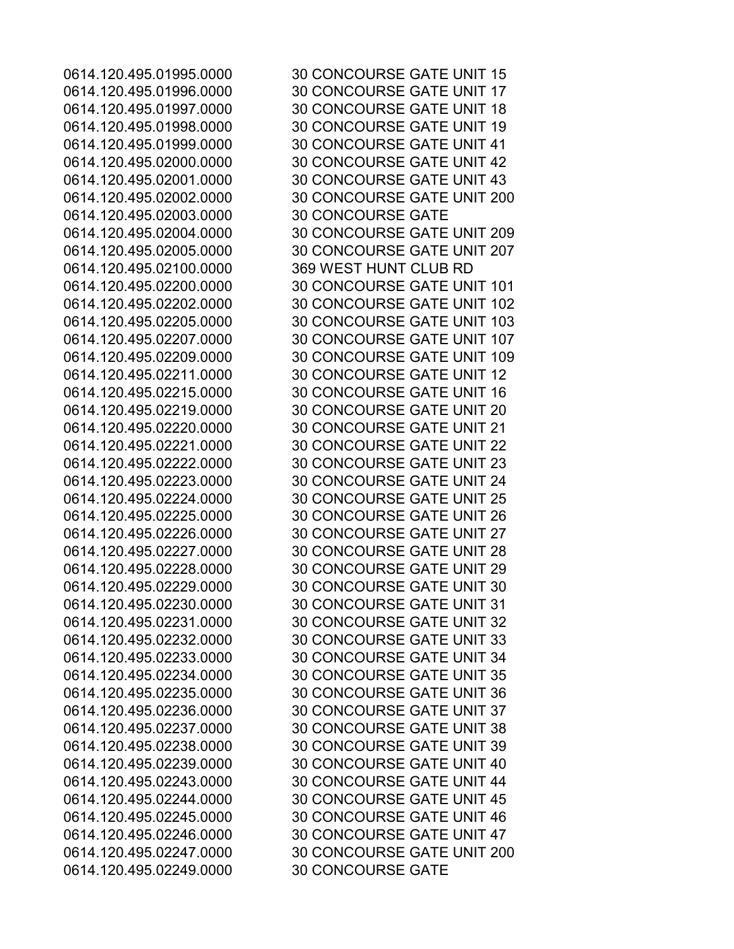0614.120.495.02003.0000 30 CONCOURSE GATE 0614.120.495.02100.0000 369 WEST HUNT CLUB RD 0614.120.495.02249.0000 30 CONCOURSE GATE

0614.120.495.01995.0000 30 CONCOURSE GATE UNIT 15 0614.120.495.01996.0000 30 CONCOURSE GATE UNIT 17 0614.120.495.01997.0000 30 CONCOURSE GATE UNIT 18 0614.120.495.01998.0000 30 CONCOURSE GATE UNIT 19 0614.120.495.01999.0000 30 CONCOURSE GATE UNIT 41 0614.120.495.02000.0000 30 CONCOURSE GATE UNIT 42 0614.120.495.02001.0000 30 CONCOURSE GATE UNIT 43 0614.120.495.02002.0000 30 CONCOURSE GATE UNIT 200 0614.120.495.02004.0000 30 CONCOURSE GATE UNIT 209 0614.120.495.02005.0000 30 CONCOURSE GATE UNIT 207 0614.120.495.02200.0000 30 CONCOURSE GATE UNIT 101 0614.120.495.02202.0000 30 CONCOURSE GATE UNIT 102 0614.120.495.02205.0000 30 CONCOURSE GATE UNIT 103 0614.120.495.02207.0000 30 CONCOURSE GATE UNIT 107 0614.120.495.02209.0000 30 CONCOURSE GATE UNIT 109 0614.120.495.02211.0000 30 CONCOURSE GATE UNIT 12 0614.120.495.02215.0000 30 CONCOURSE GATE UNIT 16 0614.120.495.02219.0000 30 CONCOURSE GATE UNIT 20 0614.120.495.02220.0000 30 CONCOURSE GATE UNIT 21 0614.120.495.02221.0000 30 CONCOURSE GATE UNIT 22 0614.120.495.02222.0000 30 CONCOURSE GATE UNIT 23 0614.120.495.02223.0000 30 CONCOURSE GATE UNIT 24 0614.120.495.02224.0000 30 CONCOURSE GATE UNIT 25 0614.120.495.02225.0000 30 CONCOURSE GATE UNIT 26 0614.120.495.02226.0000 30 CONCOURSE GATE UNIT 27 0614.120.495.02227.0000 30 CONCOURSE GATE UNIT 28 0614.120.495.02228.0000 30 CONCOURSE GATE UNIT 29 0614.120.495.02229.0000 30 CONCOURSE GATE UNIT 30 0614.120.495.02230.0000 30 CONCOURSE GATE UNIT 31 0614.120.495.02231.0000 30 CONCOURSE GATE UNIT 32 0614.120.495.02232.0000 30 CONCOURSE GATE UNIT 33 0614.120.495.02233.0000 30 CONCOURSE GATE UNIT 34 0614.120.495.02234.0000 30 CONCOURSE GATE UNIT 35 0614.120.495.02235.0000 30 CONCOURSE GATE UNIT 36 0614.120.495.02236.0000 30 CONCOURSE GATE UNIT 37 0614.120.495.02237.0000 30 CONCOURSE GATE UNIT 38 0614.120.495.02238.0000 30 CONCOURSE GATE UNIT 39 0614.120.495.02239.0000 30 CONCOURSE GATE UNIT 40 0614.120.495.02243.0000 30 CONCOURSE GATE UNIT 44 0614.120.495.02244.0000 30 CONCOURSE GATE UNIT 45 0614.120.495.02245.0000 30 CONCOURSE GATE UNIT 46 0614.120.495.02246.0000 30 CONCOURSE GATE UNIT 47 0614.120.495.02247.0000 30 CONCOURSE GATE UNIT 200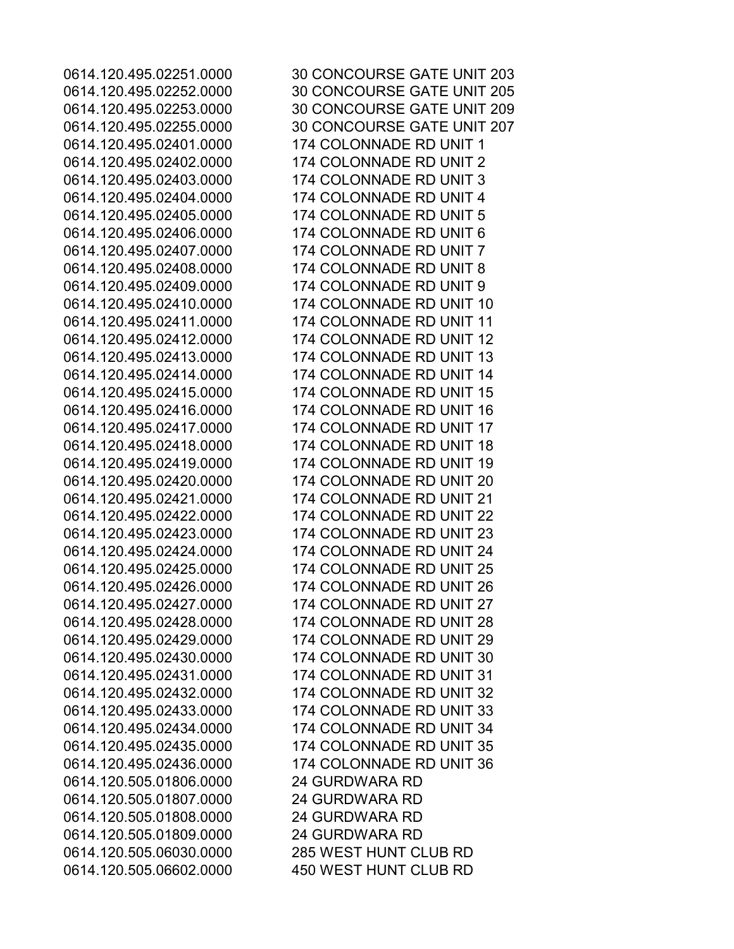0614.120.505.01806.0000 24 GURDWARA RD 0614.120.505.01807.0000 24 GURDWARA RD 0614.120.505.01808.0000 24 GURDWARA RD 0614.120.505.01809.0000 24 GURDWARA RD 0614.120.505.06030.0000 285 WEST HUNT CLUB RD 0614.120.505.06602.0000 450 WEST HUNT CLUB RD

0614.120.495.02251.0000 30 CONCOURSE GATE UNIT 203 0614.120.495.02252.0000 30 CONCOURSE GATE UNIT 205 0614.120.495.02253.0000 30 CONCOURSE GATE UNIT 209 0614.120.495.02255.0000 30 CONCOURSE GATE UNIT 207 0614.120.495.02401.0000 174 COLONNADE RD UNIT 1 0614.120.495.02402.0000 174 COLONNADE RD UNIT 2 0614.120.495.02403.0000 174 COLONNADE RD UNIT 3 0614.120.495.02404.0000 174 COLONNADE RD UNIT 4 0614.120.495.02405.0000 174 COLONNADE RD UNIT 5 0614.120.495.02406.0000 174 COLONNADE RD UNIT 6 0614.120.495.02407.0000 174 COLONNADE RD UNIT 7 0614.120.495.02408.0000 174 COLONNADE RD UNIT 8 0614.120.495.02409.0000 174 COLONNADE RD UNIT 9 0614.120.495.02410.0000 174 COLONNADE RD UNIT 10 0614.120.495.02411.0000 174 COLONNADE RD UNIT 11 0614.120.495.02412.0000 174 COLONNADE RD UNIT 12 0614.120.495.02413.0000 174 COLONNADE RD UNIT 13 0614.120.495.02414.0000 174 COLONNADE RD UNIT 14 0614.120.495.02415.0000 174 COLONNADE RD UNIT 15 0614.120.495.02416.0000 174 COLONNADE RD UNIT 16 0614.120.495.02417.0000 174 COLONNADE RD UNIT 17 0614.120.495.02418.0000 174 COLONNADE RD UNIT 18 0614.120.495.02419.0000 174 COLONNADE RD UNIT 19 0614.120.495.02420.0000 174 COLONNADE RD UNIT 20 0614.120.495.02421.0000 174 COLONNADE RD UNIT 21 0614.120.495.02422.0000 174 COLONNADE RD UNIT 22 0614.120.495.02423.0000 174 COLONNADE RD UNIT 23 0614.120.495.02424.0000 174 COLONNADE RD UNIT 24 0614.120.495.02425.0000 174 COLONNADE RD UNIT 25 0614.120.495.02426.0000 174 COLONNADE RD UNIT 26 0614.120.495.02427.0000 174 COLONNADE RD UNIT 27 0614.120.495.02428.0000 174 COLONNADE RD UNIT 28 0614.120.495.02429.0000 174 COLONNADE RD UNIT 29 0614.120.495.02430.0000 174 COLONNADE RD UNIT 30 0614.120.495.02431.0000 174 COLONNADE RD UNIT 31 0614.120.495.02432.0000 174 COLONNADE RD UNIT 32 0614.120.495.02433.0000 174 COLONNADE RD UNIT 33 0614.120.495.02434.0000 174 COLONNADE RD UNIT 34 0614.120.495.02435.0000 174 COLONNADE RD UNIT 35 0614.120.495.02436.0000 174 COLONNADE RD UNIT 36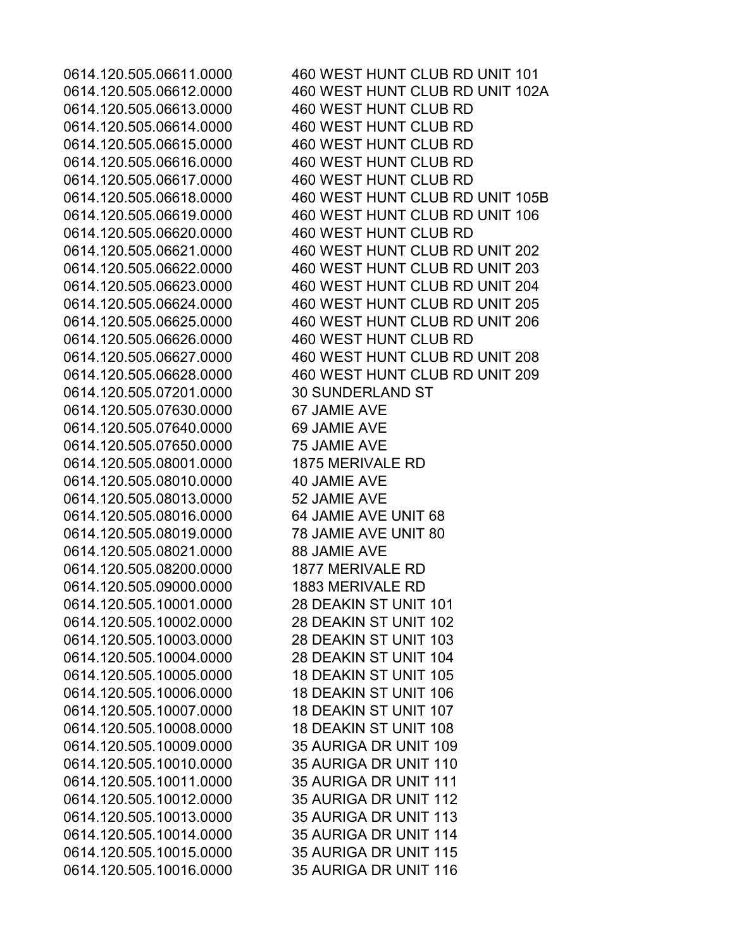0614.120.505.06613.0000 460 WEST HUNT CLUB RD 0614.120.505.06614.0000 460 WEST HUNT CLUB RD 0614.120.505.06615.0000 460 WEST HUNT CLUB RD 0614.120.505.06616.0000 460 WEST HUNT CLUB RD 0614.120.505.06617.0000 460 WEST HUNT CLUB RD 0614.120.505.06620.0000 460 WEST HUNT CLUB RD 0614.120.505.06626.0000 460 WEST HUNT CLUB RD 0614.120.505.07201.0000 30 SUNDERLAND ST 0614.120.505.07630.0000 67 JAMIE AVE 0614.120.505.07640.0000 69 JAMIE AVE 0614.120.505.07650.0000 75 JAMIE AVE 0614.120.505.08001.0000 1875 MERIVALE RD 0614.120.505.08010.0000 40 JAMIE AVE 0614.120.505.08013.0000 52 JAMIE AVE 0614.120.505.08016.0000 64 JAMIE AVE UNIT 68 0614.120.505.08019.0000 78 JAMIE AVE UNIT 80 0614.120.505.08021.0000 88 JAMIE AVE 0614.120.505.08200.0000 1877 MERIVALE RD 0614.120.505.09000.0000 1883 MERIVALE RD 0614.120.505.10001.0000 28 DEAKIN ST UNIT 101 0614.120.505.10002.0000 28 DEAKIN ST UNIT 102 0614.120.505.10003.0000 28 DEAKIN ST UNIT 103 0614.120.505.10004.0000 28 DEAKIN ST UNIT 104 0614.120.505.10005.0000 18 DEAKIN ST UNIT 105 0614.120.505.10006.0000 18 DEAKIN ST UNIT 106 0614.120.505.10007.0000 18 DEAKIN ST UNIT 107 0614.120.505.10008.0000 18 DEAKIN ST UNIT 108 0614.120.505.10009.0000 35 AURIGA DR UNIT 109 0614.120.505.10010.0000 35 AURIGA DR UNIT 110 0614.120.505.10011.0000 35 AURIGA DR UNIT 111 0614.120.505.10012.0000 35 AURIGA DR UNIT 112 0614.120.505.10013.0000 35 AURIGA DR UNIT 113 0614.120.505.10014.0000 35 AURIGA DR UNIT 114 0614.120.505.10015.0000 35 AURIGA DR UNIT 115 0614.120.505.10016.0000 35 AURIGA DR UNIT 116

0614.120.505.06611.0000 460 WEST HUNT CLUB RD UNIT 101 0614.120.505.06612.0000 460 WEST HUNT CLUB RD UNIT 102A 0614.120.505.06618.0000 460 WEST HUNT CLUB RD UNIT 105B 0614.120.505.06619.0000 460 WEST HUNT CLUB RD UNIT 106 0614.120.505.06621.0000 460 WEST HUNT CLUB RD UNIT 202 0614.120.505.06622.0000 460 WEST HUNT CLUB RD UNIT 203 0614.120.505.06623.0000 460 WEST HUNT CLUB RD UNIT 204 0614.120.505.06624.0000 460 WEST HUNT CLUB RD UNIT 205 0614.120.505.06625.0000 460 WEST HUNT CLUB RD UNIT 206 0614.120.505.06627.0000 460 WEST HUNT CLUB RD UNIT 208 0614.120.505.06628.0000 460 WEST HUNT CLUB RD UNIT 209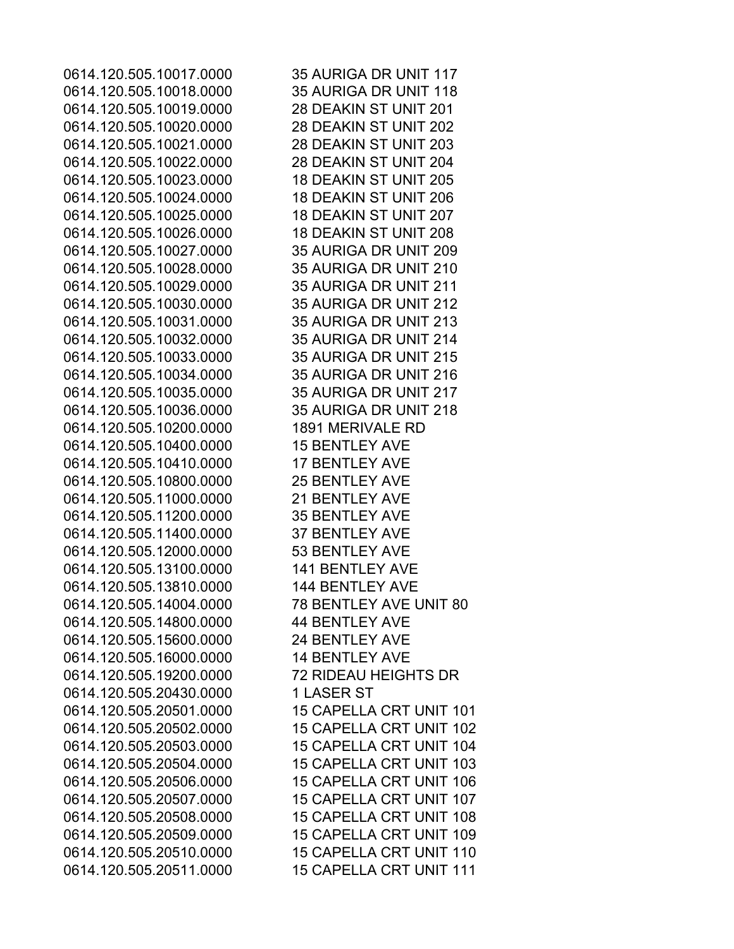0614.120.505.10017.0000 35 AURIGA DR UNIT 117 0614.120.505.10018.0000 35 AURIGA DR UNIT 118 0614.120.505.10019.0000 28 DEAKIN ST UNIT 201 0614.120.505.10020.0000 28 DEAKIN ST UNIT 202 0614.120.505.10021.0000 28 DEAKIN ST UNIT 203 0614.120.505.10022.0000 28 DEAKIN ST UNIT 204 0614.120.505.10023.0000 18 DEAKIN ST UNIT 205 0614.120.505.10024.0000 18 DEAKIN ST UNIT 206 0614.120.505.10025.0000 18 DEAKIN ST UNIT 207 0614.120.505.10026.0000 18 DEAKIN ST UNIT 208 0614.120.505.10027.0000 35 AURIGA DR UNIT 209 0614.120.505.10028.0000 35 AURIGA DR UNIT 210 0614.120.505.10029.0000 35 AURIGA DR UNIT 211 0614.120.505.10030.0000 35 AURIGA DR UNIT 212 0614.120.505.10031.0000 35 AURIGA DR UNIT 213 0614.120.505.10032.0000 35 AURIGA DR UNIT 214 0614.120.505.10033.0000 35 AURIGA DR UNIT 215 0614.120.505.10034.0000 35 AURIGA DR UNIT 216 0614.120.505.10035.0000 35 AURIGA DR UNIT 217 0614.120.505.10036.0000 35 AURIGA DR UNIT 218 0614.120.505.10200.0000 1891 MERIVALE RD 0614.120.505.10400.0000 15 BENTLEY AVE 0614.120.505.10410.0000 17 BENTLEY AVE 0614.120.505.10800.0000 25 BENTLEY AVE 0614.120.505.11000.0000 21 BENTLEY AVE 0614.120.505.11200.0000 35 BENTLEY AVE 0614.120.505.11400.0000 37 BENTLEY AVE 0614.120.505.12000.0000 53 BENTLEY AVE 0614.120.505.13100.0000 141 BENTLEY AVE 0614.120.505.13810.0000 144 BENTLEY AVE 0614.120.505.14004.0000 78 BENTLEY AVE UNIT 80 0614.120.505.14800.0000 44 BENTLEY AVE 0614.120.505.15600.0000 24 BENTLEY AVE 0614.120.505.16000.0000 14 BENTLEY AVE 0614.120.505.19200.0000 72 RIDEAU HEIGHTS DR 0614.120.505.20430.0000 1 LASER ST 0614.120.505.20501.0000 15 CAPELLA CRT UNIT 101 0614.120.505.20502.0000 15 CAPELLA CRT UNIT 102 0614.120.505.20503.0000 15 CAPELLA CRT UNIT 104 0614.120.505.20504.0000 15 CAPELLA CRT UNIT 103 0614.120.505.20506.0000 15 CAPELLA CRT UNIT 106 0614.120.505.20507.0000 15 CAPELLA CRT UNIT 107 0614.120.505.20508.0000 15 CAPELLA CRT UNIT 108 0614.120.505.20509.0000 15 CAPELLA CRT UNIT 109 0614.120.505.20510.0000 15 CAPELLA CRT UNIT 110 0614.120.505.20511.0000 15 CAPELLA CRT UNIT 111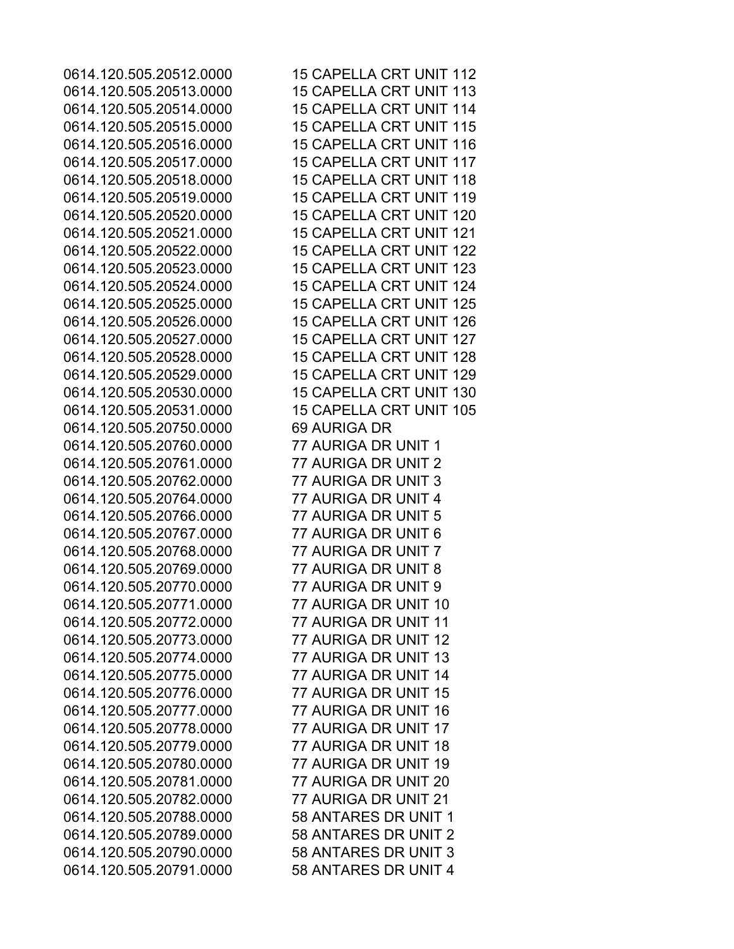0614.120.505.20513.0000 15 CAPELLA CRT UNIT 113 0614.120.505.20514.0000 15 CAPELLA CRT UNIT 114 0614.120.505.20515.0000 15 CAPELLA CRT UNIT 115 0614.120.505.20516.0000 15 CAPELLA CRT UNIT 116 0614.120.505.20517.0000 15 CAPELLA CRT UNIT 117 0614.120.505.20518.0000 15 CAPELLA CRT UNIT 118 0614.120.505.20519.0000 15 CAPELLA CRT UNIT 119 0614.120.505.20520.0000 15 CAPELLA CRT UNIT 120 0614.120.505.20521.0000 15 CAPELLA CRT UNIT 121 0614.120.505.20522.0000 15 CAPELLA CRT UNIT 122 0614.120.505.20523.0000 15 CAPELLA CRT UNIT 123 0614.120.505.20524.0000 15 CAPELLA CRT UNIT 124 0614.120.505.20525.0000 15 CAPELLA CRT UNIT 125 0614.120.505.20526.0000 15 CAPELLA CRT UNIT 126 0614.120.505.20527.0000 15 CAPELLA CRT UNIT 127 0614.120.505.20528.0000 15 CAPELLA CRT UNIT 128 0614.120.505.20529.0000 15 CAPELLA CRT UNIT 129 0614.120.505.20530.0000 15 CAPELLA CRT UNIT 130 0614.120.505.20531.0000 15 CAPELLA CRT UNIT 105 0614.120.505.20750.0000 69 AURIGA DR 0614.120.505.20760.0000 77 AURIGA DR UNIT 1 0614.120.505.20761.0000 77 AURIGA DR UNIT 2 0614.120.505.20762.0000 77 AURIGA DR UNIT 3 0614.120.505.20764.0000 77 AURIGA DR UNIT 4 0614.120.505.20766.0000 77 AURIGA DR UNIT 5 0614.120.505.20767.0000 77 AURIGA DR UNIT 6 0614.120.505.20768.0000 77 AURIGA DR UNIT 7 0614.120.505.20769.0000 77 AURIGA DR UNIT 8 0614.120.505.20770.0000 77 AURIGA DR UNIT 9 0614.120.505.20771.0000 77 AURIGA DR UNIT 10 0614.120.505.20772.0000 77 AURIGA DR UNIT 11 0614.120.505.20773.0000 77 AURIGA DR UNIT 12 0614.120.505.20774.0000 77 AURIGA DR UNIT 13 0614.120.505.20775.0000 77 AURIGA DR UNIT 14 0614.120.505.20776.0000 77 AURIGA DR UNIT 15 0614.120.505.20777.0000 77 AURIGA DR UNIT 16 0614.120.505.20778.0000 77 AURIGA DR UNIT 17 0614.120.505.20779.0000 77 AURIGA DR UNIT 18 0614.120.505.20780.0000 77 AURIGA DR UNIT 19 0614.120.505.20781.0000 77 AURIGA DR UNIT 20 0614.120.505.20782.0000 77 AURIGA DR UNIT 21 0614.120.505.20788.0000 58 ANTARES DR UNIT 1 0614.120.505.20789.0000 58 ANTARES DR UNIT 2 0614.120.505.20790.0000 58 ANTARES DR UNIT 3 0614.120.505.20791.0000 58 ANTARES DR UNIT 4

0614.120.505.20512.0000 15 CAPELLA CRT UNIT 112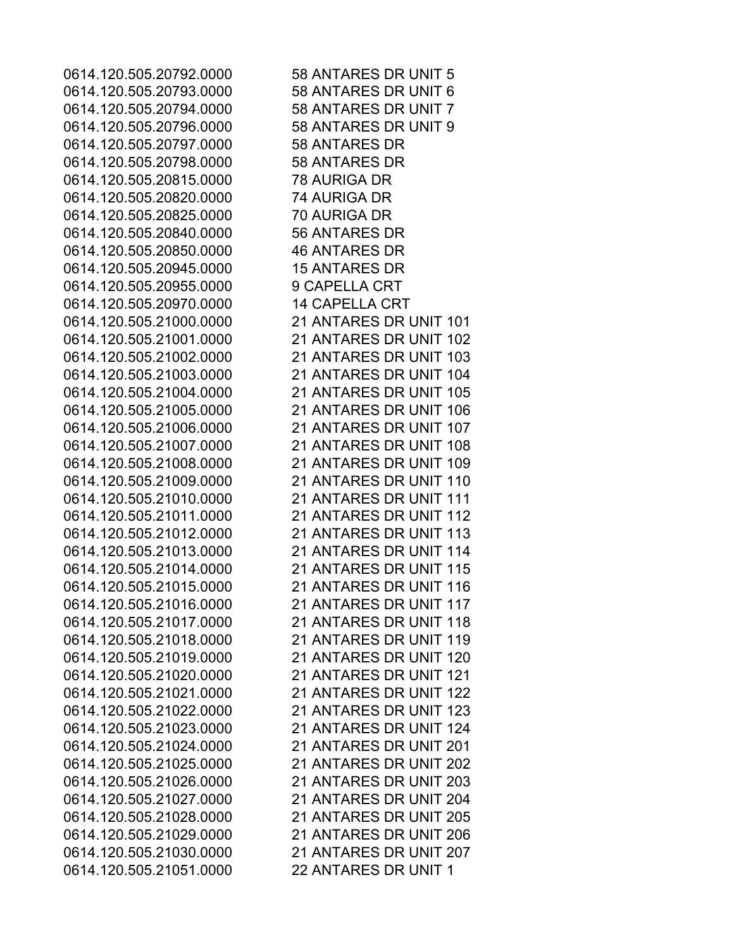0614.120.505.20792.0000 58 ANTARES DR UNIT 5 0614.120.505.20793.0000 58 ANTARES DR UNIT 6 0614.120.505.20794.0000 58 ANTARES DR UNIT 7 0614.120.505.20796.0000 58 ANTARES DR UNIT 9 0614.120.505.20797.0000 58 ANTARES DR 0614.120.505.20798.0000 58 ANTARES DR 0614.120.505.20815.0000 78 AURIGA DR 0614.120.505.20820.0000 74 AURIGA DR 0614.120.505.20825.0000 70 AURIGA DR 0614.120.505.20840.0000 56 ANTARES DR 0614.120.505.20850.0000 46 ANTARES DR 0614.120.505.20945.0000 15 ANTARES DR 0614.120.505.20955.0000 9 CAPELLA CRT 0614.120.505.20970.0000 14 CAPELLA CRT 0614.120.505.21000.0000 21 ANTARES DR UNIT 101 0614.120.505.21001.0000 21 ANTARES DR UNIT 102 0614.120.505.21002.0000 21 ANTARES DR UNIT 103 0614.120.505.21003.0000 21 ANTARES DR UNIT 104 0614.120.505.21004.0000 21 ANTARES DR UNIT 105 0614.120.505.21005.0000 21 ANTARES DR UNIT 106 0614.120.505.21006.0000 21 ANTARES DR UNIT 107 0614.120.505.21007.0000 21 ANTARES DR UNIT 108 0614.120.505.21008.0000 21 ANTARES DR UNIT 109 0614.120.505.21009.0000 21 ANTARES DR UNIT 110 0614.120.505.21010.0000 21 ANTARES DR UNIT 111 0614.120.505.21011.0000 21 ANTARES DR UNIT 112 0614.120.505.21012.0000 21 ANTARES DR UNIT 113 0614.120.505.21013.0000 21 ANTARES DR UNIT 114 0614.120.505.21014.0000 21 ANTARES DR UNIT 115 0614.120.505.21015.0000 21 ANTARES DR UNIT 116 0614.120.505.21016.0000 21 ANTARES DR UNIT 117 0614.120.505.21017.0000 21 ANTARES DR UNIT 118 0614.120.505.21018.0000 21 ANTARES DR UNIT 119 0614.120.505.21019.0000 21 ANTARES DR UNIT 120 0614.120.505.21020.0000 21 ANTARES DR UNIT 121 0614.120.505.21021.0000 21 ANTARES DR UNIT 122 0614.120.505.21022.0000 21 ANTARES DR UNIT 123 0614.120.505.21023.0000 21 ANTARES DR UNIT 124 0614.120.505.21024.0000 21 ANTARES DR UNIT 201 0614.120.505.21025.0000 21 ANTARES DR UNIT 202 0614.120.505.21026.0000 21 ANTARES DR UNIT 203 0614.120.505.21027.0000 21 ANTARES DR UNIT 204 0614.120.505.21028.0000 21 ANTARES DR UNIT 205 0614.120.505.21029.0000 21 ANTARES DR UNIT 206 0614.120.505.21030.0000 21 ANTARES DR UNIT 207 0614.120.505.21051.0000 22 ANTARES DR UNIT 1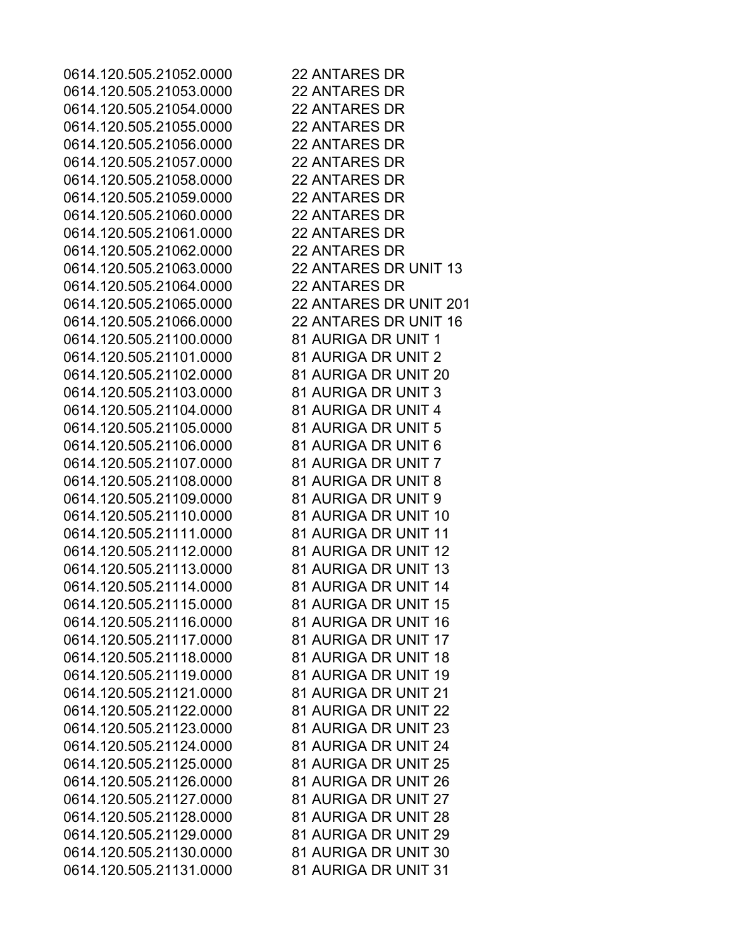0614.120.505.21052.0000 22 ANTARES DR 0614.120.505.21053.0000 22 ANTARES DR 0614.120.505.21054.0000 22 ANTARES DR 0614.120.505.21055.0000 22 ANTARES DR 0614.120.505.21056.0000 22 ANTARES DR 0614.120.505.21057.0000 22 ANTARES DR 0614.120.505.21058.0000 22 ANTARES DR 0614.120.505.21059.0000 22 ANTARES DR 0614.120.505.21060.0000 22 ANTARES DR 0614.120.505.21061.0000 22 ANTARES DR 0614.120.505.21062.0000 22 ANTARES DR 0614.120.505.21063.0000 22 ANTARES DR UNIT 13 0614.120.505.21064.0000 22 ANTARES DR 0614.120.505.21065.0000 22 ANTARES DR UNIT 201 0614.120.505.21066.0000 22 ANTARES DR UNIT 16 0614.120.505.21100.0000 81 AURIGA DR UNIT 1 0614.120.505.21101.0000 81 AURIGA DR UNIT 2 0614.120.505.21102.0000 81 AURIGA DR UNIT 20 0614.120.505.21103.0000 81 AURIGA DR UNIT 3 0614.120.505.21104.0000 81 AURIGA DR UNIT 4 0614.120.505.21105.0000 81 AURIGA DR UNIT 5 0614.120.505.21106.0000 81 AURIGA DR UNIT 6 0614.120.505.21107.0000 81 AURIGA DR UNIT 7 0614.120.505.21108.0000 81 AURIGA DR UNIT 8 0614.120.505.21109.0000 81 AURIGA DR UNIT 9 0614.120.505.21110.0000 81 AURIGA DR UNIT 10 0614.120.505.21111.0000 81 AURIGA DR UNIT 11 0614.120.505.21112.0000 81 AURIGA DR UNIT 12 0614.120.505.21113.0000 81 AURIGA DR UNIT 13 0614.120.505.21114.0000 81 AURIGA DR UNIT 14 0614.120.505.21115.0000 81 AURIGA DR UNIT 15 0614.120.505.21116.0000 81 AURIGA DR UNIT 16 0614.120.505.21117.0000 81 AURIGA DR UNIT 17 0614.120.505.21118.0000 81 AURIGA DR UNIT 18 0614.120.505.21119.0000 81 AURIGA DR UNIT 19 0614.120.505.21121.0000 81 AURIGA DR UNIT 21 0614.120.505.21122.0000 81 AURIGA DR UNIT 22 0614.120.505.21123.0000 81 AURIGA DR UNIT 23 0614.120.505.21124.0000 81 AURIGA DR UNIT 24 0614.120.505.21125.0000 81 AURIGA DR UNIT 25 0614.120.505.21126.0000 81 AURIGA DR UNIT 26 0614.120.505.21127.0000 81 AURIGA DR UNIT 27 0614.120.505.21128.0000 81 AURIGA DR UNIT 28 0614.120.505.21129.0000 81 AURIGA DR UNIT 29 0614.120.505.21130.0000 81 AURIGA DR UNIT 30 0614.120.505.21131.0000 81 AURIGA DR UNIT 31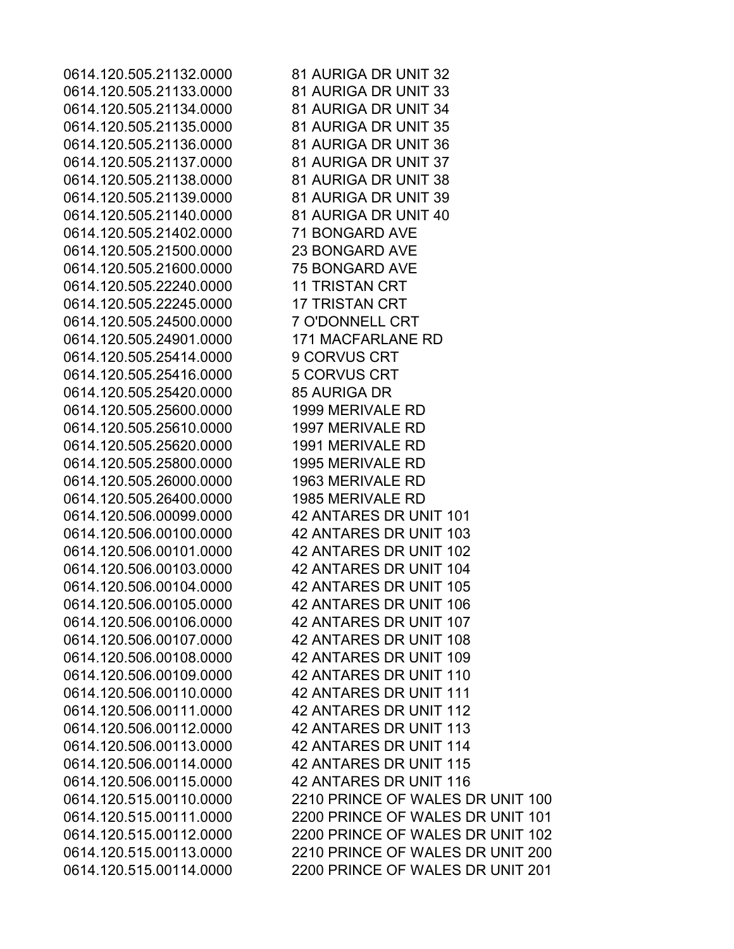0614.120.505.21132.0000 81 AURIGA DR UNIT 32 0614.120.505.21133.0000 81 AURIGA DR UNIT 33 0614.120.505.21134.0000 81 AURIGA DR UNIT 34 0614.120.505.21135.0000 81 AURIGA DR UNIT 35 0614.120.505.21136.0000 81 AURIGA DR UNIT 36 0614.120.505.21137.0000 81 AURIGA DR UNIT 37 0614.120.505.21138.0000 81 AURIGA DR UNIT 38 0614.120.505.21139.0000 81 AURIGA DR UNIT 39 0614.120.505.21140.0000 81 AURIGA DR UNIT 40 0614.120.505.21402.0000 71 BONGARD AVE 0614.120.505.21500.0000 23 BONGARD AVE 0614.120.505.21600.0000 75 BONGARD AVE 0614.120.505.22240.0000 11 TRISTAN CRT 0614.120.505.22245.0000 17 TRISTAN CRT 0614.120.505.24500.0000 7 O'DONNELL CRT 0614.120.505.24901.0000 171 MACFARLANE RD 0614.120.505.25414.0000 9 CORVUS CRT 0614.120.505.25416.0000 5 CORVUS CRT 0614.120.505.25420.0000 85 AURIGA DR 0614.120.505.25600.0000 1999 MERIVALE RD 0614.120.505.25610.0000 1997 MERIVALE RD 0614.120.505.25620.0000 1991 MERIVALE RD 0614.120.505.25800.0000 1995 MERIVALE RD 0614.120.505.26000.0000 1963 MERIVALE RD 0614.120.505.26400.0000 1985 MERIVALE RD 0614.120.506.00099.0000 42 ANTARES DR UNIT 101 0614.120.506.00100.0000 42 ANTARES DR UNIT 103 0614.120.506.00101.0000 42 ANTARES DR UNIT 102 0614.120.506.00103.0000 42 ANTARES DR UNIT 104 0614.120.506.00104.0000 42 ANTARES DR UNIT 105 0614.120.506.00105.0000 42 ANTARES DR UNIT 106 0614.120.506.00106.0000 42 ANTARES DR UNIT 107 0614.120.506.00107.0000 42 ANTARES DR UNIT 108 0614.120.506.00108.0000 42 ANTARES DR UNIT 109 0614.120.506.00109.0000 42 ANTARES DR UNIT 110 0614.120.506.00110.0000 42 ANTARES DR UNIT 111 0614.120.506.00111.0000 42 ANTARES DR UNIT 112 0614.120.506.00112.0000 42 ANTARES DR UNIT 113 0614.120.506.00113.0000 42 ANTARES DR UNIT 114 0614.120.506.00114.0000 42 ANTARES DR UNIT 115 0614.120.506.00115.0000 42 ANTARES DR UNIT 116

0614.120.515.00110.0000 2210 PRINCE OF WALES DR UNIT 100 0614.120.515.00111.0000 2200 PRINCE OF WALES DR UNIT 101 0614.120.515.00112.0000 2200 PRINCE OF WALES DR UNIT 102 0614.120.515.00113.0000 2210 PRINCE OF WALES DR UNIT 200 0614.120.515.00114.0000 2200 PRINCE OF WALES DR UNIT 201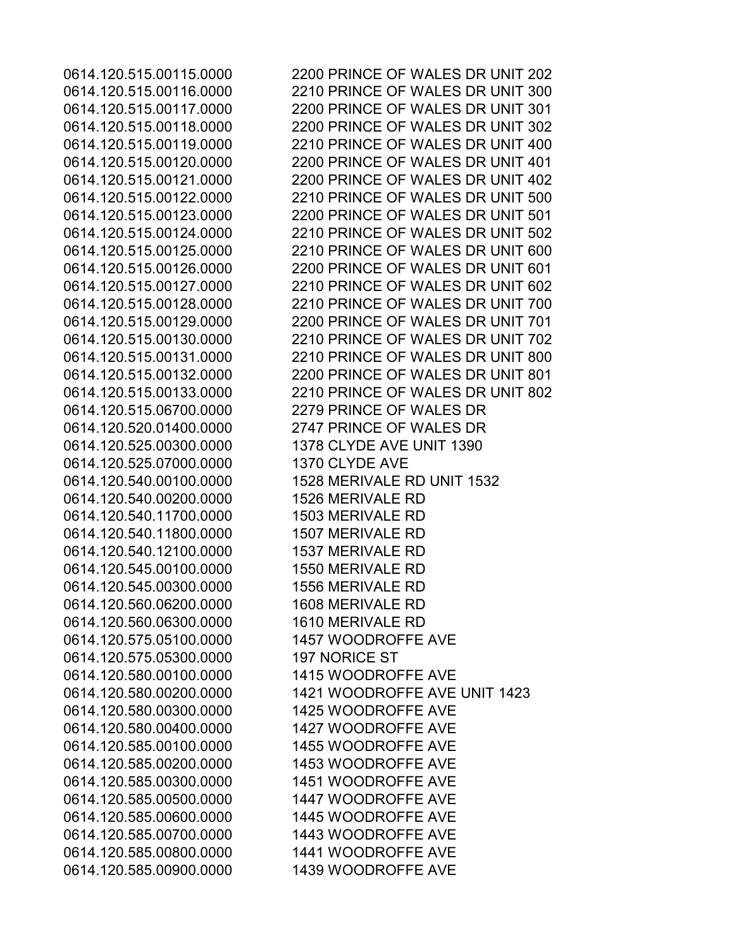0614.120.515.00115.0000 2200 PRINCE OF WALES DR UNIT 202 0614.120.515.00116.0000 2210 PRINCE OF WALES DR UNIT 300 0614.120.515.00117.0000 2200 PRINCE OF WALES DR UNIT 301 0614.120.515.00118.0000 2200 PRINCE OF WALES DR UNIT 302 0614.120.515.00119.0000 2210 PRINCE OF WALES DR UNIT 400 0614.120.515.00120.0000 2200 PRINCE OF WALES DR UNIT 401 0614.120.515.00121.0000 2200 PRINCE OF WALES DR UNIT 402 0614.120.515.00122.0000 2210 PRINCE OF WALES DR UNIT 500 0614.120.515.00123.0000 2200 PRINCE OF WALES DR UNIT 501 0614.120.515.00124.0000 2210 PRINCE OF WALES DR UNIT 502 0614.120.515.00125.0000 2210 PRINCE OF WALES DR UNIT 600 0614.120.515.00126.0000 2200 PRINCE OF WALES DR UNIT 601 0614.120.515.00127.0000 2210 PRINCE OF WALES DR UNIT 602 0614.120.515.00128.0000 2210 PRINCE OF WALES DR UNIT 700 0614.120.515.00129.0000 2200 PRINCE OF WALES DR UNIT 701 0614.120.515.00130.0000 2210 PRINCE OF WALES DR UNIT 702 0614.120.515.00131.0000 2210 PRINCE OF WALES DR UNIT 800 0614.120.515.00132.0000 2200 PRINCE OF WALES DR UNIT 801 0614.120.515.00133.0000 2210 PRINCE OF WALES DR UNIT 802 0614.120.515.06700.0000 2279 PRINCE OF WALES DR 0614.120.520.01400.0000 2747 PRINCE OF WALES DR 0614.120.525.00300.0000 1378 CLYDE AVE UNIT 1390 0614.120.525.07000.0000 1370 CLYDE AVE 0614.120.540.00100.0000 1528 MERIVALE RD UNIT 1532 0614.120.540.00200.0000 1526 MERIVALE RD 0614.120.540.11700.0000 1503 MERIVALE RD 0614.120.540.11800.0000 1507 MERIVALE RD 0614.120.540.12100.0000 1537 MERIVALE RD 0614.120.545.00100.0000 1550 MERIVALE RD 0614.120.545.00300.0000 1556 MERIVALE RD 0614.120.560.06200.0000 1608 MERIVALE RD 0614.120.560.06300.0000 1610 MERIVALE RD 0614.120.575.05100.0000 1457 WOODROFFE AVE 0614.120.575.05300.0000 197 NORICE ST 0614.120.580.00100.0000 1415 WOODROFFE AVE 0614.120.580.00200.0000 1421 WOODROFFE AVE UNIT 1423 0614.120.580.00300.0000 1425 WOODROFFE AVE 0614.120.580.00400.0000 1427 WOODROFFE AVE 0614.120.585.00100.0000 1455 WOODROFFE AVE 0614.120.585.00200.0000 1453 WOODROFFE AVE 0614.120.585.00300.0000 1451 WOODROFFE AVE 0614.120.585.00500.0000 1447 WOODROFFE AVE 0614.120.585.00600.0000 1445 WOODROFFE AVE 0614.120.585.00700.0000 1443 WOODROFFE AVE 0614.120.585.00800.0000 1441 WOODROFFE AVE 0614.120.585.00900.0000 1439 WOODROFFE AVE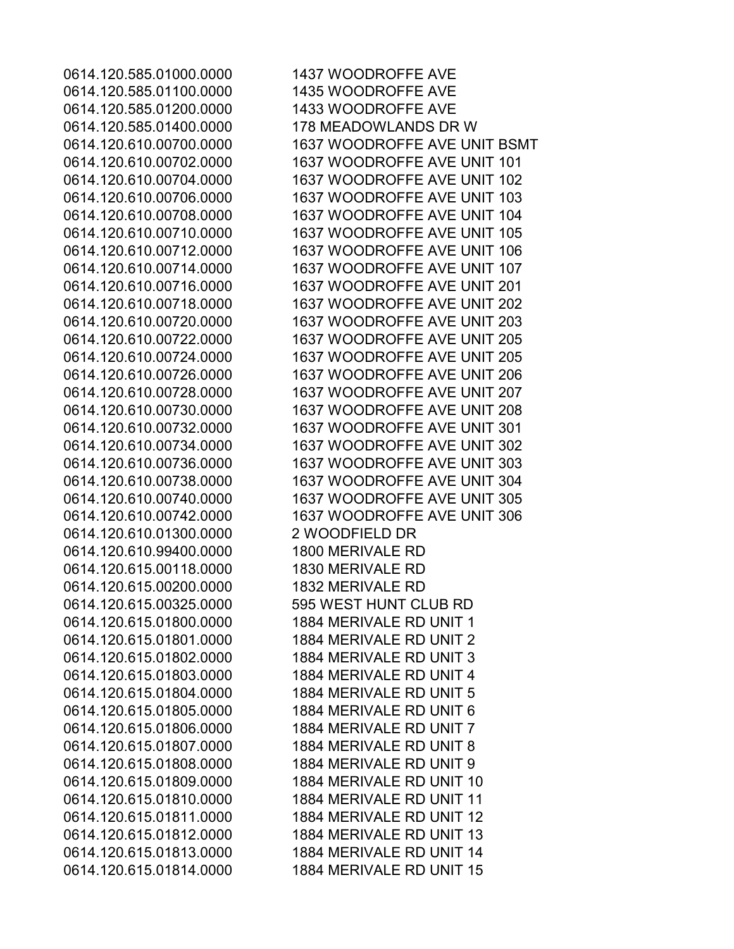0614.120.585.01100.0000 1435 WOODROFFE AVE 0614.120.585.01200.0000 1433 WOODROFFE AVE 0614.120.585.01400.0000 178 MEADOWLANDS DR W 0614.120.610.01300.0000 2 WOODFIELD DR 0614.120.610.99400.0000 1800 MERIVALE RD 0614.120.615.00118.0000 1830 MERIVALE RD 0614.120.615.00200.0000 1832 MERIVALE RD 0614.120.615.00325.0000 595 WEST HUNT CLUB RD 0614.120.615.01800.0000 1884 MERIVALE RD UNIT 1 0614.120.615.01801.0000 1884 MERIVALE RD UNIT 2 0614.120.615.01802.0000 1884 MERIVALE RD UNIT 3 0614.120.615.01803.0000 1884 MERIVALE RD UNIT 4 0614.120.615.01804.0000 1884 MERIVALE RD UNIT 5 0614.120.615.01805.0000 1884 MERIVALE RD UNIT 6 0614.120.615.01806.0000 1884 MERIVALE RD UNIT 7 0614.120.615.01807.0000 1884 MERIVALE RD UNIT 8 0614.120.615.01808.0000 1884 MERIVALE RD UNIT 9 0614.120.615.01809.0000 1884 MERIVALE RD UNIT 10 0614.120.615.01810.0000 1884 MERIVALE RD UNIT 11 0614.120.615.01811.0000 1884 MERIVALE RD UNIT 12 0614.120.615.01812.0000 1884 MERIVALE RD UNIT 13 0614.120.615.01813.0000 1884 MERIVALE RD UNIT 14 0614.120.615.01814.0000 1884 MERIVALE RD UNIT 15

0614.120.585.01000.0000 1437 WOODROFFE AVE 0614.120.610.00700.0000 1637 WOODROFFE AVE UNIT BSMT 0614.120.610.00702.0000 1637 WOODROFFE AVE UNIT 101 0614.120.610.00704.0000 1637 WOODROFFE AVE UNIT 102 0614.120.610.00706.0000 1637 WOODROFFE AVE UNIT 103 0614.120.610.00708.0000 1637 WOODROFFE AVE UNIT 104 0614.120.610.00710.0000 1637 WOODROFFE AVE UNIT 105 0614.120.610.00712.0000 1637 WOODROFFE AVE UNIT 106 0614.120.610.00714.0000 1637 WOODROFFE AVE UNIT 107 0614.120.610.00716.0000 1637 WOODROFFE AVE UNIT 201 0614.120.610.00718.0000 1637 WOODROFFE AVE UNIT 202 0614.120.610.00720.0000 1637 WOODROFFE AVE UNIT 203 0614.120.610.00722.0000 1637 WOODROFFE AVE UNIT 205 0614.120.610.00724.0000 1637 WOODROFFE AVE UNIT 205 0614.120.610.00726.0000 1637 WOODROFFE AVE UNIT 206 0614.120.610.00728.0000 1637 WOODROFFE AVE UNIT 207 0614.120.610.00730.0000 1637 WOODROFFE AVE UNIT 208 0614.120.610.00732.0000 1637 WOODROFFE AVE UNIT 301 0614.120.610.00734.0000 1637 WOODROFFE AVE UNIT 302 0614.120.610.00736.0000 1637 WOODROFFE AVE UNIT 303 0614.120.610.00738.0000 1637 WOODROFFE AVE UNIT 304 0614.120.610.00740.0000 1637 WOODROFFE AVE UNIT 305 0614.120.610.00742.0000 1637 WOODROFFE AVE UNIT 306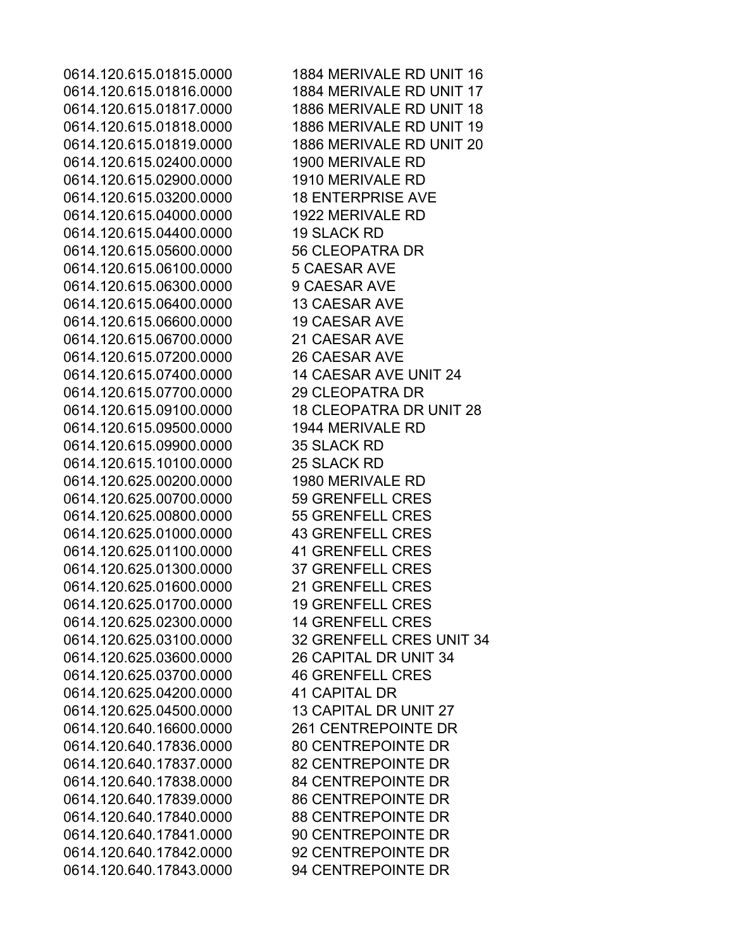0614.120.615.01816.0000 1884 MERIVALE RD UNIT 17 0614.120.615.01817.0000 1886 MERIVALE RD UNIT 18 0614.120.615.01818.0000 1886 MERIVALE RD UNIT 19 0614.120.615.01819.0000 1886 MERIVALE RD UNIT 20 0614.120.615.02400.0000 1900 MERIVALE RD 0614.120.615.02900.0000 1910 MERIVALE RD 0614.120.615.03200.0000 18 ENTERPRISE AVE 0614.120.615.04000.0000 1922 MERIVALE RD 0614.120.615.04400.0000 19 SLACK RD 0614.120.615.05600.0000 56 CLEOPATRA DR 0614.120.615.06100.0000 5 CAESAR AVE 0614.120.615.06300.0000 9 CAESAR AVE 0614.120.615.06400.0000 13 CAESAR AVE 0614.120.615.06600.0000 19 CAESAR AVE 0614.120.615.06700.0000 21 CAESAR AVE 0614.120.615.07200.0000 26 CAESAR AVE 0614.120.615.07400.0000 14 CAESAR AVE UNIT 24 0614.120.615.07700.0000 29 CLEOPATRA DR 0614.120.615.09100.0000 18 CLEOPATRA DR UNIT 28 0614.120.615.09500.0000 1944 MERIVALE RD 0614.120.615.09900.0000 35 SLACK RD 0614.120.615.10100.0000 25 SLACK RD 0614.120.625.00200.0000 1980 MERIVALE RD 0614.120.625.00700.0000 59 GRENFELL CRES 0614.120.625.00800.0000 55 GRENFELL CRES 0614.120.625.01000.0000 43 GRENFELL CRES 0614.120.625.01100.0000 41 GRENFELL CRES 0614.120.625.01300.0000 37 GRENFELL CRES 0614.120.625.01600.0000 21 GRENFELL CRES 0614.120.625.01700.0000 19 GRENFELL CRES 0614.120.625.02300.0000 14 GRENFELL CRES 0614.120.625.03100.0000 32 GRENFELL CRES UNIT 34 0614.120.625.03600.0000 26 CAPITAL DR UNIT 34 0614.120.625.03700.0000 46 GRENFELL CRES 0614.120.625.04200.0000 41 CAPITAL DR 0614.120.625.04500.0000 13 CAPITAL DR UNIT 27 0614.120.640.16600.0000 261 CENTREPOINTE DR 0614.120.640.17836.0000 80 CENTREPOINTE DR 0614.120.640.17837.0000 82 CENTREPOINTE DR 0614.120.640.17838.0000 84 CENTREPOINTE DR 0614.120.640.17839.0000 86 CENTREPOINTE DR 0614.120.640.17840.0000 88 CENTREPOINTE DR 0614.120.640.17841.0000 90 CENTREPOINTE DR 0614.120.640.17842.0000 92 CENTREPOINTE DR 0614.120.640.17843.0000 94 CENTREPOINTE DR

0614.120.615.01815.0000 1884 MERIVALE RD UNIT 16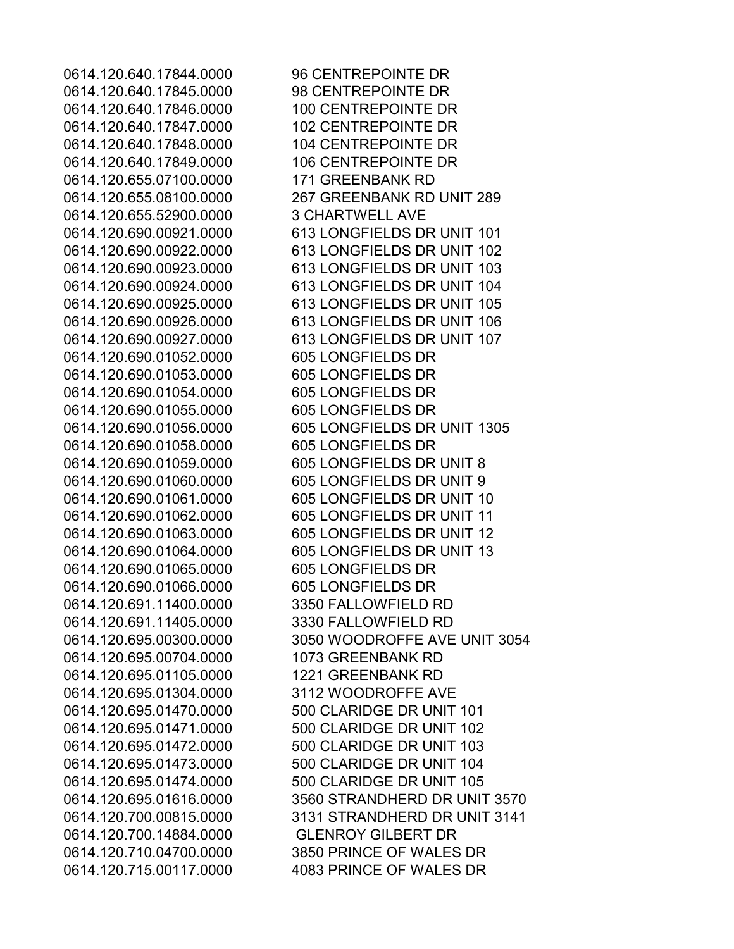0614.120.640.17845.0000 98 CENTREPOINTE DR 0614.120.640.17846.0000 100 CENTREPOINTE DR 0614.120.640.17847.0000 102 CENTREPOINTE DR 0614.120.640.17848.0000 104 CENTREPOINTE DR 0614.120.640.17849.0000 106 CENTREPOINTE DR 0614.120.655.07100.0000 171 GREENBANK RD 0614.120.655.52900.0000 3 CHARTWELL AVE 0614.120.690.01052.0000 605 LONGFIELDS DR 0614.120.690.01053.0000 605 LONGFIELDS DR 0614.120.690.01054.0000 605 LONGFIELDS DR 0614.120.690.01055.0000 605 LONGFIELDS DR 0614.120.690.01058.0000 605 LONGFIELDS DR 0614.120.690.01065.0000 605 LONGFIELDS DR 0614.120.690.01066.0000 605 LONGFIELDS DR 0614.120.691.11400.0000 3350 FALLOWFIELD RD 0614.120.691.11405.0000 3330 FALLOWFIELD RD 0614.120.695.00704.0000 1073 GREENBANK RD 0614.120.695.01105.0000 1221 GREENBANK RD 0614.120.695.01304.0000 3112 WOODROFFE AVE 0614.120.700.14884.0000 GLENROY GILBERT DR

0614.120.640.17844.0000 96 CENTREPOINTE DR 0614.120.655.08100.0000 267 GREENBANK RD UNIT 289 0614.120.690.00921.0000 613 LONGFIELDS DR UNIT 101 0614.120.690.00922.0000 613 LONGFIELDS DR UNIT 102 0614.120.690.00923.0000 613 LONGFIELDS DR UNIT 103 0614.120.690.00924.0000 613 LONGFIELDS DR UNIT 104 0614.120.690.00925.0000 613 LONGFIELDS DR UNIT 105 0614.120.690.00926.0000 613 LONGFIELDS DR UNIT 106 0614.120.690.00927.0000 613 LONGFIELDS DR UNIT 107 0614.120.690.01056.0000 605 LONGFIELDS DR UNIT 1305 0614.120.690.01059.0000 605 LONGFIELDS DR UNIT 8 0614.120.690.01060.0000 605 LONGFIELDS DR UNIT 9 0614.120.690.01061.0000 605 LONGFIELDS DR UNIT 10 0614.120.690.01062.0000 605 LONGFIELDS DR UNIT 11 0614.120.690.01063.0000 605 LONGFIELDS DR UNIT 12 0614.120.690.01064.0000 605 LONGFIELDS DR UNIT 13 0614.120.695.00300.0000 3050 WOODROFFE AVE UNIT 3054 0614.120.695.01470.0000 500 CLARIDGE DR UNIT 101 0614.120.695.01471.0000 500 CLARIDGE DR UNIT 102 0614.120.695.01472.0000 500 CLARIDGE DR UNIT 103 0614.120.695.01473.0000 500 CLARIDGE DR UNIT 104 0614.120.695.01474.0000 500 CLARIDGE DR UNIT 105 0614.120.695.01616.0000 3560 STRANDHERD DR UNIT 3570 0614.120.700.00815.0000 3131 STRANDHERD DR UNIT 3141 0614.120.710.04700.0000 3850 PRINCE OF WALES DR 0614.120.715.00117.0000 4083 PRINCE OF WALES DR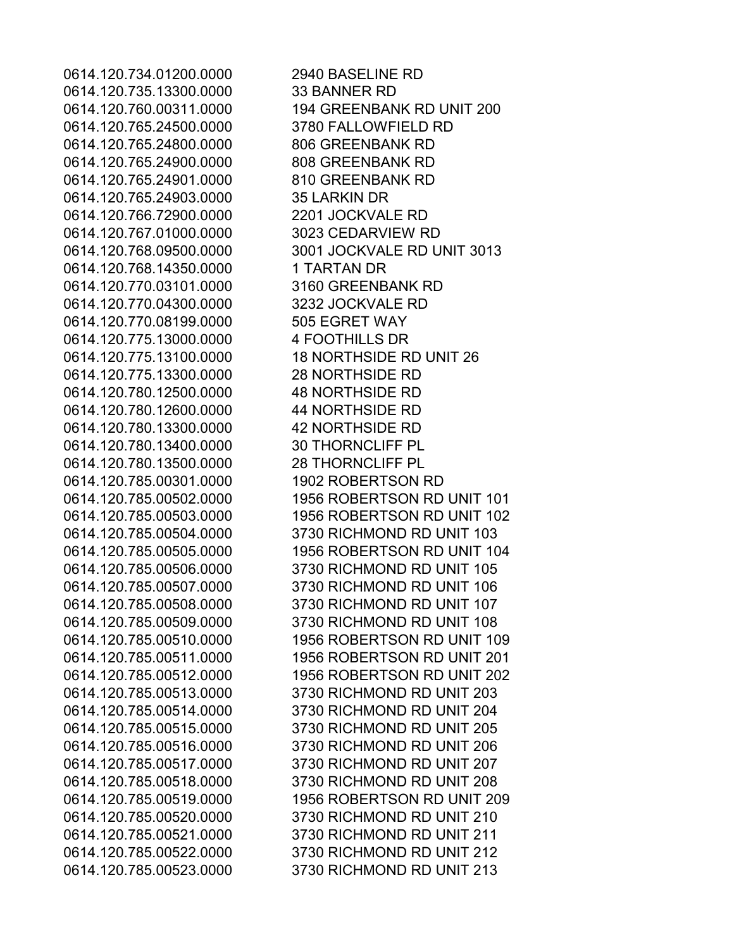0614.120.734.01200.0000 2940 BASELINE RD 0614.120.735.13300.0000 33 BANNER RD 0614.120.765.24500.0000 3780 FALLOWFIELD RD 0614.120.765.24800.0000 806 GREENBANK RD 0614.120.765.24900.0000 808 GREENBANK RD 0614.120.765.24901.0000 810 GREENBANK RD 0614.120.765.24903.0000 35 LARKIN DR 0614.120.766.72900.0000 2201 JOCKVALE RD 0614.120.767.01000.0000 3023 CEDARVIEW RD 0614.120.768.14350.0000 1 TARTAN DR 0614.120.770.03101.0000 3160 GREENBANK RD 0614.120.770.04300.0000 3232 JOCKVALE RD 0614.120.770.08199.0000 505 EGRET WAY 0614.120.775.13000.0000 4 FOOTHILLS DR 0614.120.775.13300.0000 28 NORTHSIDE RD 0614.120.780.12500.0000 48 NORTHSIDE RD 0614.120.780.12600.0000 44 NORTHSIDE RD 0614.120.780.13300.0000 42 NORTHSIDE RD 0614.120.780.13400.0000 30 THORNCLIFF PL 0614.120.780.13500.0000 28 THORNCLIFF PL 0614.120.785.00301.0000 1902 ROBERTSON RD

0614.120.760.00311.0000 194 GREENBANK RD UNIT 200 0614.120.768.09500.0000 3001 JOCKVALE RD UNIT 3013 0614.120.775.13100.0000 18 NORTHSIDE RD UNIT 26 0614.120.785.00502.0000 1956 ROBERTSON RD UNIT 101 0614.120.785.00503.0000 1956 ROBERTSON RD UNIT 102 0614.120.785.00504.0000 3730 RICHMOND RD UNIT 103 0614.120.785.00505.0000 1956 ROBERTSON RD UNIT 104 0614.120.785.00506.0000 3730 RICHMOND RD UNIT 105 0614.120.785.00507.0000 3730 RICHMOND RD UNIT 106 0614.120.785.00508.0000 3730 RICHMOND RD UNIT 107 0614.120.785.00509.0000 3730 RICHMOND RD UNIT 108 0614.120.785.00510.0000 1956 ROBERTSON RD UNIT 109 0614.120.785.00511.0000 1956 ROBERTSON RD UNIT 201 0614.120.785.00512.0000 1956 ROBERTSON RD UNIT 202 0614.120.785.00513.0000 3730 RICHMOND RD UNIT 203 0614.120.785.00514.0000 3730 RICHMOND RD UNIT 204 0614.120.785.00515.0000 3730 RICHMOND RD UNIT 205 0614.120.785.00516.0000 3730 RICHMOND RD UNIT 206 0614.120.785.00517.0000 3730 RICHMOND RD UNIT 207 0614.120.785.00518.0000 3730 RICHMOND RD UNIT 208 0614.120.785.00519.0000 1956 ROBERTSON RD UNIT 209 0614.120.785.00520.0000 3730 RICHMOND RD UNIT 210 0614.120.785.00521.0000 3730 RICHMOND RD UNIT 211 0614.120.785.00522.0000 3730 RICHMOND RD UNIT 212 0614.120.785.00523.0000 3730 RICHMOND RD UNIT 213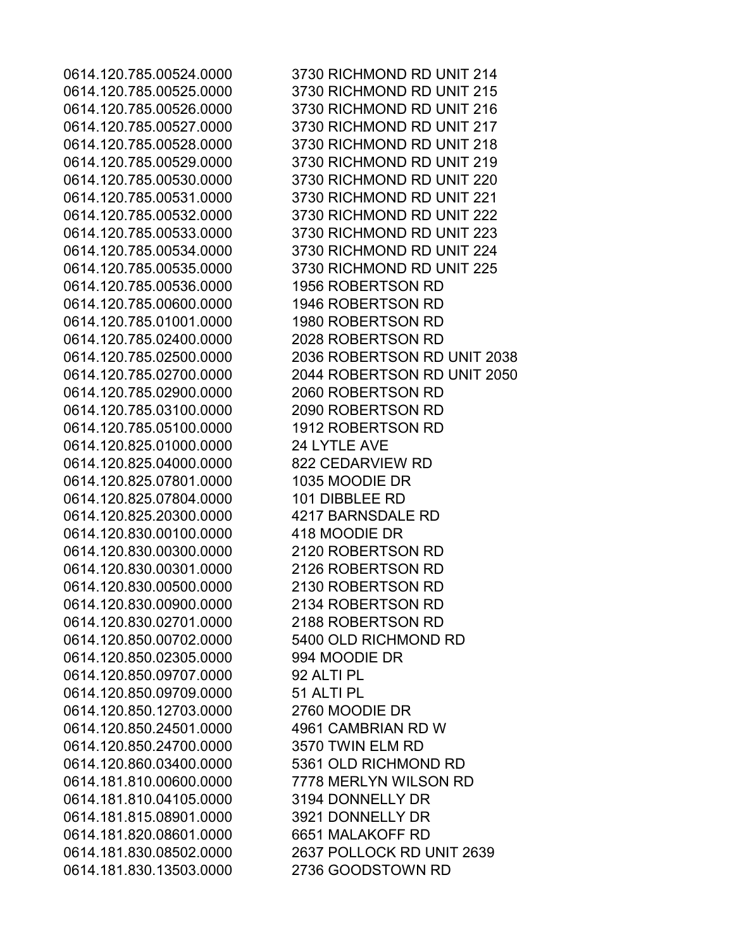0614.120.785.00536.0000 1956 ROBERTSON RD 0614.120.785.00600.0000 1946 ROBERTSON RD 0614.120.785.01001.0000 1980 ROBERTSON RD 0614.120.785.02400.0000 2028 ROBERTSON RD 0614.120.785.02900.0000 2060 ROBERTSON RD 0614.120.785.03100.0000 2090 ROBERTSON RD 0614.120.785.05100.0000 1912 ROBERTSON RD 0614.120.825.01000.0000 24 LYTLE AVE 0614.120.825.04000.0000 822 CEDARVIEW RD 0614.120.825.07801.0000 1035 MOODIE DR 0614.120.825.07804.0000 101 DIBBLEE RD 0614.120.825.20300.0000 4217 BARNSDALE RD 0614.120.830.00100.0000 418 MOODIE DR 0614.120.830.00300.0000 2120 ROBERTSON RD 0614.120.830.00301.0000 2126 ROBERTSON RD 0614.120.830.00500.0000 2130 ROBERTSON RD 0614.120.830.00900.0000 2134 ROBERTSON RD 0614.120.830.02701.0000 2188 ROBERTSON RD 0614.120.850.00702.0000 5400 OLD RICHMOND RD 0614.120.850.02305.0000 994 MOODIE DR 0614.120.850.09707.0000 92 ALTI PL 0614.120.850.09709.0000 51 ALTI PL 0614.120.850.12703.0000 2760 MOODIE DR 0614.120.850.24501.0000 4961 CAMBRIAN RD W 0614.120.850.24700.0000 3570 TWIN ELM RD 0614.120.860.03400.0000 5361 OLD RICHMOND RD 0614.181.810.00600.0000 7778 MERLYN WILSON RD 0614.181.810.04105.0000 3194 DONNELLY DR 0614.181.815.08901.0000 3921 DONNELLY DR 0614.181.820.08601.0000 6651 MALAKOFF RD 0614.181.830.13503.0000 2736 GOODSTOWN RD

0614.120.785.00524.0000 3730 RICHMOND RD UNIT 214 0614.120.785.00525.0000 3730 RICHMOND RD UNIT 215 0614.120.785.00526.0000 3730 RICHMOND RD UNIT 216 0614.120.785.00527.0000 3730 RICHMOND RD UNIT 217 0614.120.785.00528.0000 3730 RICHMOND RD UNIT 218 0614.120.785.00529.0000 3730 RICHMOND RD UNIT 219 0614.120.785.00530.0000 3730 RICHMOND RD UNIT 220 0614.120.785.00531.0000 3730 RICHMOND RD UNIT 221 0614.120.785.00532.0000 3730 RICHMOND RD UNIT 222 0614.120.785.00533.0000 3730 RICHMOND RD UNIT 223 0614.120.785.00534.0000 3730 RICHMOND RD UNIT 224 0614.120.785.00535.0000 3730 RICHMOND RD UNIT 225 0614.120.785.02500.0000 2036 ROBERTSON RD UNIT 2038 0614.120.785.02700.0000 2044 ROBERTSON RD UNIT 2050 0614.181.830.08502.0000 2637 POLLOCK RD UNIT 2639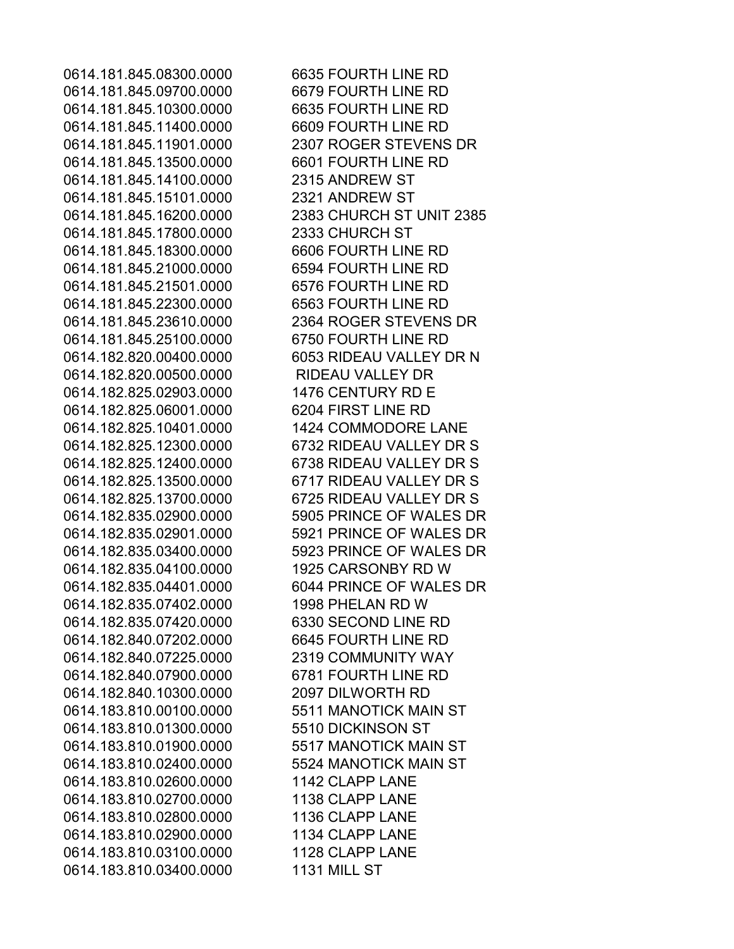0614.181.845.09700.0000 6679 FOURTH LINE RD 0614.181.845.10300.0000 6635 FOURTH LINE RD 0614.181.845.11400.0000 6609 FOURTH LINE RD 0614.181.845.13500.0000 6601 FOURTH LINE RD 0614.181.845.14100.0000 2315 ANDREW ST 0614.181.845.15101.0000 2321 ANDREW ST 0614.181.845.17800.0000 2333 CHURCH ST 0614.181.845.18300.0000 6606 FOURTH LINE RD 0614.181.845.21000.0000 6594 FOURTH LINE RD 0614.181.845.21501.0000 6576 FOURTH LINE RD 0614.181.845.22300.0000 6563 FOURTH LINE RD 0614.181.845.25100.0000 6750 FOURTH LINE RD 0614.182.820.00500.0000 RIDEAU VALLEY DR 0614.182.825.02903.0000 1476 CENTURY RD E 0614.182.825.06001.0000 6204 FIRST LINE RD 0614.182.825.10401.0000 1424 COMMODORE LANE 0614.182.835.04100.0000 1925 CARSONBY RD W 0614.182.835.07402.0000 1998 PHELAN RD W 0614.182.835.07420.0000 6330 SECOND LINE RD 0614.182.840.07202.0000 6645 FOURTH LINE RD 0614.182.840.07225.0000 2319 COMMUNITY WAY 0614.182.840.07900.0000 6781 FOURTH LINE RD 0614.182.840.10300.0000 2097 DILWORTH RD 0614.183.810.00100.0000 5511 MANOTICK MAIN ST 0614.183.810.01300.0000 5510 DICKINSON ST 0614.183.810.01900.0000 5517 MANOTICK MAIN ST 0614.183.810.02400.0000 5524 MANOTICK MAIN ST 0614.183.810.02600.0000 1142 CLAPP LANE 0614.183.810.02700.0000 1138 CLAPP LANE 0614.183.810.02800.0000 1136 CLAPP LANE 0614.183.810.02900.0000 1134 CLAPP LANE 0614.183.810.03100.0000 1128 CLAPP LANE 0614.183.810.03400.0000 1131 MILL ST

0614.181.845.08300.0000 6635 FOURTH LINE RD 0614.181.845.11901.0000 2307 ROGER STEVENS DR 0614.181.845.16200.0000 2383 CHURCH ST UNIT 2385 0614.181.845.23610.0000 2364 ROGER STEVENS DR 0614.182.820.00400.0000 6053 RIDEAU VALLEY DR N 0614.182.825.12300.0000 6732 RIDEAU VALLEY DR S 0614.182.825.12400.0000 6738 RIDEAU VALLEY DR S 0614.182.825.13500.0000 6717 RIDEAU VALLEY DR S 0614.182.825.13700.0000 6725 RIDEAU VALLEY DR S 0614.182.835.02900.0000 5905 PRINCE OF WALES DR 0614.182.835.02901.0000 5921 PRINCE OF WALES DR 0614.182.835.03400.0000 5923 PRINCE OF WALES DR 0614.182.835.04401.0000 6044 PRINCE OF WALES DR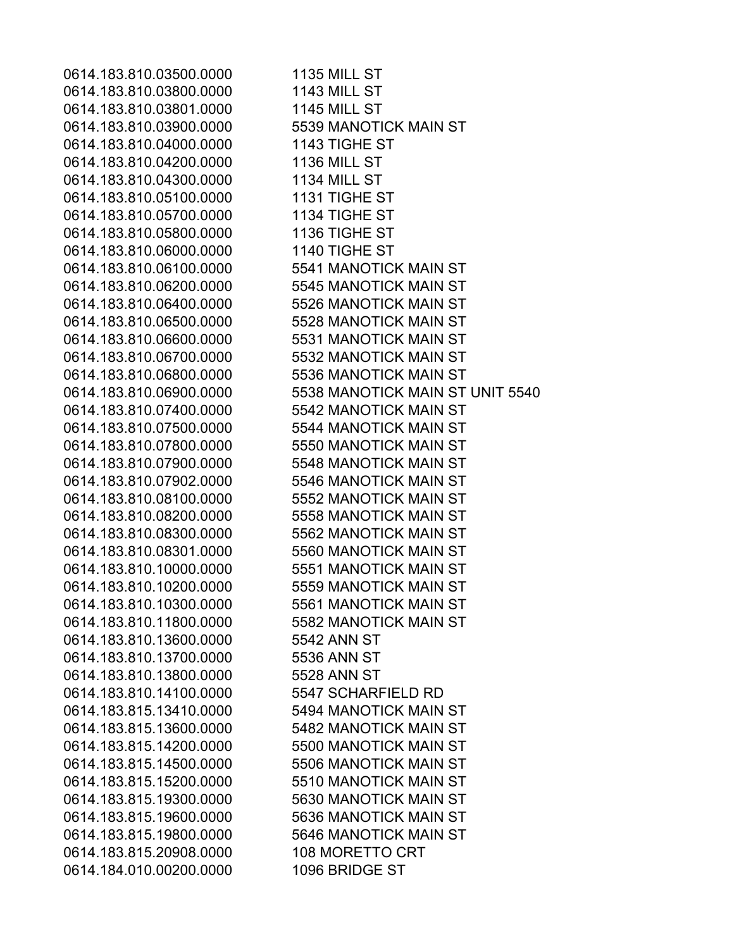0614.183.810.03500.0000 1135 MILL ST 0614.183.810.03800.0000 1143 MILL ST 0614.183.810.03801.0000 1145 MILL ST 0614.183.810.03900.0000 5539 MANOTICK MAIN ST 0614.183.810.04000.0000 1143 TIGHE ST 0614.183.810.04200.0000 1136 MILL ST 0614.183.810.04300.0000 1134 MILL ST 0614.183.810.05100.0000 1131 TIGHE ST 0614.183.810.05700.0000 1134 TIGHE ST 0614.183.810.05800.0000 1136 TIGHE ST 0614.183.810.06000.0000 1140 TIGHE ST 0614.183.810.06100.0000 5541 MANOTICK MAIN ST 0614.183.810.06200.0000 5545 MANOTICK MAIN ST 0614.183.810.06400.0000 5526 MANOTICK MAIN ST 0614.183.810.06500.0000 5528 MANOTICK MAIN ST 0614.183.810.06600.0000 5531 MANOTICK MAIN ST 0614.183.810.06700.0000 5532 MANOTICK MAIN ST 0614.183.810.06800.0000 5536 MANOTICK MAIN ST 0614.183.810.06900.0000 5538 MANOTICK MAIN ST UNIT 5540 0614.183.810.07400.0000 5542 MANOTICK MAIN ST 0614.183.810.07500.0000 5544 MANOTICK MAIN ST 0614.183.810.07800.0000 5550 MANOTICK MAIN ST 0614.183.810.07900.0000 5548 MANOTICK MAIN ST 0614.183.810.07902.0000 5546 MANOTICK MAIN ST 0614.183.810.08100.0000 5552 MANOTICK MAIN ST 0614.183.810.08200.0000 5558 MANOTICK MAIN ST 0614.183.810.08300.0000 5562 MANOTICK MAIN ST 0614.183.810.08301.0000 5560 MANOTICK MAIN ST 0614.183.810.10000.0000 5551 MANOTICK MAIN ST 0614.183.810.10200.0000 5559 MANOTICK MAIN ST 0614.183.810.10300.0000 5561 MANOTICK MAIN ST 0614.183.810.11800.0000 5582 MANOTICK MAIN ST 0614.183.810.13600.0000 5542 ANN ST 0614.183.810.13700.0000 5536 ANN ST 0614.183.810.13800.0000 5528 ANN ST 0614.183.810.14100.0000 5547 SCHARFIELD RD 0614.183.815.13410.0000 5494 MANOTICK MAIN ST 0614.183.815.13600.0000 5482 MANOTICK MAIN ST 0614.183.815.14200.0000 5500 MANOTICK MAIN ST 0614.183.815.14500.0000 5506 MANOTICK MAIN ST 0614.183.815.15200.0000 5510 MANOTICK MAIN ST 0614.183.815.19300.0000 5630 MANOTICK MAIN ST 0614.183.815.19600.0000 5636 MANOTICK MAIN ST 0614.183.815.19800.0000 5646 MANOTICK MAIN ST 0614.183.815.20908.0000 108 MORETTO CRT 0614.184.010.00200.0000 1096 BRIDGE ST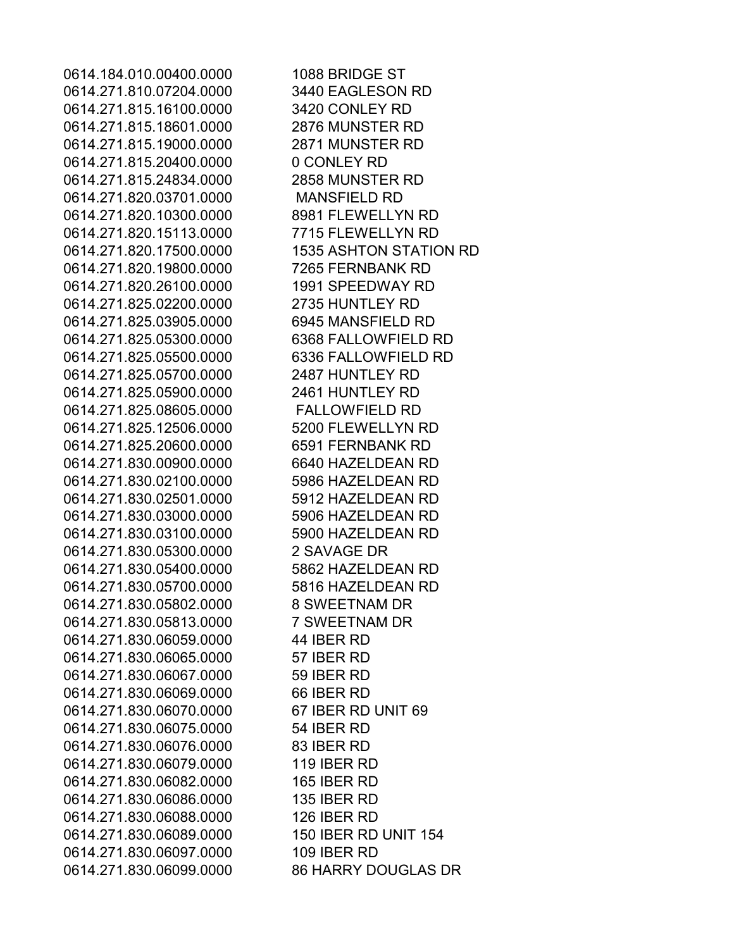0614.184.010.00400.0000 1088 BRIDGE ST 0614.271.810.07204.0000 3440 EAGLESON RD 0614.271.815.16100.0000 3420 CONLEY RD 0614.271.815.18601.0000 2876 MUNSTER RD 0614.271.815.19000.0000 2871 MUNSTER RD 0614.271.815.20400.0000 0 CONLEY RD 0614.271.815.24834.0000 2858 MUNSTER RD 0614.271.820.03701.0000 MANSFIELD RD 0614.271.820.10300.0000 8981 FLEWELLYN RD 0614.271.820.15113.0000 7715 FLEWELLYN RD 0614.271.820.17500.0000 1535 ASHTON STATION RD 0614.271.820.19800.0000 7265 FERNBANK RD 0614.271.820.26100.0000 1991 SPEEDWAY RD 0614.271.825.02200.0000 2735 HUNTLEY RD 0614.271.825.03905.0000 6945 MANSFIELD RD 0614.271.825.05300.0000 6368 FALLOWFIELD RD 0614.271.825.05500.0000 6336 FALLOWFIELD RD 0614.271.825.05700.0000 2487 HUNTLEY RD 0614.271.825.05900.0000 2461 HUNTLEY RD 0614.271.825.08605.0000 FALLOWFIELD RD 0614.271.825.12506.0000 5200 FLEWELLYN RD 0614.271.825.20600.0000 6591 FERNBANK RD 0614.271.830.00900.0000 6640 HAZELDEAN RD 0614.271.830.02100.0000 5986 HAZELDEAN RD 0614.271.830.02501.0000 5912 HAZELDEAN RD 0614.271.830.03000.0000 5906 HAZELDEAN RD 0614.271.830.03100.0000 5900 HAZELDEAN RD 0614.271.830.05300.0000 2 SAVAGE DR 0614.271.830.05400.0000 5862 HAZELDEAN RD 0614.271.830.05700.0000 5816 HAZELDEAN RD 0614.271.830.05802.0000 8 SWEETNAM DR 0614.271.830.05813.0000 7 SWEETNAM DR 0614.271.830.06059.0000 44 IBER RD 0614.271.830.06065.0000 57 IBER RD 0614.271.830.06067.0000 59 IBER RD 0614.271.830.06069.0000 66 IBER RD 0614.271.830.06070.0000 67 IBER RD UNIT 69 0614.271.830.06075.0000 54 IBER RD 0614.271.830.06076.0000 83 IBER RD 0614.271.830.06079.0000 119 IBER RD 0614.271.830.06082.0000 165 IBER RD 0614.271.830.06086.0000 135 IBER RD 0614.271.830.06088.0000 126 IBER RD 0614.271.830.06089.0000 150 IBER RD UNIT 154 0614.271.830.06097.0000 109 IBER RD 0614.271.830.06099.0000 86 HARRY DOUGLAS DR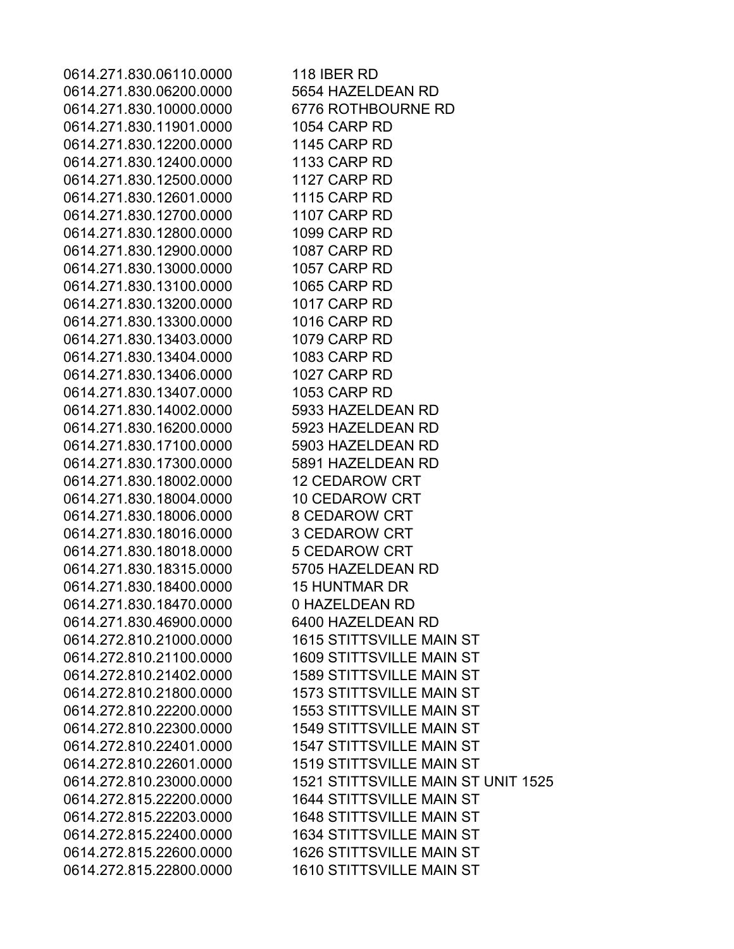0614.271.830.06110.0000 118 IBER RD 0614.271.830.06200.0000 5654 HAZELDEAN RD 0614.271.830.10000.0000 6776 ROTHBOURNE RD 0614.271.830.11901.0000 1054 CARP RD 0614.271.830.12200.0000 1145 CARP RD 0614.271.830.12400.0000 1133 CARP RD 0614.271.830.12500.0000 1127 CARP RD 0614.271.830.12601.0000 1115 CARP RD 0614.271.830.12700.0000 1107 CARP RD 0614.271.830.12800.0000 1099 CARP RD 0614.271.830.12900.0000 1087 CARP RD 0614.271.830.13000.0000 1057 CARP RD 0614.271.830.13100.0000 1065 CARP RD 0614.271.830.13200.0000 1017 CARP RD 0614.271.830.13300.0000 1016 CARP RD 0614.271.830.13403.0000 1079 CARP RD 0614.271.830.13404.0000 1083 CARP RD 0614.271.830.13406.0000 1027 CARP RD 0614.271.830.13407.0000 1053 CARP RD 0614.271.830.14002.0000 5933 HAZELDEAN RD 0614.271.830.16200.0000 5923 HAZELDEAN RD 0614.271.830.17100.0000 5903 HAZELDEAN RD 0614.271.830.17300.0000 5891 HAZELDEAN RD 0614.271.830.18002.0000 12 CEDAROW CRT 0614.271.830.18004.0000 10 CEDAROW CRT 0614.271.830.18006.0000 8 CEDAROW CRT 0614.271.830.18016.0000 3 CEDAROW CRT 0614.271.830.18018.0000 5 CEDAROW CRT 0614.271.830.18315.0000 5705 HAZELDEAN RD 0614.271.830.18400.0000 15 HUNTMAR DR 0614.271.830.18470.0000 0 HAZELDEAN RD 0614.271.830.46900.0000 6400 HAZELDEAN RD 0614.272.810.21000.0000 1615 STITTSVILLE MAIN ST 0614.272.810.21100.0000 1609 STITTSVILLE MAIN ST 0614.272.810.21402.0000 1589 STITTSVILLE MAIN ST 0614.272.810.21800.0000 1573 STITTSVILLE MAIN ST 0614.272.810.22200.0000 1553 STITTSVILLE MAIN ST 0614.272.810.22300.0000 1549 STITTSVILLE MAIN ST 0614.272.810.22401.0000 1547 STITTSVILLE MAIN ST 0614.272.810.22601.0000 1519 STITTSVILLE MAIN ST 0614.272.810.23000.0000 1521 STITTSVILLE MAIN ST UNIT 1525 0614.272.815.22200.0000 1644 STITTSVILLE MAIN ST 0614.272.815.22203.0000 1648 STITTSVILLE MAIN ST 0614.272.815.22400.0000 1634 STITTSVILLE MAIN ST 0614.272.815.22600.0000 1626 STITTSVILLE MAIN ST 0614.272.815.22800.0000 1610 STITTSVILLE MAIN ST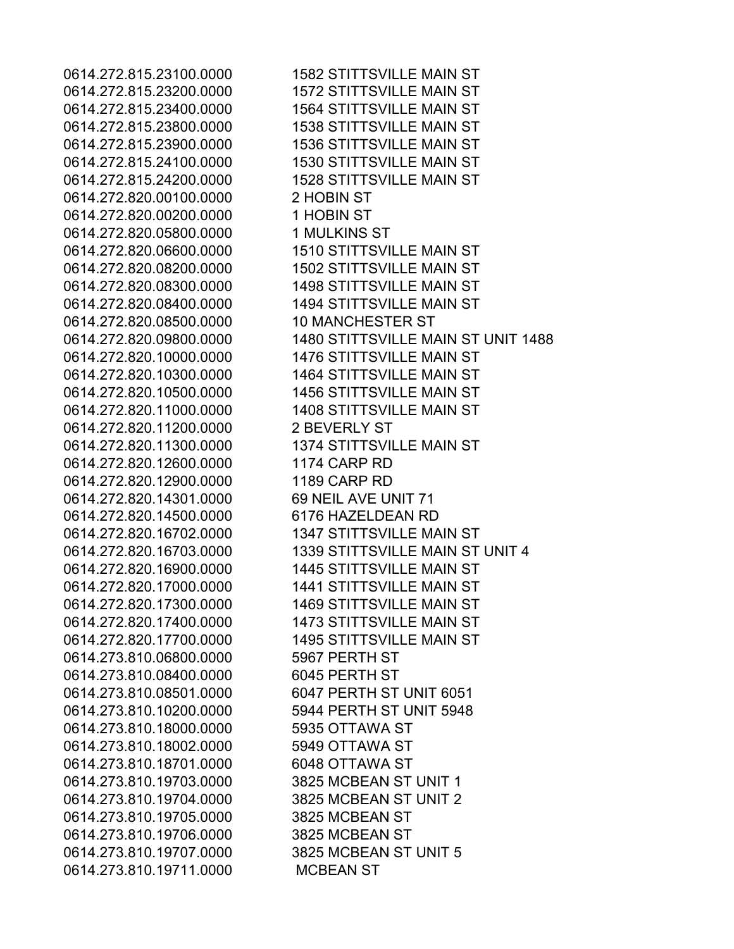0614.272.815.23200.0000 1572 STITTSVILLE MAIN ST 0614.272.815.23400.0000 1564 STITTSVILLE MAIN ST 0614.272.815.23800.0000 1538 STITTSVILLE MAIN ST 0614.272.815.23900.0000 1536 STITTSVILLE MAIN ST 0614.272.815.24100.0000 1530 STITTSVILLE MAIN ST 0614.272.815.24200.0000 1528 STITTSVILLE MAIN ST 0614.272.820.00100.0000 2 HOBIN ST 0614.272.820.00200.0000 1 HOBIN ST 0614.272.820.05800.0000 1 MULKINS ST 0614.272.820.06600.0000 1510 STITTSVILLE MAIN ST 0614.272.820.08200.0000 1502 STITTSVILLE MAIN ST 0614.272.820.08300.0000 1498 STITTSVILLE MAIN ST 0614.272.820.08400.0000 1494 STITTSVILLE MAIN ST 0614.272.820.08500.0000 10 MANCHESTER ST 0614.272.820.10000.0000 1476 STITTSVILLE MAIN ST 0614.272.820.10300.0000 1464 STITTSVILLE MAIN ST 0614.272.820.10500.0000 1456 STITTSVILLE MAIN ST 0614.272.820.11000.0000 1408 STITTSVILLE MAIN ST 0614.272.820.11200.0000 2 BEVERLY ST 0614.272.820.11300.0000 1374 STITTSVILLE MAIN ST 0614.272.820.12600.0000 1174 CARP RD 0614.272.820.12900.0000 1189 CARP RD 0614.272.820.14301.0000 69 NEIL AVE UNIT 71 0614.272.820.14500.0000 6176 HAZELDEAN RD 0614.272.820.16702.0000 1347 STITTSVILLE MAIN ST 0614.272.820.16900.0000 1445 STITTSVILLE MAIN ST 0614.272.820.17000.0000 1441 STITTSVILLE MAIN ST 0614.272.820.17300.0000 1469 STITTSVILLE MAIN ST 0614.272.820.17400.0000 1473 STITTSVILLE MAIN ST 0614.272.820.17700.0000 1495 STITTSVILLE MAIN ST 0614.273.810.06800.0000 5967 PERTH ST 0614.273.810.08400.0000 6045 PERTH ST 0614.273.810.08501.0000 6047 PERTH ST UNIT 6051 0614.273.810.10200.0000 5944 PERTH ST UNIT 5948 0614.273.810.18000.0000 5935 OTTAWA ST 0614.273.810.18002.0000 5949 OTTAWA ST 0614.273.810.18701.0000 6048 OTTAWA ST 0614.273.810.19703.0000 3825 MCBEAN ST UNIT 1 0614.273.810.19704.0000 3825 MCBEAN ST UNIT 2 0614.273.810.19705.0000 3825 MCBEAN ST 0614.273.810.19706.0000 3825 MCBEAN ST 0614.273.810.19707.0000 3825 MCBEAN ST UNIT 5 0614.273.810.19711.0000 MCBEAN ST

0614.272.815.23100.0000 1582 STITTSVILLE MAIN ST 0614.272.820.09800.0000 1480 STITTSVILLE MAIN ST UNIT 1488 0614.272.820.16703.0000 1339 STITTSVILLE MAIN ST UNIT 4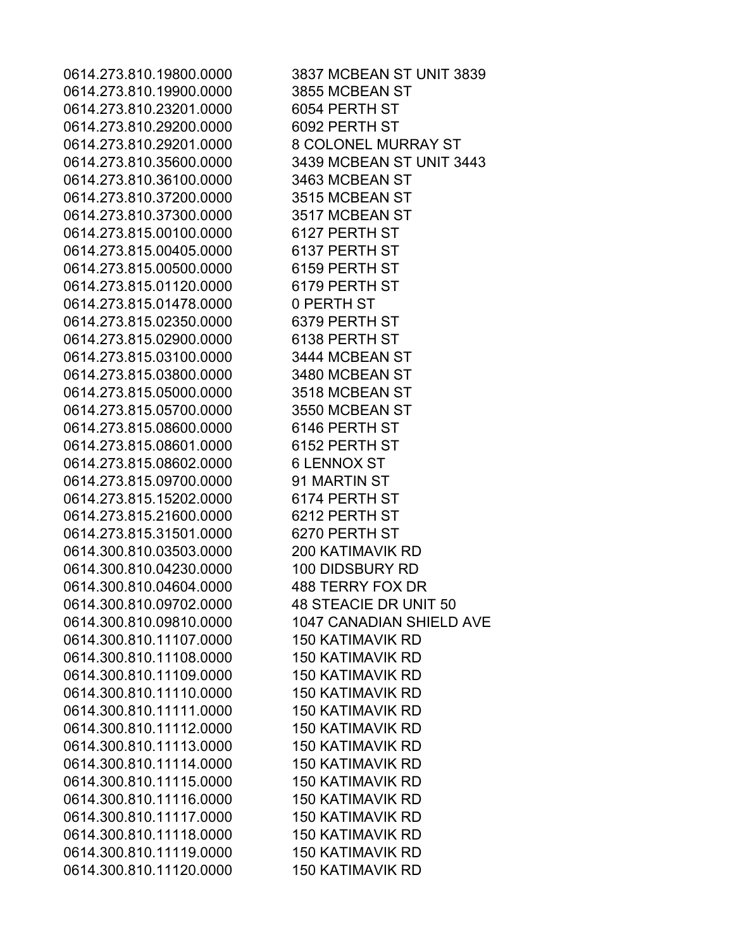0614.273.810.19800.0000 3837 MCBEAN ST UNIT 3839 0614.273.810.19900.0000 3855 MCBEAN ST 0614.273.810.23201.0000 6054 PERTH ST 0614.273.810.29200.0000 6092 PERTH ST 0614.273.810.29201.0000 8 COLONEL MURRAY ST 0614.273.810.35600.0000 3439 MCBEAN ST UNIT 3443 0614.273.810.36100.0000 3463 MCBEAN ST 0614.273.810.37200.0000 3515 MCBEAN ST 0614.273.810.37300.0000 3517 MCBEAN ST 0614.273.815.00100.0000 6127 PERTH ST 0614.273.815.00405.0000 6137 PERTH ST 0614.273.815.00500.0000 6159 PERTH ST 0614.273.815.01120.0000 6179 PERTH ST 0614.273.815.01478.0000 0 PERTH ST 0614.273.815.02350.0000 6379 PERTH ST 0614.273.815.02900.0000 6138 PERTH ST 0614.273.815.03100.0000 3444 MCBEAN ST 0614.273.815.03800.0000 3480 MCBEAN ST 0614.273.815.05000.0000 3518 MCBEAN ST 0614.273.815.05700.0000 3550 MCBEAN ST 0614.273.815.08600.0000 6146 PERTH ST 0614.273.815.08601.0000 6152 PERTH ST 0614.273.815.08602.0000 6 LENNOX ST 0614.273.815.09700.0000 91 MARTIN ST 0614.273.815.15202.0000 6174 PERTH ST 0614.273.815.21600.0000 6212 PERTH ST 0614.273.815.31501.0000 6270 PERTH ST 0614.300.810.03503.0000 200 KATIMAVIK RD 0614.300.810.04230.0000 100 DIDSBURY RD 0614.300.810.04604.0000 488 TERRY FOX DR 0614.300.810.09702.0000 48 STEACIE DR UNIT 50 0614.300.810.09810.0000 1047 CANADIAN SHIELD AVE 0614.300.810.11107.0000 150 KATIMAVIK RD 0614.300.810.11108.0000 150 KATIMAVIK RD 0614.300.810.11109.0000 150 KATIMAVIK RD 0614.300.810.11110.0000 150 KATIMAVIK RD 0614.300.810.11111.0000 150 KATIMAVIK RD 0614.300.810.11112.0000 150 KATIMAVIK RD 0614.300.810.11113.0000 150 KATIMAVIK RD 0614.300.810.11114.0000 150 KATIMAVIK RD 0614.300.810.11115.0000 150 KATIMAVIK RD 0614.300.810.11116.0000 150 KATIMAVIK RD 0614.300.810.11117.0000 150 KATIMAVIK RD 0614.300.810.11118.0000 150 KATIMAVIK RD 0614.300.810.11119.0000 150 KATIMAVIK RD 0614.300.810.11120.0000 150 KATIMAVIK RD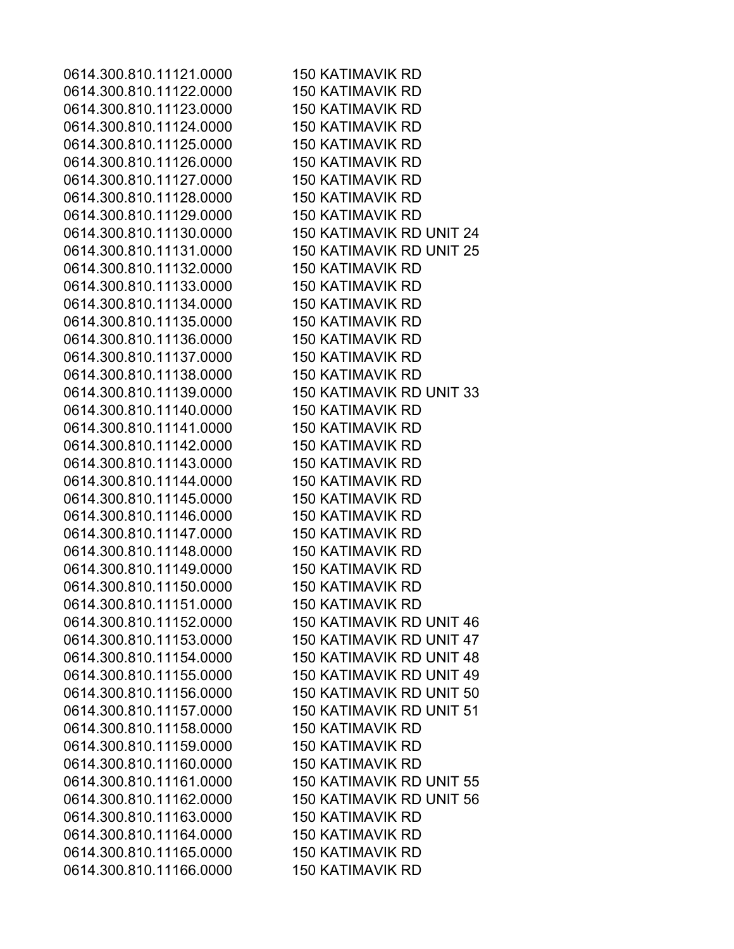0614.300.810.11121.0000 150 KATIMAVIK RD 0614.300.810.11122.0000 150 KATIMAVIK RD 0614.300.810.11123.0000 150 KATIMAVIK RD 0614.300.810.11124.0000 150 KATIMAVIK RD 0614.300.810.11125.0000 150 KATIMAVIK RD 0614.300.810.11126.0000 150 KATIMAVIK RD 0614.300.810.11127.0000 150 KATIMAVIK RD 0614.300.810.11128.0000 150 KATIMAVIK RD 0614.300.810.11129.0000 150 KATIMAVIK RD 0614.300.810.11130.0000 150 KATIMAVIK RD UNIT 24 0614.300.810.11131.0000 150 KATIMAVIK RD UNIT 25 0614.300.810.11132.0000 150 KATIMAVIK RD 0614.300.810.11133.0000 150 KATIMAVIK RD 0614.300.810.11134.0000 150 KATIMAVIK RD 0614.300.810.11135.0000 150 KATIMAVIK RD 0614.300.810.11136.0000 150 KATIMAVIK RD 0614.300.810.11137.0000 150 KATIMAVIK RD 0614.300.810.11138.0000 150 KATIMAVIK RD 0614.300.810.11139.0000 150 KATIMAVIK RD UNIT 33 0614.300.810.11140.0000 150 KATIMAVIK RD 0614.300.810.11141.0000 150 KATIMAVIK RD 0614.300.810.11142.0000 150 KATIMAVIK RD 0614.300.810.11143.0000 150 KATIMAVIK RD 0614.300.810.11144.0000 150 KATIMAVIK RD 0614.300.810.11145.0000 150 KATIMAVIK RD 0614.300.810.11146.0000 150 KATIMAVIK RD 0614.300.810.11147.0000 150 KATIMAVIK RD 0614.300.810.11148.0000 150 KATIMAVIK RD 0614.300.810.11149.0000 150 KATIMAVIK RD 0614.300.810.11150.0000 150 KATIMAVIK RD 0614.300.810.11151.0000 150 KATIMAVIK RD 0614.300.810.11152.0000 150 KATIMAVIK RD UNIT 46 0614.300.810.11153.0000 150 KATIMAVIK RD UNIT 47 0614.300.810.11154.0000 150 KATIMAVIK RD UNIT 48 0614.300.810.11155.0000 150 KATIMAVIK RD UNIT 49 0614.300.810.11156.0000 150 KATIMAVIK RD UNIT 50 0614.300.810.11157.0000 150 KATIMAVIK RD UNIT 51 0614.300.810.11158.0000 150 KATIMAVIK RD 0614.300.810.11159.0000 150 KATIMAVIK RD 0614.300.810.11160.0000 150 KATIMAVIK RD 0614.300.810.11161.0000 150 KATIMAVIK RD UNIT 55 0614.300.810.11162.0000 150 KATIMAVIK RD UNIT 56 0614.300.810.11163.0000 150 KATIMAVIK RD 0614.300.810.11164.0000 150 KATIMAVIK RD 0614.300.810.11165.0000 150 KATIMAVIK RD 0614.300.810.11166.0000 150 KATIMAVIK RD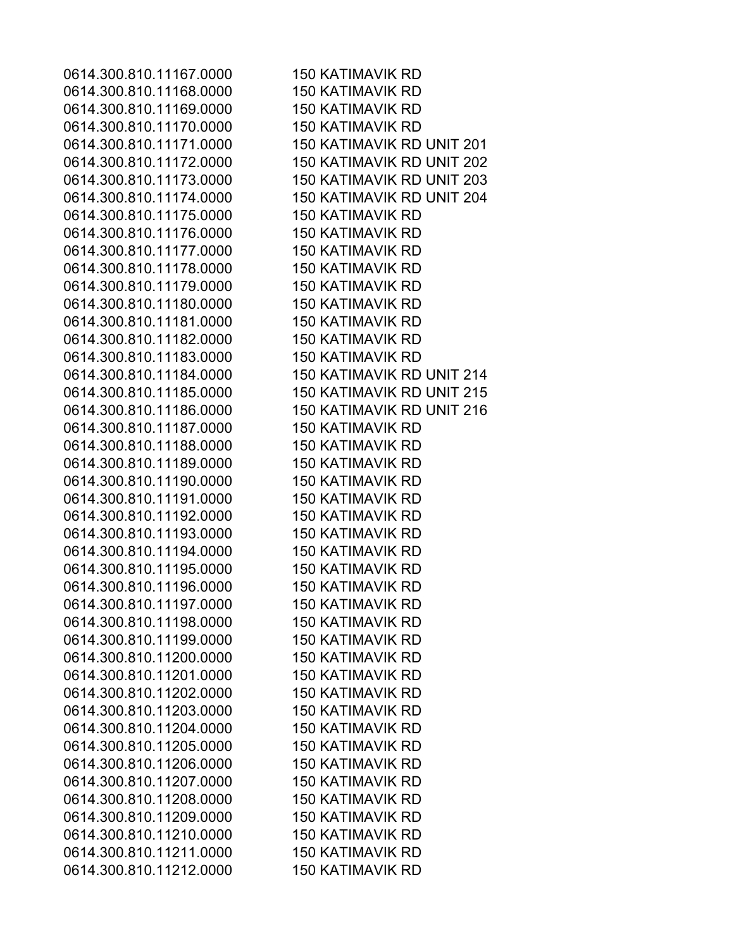0614.300.810.11167.0000 150 KATIMAVIK RD 0614.300.810.11168.0000 150 KATIMAVIK RD 0614.300.810.11169.0000 150 KATIMAVIK RD 0614.300.810.11170.0000 150 KATIMAVIK RD 0614.300.810.11171.0000 150 KATIMAVIK RD UNIT 201 0614.300.810.11172.0000 150 KATIMAVIK RD UNIT 202 0614.300.810.11173.0000 150 KATIMAVIK RD UNIT 203 0614.300.810.11174.0000 150 KATIMAVIK RD UNIT 204 0614.300.810.11175.0000 150 KATIMAVIK RD 0614.300.810.11176.0000 150 KATIMAVIK RD 0614.300.810.11177.0000 150 KATIMAVIK RD 0614.300.810.11178.0000 150 KATIMAVIK RD 0614.300.810.11179.0000 150 KATIMAVIK RD 0614.300.810.11180.0000 150 KATIMAVIK RD 0614.300.810.11181.0000 150 KATIMAVIK RD 0614.300.810.11182.0000 150 KATIMAVIK RD 0614.300.810.11183.0000 150 KATIMAVIK RD 0614.300.810.11184.0000 150 KATIMAVIK RD UNIT 214 0614.300.810.11185.0000 150 KATIMAVIK RD UNIT 215 0614.300.810.11186.0000 150 KATIMAVIK RD UNIT 216 0614.300.810.11187.0000 150 KATIMAVIK RD 0614.300.810.11188.0000 150 KATIMAVIK RD 0614.300.810.11189.0000 150 KATIMAVIK RD 0614.300.810.11190.0000 150 KATIMAVIK RD 0614.300.810.11191.0000 150 KATIMAVIK RD 0614.300.810.11192.0000 150 KATIMAVIK RD 0614.300.810.11193.0000 150 KATIMAVIK RD 0614.300.810.11194.0000 150 KATIMAVIK RD 0614.300.810.11195.0000 150 KATIMAVIK RD 0614.300.810.11196.0000 150 KATIMAVIK RD 0614.300.810.11197.0000 150 KATIMAVIK RD 0614.300.810.11198.0000 150 KATIMAVIK RD 0614.300.810.11199.0000 150 KATIMAVIK RD 0614.300.810.11200.0000 150 KATIMAVIK RD 0614.300.810.11201.0000 150 KATIMAVIK RD 0614.300.810.11202.0000 150 KATIMAVIK RD 0614.300.810.11203.0000 150 KATIMAVIK RD 0614.300.810.11204.0000 150 KATIMAVIK RD 0614.300.810.11205.0000 150 KATIMAVIK RD 0614.300.810.11206.0000 150 KATIMAVIK RD 0614.300.810.11207.0000 150 KATIMAVIK RD 0614.300.810.11208.0000 150 KATIMAVIK RD 0614.300.810.11209.0000 150 KATIMAVIK RD 0614.300.810.11210.0000 150 KATIMAVIK RD 0614.300.810.11211.0000 150 KATIMAVIK RD 0614.300.810.11212.0000 150 KATIMAVIK RD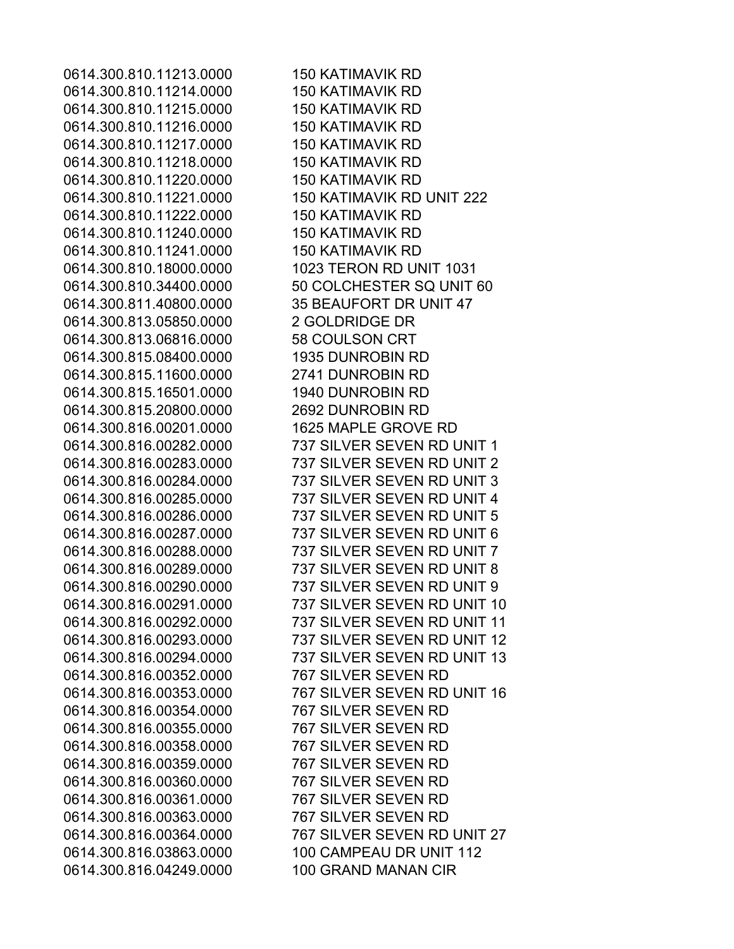0614.300.810.11213.0000 150 KATIMAVIK RD 0614.300.810.11214.0000 150 KATIMAVIK RD 0614.300.810.11215.0000 150 KATIMAVIK RD 0614.300.810.11216.0000 150 KATIMAVIK RD 0614.300.810.11217.0000 150 KATIMAVIK RD 0614.300.810.11218.0000 150 KATIMAVIK RD 0614.300.810.11220.0000 150 KATIMAVIK RD 0614.300.810.11221.0000 150 KATIMAVIK RD UNIT 222 0614.300.810.11222.0000 150 KATIMAVIK RD 0614.300.810.11240.0000 150 KATIMAVIK RD 0614.300.810.11241.0000 150 KATIMAVIK RD 0614.300.810.18000.0000 1023 TERON RD UNIT 1031 0614.300.811.40800.0000 35 BEAUFORT DR UNIT 47 0614.300.813.05850.0000 2 GOLDRIDGE DR 0614.300.813.06816.0000 58 COULSON CRT 0614.300.815.08400.0000 1935 DUNROBIN RD 0614.300.815.11600.0000 2741 DUNROBIN RD 0614.300.815.16501.0000 1940 DUNROBIN RD 0614.300.815.20800.0000 2692 DUNROBIN RD 0614.300.816.00201.0000 1625 MAPLE GROVE RD 0614.300.816.00352.0000 767 SILVER SEVEN RD 0614.300.816.00354.0000 767 SILVER SEVEN RD 0614.300.816.00355.0000 767 SILVER SEVEN RD 0614.300.816.00358.0000 767 SILVER SEVEN RD 0614.300.816.00359.0000 767 SILVER SEVEN RD 0614.300.816.00360.0000 767 SILVER SEVEN RD 0614.300.816.00361.0000 767 SILVER SEVEN RD 0614.300.816.00363.0000 767 SILVER SEVEN RD 0614.300.816.03863.0000 100 CAMPEAU DR UNIT 112 0614.300.816.04249.0000 100 GRAND MANAN CIR

0614.300.810.34400.0000 50 COLCHESTER SQ UNIT 60 0614.300.816.00282.0000 737 SILVER SEVEN RD UNIT 1 0614.300.816.00283.0000 737 SILVER SEVEN RD UNIT 2 0614.300.816.00284.0000 737 SILVER SEVEN RD UNIT 3 0614.300.816.00285.0000 737 SILVER SEVEN RD UNIT 4 0614.300.816.00286.0000 737 SILVER SEVEN RD UNIT 5 0614.300.816.00287.0000 737 SILVER SEVEN RD UNIT 6 0614.300.816.00288.0000 737 SILVER SEVEN RD UNIT 7 0614.300.816.00289.0000 737 SILVER SEVEN RD UNIT 8 0614.300.816.00290.0000 737 SILVER SEVEN RD UNIT 9 0614.300.816.00291.0000 737 SILVER SEVEN RD UNIT 10 0614.300.816.00292.0000 737 SILVER SEVEN RD UNIT 11 0614.300.816.00293.0000 737 SILVER SEVEN RD UNIT 12 0614.300.816.00294.0000 737 SILVER SEVEN RD UNIT 13 0614.300.816.00353.0000 767 SILVER SEVEN RD UNIT 16 0614.300.816.00364.0000 767 SILVER SEVEN RD UNIT 27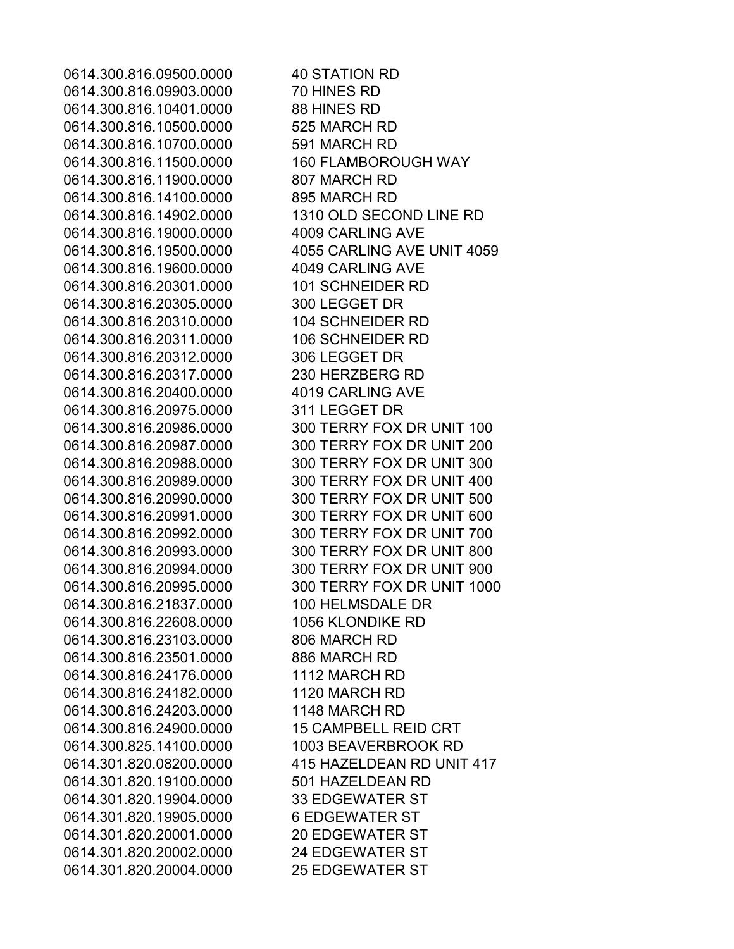0614.300.816.09500.0000 40 STATION RD 0614.300.816.09903.0000 70 HINES RD 0614.300.816.10401.0000 88 HINES RD 0614.300.816.10500.0000 525 MARCH RD 0614.300.816.10700.0000 591 MARCH RD 0614.300.816.11500.0000 160 FLAMBOROUGH WAY 0614.300.816.11900.0000 807 MARCH RD 0614.300.816.14100.0000 895 MARCH RD 0614.300.816.14902.0000 1310 OLD SECOND LINE RD 0614.300.816.19000.0000 4009 CARLING AVE 0614.300.816.19500.0000 4055 CARLING AVE UNIT 4059 0614.300.816.19600.0000 4049 CARLING AVE 0614.300.816.20301.0000 101 SCHNEIDER RD 0614.300.816.20305.0000 300 LEGGET DR 0614.300.816.20310.0000 104 SCHNEIDER RD 0614.300.816.20311.0000 106 SCHNEIDER RD 0614.300.816.20312.0000 306 LEGGET DR 0614.300.816.20317.0000 230 HERZBERG RD 0614.300.816.20400.0000 4019 CARLING AVE 0614.300.816.20975.0000 311 LEGGET DR 0614.300.816.20986.0000 300 TERRY FOX DR UNIT 100 0614.300.816.20987.0000 300 TERRY FOX DR UNIT 200 0614.300.816.20988.0000 300 TERRY FOX DR UNIT 300 0614.300.816.20989.0000 300 TERRY FOX DR UNIT 400 0614.300.816.20990.0000 300 TERRY FOX DR UNIT 500 0614.300.816.20991.0000 300 TERRY FOX DR UNIT 600 0614.300.816.20992.0000 300 TERRY FOX DR UNIT 700 0614.300.816.20993.0000 300 TERRY FOX DR UNIT 800 0614.300.816.20994.0000 300 TERRY FOX DR UNIT 900 0614.300.816.20995.0000 300 TERRY FOX DR UNIT 1000 0614.300.816.21837.0000 100 HELMSDALE DR 0614.300.816.22608.0000 1056 KLONDIKE RD 0614.300.816.23103.0000 806 MARCH RD 0614.300.816.23501.0000 886 MARCH RD 0614.300.816.24176.0000 1112 MARCH RD 0614.300.816.24182.0000 1120 MARCH RD 0614.300.816.24203.0000 1148 MARCH RD 0614.300.816.24900.0000 15 CAMPBELL REID CRT 0614.300.825.14100.0000 1003 BEAVERBROOK RD 0614.301.820.08200.0000 415 HAZELDEAN RD UNIT 417 0614.301.820.19100.0000 501 HAZELDEAN RD 0614.301.820.19904.0000 33 EDGEWATER ST 0614.301.820.19905.0000 6 EDGEWATER ST 0614.301.820.20001.0000 20 EDGEWATER ST 0614.301.820.20002.0000 24 EDGEWATER ST 0614.301.820.20004.0000 25 EDGEWATER ST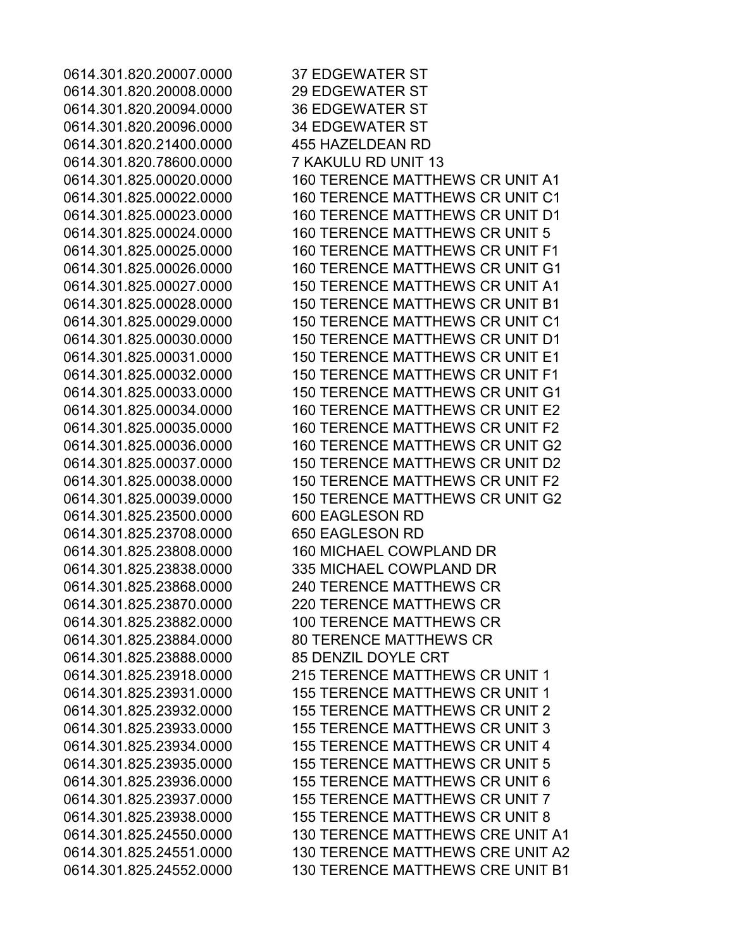0614.301.820.20007.0000 37 EDGEWATER ST 0614.301.820.20008.0000 29 EDGEWATER ST 0614.301.820.20094.0000 36 EDGEWATER ST 0614.301.820.20096.0000 34 EDGEWATER ST 0614.301.820.21400.0000 455 HAZELDEAN RD 0614.301.820.78600.0000 7 KAKULU RD UNIT 13 0614.301.825.00020.0000 160 TERENCE MATTHEWS CR UNIT A1 0614.301.825.00022.0000 160 TERENCE MATTHEWS CR UNIT C1 0614.301.825.00023.0000 160 TERENCE MATTHEWS CR UNIT D1 0614.301.825.00024.0000 160 TERENCE MATTHEWS CR UNIT 5 0614.301.825.00025.0000 160 TERENCE MATTHEWS CR UNIT F1 0614.301.825.00026.0000 160 TERENCE MATTHEWS CR UNIT G1 0614.301.825.00027.0000 150 TERENCE MATTHEWS CR UNIT A1 0614.301.825.00028.0000 150 TERENCE MATTHEWS CR UNIT B1 0614.301.825.00029.0000 150 TERENCE MATTHEWS CR UNIT C1 0614.301.825.00030.0000 150 TERENCE MATTHEWS CR UNIT D1 0614.301.825.00031.0000 150 TERENCE MATTHEWS CR UNIT E1 0614.301.825.00032.0000 150 TERENCE MATTHEWS CR UNIT F1 0614.301.825.00033.0000 150 TERENCE MATTHEWS CR UNIT G1 0614.301.825.00034.0000 160 TERENCE MATTHEWS CR UNIT E2 0614.301.825.00035.0000 160 TERENCE MATTHEWS CR UNIT F2 0614.301.825.00036.0000 160 TERENCE MATTHEWS CR UNIT G2 0614.301.825.00037.0000 150 TERENCE MATTHEWS CR UNIT D2 0614.301.825.00038.0000 150 TERENCE MATTHEWS CR UNIT F2 0614.301.825.00039.0000 150 TERENCE MATTHEWS CR UNIT G2 0614.301.825.23500.0000 600 EAGLESON RD 0614.301.825.23708.0000 650 EAGLESON RD 0614.301.825.23808.0000 160 MICHAEL COWPLAND DR 0614.301.825.23838.0000 335 MICHAEL COWPLAND DR 0614.301.825.23868.0000 240 TERENCE MATTHEWS CR 0614.301.825.23870.0000 220 TERENCE MATTHEWS CR 0614.301.825.23882.0000 100 TERENCE MATTHEWS CR 0614.301.825.23884.0000 80 TERENCE MATTHEWS CR 0614.301.825.23888.0000 85 DENZIL DOYLE CRT 0614.301.825.23918.0000 215 TERENCE MATTHEWS CR UNIT 1 0614.301.825.23931.0000 155 TERENCE MATTHEWS CR UNIT 1 0614.301.825.23932.0000 155 TERENCE MATTHEWS CR UNIT 2 0614.301.825.23933.0000 155 TERENCE MATTHEWS CR UNIT 3 0614.301.825.23934.0000 155 TERENCE MATTHEWS CR UNIT 4 0614.301.825.23935.0000 155 TERENCE MATTHEWS CR UNIT 5 0614.301.825.23936.0000 155 TERENCE MATTHEWS CR UNIT 6 0614.301.825.23937.0000 155 TERENCE MATTHEWS CR UNIT 7 0614.301.825.23938.0000 155 TERENCE MATTHEWS CR UNIT 8 0614.301.825.24550.0000 130 TERENCE MATTHEWS CRE UNIT A1 0614.301.825.24551.0000 130 TERENCE MATTHEWS CRE UNIT A2 0614.301.825.24552.0000 130 TERENCE MATTHEWS CRE UNIT B1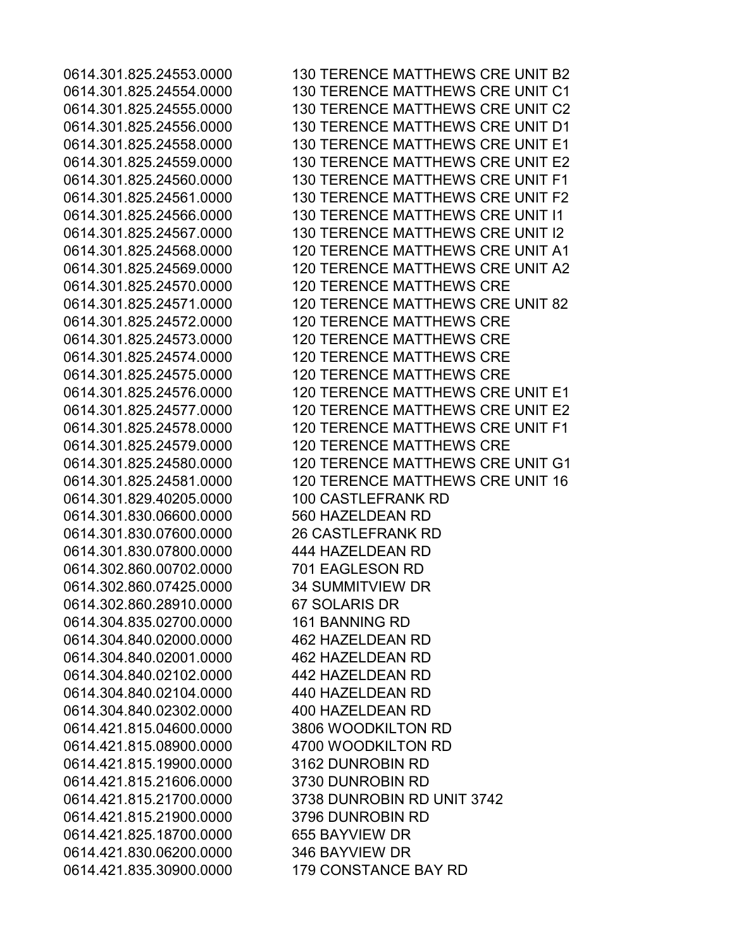0614.301.829.40205.0000 100 CASTLEFRANK RD 0614.301.830.06600.0000 560 HAZELDEAN RD 0614.301.830.07600.0000 26 CASTLEFRANK RD 0614.301.830.07800.0000 444 HAZELDEAN RD 0614.302.860.00702.0000 701 EAGLESON RD 0614.302.860.07425.0000 34 SUMMITVIEW DR 0614.302.860.28910.0000 67 SOLARIS DR 0614.304.835.02700.0000 161 BANNING RD 0614.304.840.02000.0000 462 HAZELDEAN RD 0614.304.840.02001.0000 462 HAZELDEAN RD 0614.304.840.02102.0000 442 HAZELDEAN RD 0614.304.840.02104.0000 440 HAZELDEAN RD 0614.304.840.02302.0000 400 HAZELDEAN RD 0614.421.815.04600.0000 3806 WOODKILTON RD 0614.421.815.08900.0000 4700 WOODKILTON RD 0614.421.815.19900.0000 3162 DUNROBIN RD 0614.421.815.21606.0000 3730 DUNROBIN RD 0614.421.815.21900.0000 3796 DUNROBIN RD 0614.421.825.18700.0000 655 BAYVIEW DR 0614.421.830.06200.0000 346 BAYVIEW DR 0614.421.835.30900.0000 179 CONSTANCE BAY RD

0614.301.825.24553.0000 130 TERENCE MATTHEWS CRE UNIT B2 0614.301.825.24554.0000 130 TERENCE MATTHEWS CRE UNIT C1 0614.301.825.24555.0000 130 TERENCE MATTHEWS CRE UNIT C2 0614.301.825.24556.0000 130 TERENCE MATTHEWS CRE UNIT D1 0614.301.825.24558.0000 130 TERENCE MATTHEWS CRE UNIT E1 0614.301.825.24559.0000 130 TERENCE MATTHEWS CRE UNIT E2 0614.301.825.24560.0000 130 TERENCE MATTHEWS CRE UNIT F1 0614.301.825.24561.0000 130 TERENCE MATTHEWS CRE UNIT F2 0614.301.825.24566.0000 130 TERENCE MATTHEWS CRE UNIT I1 0614.301.825.24567.0000 130 TERENCE MATTHEWS CRE UNIT I2 0614.301.825.24568.0000 120 TERENCE MATTHEWS CRE UNIT A1 0614.301.825.24569.0000 120 TERENCE MATTHEWS CRE UNIT A2 0614.301.825.24570.0000 120 TERENCE MATTHEWS CRE 0614.301.825.24571.0000 120 TERENCE MATTHEWS CRE UNIT 82 0614.301.825.24572.0000 120 TERENCE MATTHEWS CRE 0614.301.825.24573.0000 120 TERENCE MATTHEWS CRE 0614.301.825.24574.0000 120 TERENCE MATTHEWS CRE 0614.301.825.24575.0000 120 TERENCE MATTHEWS CRE 0614.301.825.24576.0000 120 TERENCE MATTHEWS CRE UNIT E1 0614.301.825.24577.0000 120 TERENCE MATTHEWS CRE UNIT E2 0614.301.825.24578.0000 120 TERENCE MATTHEWS CRE UNIT F1 0614.301.825.24579.0000 120 TERENCE MATTHEWS CRE 0614.301.825.24580.0000 120 TERENCE MATTHEWS CRE UNIT G1 0614.301.825.24581.0000 120 TERENCE MATTHEWS CRE UNIT 16 0614.421.815.21700.0000 3738 DUNROBIN RD UNIT 3742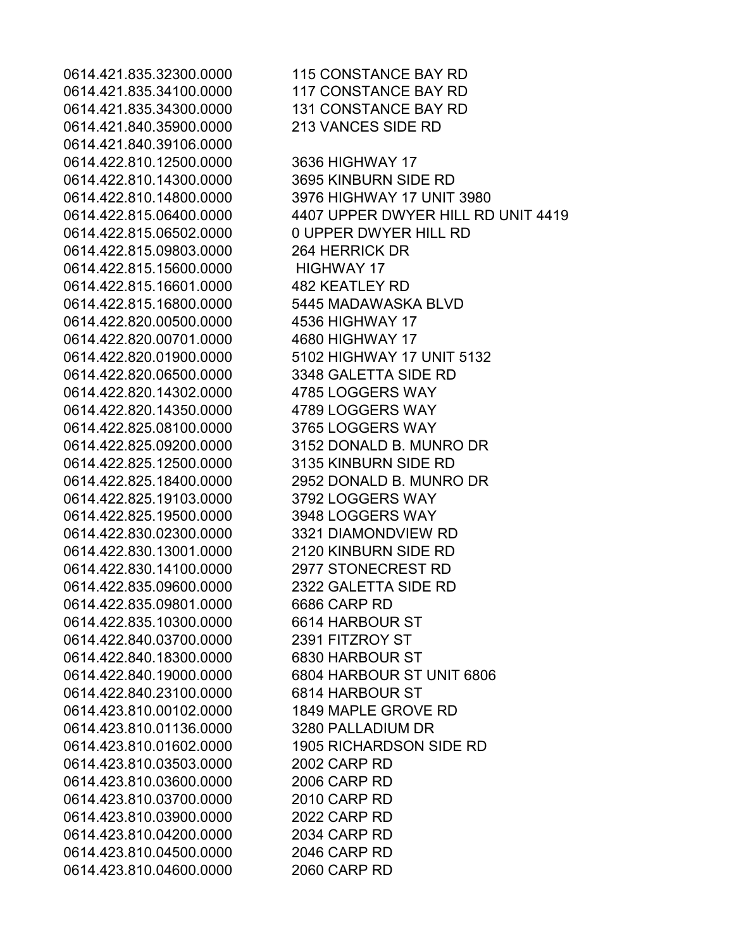0614.421.835.32300.0000 115 CONSTANCE BAY RD 0614.421.835.34100.0000 117 CONSTANCE BAY RD 0614.421.835.34300.0000 131 CONSTANCE BAY RD 0614.421.840.35900.0000 213 VANCES SIDE RD 0614.421.840.39106.0000 0614.422.810.12500.0000 3636 HIGHWAY 17 0614.422.810.14300.0000 3695 KINBURN SIDE RD 0614.422.815.06502.0000 0 UPPER DWYER HILL RD 0614.422.815.09803.0000 264 HERRICK DR 0614.422.815.15600.0000 HIGHWAY 17 0614.422.815.16601.0000 482 KEATLEY RD 0614.422.815.16800.0000 5445 MADAWASKA BLVD 0614.422.820.00500.0000 4536 HIGHWAY 17 0614.422.820.00701.0000 4680 HIGHWAY 17 0614.422.820.06500.0000 3348 GALETTA SIDE RD 0614.422.820.14302.0000 4785 LOGGERS WAY 0614.422.820.14350.0000 4789 LOGGERS WAY 0614.422.825.08100.0000 3765 LOGGERS WAY 0614.422.825.12500.0000 3135 KINBURN SIDE RD 0614.422.825.19103.0000 3792 LOGGERS WAY 0614.422.825.19500.0000 3948 LOGGERS WAY 0614.422.830.02300.0000 3321 DIAMONDVIEW RD 0614.422.830.13001.0000 2120 KINBURN SIDE RD 0614.422.830.14100.0000 2977 STONECREST RD 0614.422.835.09600.0000 2322 GALETTA SIDE RD 0614.422.835.09801.0000 6686 CARP RD 0614.422.835.10300.0000 6614 HARBOUR ST 0614.422.840.03700.0000 2391 FITZROY ST 0614.422.840.18300.0000 6830 HARBOUR ST 0614.422.840.23100.0000 6814 HARBOUR ST 0614.423.810.00102.0000 1849 MAPLE GROVE RD 0614.423.810.01136.0000 3280 PALLADIUM DR 0614.423.810.03503.0000 2002 CARP RD 0614.423.810.03600.0000 2006 CARP RD 0614.423.810.03700.0000 2010 CARP RD 0614.423.810.03900.0000 2022 CARP RD 0614.423.810.04200.0000 2034 CARP RD 0614.423.810.04500.0000 2046 CARP RD 0614.423.810.04600.0000 2060 CARP RD

0614.422.810.14800.0000 3976 HIGHWAY 17 UNIT 3980 0614.422.815.06400.0000 4407 UPPER DWYER HILL RD UNIT 4419 0614.422.820.01900.0000 5102 HIGHWAY 17 UNIT 5132 0614.422.825.09200.0000 3152 DONALD B. MUNRO DR 0614.422.825.18400.0000 2952 DONALD B. MUNRO DR 0614.422.840.19000.0000 6804 HARBOUR ST UNIT 6806 0614.423.810.01602.0000 1905 RICHARDSON SIDE RD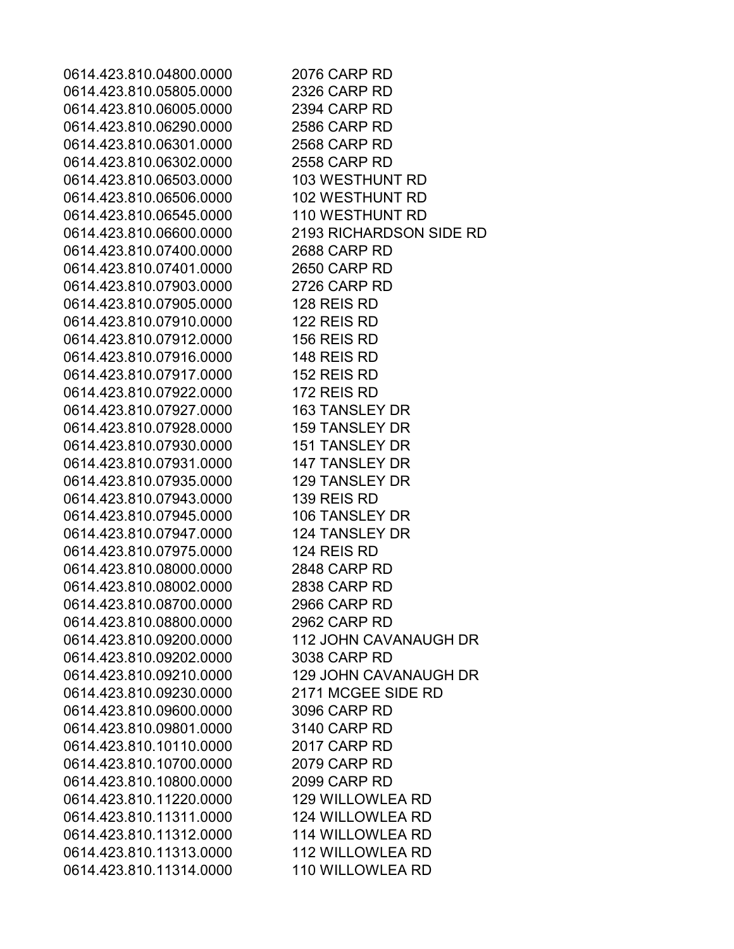0614.423.810.04800.0000 2076 CARP RD 0614.423.810.05805.0000 2326 CARP RD 0614.423.810.06005.0000 2394 CARP RD 0614.423.810.06290.0000 2586 CARP RD 0614.423.810.06301.0000 2568 CARP RD 0614.423.810.06302.0000 2558 CARP RD 0614.423.810.06503.0000 103 WESTHUNT RD 0614.423.810.06506.0000 102 WESTHUNT RD 0614.423.810.06545.0000 110 WESTHUNT RD 0614.423.810.06600.0000 2193 RICHARDSON SIDE RD 0614.423.810.07400.0000 2688 CARP RD 0614.423.810.07401.0000 2650 CARP RD 0614.423.810.07903.0000 2726 CARP RD 0614,423,810,07905,0000 128 REIS RD 0614.423.810.07910.0000 122 REIS RD 0614.423.810.07912.0000 156 REIS RD 0614,423,810,07916,0000 148 REIS RD 0614.423.810.07917.0000 152 REIS RD 0614.423.810.07922.0000 172 REIS RD 0614.423.810.07927.0000 163 TANSLEY DR 0614.423.810.07928.0000 159 TANSLEY DR 0614.423.810.07930.0000 151 TANSLEY DR 0614.423.810.07931.0000 147 TANSLEY DR 0614.423.810.07935.0000 129 TANSLEY DR 0614.423.810.07943.0000 139 REIS RD 0614.423.810.07945.0000 106 TANSLEY DR 0614.423.810.07947.0000 124 TANSLEY DR 0614.423.810.07975.0000 124 REIS RD 0614.423.810.08000.0000 2848 CARP RD 0614.423.810.08002.0000 2838 CARP RD 0614.423.810.08700.0000 2966 CARP RD 0614.423.810.08800.0000 2962 CARP RD 0614.423.810.09200.0000 112 JOHN CAVANAUGH DR 0614.423.810.09202.0000 3038 CARP RD 0614.423.810.09210.0000 129 JOHN CAVANAUGH DR 0614.423.810.09230.0000 2171 MCGEE SIDE RD 0614.423.810.09600.0000 3096 CARP RD 0614.423.810.09801.0000 3140 CARP RD 0614.423.810.10110.0000 2017 CARP RD 0614.423.810.10700.0000 2079 CARP RD 0614.423.810.10800.0000 2099 CARP RD 0614.423.810.11220.0000 129 WILLOWLEA RD 0614.423.810.11311.0000 124 WILLOWLEA RD 0614.423.810.11312.0000 114 WILLOWLEA RD 0614.423.810.11313.0000 112 WILLOWLEA RD 0614.423.810.11314.0000 110 WILLOWLEA RD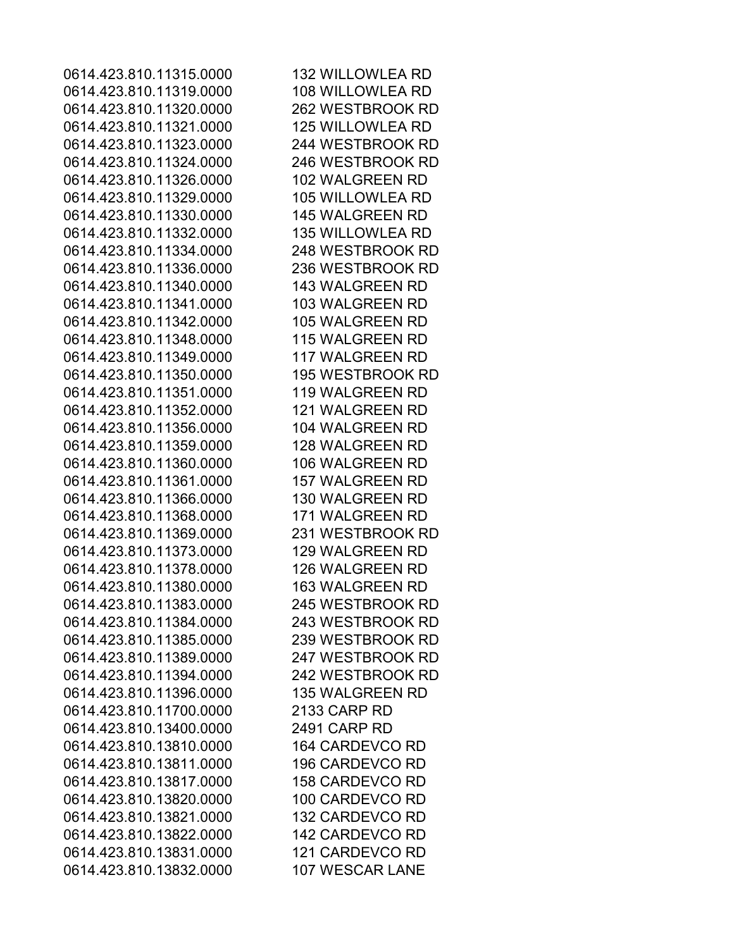0614.423.810.11315.0000 132 WILLOWLEA RD 0614.423.810.11319.0000 108 WILLOWLEA RD 0614.423.810.11320.0000 262 WESTBROOK RD 0614.423.810.11321.0000 125 WILLOWLEA RD 0614.423.810.11323.0000 244 WESTBROOK RD 0614.423.810.11324.0000 246 WESTBROOK RD 0614.423.810.11326.0000 102 WALGREEN RD 0614.423.810.11329.0000 105 WILLOWLEA RD 0614.423.810.11330.0000 145 WALGREEN RD 0614.423.810.11332.0000 135 WILLOWLEA RD 0614.423.810.11334.0000 248 WESTBROOK RD 0614.423.810.11336.0000 236 WESTBROOK RD 0614.423.810.11340.0000 143 WALGREEN RD 0614.423.810.11341.0000 103 WALGREEN RD 0614.423.810.11342.0000 105 WALGREEN RD 0614.423.810.11348.0000 115 WALGREEN RD 0614.423.810.11349.0000 117 WALGREEN RD 0614.423.810.11350.0000 195 WESTBROOK RD 0614.423.810.11351.0000 119 WALGREEN RD 0614.423.810.11352.0000 121 WALGREEN RD 0614.423.810.11356.0000 104 WALGREEN RD 0614.423.810.11359.0000 128 WALGREEN RD 0614.423.810.11360.0000 106 WALGREEN RD 0614.423.810.11361.0000 157 WALGREEN RD 0614.423.810.11366.0000 130 WALGREEN RD 0614.423.810.11368.0000 171 WALGREEN RD 0614.423.810.11369.0000 231 WESTBROOK RD 0614.423.810.11373.0000 129 WALGREEN RD 0614.423.810.11378.0000 126 WALGREEN RD 0614.423.810.11380.0000 163 WALGREEN RD 0614.423.810.11383.0000 245 WESTBROOK RD 0614.423.810.11384.0000 243 WESTBROOK RD 0614.423.810.11385.0000 239 WESTBROOK RD 0614.423.810.11389.0000 247 WESTBROOK RD 0614.423.810.11394.0000 242 WESTBROOK RD 0614.423.810.11396.0000 135 WALGREEN RD 0614.423.810.11700.0000 2133 CARP RD 0614.423.810.13400.0000 2491 CARP RD 0614.423.810.13810.0000 164 CARDEVCO RD 0614.423.810.13811.0000 196 CARDEVCO RD 0614.423.810.13817.0000 158 CARDEVCO RD 0614.423.810.13820.0000 100 CARDEVCO RD 0614.423.810.13821.0000 132 CARDEVCO RD 0614.423.810.13822.0000 142 CARDEVCO RD 0614.423.810.13831.0000 121 CARDEVCO RD 0614.423.810.13832.0000 107 WESCAR LANE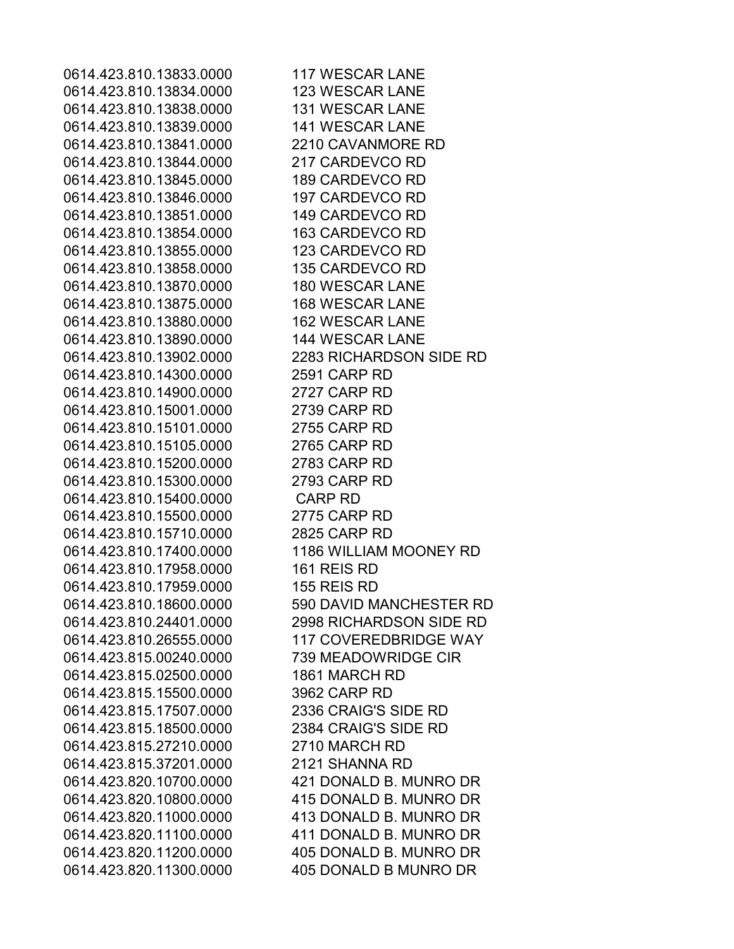0614.423.810.13833.0000 117 WESCAR LANE 0614.423.810.13834.0000 123 WESCAR LANE 0614.423.810.13838.0000 131 WESCAR LANE 0614.423.810.13839.0000 141 WESCAR LANE 0614.423.810.13841.0000 2210 CAVANMORE RD 0614.423.810.13844.0000 217 CARDEVCO RD 0614.423.810.13845.0000 189 CARDEVCO RD 0614.423.810.13846.0000 197 CARDEVCO RD 0614.423.810.13851.0000 149 CARDEVCO RD 0614.423.810.13854.0000 163 CARDEVCO RD 0614.423.810.13855.0000 123 CARDEVCO RD 0614.423.810.13858.0000 135 CARDEVCO RD 0614.423.810.13870.0000 180 WESCAR LANE 0614.423.810.13875.0000 168 WESCAR LANE 0614.423.810.13880.0000 162 WESCAR LANE 0614.423.810.13890.0000 144 WESCAR LANE 0614.423.810.13902.0000 2283 RICHARDSON SIDE RD 0614.423.810.14300.0000 2591 CARP RD 0614.423.810.14900.0000 2727 CARP RD 0614.423.810.15001.0000 2739 CARP RD 0614.423.810.15101.0000 2755 CARP RD 0614.423.810.15105.0000 2765 CARP RD 0614.423.810.15200.0000 2783 CARP RD 0614.423.810.15300.0000 2793 CARP RD 0614.423.810.15400.0000 CARP RD 0614.423.810.15500.0000 2775 CARP RD 0614.423.810.15710.0000 2825 CARP RD 0614.423.810.17400.0000 1186 WILLIAM MOONEY RD 0614,423,810,17958,0000 161 REIS RD 0614,423,810,17959,0000 155 REIS RD 0614.423.810.18600.0000 590 DAVID MANCHESTER RD 0614.423.810.24401.0000 2998 RICHARDSON SIDE RD 0614.423.810.26555.0000 117 COVEREDBRIDGE WAY 0614.423.815.00240.0000 739 MEADOWRIDGE CIR 0614.423.815.02500.0000 1861 MARCH RD 0614.423.815.15500.0000 3962 CARP RD 0614.423.815.17507.0000 2336 CRAIG'S SIDE RD 0614.423.815.18500.0000 2384 CRAIG'S SIDE RD 0614.423.815.27210.0000 2710 MARCH RD 0614.423.815.37201.0000 2121 SHANNA RD 0614.423.820.10700.0000 421 DONALD B. MUNRO DR 0614.423.820.10800.0000 415 DONALD B. MUNRO DR 0614.423.820.11000.0000 413 DONALD B. MUNRO DR 0614.423.820.11100.0000 411 DONALD B. MUNRO DR 0614.423.820.11200.0000 405 DONALD B. MUNRO DR 0614.423.820.11300.0000 405 DONALD B MUNRO DR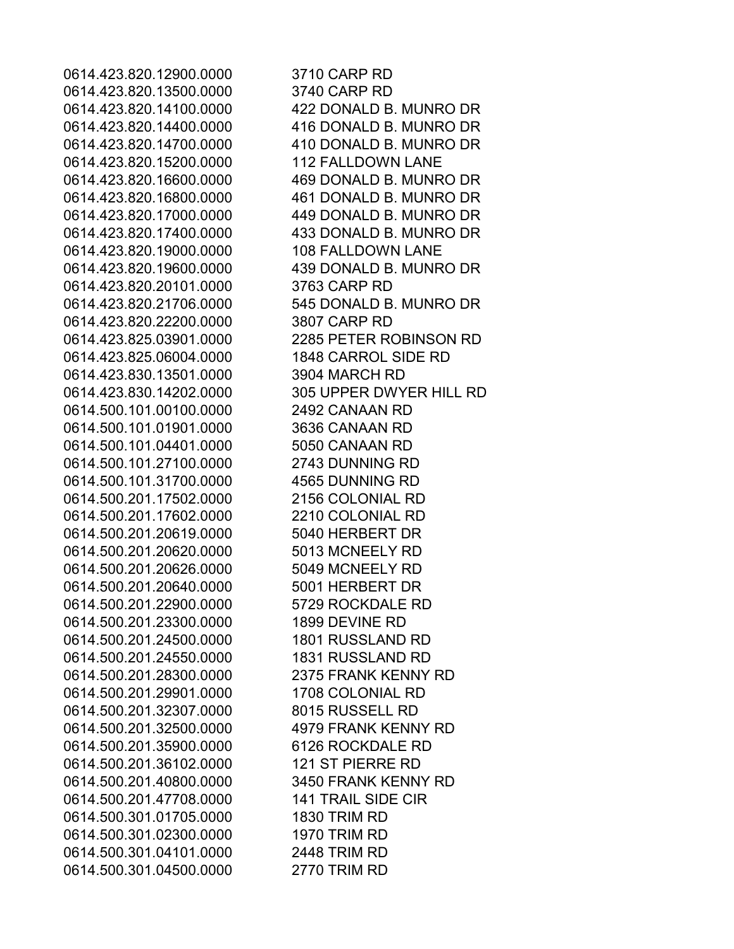0614.423.820.12900.0000 3710 CARP RD 0614.423.820.13500.0000 3740 CARP RD 0614.423.820.14100.0000 422 DONALD B. MUNRO DR 0614.423.820.14400.0000 416 DONALD B. MUNRO DR 0614.423.820.14700.0000 410 DONALD B. MUNRO DR 0614.423.820.15200.0000 112 FALLDOWN LANE 0614.423.820.16600.0000 469 DONALD B. MUNRO DR 0614.423.820.16800.0000 461 DONALD B. MUNRO DR 0614.423.820.17000.0000 449 DONALD B. MUNRO DR 0614.423.820.17400.0000 433 DONALD B. MUNRO DR 0614.423.820.19000.0000 108 FALLDOWN LANE 0614.423.820.19600.0000 439 DONALD B. MUNRO DR 0614.423.820.20101.0000 3763 CARP RD 0614.423.820.21706.0000 545 DONALD B. MUNRO DR 0614.423.820.22200.0000 3807 CARP RD 0614.423.825.03901.0000 2285 PETER ROBINSON RD 0614.423.825.06004.0000 1848 CARROL SIDE RD 0614.423.830.13501.0000 3904 MARCH RD 0614.423.830.14202.0000 305 UPPER DWYER HILL RD 0614.500.101.00100.0000 2492 CANAAN RD 0614.500.101.01901.0000 3636 CANAAN RD 0614.500.101.04401.0000 5050 CANAAN RD 0614.500.101.27100.0000 2743 DUNNING RD 0614.500.101.31700.0000 4565 DUNNING RD 0614.500.201.17502.0000 2156 COLONIAL RD 0614.500.201.17602.0000 2210 COLONIAL RD 0614.500.201.20619.0000 5040 HERBERT DR 0614.500.201.20620.0000 5013 MCNEELY RD 0614.500.201.20626.0000 5049 MCNEELY RD 0614.500.201.20640.0000 5001 HERBERT DR 0614.500.201.22900.0000 5729 ROCKDALE RD 0614.500.201.23300.0000 1899 DEVINE RD 0614.500.201.24500.0000 1801 RUSSLAND RD 0614.500.201.24550.0000 1831 RUSSLAND RD 0614.500.201.28300.0000 2375 FRANK KENNY RD 0614.500.201.29901.0000 1708 COLONIAL RD 0614.500.201.32307.0000 8015 RUSSELL RD 0614.500.201.32500.0000 4979 FRANK KENNY RD 0614.500.201.35900.0000 6126 ROCKDALE RD 0614.500.201.36102.0000 121 ST PIERRE RD 0614.500.201.40800.0000 3450 FRANK KENNY RD 0614.500.201.47708.0000 141 TRAIL SIDE CIR 0614.500.301.01705.0000 1830 TRIM RD 0614.500.301.02300.0000 1970 TRIM RD 0614.500.301.04101.0000 2448 TRIM RD 0614.500.301.04500.0000 2770 TRIM RD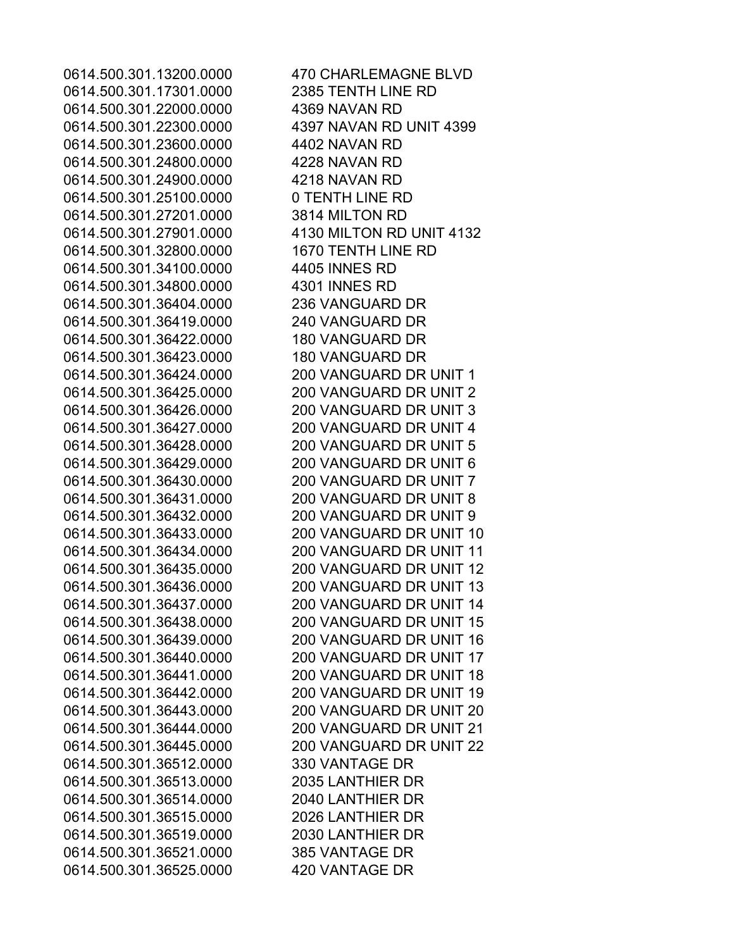0614.500.301.17301.0000 2385 TENTH LINE RD 0614.500.301.22000.0000 4369 NAVAN RD 0614.500.301.22300.0000 4397 NAVAN RD UNIT 4399 0614.500.301.23600.0000 4402 NAVAN RD 0614.500.301.24800.0000 4228 NAVAN RD 0614.500.301.24900.0000 4218 NAVAN RD 0614.500.301.25100.0000 0 TENTH LINE RD 0614.500.301.27201.0000 3814 MILTON RD 0614.500.301.32800.0000 1670 TENTH LINE RD 0614.500.301.34100.0000 4405 INNES RD 0614.500.301.34800.0000 4301 INNES RD 0614.500.301.36404.0000 236 VANGUARD DR 0614.500.301.36419.0000 240 VANGUARD DR 0614.500.301.36422.0000 180 VANGUARD DR 0614.500.301.36423.0000 180 VANGUARD DR 0614.500.301.36424.0000 200 VANGUARD DR UNIT 1 0614.500.301.36425.0000 200 VANGUARD DR UNIT 2 0614.500.301.36426.0000 200 VANGUARD DR UNIT 3 0614.500.301.36427.0000 200 VANGUARD DR UNIT 4 0614.500.301.36428.0000 200 VANGUARD DR UNIT 5 0614.500.301.36429.0000 200 VANGUARD DR UNIT 6 0614.500.301.36430.0000 200 VANGUARD DR UNIT 7 0614.500.301.36431.0000 200 VANGUARD DR UNIT 8 0614.500.301.36432.0000 200 VANGUARD DR UNIT 9 0614.500.301.36512.0000 330 VANTAGE DR 0614.500.301.36513.0000 2035 LANTHIER DR 0614.500.301.36514.0000 2040 LANTHIER DR 0614.500.301.36515.0000 2026 LANTHIER DR 0614.500.301.36519.0000 2030 LANTHIER DR 0614.500.301.36521.0000 385 VANTAGE DR 0614.500.301.36525.0000 420 VANTAGE DR

0614.500.301.13200.0000 470 CHARLEMAGNE BLVD 0614.500.301.27901.0000 4130 MILTON RD UNIT 4132 0614.500.301.36433.0000 200 VANGUARD DR UNIT 10 0614.500.301.36434.0000 200 VANGUARD DR UNIT 11 0614.500.301.36435.0000 200 VANGUARD DR UNIT 12 0614.500.301.36436.0000 200 VANGUARD DR UNIT 13 0614.500.301.36437.0000 200 VANGUARD DR UNIT 14 0614.500.301.36438.0000 200 VANGUARD DR UNIT 15 0614.500.301.36439.0000 200 VANGUARD DR UNIT 16 0614.500.301.36440.0000 200 VANGUARD DR UNIT 17 0614.500.301.36441.0000 200 VANGUARD DR UNIT 18 0614.500.301.36442.0000 200 VANGUARD DR UNIT 19 0614.500.301.36443.0000 200 VANGUARD DR UNIT 20 0614.500.301.36444.0000 200 VANGUARD DR UNIT 21 0614.500.301.36445.0000 200 VANGUARD DR UNIT 22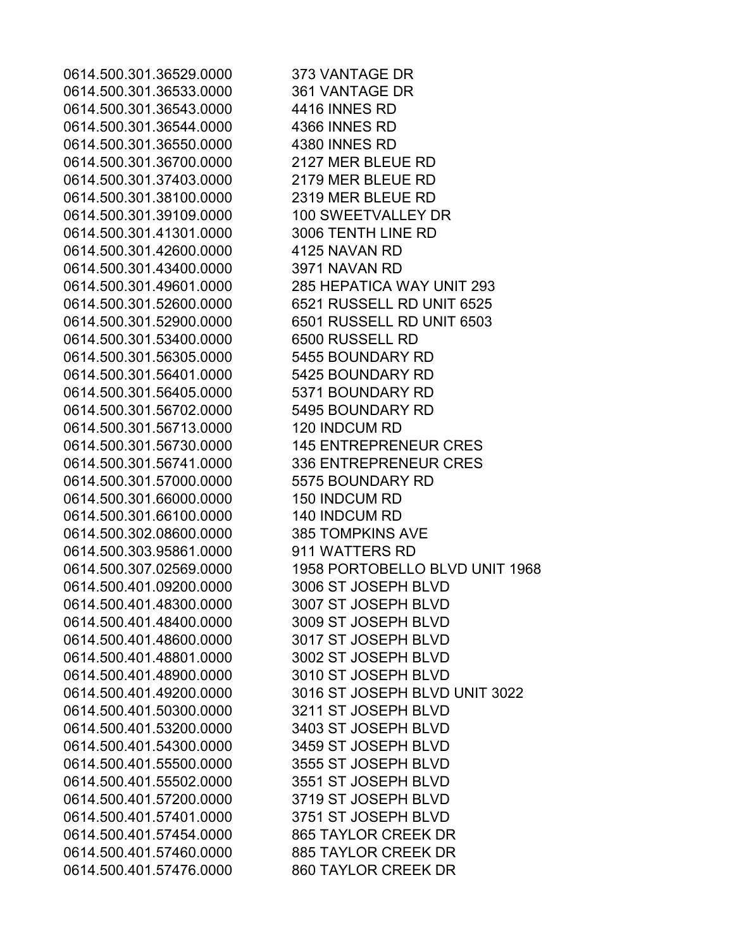0614.500.301.36529.0000 373 VANTAGE DR 0614.500.301.36533.0000 361 VANTAGE DR 0614.500.301.36543.0000 4416 INNES RD 0614.500.301.36544.0000 4366 INNES RD 0614.500.301.36550.0000 4380 INNES RD 0614.500.301.36700.0000 2127 MER BLEUE RD 0614.500.301.37403.0000 2179 MER BLEUE RD 0614.500.301.38100.0000 2319 MER BLEUE RD 0614.500.301.39109.0000 100 SWEETVALLEY DR 0614.500.301.41301.0000 3006 TENTH LINE RD 0614.500.301.42600.0000 4125 NAVAN RD 0614.500.301.43400.0000 3971 NAVAN RD 0614.500.301.49601.0000 285 HEPATICA WAY UNIT 293 0614.500.301.52600.0000 6521 RUSSELL RD UNIT 6525 0614.500.301.52900.0000 6501 RUSSELL RD UNIT 6503 0614.500.301.53400.0000 6500 RUSSELL RD 0614.500.301.56305.0000 5455 BOUNDARY RD 0614.500.301.56401.0000 5425 BOUNDARY RD 0614.500.301.56405.0000 5371 BOUNDARY RD 0614.500.301.56702.0000 5495 BOUNDARY RD 0614.500.301.56713.0000 120 INDCUM RD 0614.500.301.56730.0000 145 ENTREPRENEUR CRES 0614.500.301.56741.0000 336 ENTREPRENEUR CRES 0614.500.301.57000.0000 5575 BOUNDARY RD 0614.500.301.66000.0000 150 INDCUM RD 0614.500.301.66100.0000 140 INDCUM RD 0614.500.302.08600.0000 385 TOMPKINS AVE 0614.500.303.95861.0000 911 WATTERS RD 0614.500.401.09200.0000 3006 ST JOSEPH BLVD 0614.500.401.48300.0000 3007 ST JOSEPH BLVD 0614.500.401.48400.0000 3009 ST JOSEPH BLVD 0614.500.401.48600.0000 3017 ST JOSEPH BLVD 0614.500.401.48801.0000 3002 ST JOSEPH BLVD 0614.500.401.48900.0000 3010 ST JOSEPH BLVD 0614.500.401.50300.0000 3211 ST JOSEPH BLVD 0614.500.401.53200.0000 3403 ST JOSEPH BLVD 0614.500.401.54300.0000 3459 ST JOSEPH BLVD 0614.500.401.55500.0000 3555 ST JOSEPH BLVD 0614.500.401.55502.0000 3551 ST JOSEPH BLVD 0614.500.401.57200.0000 3719 ST JOSEPH BLVD 0614.500.401.57401.0000 3751 ST JOSEPH BLVD 0614.500.401.57454.0000 865 TAYLOR CREEK DR 0614.500.401.57460.0000 885 TAYLOR CREEK DR 0614.500.401.57476.0000 860 TAYLOR CREEK DR

0614.500.307.02569.0000 1958 PORTOBELLO BLVD UNIT 1968 0614.500.401.49200.0000 3016 ST JOSEPH BLVD UNIT 3022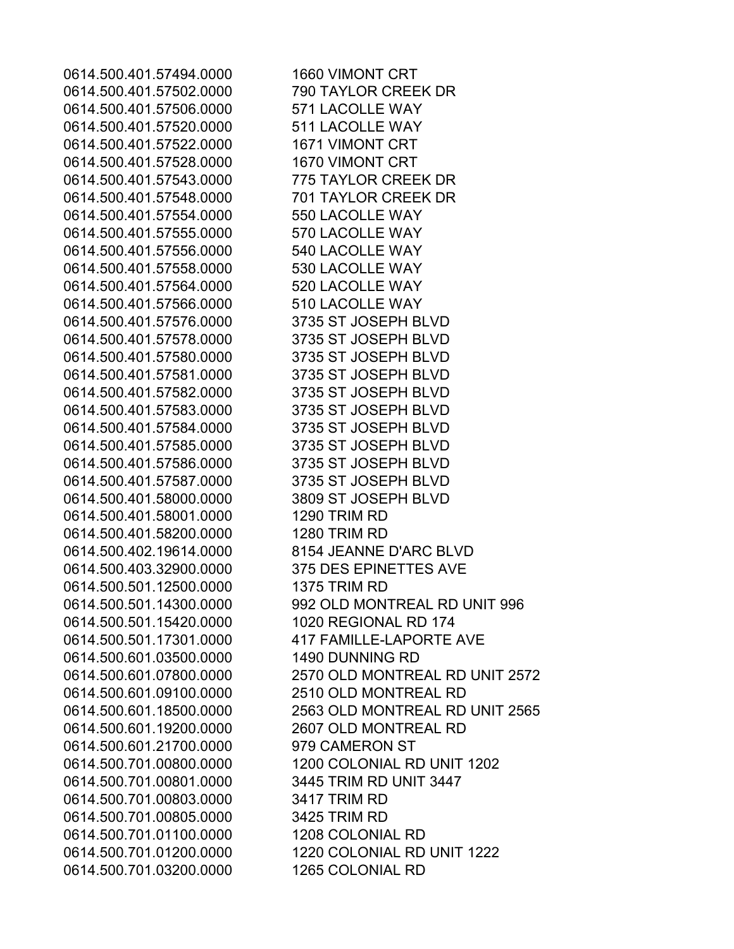0614.500.401.57494.0000 1660 VIMONT CRT 0614.500.401.57502.0000 790 TAYLOR CREEK DR 0614.500.401.57506.0000 571 LACOLLE WAY 0614.500.401.57520.0000 511 LACOLLE WAY 0614.500.401.57522.0000 1671 VIMONT CRT 0614.500.401.57528.0000 1670 VIMONT CRT 0614.500.401.57543.0000 775 TAYLOR CREEK DR 0614.500.401.57548.0000 701 TAYLOR CREEK DR 0614.500.401.57554.0000 550 LACOLLE WAY 0614.500.401.57555.0000 570 LACOLLE WAY 0614.500.401.57556.0000 540 LACOLLE WAY 0614.500.401.57558.0000 530 LACOLLE WAY 0614.500.401.57564.0000 520 LACOLLE WAY 0614.500.401.57566.0000 510 LACOLLE WAY 0614.500.401.57576.0000 3735 ST JOSEPH BLVD 0614.500.401.57578.0000 3735 ST JOSEPH BLVD 0614.500.401.57580.0000 3735 ST JOSEPH BLVD 0614.500.401.57581.0000 3735 ST JOSEPH BLVD 0614.500.401.57582.0000 3735 ST JOSEPH BLVD 0614.500.401.57583.0000 3735 ST JOSEPH BLVD 0614.500.401.57584.0000 3735 ST JOSEPH BLVD 0614.500.401.57585.0000 3735 ST JOSEPH BLVD 0614.500.401.57586.0000 3735 ST JOSEPH BLVD 0614.500.401.57587.0000 3735 ST JOSEPH BLVD 0614.500.401.58000.0000 3809 ST JOSEPH BLVD 0614.500.401.58001.0000 1290 TRIM RD 0614.500.401.58200.0000 1280 TRIM RD 0614.500.402.19614.0000 8154 JEANNE D'ARC BLVD 0614.500.403.32900.0000 375 DES EPINETTES AVE 0614.500.501.12500.0000 1375 TRIM RD 0614.500.501.15420.0000 1020 REGIONAL RD 174 0614.500.501.17301.0000 417 FAMILLE-LAPORTE AVE 0614.500.601.03500.0000 1490 DUNNING RD 0614.500.601.09100.0000 2510 OLD MONTREAL RD 0614.500.601.19200.0000 2607 OLD MONTREAL RD 0614.500.601.21700.0000 979 CAMERON ST 0614.500.701.00801.0000 3445 TRIM RD UNIT 3447 0614.500.701.00803.0000 3417 TRIM RD 0614.500.701.00805.0000 3425 TRIM RD 0614.500.701.01100.0000 1208 COLONIAL RD 0614.500.701.03200.0000 1265 COLONIAL RD

0614.500.501.14300.0000 992 OLD MONTREAL RD UNIT 996 0614.500.601.07800.0000 2570 OLD MONTREAL RD UNIT 2572 0614.500.601.18500.0000 2563 OLD MONTREAL RD UNIT 2565 0614.500.701.00800.0000 1200 COLONIAL RD UNIT 1202 0614.500.701.01200.0000 1220 COLONIAL RD UNIT 1222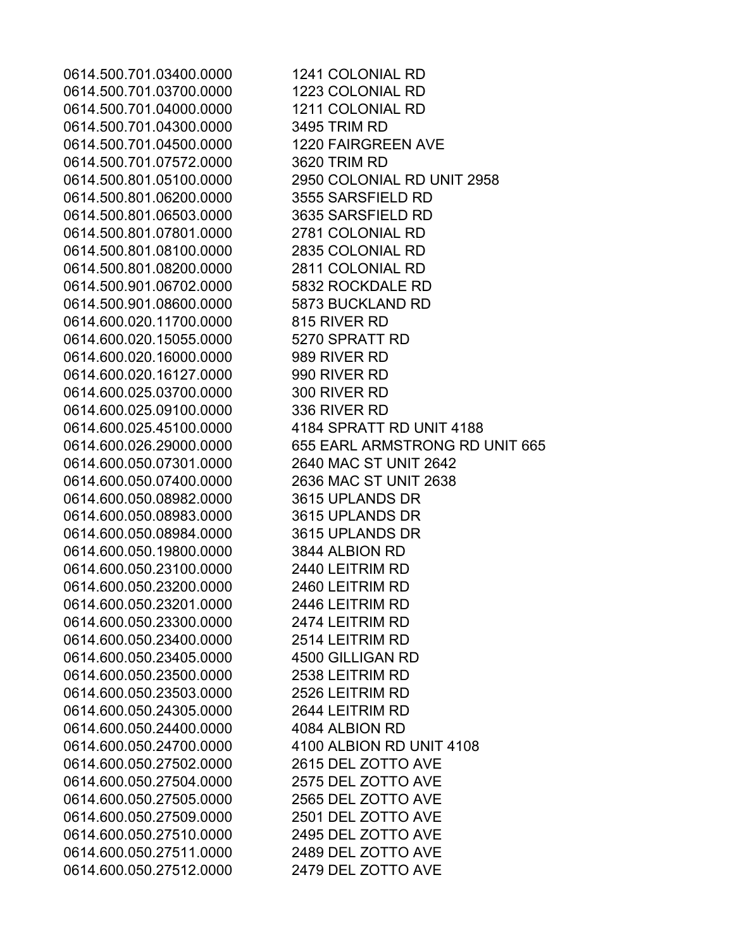0614.500.701.03400.0000 1241 COLONIAL RD 0614.500.701.03700.0000 1223 COLONIAL RD 0614.500.701.04000.0000 1211 COLONIAL RD 0614.500.701.04300.0000 3495 TRIM RD 0614.500.701.04500.0000 1220 FAIRGREEN AVE 0614.500.701.07572.0000 3620 TRIM RD 0614.500.801.05100.0000 2950 COLONIAL RD UNIT 2958 0614.500.801.06200.0000 3555 SARSFIELD RD 0614.500.801.06503.0000 3635 SARSFIELD RD 0614.500.801.07801.0000 2781 COLONIAL RD 0614.500.801.08100.0000 2835 COLONIAL RD 0614.500.801.08200.0000 2811 COLONIAL RD 0614.500.901.06702.0000 5832 ROCKDALE RD 0614.500.901.08600.0000 5873 BUCKLAND RD 0614.600.020.11700.0000 815 RIVER RD 0614.600.020.15055.0000 5270 SPRATT RD 0614.600.020.16000.0000 989 RIVER RD 0614.600.020.16127.0000 990 RIVER RD 0614.600.025.03700.0000 300 RIVER RD 0614.600.025.09100.0000 336 RIVER RD 0614.600.025.45100.0000 4184 SPRATT RD UNIT 4188 0614.600.026.29000.0000 655 EARL ARMSTRONG RD UNIT 665 0614.600.050.07301.0000 2640 MAC ST UNIT 2642 0614.600.050.07400.0000 2636 MAC ST UNIT 2638 0614.600.050.08982.0000 3615 UPLANDS DR 0614.600.050.08983.0000 3615 UPLANDS DR 0614.600.050.08984.0000 3615 UPLANDS DR 0614.600.050.19800.0000 3844 ALBION RD 0614.600.050.23100.0000 2440 LEITRIM RD 0614.600.050.23200.0000 2460 LEITRIM RD 0614.600.050.23201.0000 2446 LEITRIM RD 0614.600.050.23300.0000 2474 LEITRIM RD 0614.600.050.23400.0000 2514 LEITRIM RD 0614.600.050.23405.0000 4500 GILLIGAN RD 0614.600.050.23500.0000 2538 LEITRIM RD 0614.600.050.23503.0000 2526 LEITRIM RD 0614.600.050.24305.0000 2644 LEITRIM RD 0614.600.050.24400.0000 4084 ALBION RD 0614.600.050.24700.0000 4100 ALBION RD UNIT 4108 0614.600.050.27502.0000 2615 DEL ZOTTO AVE 0614.600.050.27504.0000 2575 DEL ZOTTO AVE 0614.600.050.27505.0000 2565 DEL ZOTTO AVE 0614.600.050.27509.0000 2501 DEL ZOTTO AVE 0614.600.050.27510.0000 2495 DEL ZOTTO AVE 0614.600.050.27511.0000 2489 DEL ZOTTO AVE 0614.600.050.27512.0000 2479 DEL ZOTTO AVE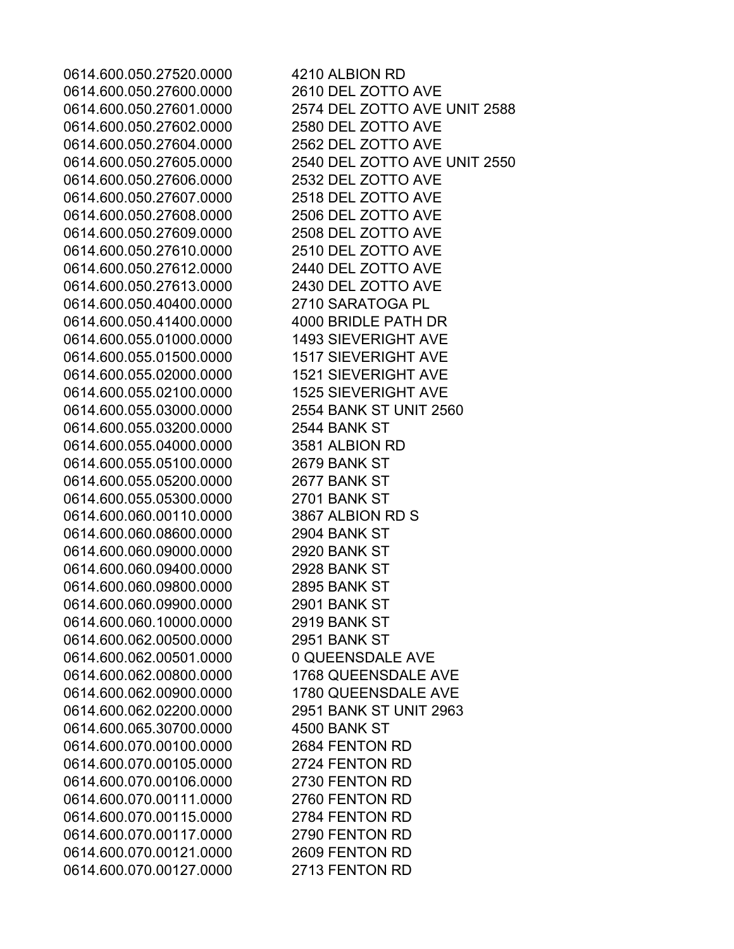0614.600.050.27520.0000 4210 ALBION RD 0614.600.050.27600.0000 2610 DEL ZOTTO AVE 0614.600.050.27602.0000 2580 DEL ZOTTO AVE 0614.600.050.27604.0000 2562 DEL ZOTTO AVE 0614.600.050.27606.0000 2532 DEL ZOTTO AVE 0614.600.050.27607.0000 2518 DEL ZOTTO AVE 0614.600.050.27608.0000 2506 DEL ZOTTO AVE 0614.600.050.27609.0000 2508 DEL ZOTTO AVE 0614.600.050.27610.0000 2510 DEL ZOTTO AVE 0614.600.050.27612.0000 2440 DEL ZOTTO AVE 0614.600.050.27613.0000 2430 DEL ZOTTO AVE 0614.600.050.40400.0000 2710 SARATOGA PL 0614.600.050.41400.0000 4000 BRIDLE PATH DR 0614.600.055.01000.0000 1493 SIEVERIGHT AVE 0614.600.055.01500.0000 1517 SIEVERIGHT AVE 0614.600.055.02000.0000 1521 SIEVERIGHT AVE 0614.600.055.02100.0000 1525 SIEVERIGHT AVE 0614.600.055.03000.0000 2554 BANK ST UNIT 2560 0614.600.055.03200.0000 2544 BANK ST 0614.600.055.04000.0000 3581 ALBION RD 0614.600.055.05100.0000 2679 BANK ST 0614.600.055.05200.0000 2677 BANK ST 0614.600.055.05300.0000 2701 BANK ST 0614.600.060.00110.0000 3867 ALBION RD S 0614.600.060.08600.0000 2904 BANK ST 0614.600.060.09000.0000 2920 BANK ST 0614.600.060.09400.0000 2928 BANK ST 0614.600.060.09800.0000 2895 BANK ST 0614.600.060.09900.0000 2901 BANK ST 0614.600.060.10000.0000 2919 BANK ST 0614.600.062.00500.0000 2951 BANK ST 0614.600.062.00501.0000 0 QUEENSDALE AVE 0614.600.062.00800.0000 1768 QUEENSDALE AVE 0614.600.062.00900.0000 1780 QUEENSDALE AVE 0614.600.062.02200.0000 2951 BANK ST UNIT 2963 0614.600.065.30700.0000 4500 BANK ST 0614.600.070.00100.0000 2684 FENTON RD 0614.600.070.00105.0000 2724 FENTON RD 0614.600.070.00106.0000 2730 FENTON RD 0614.600.070.00111.0000 2760 FENTON RD 0614.600.070.00115.0000 2784 FENTON RD 0614.600.070.00117.0000 2790 FENTON RD 0614.600.070.00121.0000 2609 FENTON RD 0614.600.070.00127.0000 2713 FENTON RD

0614.600.050.27601.0000 2574 DEL ZOTTO AVE UNIT 2588 0614.600.050.27605.0000 2540 DEL ZOTTO AVE UNIT 2550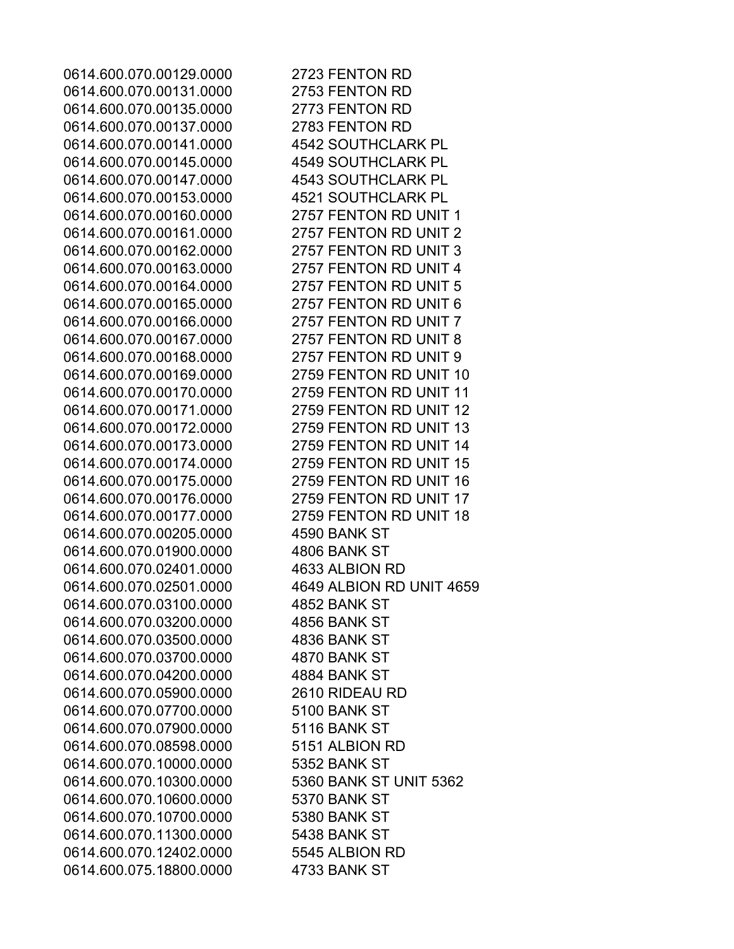0614.600.070.00129.0000 2723 FENTON RD 0614.600.070.00131.0000 2753 FENTON RD 0614.600.070.00135.0000 2773 FENTON RD 0614.600.070.00137.0000 2783 FENTON RD 0614.600.070.00141.0000 4542 SOUTHCLARK PL 0614.600.070.00145.0000 4549 SOUTHCLARK PL 0614.600.070.00147.0000 4543 SOUTHCLARK PL 0614.600.070.00153.0000 4521 SOUTHCLARK PL 0614.600.070.00160.0000 2757 FENTON RD UNIT 1 0614.600.070.00161.0000 2757 FENTON RD UNIT 2 0614.600.070.00162.0000 2757 FENTON RD UNIT 3 0614.600.070.00163.0000 2757 FENTON RD UNIT 4 0614.600.070.00164.0000 2757 FENTON RD UNIT 5 0614.600.070.00165.0000 2757 FENTON RD UNIT 6 0614.600.070.00166.0000 2757 FENTON RD UNIT 7 0614.600.070.00167.0000 2757 FENTON RD UNIT 8 0614.600.070.00168.0000 2757 FENTON RD UNIT 9 0614.600.070.00169.0000 2759 FENTON RD UNIT 10 0614.600.070.00170.0000 2759 FENTON RD UNIT 11 0614.600.070.00171.0000 2759 FENTON RD UNIT 12 0614.600.070.00172.0000 2759 FENTON RD UNIT 13 0614.600.070.00173.0000 2759 FENTON RD UNIT 14 0614.600.070.00174.0000 2759 FENTON RD UNIT 15 0614.600.070.00175.0000 2759 FENTON RD UNIT 16 0614.600.070.00176.0000 2759 FENTON RD UNIT 17 0614.600.070.00177.0000 2759 FENTON RD UNIT 18 0614.600.070.00205.0000 4590 BANK ST 0614.600.070.01900.0000 4806 BANK ST 0614.600.070.02401.0000 4633 ALBION RD 0614.600.070.02501.0000 4649 ALBION RD UNIT 4659 0614.600.070.03100.0000 4852 BANK ST 0614.600.070.03200.0000 4856 BANK ST 0614.600.070.03500.0000 4836 BANK ST 0614.600.070.03700.0000 4870 BANK ST 0614.600.070.04200.0000 4884 BANK ST 0614.600.070.05900.0000 2610 RIDEAU RD 0614.600.070.07700.0000 5100 BANK ST 0614.600.070.07900.0000 5116 BANK ST 0614.600.070.08598.0000 5151 ALBION RD 0614.600.070.10000.0000 5352 BANK ST 0614.600.070.10300.0000 5360 BANK ST UNIT 5362 0614.600.070.10600.0000 5370 BANK ST 0614.600.070.10700.0000 5380 BANK ST 0614.600.070.11300.0000 5438 BANK ST 0614.600.070.12402.0000 5545 ALBION RD 0614.600.075.18800.0000 4733 BANK ST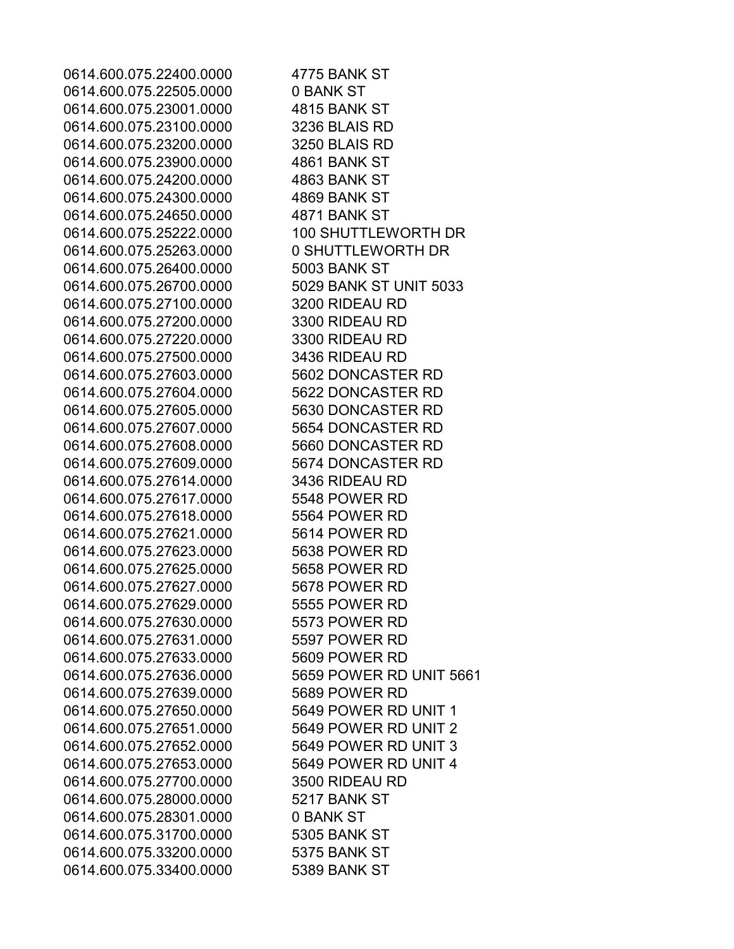0614.600.075.22400.0000 4775 BANK ST 0614.600.075.22505.0000 0 BANK ST 0614.600.075.23001.0000 4815 BANK ST 0614.600.075.23100.0000 3236 BLAIS RD 0614.600.075.23200.0000 3250 BLAIS RD 0614.600.075.23900.0000 4861 BANK ST 0614.600.075.24200.0000 4863 BANK ST 0614.600.075.24300.0000 4869 BANK ST 0614.600.075.24650.0000 4871 BANK ST 0614.600.075.25222.0000 100 SHUTTLEWORTH DR 0614.600.075.25263.0000 0 SHUTTLEWORTH DR 0614.600.075.26400.0000 5003 BANK ST 0614.600.075.26700.0000 5029 BANK ST UNIT 5033 0614.600.075.27100.0000 3200 RIDEAU RD 0614.600.075.27200.0000 3300 RIDEAU RD 0614.600.075.27220.0000 3300 RIDEAU RD 0614.600.075.27500.0000 3436 RIDEAU RD 0614.600.075.27603.0000 5602 DONCASTER RD 0614.600.075.27604.0000 5622 DONCASTER RD 0614.600.075.27605.0000 5630 DONCASTER RD 0614.600.075.27607.0000 5654 DONCASTER RD 0614.600.075.27608.0000 5660 DONCASTER RD 0614.600.075.27609.0000 5674 DONCASTER RD 0614.600.075.27614.0000 3436 RIDEAU RD 0614.600.075.27617.0000 5548 POWER RD 0614.600.075.27618.0000 5564 POWER RD 0614.600.075.27621.0000 5614 POWER RD 0614.600.075.27623.0000 5638 POWER RD 0614.600.075.27625.0000 5658 POWER RD 0614.600.075.27627.0000 5678 POWER RD 0614.600.075.27629.0000 5555 POWER RD 0614.600.075.27630.0000 5573 POWER RD 0614.600.075.27631.0000 5597 POWER RD 0614.600.075.27633.0000 5609 POWER RD 0614.600.075.27636.0000 5659 POWER RD UNIT 5661 0614.600.075.27639.0000 5689 POWER RD 0614.600.075.27650.0000 5649 POWER RD UNIT 1 0614.600.075.27651.0000 5649 POWER RD UNIT 2 0614.600.075.27652.0000 5649 POWER RD UNIT 3 0614.600.075.27653.0000 5649 POWER RD UNIT 4 0614.600.075.27700.0000 3500 RIDEAU RD 0614.600.075.28000.0000 5217 BANK ST 0614.600.075.28301.0000 0 BANK ST 0614.600.075.31700.0000 5305 BANK ST 0614.600.075.33200.0000 5375 BANK ST 0614.600.075.33400.0000 5389 BANK ST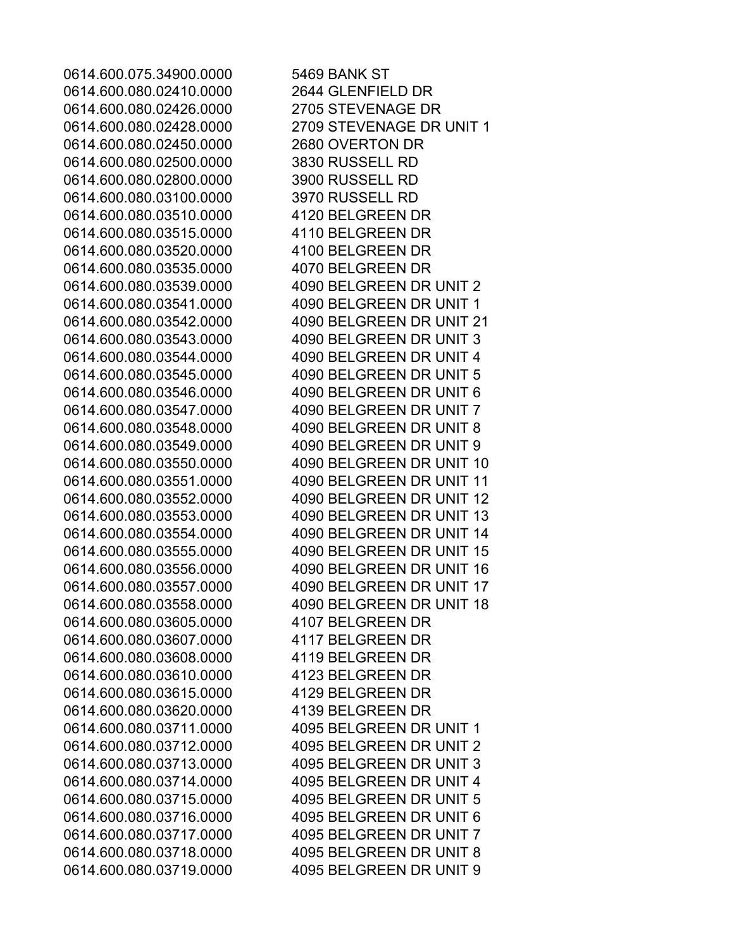0614.600.075.34900.0000 5469 BANK ST 0614.600.080.02410.0000 2644 GLENFIELD DR 0614.600.080.02426.0000 2705 STEVENAGE DR 0614.600.080.02450.0000 2680 OVERTON DR 0614.600.080.02500.0000 3830 RUSSELL RD 0614.600.080.02800.0000 3900 RUSSELL RD 0614.600.080.03100.0000 3970 RUSSELL RD 0614.600.080.03510.0000 4120 BELGREEN DR 0614.600.080.03515.0000 4110 BELGREEN DR 0614.600.080.03520.0000 4100 BELGREEN DR 0614.600.080.03535.0000 4070 BELGREEN DR 0614.600.080.03605.0000 4107 BELGREEN DR 0614.600.080.03607.0000 4117 BELGREEN DR 0614.600.080.03608.0000 4119 BELGREEN DR 0614.600.080.03610.0000 4123 BELGREEN DR 0614.600.080.03615.0000 4129 BELGREEN DR 0614.600.080.03620.0000 4139 BELGREEN DR

0614.600.080.02428.0000 2709 STEVENAGE DR UNIT 1 0614.600.080.03539.0000 4090 BELGREEN DR UNIT 2 0614.600.080.03541.0000 4090 BELGREEN DR UNIT 1 0614.600.080.03542.0000 4090 BELGREEN DR UNIT 21 0614.600.080.03543.0000 4090 BELGREEN DR UNIT 3 0614.600.080.03544.0000 4090 BELGREEN DR UNIT 4 0614.600.080.03545.0000 4090 BELGREEN DR UNIT 5 0614.600.080.03546.0000 4090 BELGREEN DR UNIT 6 0614.600.080.03547.0000 4090 BELGREEN DR UNIT 7 0614.600.080.03548.0000 4090 BELGREEN DR UNIT 8 0614.600.080.03549.0000 4090 BELGREEN DR UNIT 9 0614.600.080.03550.0000 4090 BELGREEN DR UNIT 10 0614.600.080.03551.0000 4090 BELGREEN DR UNIT 11 0614.600.080.03552.0000 4090 BELGREEN DR UNIT 12 0614.600.080.03553.0000 4090 BELGREEN DR UNIT 13 0614.600.080.03554.0000 4090 BELGREEN DR UNIT 14 0614.600.080.03555.0000 4090 BELGREEN DR UNIT 15 0614.600.080.03556.0000 4090 BELGREEN DR UNIT 16 0614.600.080.03557.0000 4090 BELGREEN DR UNIT 17 0614.600.080.03558.0000 4090 BELGREEN DR UNIT 18 0614.600.080.03711.0000 4095 BELGREEN DR UNIT 1 0614.600.080.03712.0000 4095 BELGREEN DR UNIT 2 0614.600.080.03713.0000 4095 BELGREEN DR UNIT 3 0614.600.080.03714.0000 4095 BELGREEN DR UNIT 4 0614.600.080.03715.0000 4095 BELGREEN DR UNIT 5 0614.600.080.03716.0000 4095 BELGREEN DR UNIT 6 0614.600.080.03717.0000 4095 BELGREEN DR UNIT 7 0614.600.080.03718.0000 4095 BELGREEN DR UNIT 8 0614.600.080.03719.0000 4095 BELGREEN DR UNIT 9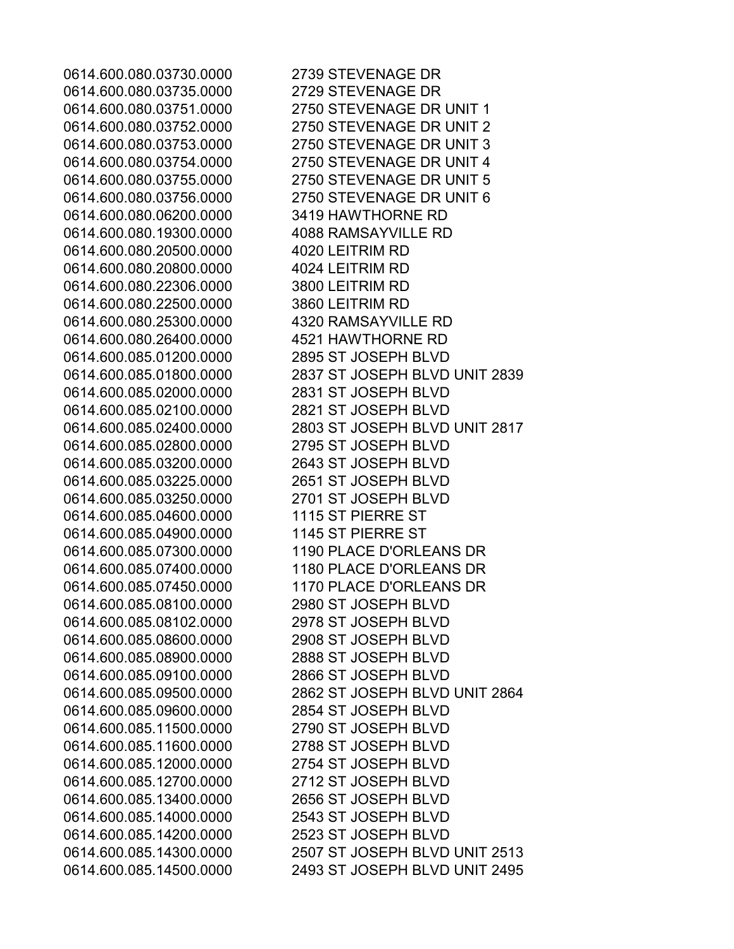0614.600.080.03735.0000 2729 STEVENAGE DR 0614.600.080.06200.0000 3419 HAWTHORNE RD 0614.600.080.19300.0000 4088 RAMSAYVILLE RD 0614.600.080.20500.0000 4020 LEITRIM RD 0614.600.080.20800.0000 4024 LEITRIM RD 0614.600.080.22306.0000 3800 LEITRIM RD 0614.600.080.22500.0000 3860 LEITRIM RD 0614.600.080.25300.0000 4320 RAMSAYVILLE RD 0614.600.080.26400.0000 4521 HAWTHORNE RD 0614.600.085.01200.0000 2895 ST JOSEPH BLVD 0614.600.085.02000.0000 2831 ST JOSEPH BLVD 0614.600.085.02100.0000 2821 ST JOSEPH BLVD 0614.600.085.02800.0000 2795 ST JOSEPH BLVD 0614.600.085.03200.0000 2643 ST JOSEPH BLVD 0614.600.085.03225.0000 2651 ST JOSEPH BLVD 0614.600.085.03250.0000 2701 ST JOSEPH BLVD 0614.600.085.04600.0000 1115 ST PIERRE ST 0614.600.085.04900.0000 1145 ST PIERRE ST 0614.600.085.08100.0000 2980 ST JOSEPH BLVD 0614.600.085.08102.0000 2978 ST JOSEPH BLVD 0614.600.085.08600.0000 2908 ST JOSEPH BLVD 0614.600.085.08900.0000 2888 ST JOSEPH BLVD 0614.600.085.09100.0000 2866 ST JOSEPH BLVD 0614.600.085.09600.0000 2854 ST JOSEPH BLVD 0614.600.085.11500.0000 2790 ST JOSEPH BLVD 0614.600.085.11600.0000 2788 ST JOSEPH BLVD 0614.600.085.12000.0000 2754 ST JOSEPH BLVD 0614.600.085.12700.0000 2712 ST JOSEPH BLVD 0614.600.085.13400.0000 2656 ST JOSEPH BLVD 0614.600.085.14000.0000 2543 ST JOSEPH BLVD 0614.600.085.14200.0000 2523 ST JOSEPH BLVD

0614.600.080.03730.0000 2739 STEVENAGE DR 0614.600.080.03751.0000 2750 STEVENAGE DR UNIT 1 0614.600.080.03752.0000 2750 STEVENAGE DR UNIT 2 0614.600.080.03753.0000 2750 STEVENAGE DR UNIT 3 0614.600.080.03754.0000 2750 STEVENAGE DR UNIT 4 0614.600.080.03755.0000 2750 STEVENAGE DR UNIT 5 0614.600.080.03756.0000 2750 STEVENAGE DR UNIT 6 0614.600.085.01800.0000 2837 ST JOSEPH BLVD UNIT 2839 0614.600.085.02400.0000 2803 ST JOSEPH BLVD UNIT 2817 0614.600.085.07300.0000 1190 PLACE D'ORLEANS DR 0614.600.085.07400.0000 1180 PLACE D'ORLEANS DR 0614.600.085.07450.0000 1170 PLACE D'ORLEANS DR 0614.600.085.09500.0000 2862 ST JOSEPH BLVD UNIT 2864 0614.600.085.14300.0000 2507 ST JOSEPH BLVD UNIT 2513 0614.600.085.14500.0000 2493 ST JOSEPH BLVD UNIT 2495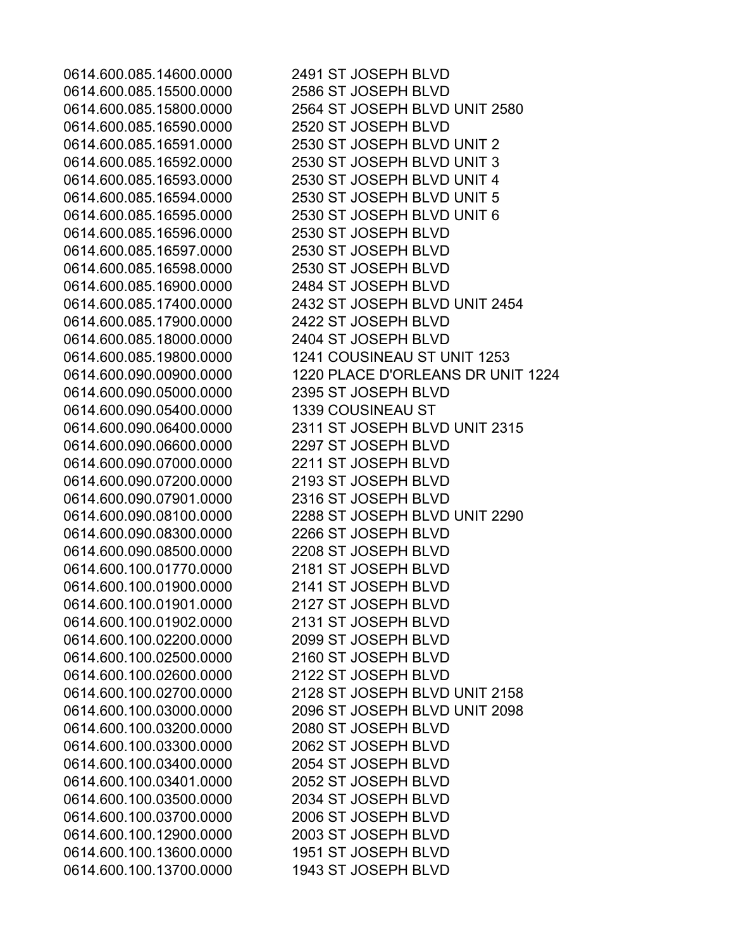0614.600.085.15500.0000 2586 ST JOSEPH BLVD 0614.600.085.16590.0000 2520 ST JOSEPH BLVD 0614.600.085.16596.0000 2530 ST JOSEPH BLVD 0614.600.085.16597.0000 2530 ST JOSEPH BLVD 0614.600.085.16598.0000 2530 ST JOSEPH BLVD 0614.600.085.16900.0000 2484 ST JOSEPH BLVD 0614.600.085.17900.0000 2422 ST JOSEPH BLVD 0614.600.085.18000.0000 2404 ST JOSEPH BLVD 0614.600.090.05000.0000 2395 ST JOSEPH BLVD 0614.600.090.05400.0000 1339 COUSINEAU ST 0614.600.090.06600.0000 2297 ST JOSEPH BLVD 0614.600.090.07000.0000 2211 ST JOSEPH BLVD 0614.600.090.07200.0000 2193 ST JOSEPH BLVD 0614.600.090.07901.0000 2316 ST JOSEPH BLVD 0614.600.090.08300.0000 2266 ST JOSEPH BLVD 0614.600.090.08500.0000 2208 ST JOSEPH BLVD 0614.600.100.01770.0000 2181 ST JOSEPH BLVD 0614.600.100.01900.0000 2141 ST JOSEPH BLVD 0614.600.100.01901.0000 2127 ST JOSEPH BLVD 0614.600.100.01902.0000 2131 ST JOSEPH BLVD 0614.600.100.02200.0000 2099 ST JOSEPH BLVD 0614.600.100.02500.0000 2160 ST JOSEPH BLVD 0614.600.100.02600.0000 2122 ST JOSEPH BLVD 0614.600.100.03200.0000 2080 ST JOSEPH BLVD 0614.600.100.03300.0000 2062 ST JOSEPH BLVD 0614.600.100.03400.0000 2054 ST JOSEPH BLVD 0614.600.100.03401.0000 2052 ST JOSEPH BLVD 0614.600.100.03500.0000 2034 ST JOSEPH BLVD 0614.600.100.03700.0000 2006 ST JOSEPH BLVD 0614.600.100.12900.0000 2003 ST JOSEPH BLVD 0614.600.100.13600.0000 1951 ST JOSEPH BLVD 0614.600.100.13700.0000 1943 ST JOSEPH BLVD

0614.600.085.14600.0000 2491 ST JOSEPH BLVD 0614.600.085.15800.0000 2564 ST JOSEPH BLVD UNIT 2580 0614.600.085.16591.0000 2530 ST JOSEPH BLVD UNIT 2 0614.600.085.16592.0000 2530 ST JOSEPH BLVD UNIT 3 0614.600.085.16593.0000 2530 ST JOSEPH BLVD UNIT 4 0614.600.085.16594.0000 2530 ST JOSEPH BLVD UNIT 5 0614.600.085.16595.0000 2530 ST JOSEPH BLVD UNIT 6 0614.600.085.17400.0000 2432 ST JOSEPH BLVD UNIT 2454 0614.600.085.19800.0000 1241 COUSINEAU ST UNIT 1253 0614.600.090.00900.0000 1220 PLACE D'ORLEANS DR UNIT 1224 0614.600.090.06400.0000 2311 ST JOSEPH BLVD UNIT 2315 0614.600.090.08100.0000 2288 ST JOSEPH BLVD UNIT 2290 0614.600.100.02700.0000 2128 ST JOSEPH BLVD UNIT 2158 0614.600.100.03000.0000 2096 ST JOSEPH BLVD UNIT 2098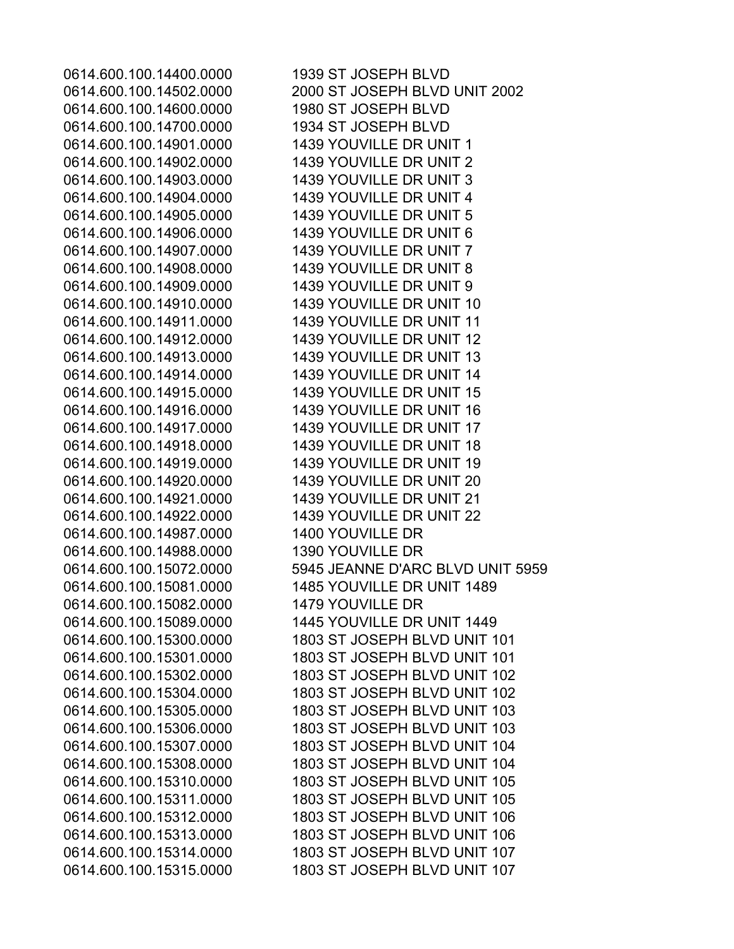0614.600.100.14400.0000 1939 ST JOSEPH BLVD 0614.600.100.14600.0000 1980 ST JOSEPH BLVD 0614.600.100.14700.0000 1934 ST JOSEPH BLVD 0614.600.100.14901.0000 1439 YOUVILLE DR UNIT 1 0614.600.100.14902.0000 1439 YOUVILLE DR UNIT 2 0614.600.100.14903.0000 1439 YOUVILLE DR UNIT 3 0614.600.100.14904.0000 1439 YOUVILLE DR UNIT 4 0614.600.100.14905.0000 1439 YOUVILLE DR UNIT 5 0614.600.100.14906.0000 1439 YOUVILLE DR UNIT 6 0614.600.100.14907.0000 1439 YOUVILLE DR UNIT 7 0614.600.100.14908.0000 1439 YOUVILLE DR UNIT 8 0614.600.100.14909.0000 1439 YOUVILLE DR UNIT 9 0614.600.100.14910.0000 1439 YOUVILLE DR UNIT 10 0614.600.100.14911.0000 1439 YOUVILLE DR UNIT 11 0614.600.100.14912.0000 1439 YOUVILLE DR UNIT 12 0614.600.100.14913.0000 1439 YOUVILLE DR UNIT 13 0614.600.100.14914.0000 1439 YOUVILLE DR UNIT 14 0614.600.100.14915.0000 1439 YOUVILLE DR UNIT 15 0614.600.100.14916.0000 1439 YOUVILLE DR UNIT 16 0614.600.100.14917.0000 1439 YOUVILLE DR UNIT 17 0614.600.100.14918.0000 1439 YOUVILLE DR UNIT 18 0614.600.100.14919.0000 1439 YOUVILLE DR UNIT 19 0614.600.100.14920.0000 1439 YOUVILLE DR UNIT 20 0614.600.100.14921.0000 1439 YOUVILLE DR UNIT 21 0614.600.100.14922.0000 1439 YOUVILLE DR UNIT 22 0614.600.100.14987.0000 1400 YOUVILLE DR 0614.600.100.14988.0000 1390 YOUVILLE DR 0614.600.100.15082.0000 1479 YOUVILLE DR

0614.600.100.14502.0000 2000 ST JOSEPH BLVD UNIT 2002 0614.600.100.15072.0000 5945 JEANNE D'ARC BLVD UNIT 5959 0614.600.100.15081.0000 1485 YOUVILLE DR UNIT 1489 0614.600.100.15089.0000 1445 YOUVILLE DR UNIT 1449 0614.600.100.15300.0000 1803 ST JOSEPH BLVD UNIT 101 0614.600.100.15301.0000 1803 ST JOSEPH BLVD UNIT 101 0614.600.100.15302.0000 1803 ST JOSEPH BLVD UNIT 102 0614.600.100.15304.0000 1803 ST JOSEPH BLVD UNIT 102 0614.600.100.15305.0000 1803 ST JOSEPH BLVD UNIT 103 0614.600.100.15306.0000 1803 ST JOSEPH BLVD UNIT 103 0614.600.100.15307.0000 1803 ST JOSEPH BLVD UNIT 104 0614.600.100.15308.0000 1803 ST JOSEPH BLVD UNIT 104 0614.600.100.15310.0000 1803 ST JOSEPH BLVD UNIT 105 0614.600.100.15311.0000 1803 ST JOSEPH BLVD UNIT 105 0614.600.100.15312.0000 1803 ST JOSEPH BLVD UNIT 106 0614.600.100.15313.0000 1803 ST JOSEPH BLVD UNIT 106 0614.600.100.15314.0000 1803 ST JOSEPH BLVD UNIT 107 0614.600.100.15315.0000 1803 ST JOSEPH BLVD UNIT 107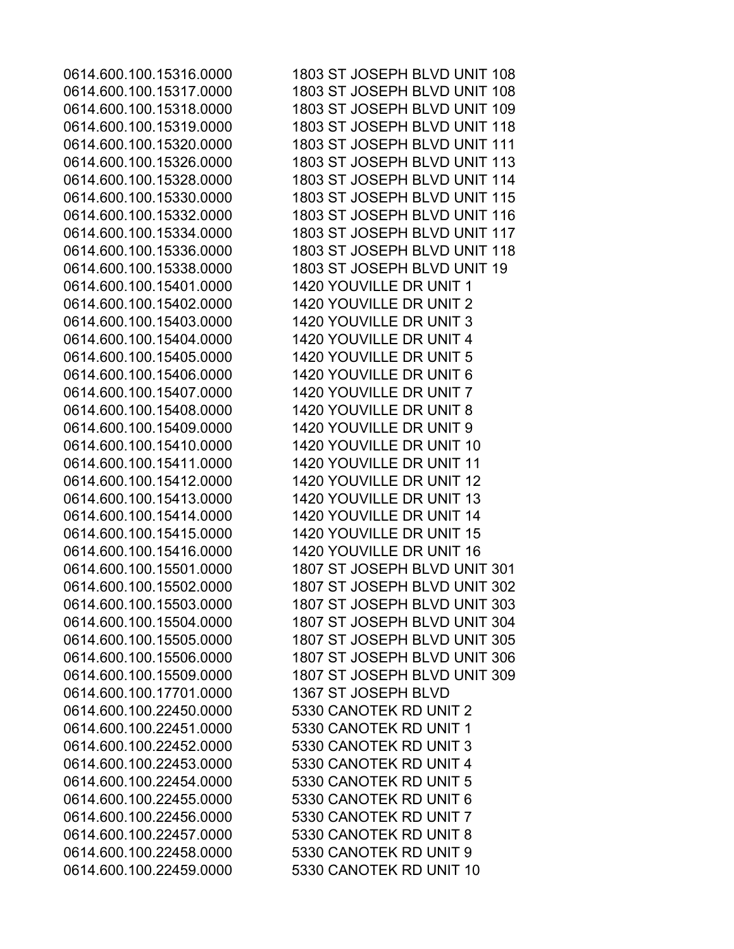0614.600.100.15401.0000 1420 YOUVILLE DR UNIT 1 0614.600.100.15402.0000 1420 YOUVILLE DR UNIT 2 0614.600.100.15403.0000 1420 YOUVILLE DR UNIT 3 0614.600.100.15404.0000 1420 YOUVILLE DR UNIT 4 0614.600.100.15405.0000 1420 YOUVILLE DR UNIT 5 0614.600.100.15406.0000 1420 YOUVILLE DR UNIT 6 0614.600.100.15407.0000 1420 YOUVILLE DR UNIT 7 0614.600.100.15408.0000 1420 YOUVILLE DR UNIT 8 0614.600.100.15409.0000 1420 YOUVILLE DR UNIT 9 0614.600.100.17701.0000 1367 ST JOSEPH BLVD 0614.600.100.22450.0000 5330 CANOTEK RD UNIT 2 0614.600.100.22451.0000 5330 CANOTEK RD UNIT 1 0614.600.100.22452.0000 5330 CANOTEK RD UNIT 3 0614.600.100.22453.0000 5330 CANOTEK RD UNIT 4 0614.600.100.22454.0000 5330 CANOTEK RD UNIT 5 0614.600.100.22455.0000 5330 CANOTEK RD UNIT 6 0614.600.100.22456.0000 5330 CANOTEK RD UNIT 7 0614.600.100.22457.0000 5330 CANOTEK RD UNIT 8 0614.600.100.22458.0000 5330 CANOTEK RD UNIT 9 0614.600.100.22459.0000 5330 CANOTEK RD UNIT 10

0614.600.100.15316.0000 1803 ST JOSEPH BLVD UNIT 108 0614.600.100.15317.0000 1803 ST JOSEPH BLVD UNIT 108 0614.600.100.15318.0000 1803 ST JOSEPH BLVD UNIT 109 0614.600.100.15319.0000 1803 ST JOSEPH BLVD UNIT 118 0614.600.100.15320.0000 1803 ST JOSEPH BLVD UNIT 111 0614.600.100.15326.0000 1803 ST JOSEPH BLVD UNIT 113 0614.600.100.15328.0000 1803 ST JOSEPH BLVD UNIT 114 0614.600.100.15330.0000 1803 ST JOSEPH BLVD UNIT 115 0614.600.100.15332.0000 1803 ST JOSEPH BLVD UNIT 116 0614.600.100.15334.0000 1803 ST JOSEPH BLVD UNIT 117 0614.600.100.15336.0000 1803 ST JOSEPH BLVD UNIT 118 0614.600.100.15338.0000 1803 ST JOSEPH BLVD UNIT 19 0614.600.100.15410.0000 1420 YOUVILLE DR UNIT 10 0614.600.100.15411.0000 1420 YOUVILLE DR UNIT 11 0614.600.100.15412.0000 1420 YOUVILLE DR UNIT 12 0614.600.100.15413.0000 1420 YOUVILLE DR UNIT 13 0614.600.100.15414.0000 1420 YOUVILLE DR UNIT 14 0614.600.100.15415.0000 1420 YOUVILLE DR UNIT 15 0614.600.100.15416.0000 1420 YOUVILLE DR UNIT 16 0614.600.100.15501.0000 1807 ST JOSEPH BLVD UNIT 301 0614.600.100.15502.0000 1807 ST JOSEPH BLVD UNIT 302 0614.600.100.15503.0000 1807 ST JOSEPH BLVD UNIT 303 0614.600.100.15504.0000 1807 ST JOSEPH BLVD UNIT 304 0614.600.100.15505.0000 1807 ST JOSEPH BLVD UNIT 305 0614.600.100.15506.0000 1807 ST JOSEPH BLVD UNIT 306 0614.600.100.15509.0000 1807 ST JOSEPH BLVD UNIT 309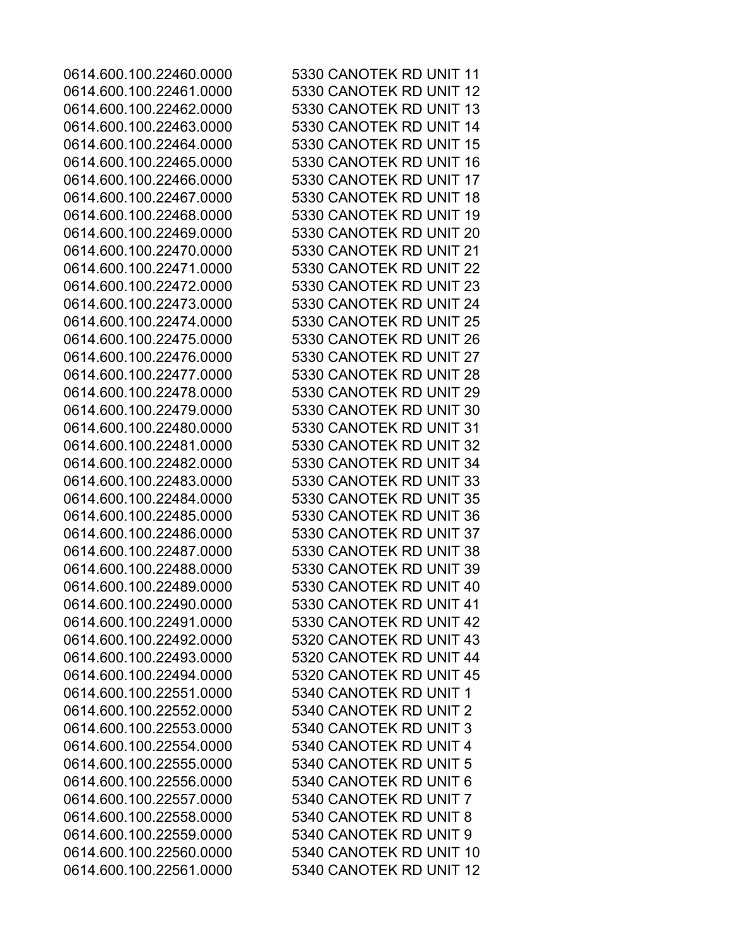0614.600.100.22551.0000 5340 CANOTEK RD UNIT 1 0614.600.100.22552.0000 5340 CANOTEK RD UNIT 2 0614.600.100.22553.0000 5340 CANOTEK RD UNIT 3 0614.600.100.22554.0000 5340 CANOTEK RD UNIT 4 0614.600.100.22555.0000 5340 CANOTEK RD UNIT 5 0614.600.100.22556.0000 5340 CANOTEK RD UNIT 6 0614.600.100.22557.0000 5340 CANOTEK RD UNIT 7 0614.600.100.22558.0000 5340 CANOTEK RD UNIT 8 0614.600.100.22559.0000 5340 CANOTEK RD UNIT 9

0614.600.100.22460.0000 5330 CANOTEK RD UNIT 11 0614.600.100.22461.0000 5330 CANOTEK RD UNIT 12 0614.600.100.22462.0000 5330 CANOTEK RD UNIT 13 0614.600.100.22463.0000 5330 CANOTEK RD UNIT 14 0614.600.100.22464.0000 5330 CANOTEK RD UNIT 15 0614.600.100.22465.0000 5330 CANOTEK RD UNIT 16 0614.600.100.22466.0000 5330 CANOTEK RD UNIT 17 0614.600.100.22467.0000 5330 CANOTEK RD UNIT 18 0614.600.100.22468.0000 5330 CANOTEK RD UNIT 19 0614.600.100.22469.0000 5330 CANOTEK RD UNIT 20 0614.600.100.22470.0000 5330 CANOTEK RD UNIT 21 0614.600.100.22471.0000 5330 CANOTEK RD UNIT 22 0614.600.100.22472.0000 5330 CANOTEK RD UNIT 23 0614.600.100.22473.0000 5330 CANOTEK RD UNIT 24 0614.600.100.22474.0000 5330 CANOTEK RD UNIT 25 0614.600.100.22475.0000 5330 CANOTEK RD UNIT 26 0614.600.100.22476.0000 5330 CANOTEK RD UNIT 27 0614.600.100.22477.0000 5330 CANOTEK RD UNIT 28 0614.600.100.22478.0000 5330 CANOTEK RD UNIT 29 0614.600.100.22479.0000 5330 CANOTEK RD UNIT 30 0614.600.100.22480.0000 5330 CANOTEK RD UNIT 31 0614.600.100.22481.0000 5330 CANOTEK RD UNIT 32 0614.600.100.22482.0000 5330 CANOTEK RD UNIT 34 0614.600.100.22483.0000 5330 CANOTEK RD UNIT 33 0614.600.100.22484.0000 5330 CANOTEK RD UNIT 35 0614.600.100.22485.0000 5330 CANOTEK RD UNIT 36 0614.600.100.22486.0000 5330 CANOTEK RD UNIT 37 0614.600.100.22487.0000 5330 CANOTEK RD UNIT 38 0614.600.100.22488.0000 5330 CANOTEK RD UNIT 39 0614.600.100.22489.0000 5330 CANOTEK RD UNIT 40 0614.600.100.22490.0000 5330 CANOTEK RD UNIT 41 0614.600.100.22491.0000 5330 CANOTEK RD UNIT 42 0614.600.100.22492.0000 5320 CANOTEK RD UNIT 43 0614.600.100.22493.0000 5320 CANOTEK RD UNIT 44 0614.600.100.22494.0000 5320 CANOTEK RD UNIT 45 0614.600.100.22560.0000 5340 CANOTEK RD UNIT 10 0614.600.100.22561.0000 5340 CANOTEK RD UNIT 12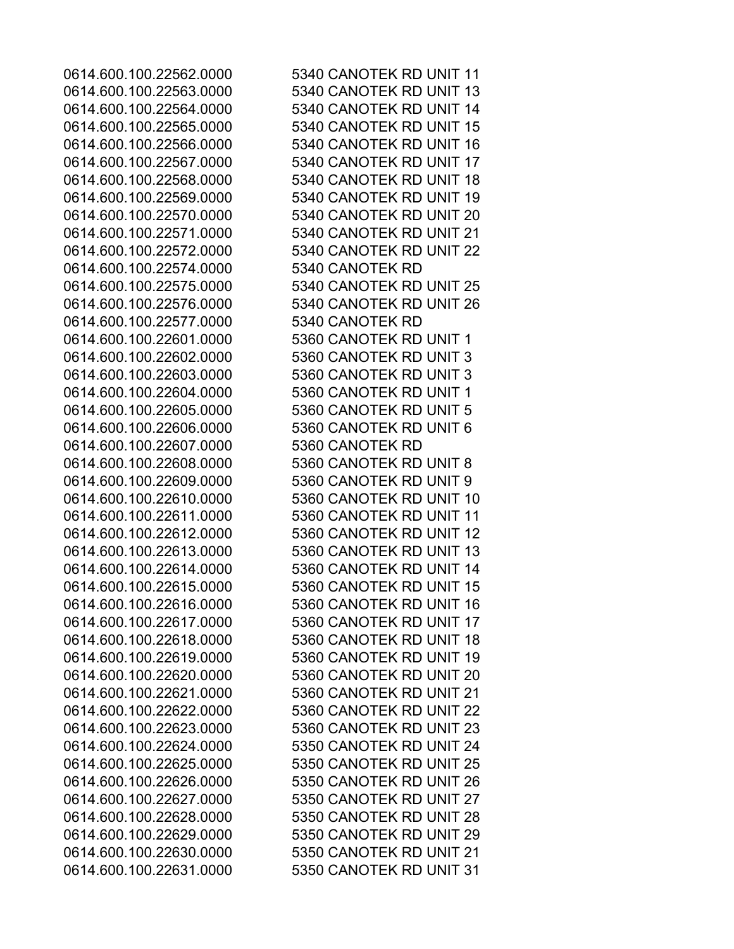0614.600.100.22574.0000 5340 CANOTEK RD 0614.600.100.22577.0000 5340 CANOTEK RD 0614.600.100.22601.0000 5360 CANOTEK RD UNIT 1 0614.600.100.22602.0000 5360 CANOTEK RD UNIT 3 0614.600.100.22603.0000 5360 CANOTEK RD UNIT 3 0614.600.100.22604.0000 5360 CANOTEK RD UNIT 1 0614.600.100.22605.0000 5360 CANOTEK RD UNIT 5 0614.600.100.22606.0000 5360 CANOTEK RD UNIT 6 0614.600.100.22607.0000 5360 CANOTEK RD 0614.600.100.22608.0000 5360 CANOTEK RD UNIT 8 0614.600.100.22609.0000 5360 CANOTEK RD UNIT 9

0614.600.100.22562.0000 5340 CANOTEK RD UNIT 11 0614.600.100.22563.0000 5340 CANOTEK RD UNIT 13 0614.600.100.22564.0000 5340 CANOTEK RD UNIT 14 0614.600.100.22565.0000 5340 CANOTEK RD UNIT 15 0614.600.100.22566.0000 5340 CANOTEK RD UNIT 16 0614.600.100.22567.0000 5340 CANOTEK RD UNIT 17 0614.600.100.22568.0000 5340 CANOTEK RD UNIT 18 0614.600.100.22569.0000 5340 CANOTEK RD UNIT 19 0614.600.100.22570.0000 5340 CANOTEK RD UNIT 20 0614.600.100.22571.0000 5340 CANOTEK RD UNIT 21 0614.600.100.22572.0000 5340 CANOTEK RD UNIT 22 0614.600.100.22575.0000 5340 CANOTEK RD UNIT 25 0614.600.100.22576.0000 5340 CANOTEK RD UNIT 26 0614.600.100.22610.0000 5360 CANOTEK RD UNIT 10 0614.600.100.22611.0000 5360 CANOTEK RD UNIT 11 0614.600.100.22612.0000 5360 CANOTEK RD UNIT 12 0614.600.100.22613.0000 5360 CANOTEK RD UNIT 13 0614.600.100.22614.0000 5360 CANOTEK RD UNIT 14 0614.600.100.22615.0000 5360 CANOTEK RD UNIT 15 0614.600.100.22616.0000 5360 CANOTEK RD UNIT 16 0614.600.100.22617.0000 5360 CANOTEK RD UNIT 17 0614.600.100.22618.0000 5360 CANOTEK RD UNIT 18 0614.600.100.22619.0000 5360 CANOTEK RD UNIT 19 0614.600.100.22620.0000 5360 CANOTEK RD UNIT 20 0614.600.100.22621.0000 5360 CANOTEK RD UNIT 21 0614.600.100.22622.0000 5360 CANOTEK RD UNIT 22 0614.600.100.22623.0000 5360 CANOTEK RD UNIT 23 0614.600.100.22624.0000 5350 CANOTEK RD UNIT 24 0614.600.100.22625.0000 5350 CANOTEK RD UNIT 25 0614.600.100.22626.0000 5350 CANOTEK RD UNIT 26 0614.600.100.22627.0000 5350 CANOTEK RD UNIT 27 0614.600.100.22628.0000 5350 CANOTEK RD UNIT 28 0614.600.100.22629.0000 5350 CANOTEK RD UNIT 29 0614.600.100.22630.0000 5350 CANOTEK RD UNIT 21 0614.600.100.22631.0000 5350 CANOTEK RD UNIT 31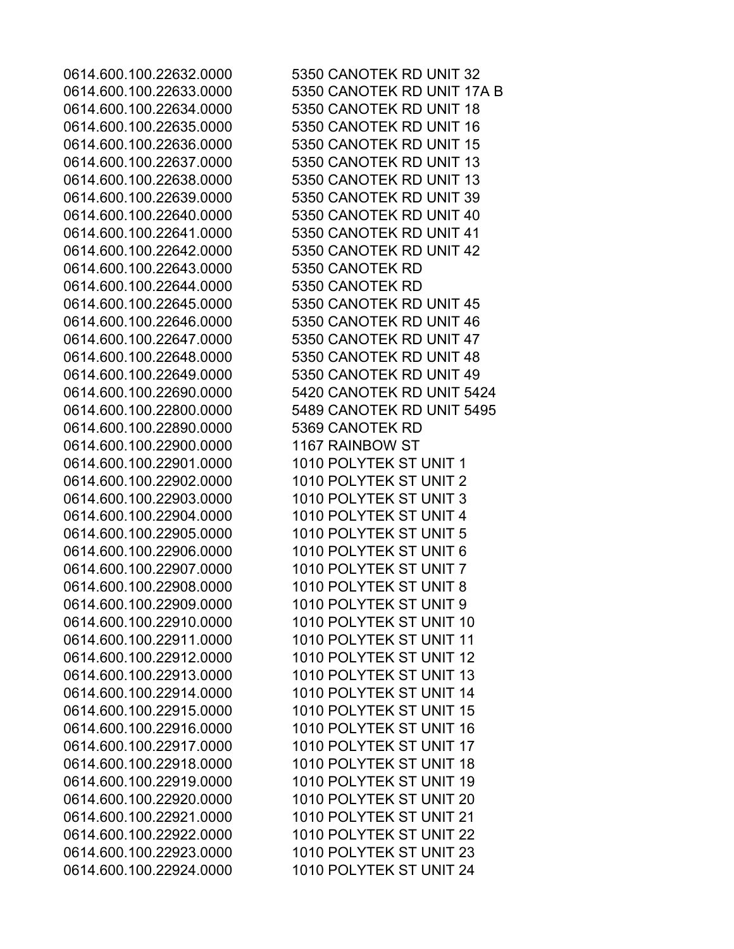0614.600.100.22643.0000 5350 CANOTEK RD 0614.600.100.22644.0000 5350 CANOTEK RD 0614.600.100.22890.0000 5369 CANOTEK RD 0614.600.100.22900.0000 1167 RAINBOW ST 0614.600.100.22901.0000 1010 POLYTEK ST UNIT 1 0614.600.100.22902.0000 1010 POLYTEK ST UNIT 2 0614.600.100.22903.0000 1010 POLYTEK ST UNIT 3 0614.600.100.22904.0000 1010 POLYTEK ST UNIT 4 0614.600.100.22905.0000 1010 POLYTEK ST UNIT 5 0614.600.100.22906.0000 1010 POLYTEK ST UNIT 6 0614.600.100.22907.0000 1010 POLYTEK ST UNIT 7 0614.600.100.22908.0000 1010 POLYTEK ST UNIT 8 0614.600.100.22909.0000 1010 POLYTEK ST UNIT 9

0614.600.100.22632.0000 5350 CANOTEK RD UNIT 32 0614.600.100.22633.0000 5350 CANOTEK RD UNIT 17A B 0614.600.100.22634.0000 5350 CANOTEK RD UNIT 18 0614.600.100.22635.0000 5350 CANOTEK RD UNIT 16 0614.600.100.22636.0000 5350 CANOTEK RD UNIT 15 0614.600.100.22637.0000 5350 CANOTEK RD UNIT 13 0614.600.100.22638.0000 5350 CANOTEK RD UNIT 13 0614.600.100.22639.0000 5350 CANOTEK RD UNIT 39 0614.600.100.22640.0000 5350 CANOTEK RD UNIT 40 0614.600.100.22641.0000 5350 CANOTEK RD UNIT 41 0614.600.100.22642.0000 5350 CANOTEK RD UNIT 42 0614.600.100.22645.0000 5350 CANOTEK RD UNIT 45 0614.600.100.22646.0000 5350 CANOTEK RD UNIT 46 0614.600.100.22647.0000 5350 CANOTEK RD UNIT 47 0614.600.100.22648.0000 5350 CANOTEK RD UNIT 48 0614.600.100.22649.0000 5350 CANOTEK RD UNIT 49 0614.600.100.22690.0000 5420 CANOTEK RD UNIT 5424 0614.600.100.22800.0000 5489 CANOTEK RD UNIT 5495 0614.600.100.22910.0000 1010 POLYTEK ST UNIT 10 0614.600.100.22911.0000 1010 POLYTEK ST UNIT 11 0614.600.100.22912.0000 1010 POLYTEK ST UNIT 12 0614.600.100.22913.0000 1010 POLYTEK ST UNIT 13 0614.600.100.22914.0000 1010 POLYTEK ST UNIT 14 0614.600.100.22915.0000 1010 POLYTEK ST UNIT 15 0614.600.100.22916.0000 1010 POLYTEK ST UNIT 16 0614.600.100.22917.0000 1010 POLYTEK ST UNIT 17 0614.600.100.22918.0000 1010 POLYTEK ST UNIT 18 0614.600.100.22919.0000 1010 POLYTEK ST UNIT 19 0614.600.100.22920.0000 1010 POLYTEK ST UNIT 20 0614.600.100.22921.0000 1010 POLYTEK ST UNIT 21 0614.600.100.22922.0000 1010 POLYTEK ST UNIT 22 0614.600.100.22923.0000 1010 POLYTEK ST UNIT 23 0614.600.100.22924.0000 1010 POLYTEK ST UNIT 24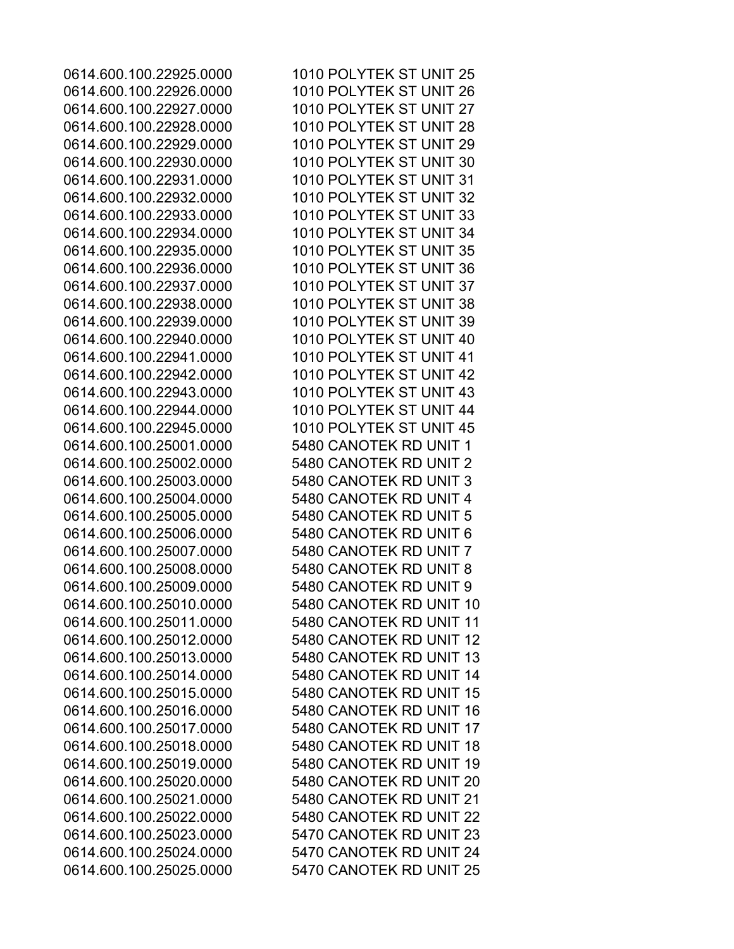0614.600.100.25001.0000 5480 CANOTEK RD UNIT 1 0614.600.100.25002.0000 5480 CANOTEK RD UNIT 2 0614.600.100.25003.0000 5480 CANOTEK RD UNIT 3 0614.600.100.25004.0000 5480 CANOTEK RD UNIT 4 0614.600.100.25005.0000 5480 CANOTEK RD UNIT 5 0614.600.100.25006.0000 5480 CANOTEK RD UNIT 6 0614.600.100.25007.0000 5480 CANOTEK RD UNIT 7 0614.600.100.25008.0000 5480 CANOTEK RD UNIT 8 0614.600.100.25009.0000 5480 CANOTEK RD UNIT 9 0614.600.100.25025.0000 5470 CANOTEK RD UNIT 25

0614.600.100.22925.0000 1010 POLYTEK ST UNIT 25 0614.600.100.22926.0000 1010 POLYTEK ST UNIT 26 0614.600.100.22927.0000 1010 POLYTEK ST UNIT 27 0614.600.100.22928.0000 1010 POLYTEK ST UNIT 28 0614.600.100.22929.0000 1010 POLYTEK ST UNIT 29 0614.600.100.22930.0000 1010 POLYTEK ST UNIT 30 0614.600.100.22931.0000 1010 POLYTEK ST UNIT 31 0614.600.100.22932.0000 1010 POLYTEK ST UNIT 32 0614.600.100.22933.0000 1010 POLYTEK ST UNIT 33 0614.600.100.22934.0000 1010 POLYTEK ST UNIT 34 0614.600.100.22935.0000 1010 POLYTEK ST UNIT 35 0614.600.100.22936.0000 1010 POLYTEK ST UNIT 36 0614.600.100.22937.0000 1010 POLYTEK ST UNIT 37 0614.600.100.22938.0000 1010 POLYTEK ST UNIT 38 0614.600.100.22939.0000 1010 POLYTEK ST UNIT 39 0614.600.100.22940.0000 1010 POLYTEK ST UNIT 40 0614.600.100.22941.0000 1010 POLYTEK ST UNIT 41 0614.600.100.22942.0000 1010 POLYTEK ST UNIT 42 0614.600.100.22943.0000 1010 POLYTEK ST UNIT 43 0614.600.100.22944.0000 1010 POLYTEK ST UNIT 44 0614.600.100.22945.0000 1010 POLYTEK ST UNIT 45 0614.600.100.25010.0000 5480 CANOTEK RD UNIT 10 0614.600.100.25011.0000 5480 CANOTEK RD UNIT 11 0614.600.100.25012.0000 5480 CANOTEK RD UNIT 12 0614.600.100.25013.0000 5480 CANOTEK RD UNIT 13 0614.600.100.25014.0000 5480 CANOTEK RD UNIT 14 0614.600.100.25015.0000 5480 CANOTEK RD UNIT 15 0614.600.100.25016.0000 5480 CANOTEK RD UNIT 16 0614.600.100.25017.0000 5480 CANOTEK RD UNIT 17 0614.600.100.25018.0000 5480 CANOTEK RD UNIT 18 0614.600.100.25019.0000 5480 CANOTEK RD UNIT 19 0614.600.100.25020.0000 5480 CANOTEK RD UNIT 20 0614.600.100.25021.0000 5480 CANOTEK RD UNIT 21 0614.600.100.25022.0000 5480 CANOTEK RD UNIT 22 0614.600.100.25023.0000 5470 CANOTEK RD UNIT 23 0614.600.100.25024.0000 5470 CANOTEK RD UNIT 24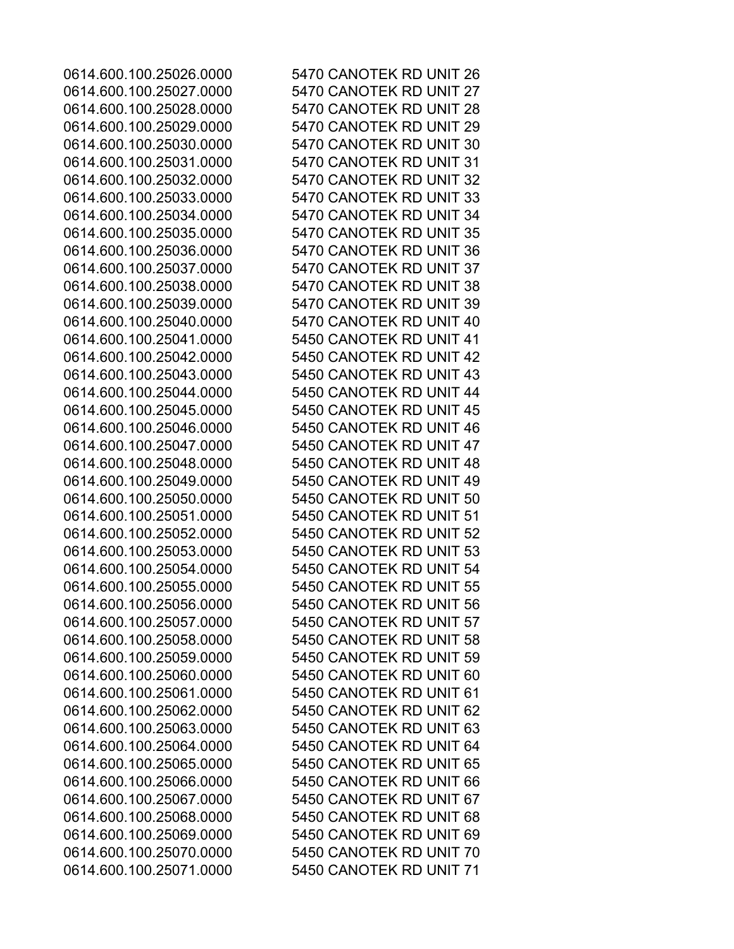0614.600.100.25026.0000 5470 CANOTEK RD UNIT 26 0614.600.100.25027.0000 5470 CANOTEK RD UNIT 27 0614.600.100.25028.0000 5470 CANOTEK RD UNIT 28 0614.600.100.25029.0000 5470 CANOTEK RD UNIT 29 0614.600.100.25030.0000 5470 CANOTEK RD UNIT 30 0614.600.100.25031.0000 5470 CANOTEK RD UNIT 31 0614.600.100.25032.0000 5470 CANOTEK RD UNIT 32 0614.600.100.25033.0000 5470 CANOTEK RD UNIT 33 0614.600.100.25034.0000 5470 CANOTEK RD UNIT 34 0614.600.100.25035.0000 5470 CANOTEK RD UNIT 35 0614.600.100.25036.0000 5470 CANOTEK RD UNIT 36 0614.600.100.25037.0000 5470 CANOTEK RD UNIT 37 0614.600.100.25038.0000 5470 CANOTEK RD UNIT 38 0614.600.100.25039.0000 5470 CANOTEK RD UNIT 39 0614.600.100.25040.0000 5470 CANOTEK RD UNIT 40 0614.600.100.25041.0000 5450 CANOTEK RD UNIT 41 0614.600.100.25042.0000 5450 CANOTEK RD UNIT 42 0614.600.100.25043.0000 5450 CANOTEK RD UNIT 43 0614.600.100.25044.0000 5450 CANOTEK RD UNIT 44 0614.600.100.25045.0000 5450 CANOTEK RD UNIT 45 0614.600.100.25046.0000 5450 CANOTEK RD UNIT 46 0614.600.100.25047.0000 5450 CANOTEK RD UNIT 47 0614.600.100.25048.0000 5450 CANOTEK RD UNIT 48 0614.600.100.25049.0000 5450 CANOTEK RD UNIT 49 0614.600.100.25050.0000 5450 CANOTEK RD UNIT 50 0614.600.100.25051.0000 5450 CANOTEK RD UNIT 51 0614.600.100.25052.0000 5450 CANOTEK RD UNIT 52 0614.600.100.25053.0000 5450 CANOTEK RD UNIT 53 0614.600.100.25054.0000 5450 CANOTEK RD UNIT 54 0614.600.100.25055.0000 5450 CANOTEK RD UNIT 55 0614.600.100.25056.0000 5450 CANOTEK RD UNIT 56 0614.600.100.25057.0000 5450 CANOTEK RD UNIT 57 0614.600.100.25058.0000 5450 CANOTEK RD UNIT 58 0614.600.100.25059.0000 5450 CANOTEK RD UNIT 59 0614.600.100.25060.0000 5450 CANOTEK RD UNIT 60 0614.600.100.25061.0000 5450 CANOTEK RD UNIT 61 0614.600.100.25062.0000 5450 CANOTEK RD UNIT 62 0614.600.100.25063.0000 5450 CANOTEK RD UNIT 63 0614.600.100.25064.0000 5450 CANOTEK RD UNIT 64 0614.600.100.25065.0000 5450 CANOTEK RD UNIT 65 0614.600.100.25066.0000 5450 CANOTEK RD UNIT 66 0614.600.100.25067.0000 5450 CANOTEK RD UNIT 67 0614.600.100.25068.0000 5450 CANOTEK RD UNIT 68 0614.600.100.25069.0000 5450 CANOTEK RD UNIT 69 0614.600.100.25070.0000 5450 CANOTEK RD UNIT 70 0614.600.100.25071.0000 5450 CANOTEK RD UNIT 71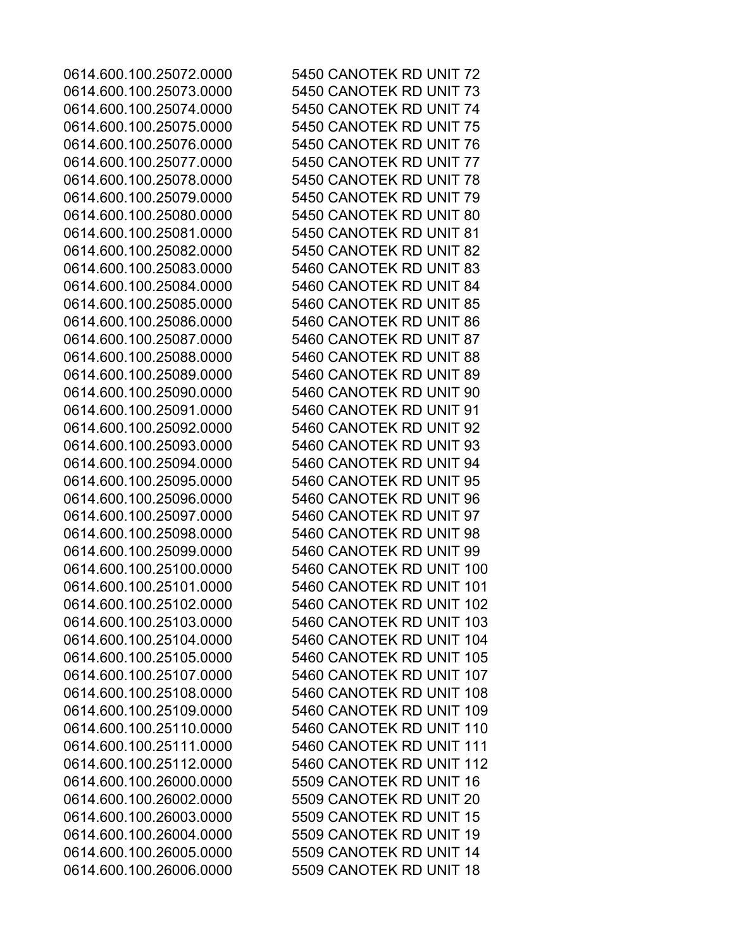0614.600.100.25072.0000 5450 CANOTEK RD UNIT 72 0614.600.100.25073.0000 5450 CANOTEK RD UNIT 73 0614.600.100.25074.0000 5450 CANOTEK RD UNIT 74 0614.600.100.25075.0000 5450 CANOTEK RD UNIT 75 0614.600.100.25076.0000 5450 CANOTEK RD UNIT 76 0614.600.100.25077.0000 5450 CANOTEK RD UNIT 77 0614.600.100.25078.0000 5450 CANOTEK RD UNIT 78 0614.600.100.25079.0000 5450 CANOTEK RD UNIT 79 0614.600.100.25080.0000 5450 CANOTEK RD UNIT 80 0614.600.100.25081.0000 5450 CANOTEK RD UNIT 81 0614.600.100.25082.0000 5450 CANOTEK RD UNIT 82 0614.600.100.25083.0000 5460 CANOTEK RD UNIT 83 0614.600.100.25084.0000 5460 CANOTEK RD UNIT 84 0614.600.100.25085.0000 5460 CANOTEK RD UNIT 85 0614.600.100.25086.0000 5460 CANOTEK RD UNIT 86 0614.600.100.25087.0000 5460 CANOTEK RD UNIT 87 0614.600.100.25088.0000 5460 CANOTEK RD UNIT 88 0614.600.100.25089.0000 5460 CANOTEK RD UNIT 89 0614.600.100.25090.0000 5460 CANOTEK RD UNIT 90 0614.600.100.25091.0000 5460 CANOTEK RD UNIT 91 0614.600.100.25092.0000 5460 CANOTEK RD UNIT 92 0614.600.100.25093.0000 5460 CANOTEK RD UNIT 93 0614.600.100.25094.0000 5460 CANOTEK RD UNIT 94 0614.600.100.25095.0000 5460 CANOTEK RD UNIT 95 0614.600.100.25096.0000 5460 CANOTEK RD UNIT 96 0614.600.100.25097.0000 5460 CANOTEK RD UNIT 97 0614.600.100.25098.0000 5460 CANOTEK RD UNIT 98 0614.600.100.25099.0000 5460 CANOTEK RD UNIT 99 0614.600.100.25100.0000 5460 CANOTEK RD UNIT 100 0614.600.100.25101.0000 5460 CANOTEK RD UNIT 101 0614.600.100.25102.0000 5460 CANOTEK RD UNIT 102 0614.600.100.25103.0000 5460 CANOTEK RD UNIT 103 0614.600.100.25104.0000 5460 CANOTEK RD UNIT 104 0614.600.100.25105.0000 5460 CANOTEK RD UNIT 105 0614.600.100.25107.0000 5460 CANOTEK RD UNIT 107 0614.600.100.25108.0000 5460 CANOTEK RD UNIT 108 0614.600.100.25109.0000 5460 CANOTEK RD UNIT 109 0614.600.100.25110.0000 5460 CANOTEK RD UNIT 110 0614.600.100.25111.0000 5460 CANOTEK RD UNIT 111 0614.600.100.25112.0000 5460 CANOTEK RD UNIT 112 0614.600.100.26000.0000 5509 CANOTEK RD UNIT 16 0614.600.100.26002.0000 5509 CANOTEK RD UNIT 20 0614.600.100.26003.0000 5509 CANOTEK RD UNIT 15 0614.600.100.26004.0000 5509 CANOTEK RD UNIT 19 0614.600.100.26005.0000 5509 CANOTEK RD UNIT 14 0614.600.100.26006.0000 5509 CANOTEK RD UNIT 18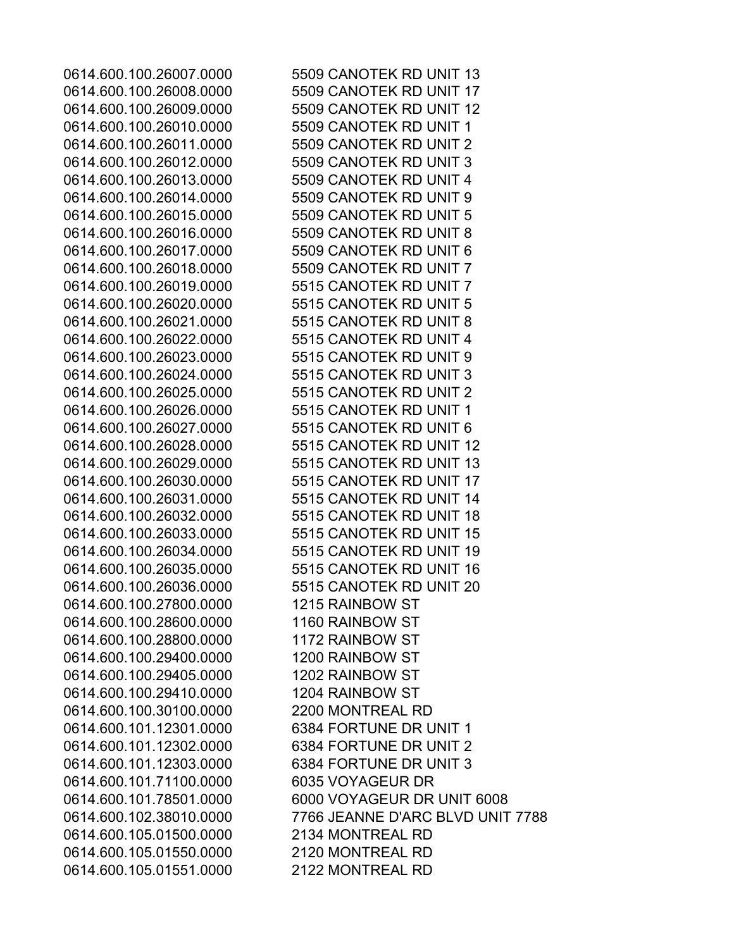0614.600.100.26010.0000 5509 CANOTEK RD UNIT 1 0614.600.100.26011.0000 5509 CANOTEK RD UNIT 2 0614.600.100.26012.0000 5509 CANOTEK RD UNIT 3 0614.600.100.26013.0000 5509 CANOTEK RD UNIT 4 0614.600.100.26014.0000 5509 CANOTEK RD UNIT 9 0614.600.100.26015.0000 5509 CANOTEK RD UNIT 5 0614.600.100.26016.0000 5509 CANOTEK RD UNIT 8 0614.600.100.26017.0000 5509 CANOTEK RD UNIT 6 0614.600.100.26018.0000 5509 CANOTEK RD UNIT 7 0614.600.100.26019.0000 5515 CANOTEK RD UNIT 7 0614.600.100.26020.0000 5515 CANOTEK RD UNIT 5 0614.600.100.26021.0000 5515 CANOTEK RD UNIT 8 0614.600.100.26022.0000 5515 CANOTEK RD UNIT 4 0614.600.100.26023.0000 5515 CANOTEK RD UNIT 9 0614.600.100.26024.0000 5515 CANOTEK RD UNIT 3 0614.600.100.26025.0000 5515 CANOTEK RD UNIT 2 0614.600.100.26026.0000 5515 CANOTEK RD UNIT 1 0614.600.100.26027.0000 5515 CANOTEK RD UNIT 6 0614.600.100.27800.0000 1215 RAINBOW ST 0614.600.100.28600.0000 1160 RAINBOW ST 0614.600.100.28800.0000 1172 RAINBOW ST 0614.600.100.29400.0000 1200 RAINBOW ST 0614.600.100.29405.0000 1202 RAINBOW ST 0614.600.100.29410.0000 1204 RAINBOW ST 0614.600.100.30100.0000 2200 MONTREAL RD 0614.600.101.12301.0000 6384 FORTUNE DR UNIT 1 0614.600.101.12302.0000 6384 FORTUNE DR UNIT 2 0614.600.101.12303.0000 6384 FORTUNE DR UNIT 3 0614.600.101.71100.0000 6035 VOYAGEUR DR 0614.600.105.01500.0000 2134 MONTREAL RD 0614.600.105.01550.0000 2120 MONTREAL RD 0614.600.105.01551.0000 2122 MONTREAL RD

0614.600.100.26007.0000 5509 CANOTEK RD UNIT 13 0614.600.100.26008.0000 5509 CANOTEK RD UNIT 17 0614.600.100.26009.0000 5509 CANOTEK RD UNIT 12 0614.600.100.26028.0000 5515 CANOTEK RD UNIT 12 0614.600.100.26029.0000 5515 CANOTEK RD UNIT 13 0614.600.100.26030.0000 5515 CANOTEK RD UNIT 17 0614.600.100.26031.0000 5515 CANOTEK RD UNIT 14 0614.600.100.26032.0000 5515 CANOTEK RD UNIT 18 0614.600.100.26033.0000 5515 CANOTEK RD UNIT 15 0614.600.100.26034.0000 5515 CANOTEK RD UNIT 19 0614.600.100.26035.0000 5515 CANOTEK RD UNIT 16 0614.600.100.26036.0000 5515 CANOTEK RD UNIT 20 0614.600.101.78501.0000 6000 VOYAGEUR DR UNIT 6008 0614.600.102.38010.0000 7766 JEANNE D'ARC BLVD UNIT 7788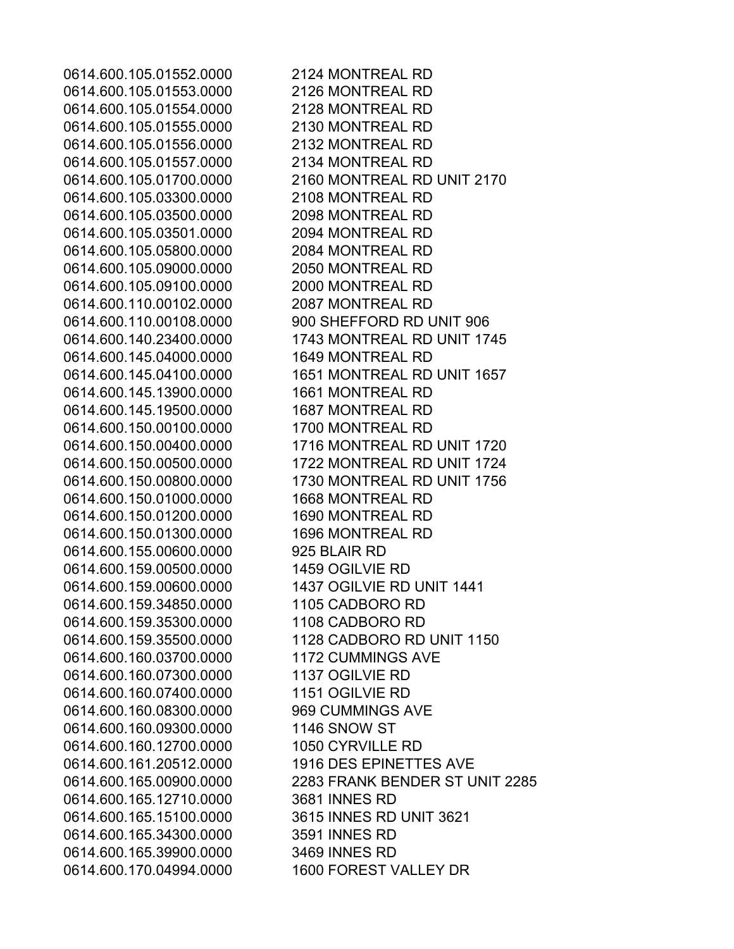0614.600.105.01552.0000 2124 MONTREAL RD 0614.600.105.01553.0000 2126 MONTREAL RD 0614.600.105.01554.0000 2128 MONTREAL RD 0614.600.105.01555.0000 2130 MONTREAL RD 0614.600.105.01556.0000 2132 MONTREAL RD 0614.600.105.01557.0000 2134 MONTREAL RD 0614.600.105.01700.0000 2160 MONTREAL RD UNIT 2170 0614.600.105.03300.0000 2108 MONTREAL RD 0614.600.105.03500.0000 2098 MONTREAL RD 0614.600.105.03501.0000 2094 MONTREAL RD 0614.600.105.05800.0000 2084 MONTREAL RD 0614.600.105.09000.0000 2050 MONTREAL RD 0614.600.105.09100.0000 2000 MONTREAL RD 0614.600.110.00102.0000 2087 MONTREAL RD 0614.600.110.00108.0000 900 SHEFFORD RD UNIT 906 0614.600.140.23400.0000 1743 MONTREAL RD UNIT 1745 0614.600.145.04000.0000 1649 MONTREAL RD 0614.600.145.04100.0000 1651 MONTREAL RD UNIT 1657 0614.600.145.13900.0000 1661 MONTREAL RD 0614.600.145.19500.0000 1687 MONTREAL RD 0614.600.150.00100.0000 1700 MONTREAL RD 0614.600.150.00400.0000 1716 MONTREAL RD UNIT 1720 0614.600.150.00500.0000 1722 MONTREAL RD UNIT 1724 0614.600.150.00800.0000 1730 MONTREAL RD UNIT 1756 0614.600.150.01000.0000 1668 MONTREAL RD 0614.600.150.01200.0000 1690 MONTREAL RD 0614.600.150.01300.0000 1696 MONTREAL RD 0614.600.155.00600.0000 925 BLAIR RD 0614.600.159.00500.0000 1459 OGILVIE RD 0614.600.159.00600.0000 1437 OGILVIE RD UNIT 1441 0614.600.159.34850.0000 1105 CADBORO RD 0614.600.159.35300.0000 1108 CADBORO RD 0614.600.159.35500.0000 1128 CADBORO RD UNIT 1150 0614.600.160.03700.0000 1172 CUMMINGS AVE 0614.600.160.07300.0000 1137 OGILVIE RD 0614.600.160.07400.0000 1151 OGILVIE RD 0614.600.160.08300.0000 969 CUMMINGS AVE 0614.600.160.09300.0000 1146 SNOW ST 0614.600.160.12700.0000 1050 CYRVILLE RD 0614.600.161.20512.0000 1916 DES EPINETTES AVE 0614.600.165.00900.0000 2283 FRANK BENDER ST UNIT 2285 0614.600.165.12710.0000 3681 INNES RD 0614.600.165.15100.0000 3615 INNES RD UNIT 3621 0614.600.165.34300.0000 3591 INNES RD 0614.600.165.39900.0000 3469 INNES RD 0614.600.170.04994.0000 1600 FOREST VALLEY DR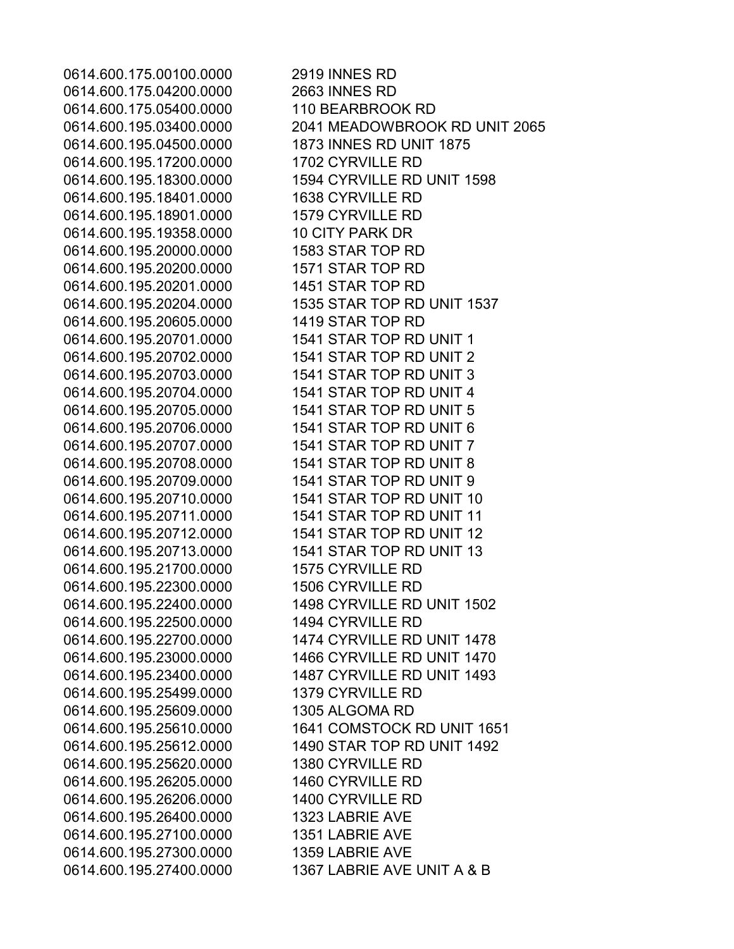0614.600.175.00100.0000 2919 INNES RD 0614.600.175.04200.0000 2663 INNES RD 0614.600.175.05400.0000 110 BEARBROOK RD 0614.600.195.04500.0000 1873 INNES RD UNIT 1875 0614.600.195.17200.0000 1702 CYRVILLE RD 0614.600.195.18401.0000 1638 CYRVILLE RD 0614.600.195.18901.0000 1579 CYRVILLE RD 0614.600.195.19358.0000 10 CITY PARK DR 0614.600.195.20000.0000 1583 STAR TOP RD 0614.600.195.20200.0000 1571 STAR TOP RD 0614.600.195.20201.0000 1451 STAR TOP RD 0614.600.195.20605.0000 1419 STAR TOP RD 0614.600.195.20701.0000 1541 STAR TOP RD UNIT 1 0614.600.195.20702.0000 1541 STAR TOP RD UNIT 2 0614.600.195.20703.0000 1541 STAR TOP RD UNIT 3 0614.600.195.20704.0000 1541 STAR TOP RD UNIT 4 0614.600.195.20705.0000 1541 STAR TOP RD UNIT 5 0614.600.195.20706.0000 1541 STAR TOP RD UNIT 6 0614.600.195.20707.0000 1541 STAR TOP RD UNIT 7 0614.600.195.20708.0000 1541 STAR TOP RD UNIT 8 0614.600.195.20709.0000 1541 STAR TOP RD UNIT 9 0614.600.195.21700.0000 1575 CYRVILLE RD 0614.600.195.22300.0000 1506 CYRVILLE RD 0614.600.195.22500.0000 1494 CYRVILLE RD 0614.600.195.25499.0000 1379 CYRVILLE RD 0614.600.195.25609.0000 1305 ALGOMA RD 0614.600.195.25620.0000 1380 CYRVILLE RD 0614.600.195.26205.0000 1460 CYRVILLE RD 0614.600.195.26206.0000 1400 CYRVILLE RD 0614.600.195.26400.0000 1323 LABRIE AVE 0614.600.195.27100.0000 1351 LABRIE AVE 0614.600.195.27300.0000 1359 LABRIE AVE

0614.600.195.03400.0000 2041 MEADOWBROOK RD UNIT 2065 0614.600.195.18300.0000 1594 CYRVILLE RD UNIT 1598 0614.600.195.20204.0000 1535 STAR TOP RD UNIT 1537 0614.600.195.20710.0000 1541 STAR TOP RD UNIT 10 0614.600.195.20711.0000 1541 STAR TOP RD UNIT 11 0614.600.195.20712.0000 1541 STAR TOP RD UNIT 12 0614.600.195.20713.0000 1541 STAR TOP RD UNIT 13 0614.600.195.22400.0000 1498 CYRVILLE RD UNIT 1502 0614.600.195.22700.0000 1474 CYRVILLE RD UNIT 1478 0614.600.195.23000.0000 1466 CYRVILLE RD UNIT 1470 0614.600.195.23400.0000 1487 CYRVILLE RD UNIT 1493 0614.600.195.25610.0000 1641 COMSTOCK RD UNIT 1651 0614.600.195.25612.0000 1490 STAR TOP RD UNIT 1492 0614.600.195.27400.0000 1367 LABRIE AVE UNIT A & B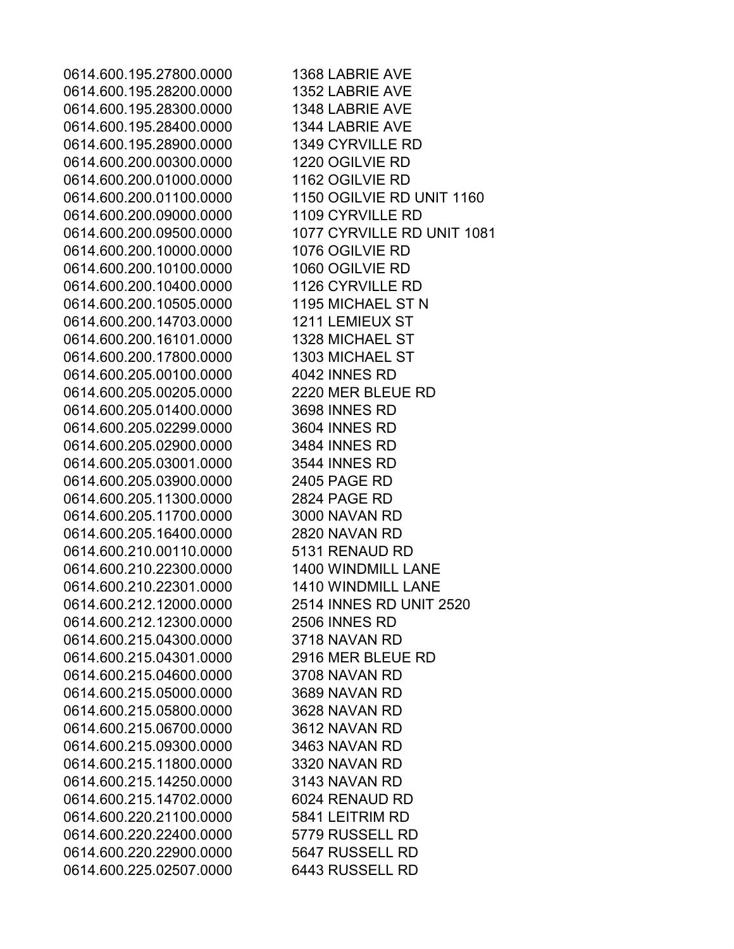0614.600.195.27800.0000 1368 LABRIE AVE 0614.600.195.28200.0000 1352 LABRIE AVE 0614.600.195.28300.0000 1348 LABRIE AVE 0614.600.195.28400.0000 1344 LABRIE AVE 0614.600.195.28900.0000 1349 CYRVILLE RD 0614.600.200.00300.0000 1220 OGILVIE RD 0614.600.200.01000.0000 1162 OGILVIE RD 0614.600.200.01100.0000 1150 OGILVIE RD UNIT 1160 0614.600.200.09000.0000 1109 CYRVILLE RD 0614.600.200.09500.0000 1077 CYRVILLE RD UNIT 1081 0614.600.200.10000.0000 1076 OGILVIE RD 0614.600.200.10100.0000 1060 OGILVIE RD 0614.600.200.10400.0000 1126 CYRVILLE RD 0614.600.200.10505.0000 1195 MICHAEL ST N 0614.600.200.14703.0000 1211 LEMIEUX ST 0614.600.200.16101.0000 1328 MICHAEL ST 0614.600.200.17800.0000 1303 MICHAEL ST 0614.600.205.00100.0000 4042 INNES RD 0614.600.205.00205.0000 2220 MER BLEUE RD 0614.600.205.01400.0000 3698 INNES RD 0614.600.205.02299.0000 3604 INNES RD 0614.600.205.02900.0000 3484 INNES RD 0614.600.205.03001.0000 3544 INNES RD 0614.600.205.03900.0000 2405 PAGE RD 0614.600.205.11300.0000 2824 PAGE RD 0614.600.205.11700.0000 3000 NAVAN RD 0614.600.205.16400.0000 2820 NAVAN RD 0614.600.210.00110.0000 5131 RENAUD RD 0614.600.210.22300.0000 1400 WINDMILL LANE 0614.600.210.22301.0000 1410 WINDMILL LANE 0614.600.212.12000.0000 2514 INNES RD UNIT 2520 0614.600.212.12300.0000 2506 INNES RD 0614.600.215.04300.0000 3718 NAVAN RD 0614.600.215.04301.0000 2916 MER BLEUE RD 0614.600.215.04600.0000 3708 NAVAN RD 0614.600.215.05000.0000 3689 NAVAN RD 0614.600.215.05800.0000 3628 NAVAN RD 0614.600.215.06700.0000 3612 NAVAN RD 0614.600.215.09300.0000 3463 NAVAN RD 0614.600.215.11800.0000 3320 NAVAN RD 0614.600.215.14250.0000 3143 NAVAN RD 0614.600.215.14702.0000 6024 RENAUD RD 0614.600.220.21100.0000 5841 LEITRIM RD 0614.600.220.22400.0000 5779 RUSSELL RD 0614.600.220.22900.0000 5647 RUSSELL RD 0614.600.225.02507.0000 6443 RUSSELL RD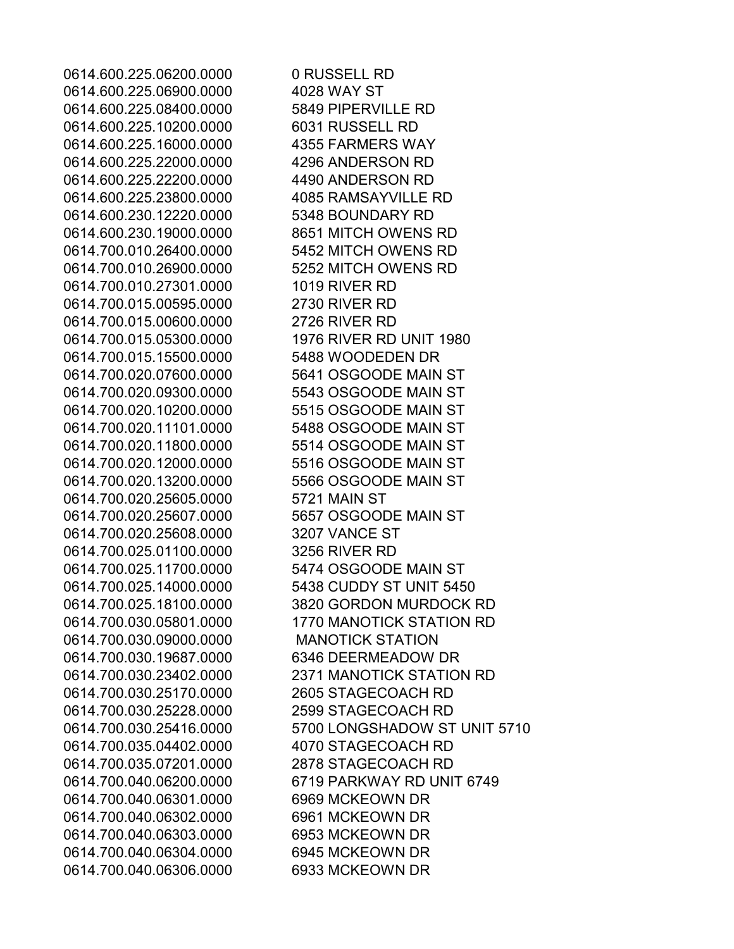0614.600.225.06200.0000 0 RUSSELL RD 0614.600.225.06900.0000 4028 WAY ST 0614.600.225.08400.0000 5849 PIPERVILLE RD 0614.600.225.10200.0000 6031 RUSSELL RD 0614.600.225.16000.0000 4355 FARMERS WAY 0614.600.225.22000.0000 4296 ANDERSON RD 0614.600.225.22200.0000 4490 ANDERSON RD 0614.600.225.23800.0000 4085 RAMSAYVILLE RD 0614.600.230.12220.0000 5348 BOUNDARY RD 0614.600.230.19000.0000 8651 MITCH OWENS RD 0614.700.010.26400.0000 5452 MITCH OWENS RD 0614.700.010.26900.0000 5252 MITCH OWENS RD 0614.700.010.27301.0000 1019 RIVER RD 0614.700.015.00595.0000 2730 RIVER RD 0614.700.015.00600.0000 2726 RIVER RD 0614.700.015.05300.0000 1976 RIVER RD UNIT 1980 0614.700.015.15500.0000 5488 WOODEDEN DR 0614.700.020.07600.0000 5641 OSGOODE MAIN ST 0614.700.020.09300.0000 5543 OSGOODE MAIN ST 0614.700.020.10200.0000 5515 OSGOODE MAIN ST 0614.700.020.11101.0000 5488 OSGOODE MAIN ST 0614.700.020.11800.0000 5514 OSGOODE MAIN ST 0614.700.020.12000.0000 5516 OSGOODE MAIN ST 0614.700.020.13200.0000 5566 OSGOODE MAIN ST 0614.700.020.25605.0000 5721 MAIN ST 0614.700.020.25607.0000 5657 OSGOODE MAIN ST 0614.700.020.25608.0000 3207 VANCE ST 0614.700.025.01100.0000 3256 RIVER RD 0614.700.025.11700.0000 5474 OSGOODE MAIN ST 0614.700.030.09000.0000 MANOTICK STATION 0614.700.030.19687.0000 6346 DEERMEADOW DR 0614.700.030.25170.0000 2605 STAGECOACH RD 0614.700.030.25228.0000 2599 STAGECOACH RD 0614.700.035.04402.0000 4070 STAGECOACH RD 0614.700.035.07201.0000 2878 STAGECOACH RD 0614.700.040.06301.0000 6969 MCKEOWN DR 0614.700.040.06302.0000 6961 MCKEOWN DR 0614.700.040.06303.0000 6953 MCKEOWN DR 0614.700.040.06304.0000 6945 MCKEOWN DR 0614.700.040.06306.0000 6933 MCKEOWN DR

0614.700.025.14000.0000 5438 CUDDY ST UNIT 5450 0614.700.025.18100.0000 3820 GORDON MURDOCK RD 0614.700.030.05801.0000 1770 MANOTICK STATION RD 0614.700.030.23402.0000 2371 MANOTICK STATION RD 0614.700.030.25416.0000 5700 LONGSHADOW ST UNIT 5710 0614.700.040.06200.0000 6719 PARKWAY RD UNIT 6749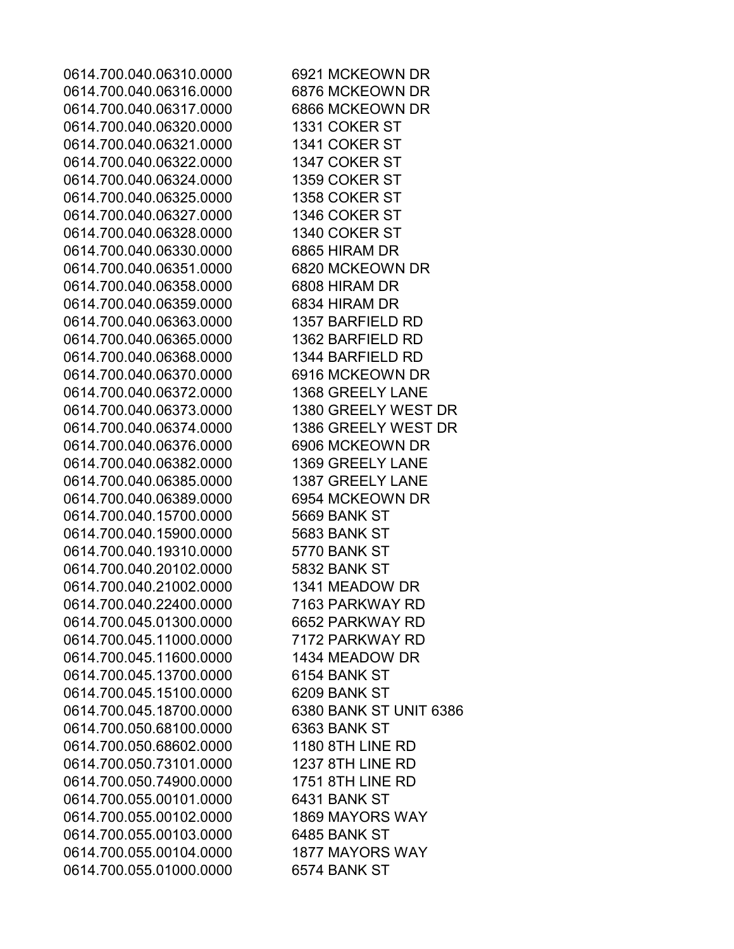0614.700.040.06310.0000 6921 MCKEOWN DR 0614.700.040.06316.0000 6876 MCKEOWN DR 0614.700.040.06317.0000 6866 MCKEOWN DR 0614.700.040.06320.0000 1331 COKER ST 0614.700.040.06321.0000 1341 COKER ST 0614.700.040.06322.0000 1347 COKER ST 0614.700.040.06324.0000 1359 COKER ST 0614.700.040.06325.0000 1358 COKER ST 0614.700.040.06327.0000 1346 COKER ST 0614.700.040.06328.0000 1340 COKER ST 0614.700.040.06330.0000 6865 HIRAM DR 0614.700.040.06351.0000 6820 MCKEOWN DR 0614.700.040.06358.0000 6808 HIRAM DR 0614.700.040.06359.0000 6834 HIRAM DR 0614.700.040.06363.0000 1357 BARFIELD RD 0614.700.040.06365.0000 1362 BARFIELD RD 0614.700.040.06368.0000 1344 BARFIELD RD 0614.700.040.06370.0000 6916 MCKEOWN DR 0614.700.040.06372.0000 1368 GREELY LANE 0614.700.040.06373.0000 1380 GREELY WEST DR 0614.700.040.06374.0000 1386 GREELY WEST DR 0614.700.040.06376.0000 6906 MCKEOWN DR 0614.700.040.06382.0000 1369 GREELY LANE 0614.700.040.06385.0000 1387 GREELY LANE 0614.700.040.06389.0000 6954 MCKEOWN DR 0614.700.040.15700.0000 5669 BANK ST 0614.700.040.15900.0000 5683 BANK ST 0614.700.040.19310.0000 5770 BANK ST 0614.700.040.20102.0000 5832 BANK ST 0614.700.040.21002.0000 1341 MEADOW DR 0614.700.040.22400.0000 7163 PARKWAY RD 0614.700.045.01300.0000 6652 PARKWAY RD 0614.700.045.11000.0000 7172 PARKWAY RD 0614.700.045.11600.0000 1434 MEADOW DR 0614.700.045.13700.0000 6154 BANK ST 0614.700.045.15100.0000 6209 BANK ST 0614.700.045.18700.0000 6380 BANK ST UNIT 6386 0614.700.050.68100.0000 6363 BANK ST 0614.700.050.68602.0000 1180 8TH LINE RD 0614.700.050.73101.0000 1237 8TH LINE RD 0614.700.050.74900.0000 1751 8TH LINE RD 0614.700.055.00101.0000 6431 BANK ST 0614.700.055.00102.0000 1869 MAYORS WAY 0614.700.055.00103.0000 6485 BANK ST 0614.700.055.00104.0000 1877 MAYORS WAY 0614.700.055.01000.0000 6574 BANK ST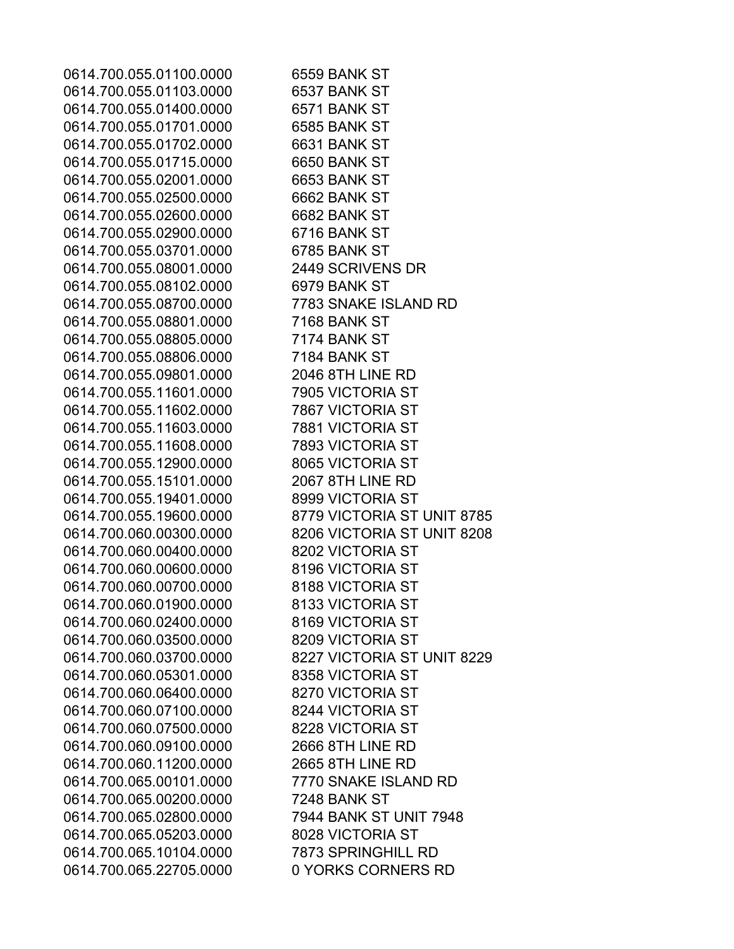0614.700.055.01100.0000 6559 BANK ST 0614.700.055.01103.0000 6537 BANK ST 0614.700.055.01400.0000 6571 BANK ST 0614.700.055.01701.0000 6585 BANK ST 0614.700.055.01702.0000 6631 BANK ST 0614.700.055.01715.0000 6650 BANK ST 0614.700.055.02001.0000 6653 BANK ST 0614.700.055.02500.0000 6662 BANK ST 0614.700.055.02600.0000 6682 BANK ST 0614.700.055.02900.0000 6716 BANK ST 0614.700.055.03701.0000 6785 BANK ST 0614.700.055.08001.0000 2449 SCRIVENS DR 0614.700.055.08102.0000 6979 BANK ST 0614.700.055.08700.0000 7783 SNAKE ISLAND RD 0614.700.055.08801.0000 7168 BANK ST 0614.700.055.08805.0000 7174 BANK ST 0614.700.055.08806.0000 7184 BANK ST 0614.700.055.09801.0000 2046 8TH LINE RD 0614.700.055.11601.0000 7905 VICTORIA ST 0614.700.055.11602.0000 7867 VICTORIA ST 0614.700.055.11603.0000 7881 VICTORIA ST 0614.700.055.11608.0000 7893 VICTORIA ST 0614.700.055.12900.0000 8065 VICTORIA ST 0614.700.055.15101.0000 2067 8TH LINE RD 0614.700.055.19401.0000 8999 VICTORIA ST 0614.700.055.19600.0000 8779 VICTORIA ST UNIT 8785 0614.700.060.00300.0000 8206 VICTORIA ST UNIT 8208 0614.700.060.00400.0000 8202 VICTORIA ST 0614.700.060.00600.0000 8196 VICTORIA ST 0614.700.060.00700.0000 8188 VICTORIA ST 0614.700.060.01900.0000 8133 VICTORIA ST 0614.700.060.02400.0000 8169 VICTORIA ST 0614.700.060.03500.0000 8209 VICTORIA ST 0614.700.060.03700.0000 8227 VICTORIA ST UNIT 8229 0614.700.060.05301.0000 8358 VICTORIA ST 0614.700.060.06400.0000 8270 VICTORIA ST 0614.700.060.07100.0000 8244 VICTORIA ST 0614.700.060.07500.0000 8228 VICTORIA ST 0614.700.060.09100.0000 2666 8TH LINE RD 0614.700.060.11200.0000 2665 8TH LINE RD 0614.700.065.00101.0000 7770 SNAKE ISLAND RD 0614.700.065.00200.0000 7248 BANK ST 0614.700.065.02800.0000 7944 BANK ST UNIT 7948 0614.700.065.05203.0000 8028 VICTORIA ST 0614.700.065.10104.0000 7873 SPRINGHILL RD 0614.700.065.22705.0000 0 YORKS CORNERS RD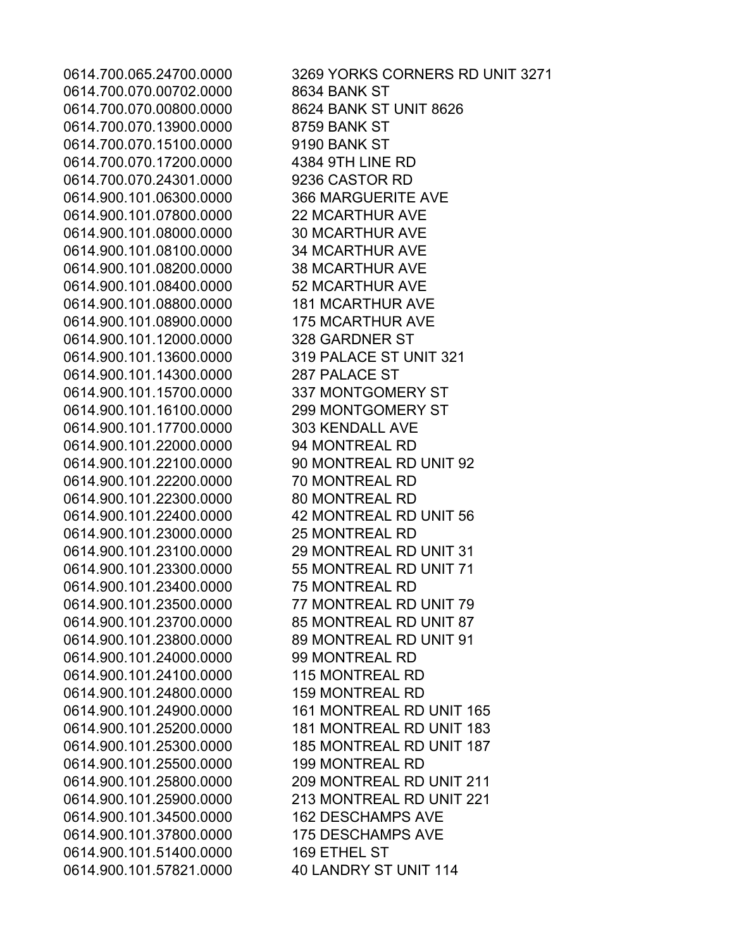0614.700.070.00702.0000 8634 BANK ST 0614.700.070.00800.0000 8624 BANK ST UNIT 8626 0614.700.070.13900.0000 8759 BANK ST 0614.700.070.15100.0000 9190 BANK ST 0614.700.070.17200.0000 4384 9TH LINE RD 0614.700.070.24301.0000 9236 CASTOR RD 0614.900.101.06300.0000 366 MARGUERITE AVE 0614.900.101.07800.0000 22 MCARTHUR AVE 0614.900.101.08000.0000 30 MCARTHUR AVE 0614.900.101.08100.0000 34 MCARTHUR AVE 0614.900.101.08200.0000 38 MCARTHUR AVE 0614.900.101.08400.0000 52 MCARTHUR AVE 0614.900.101.08800.0000 181 MCARTHUR AVE 0614.900.101.08900.0000 175 MCARTHUR AVE 0614.900.101.12000.0000 328 GARDNER ST 0614.900.101.13600.0000 319 PALACE ST UNIT 321 0614.900.101.14300.0000 287 PALACE ST 0614.900.101.15700.0000 337 MONTGOMERY ST 0614.900.101.16100.0000 299 MONTGOMERY ST 0614.900.101.17700.0000 303 KENDALL AVE 0614.900.101.22000.0000 94 MONTREAL RD 0614.900.101.22100.0000 90 MONTREAL RD UNIT 92 0614.900.101.22200.0000 70 MONTREAL RD 0614.900.101.22300.0000 80 MONTREAL RD 0614.900.101.22400.0000 42 MONTREAL RD UNIT 56 0614.900.101.23000.0000 25 MONTREAL RD 0614.900.101.23100.0000 29 MONTREAL RD UNIT 31 0614.900.101.23300.0000 55 MONTREAL RD UNIT 71 0614.900.101.23400.0000 75 MONTREAL RD 0614.900.101.23500.0000 77 MONTREAL RD UNIT 79 0614.900.101.23700.0000 85 MONTREAL RD UNIT 87 0614.900.101.23800.0000 89 MONTREAL RD UNIT 91 0614.900.101.24000.0000 99 MONTREAL RD 0614.900.101.24100.0000 115 MONTREAL RD 0614.900.101.24800.0000 159 MONTREAL RD 0614.900.101.25500.0000 199 MONTREAL RD 0614.900.101.34500.0000 162 DESCHAMPS AVE 0614.900.101.37800.0000 175 DESCHAMPS AVE 0614.900.101.51400.0000 169 ETHEL ST 0614.900.101.57821.0000 40 LANDRY ST UNIT 114

0614.700.065.24700.0000 3269 YORKS CORNERS RD UNIT 3271 0614.900.101.24900.0000 161 MONTREAL RD UNIT 165 0614.900.101.25200.0000 181 MONTREAL RD UNIT 183 0614.900.101.25300.0000 185 MONTREAL RD UNIT 187 0614.900.101.25800.0000 209 MONTREAL RD UNIT 211 0614.900.101.25900.0000 213 MONTREAL RD UNIT 221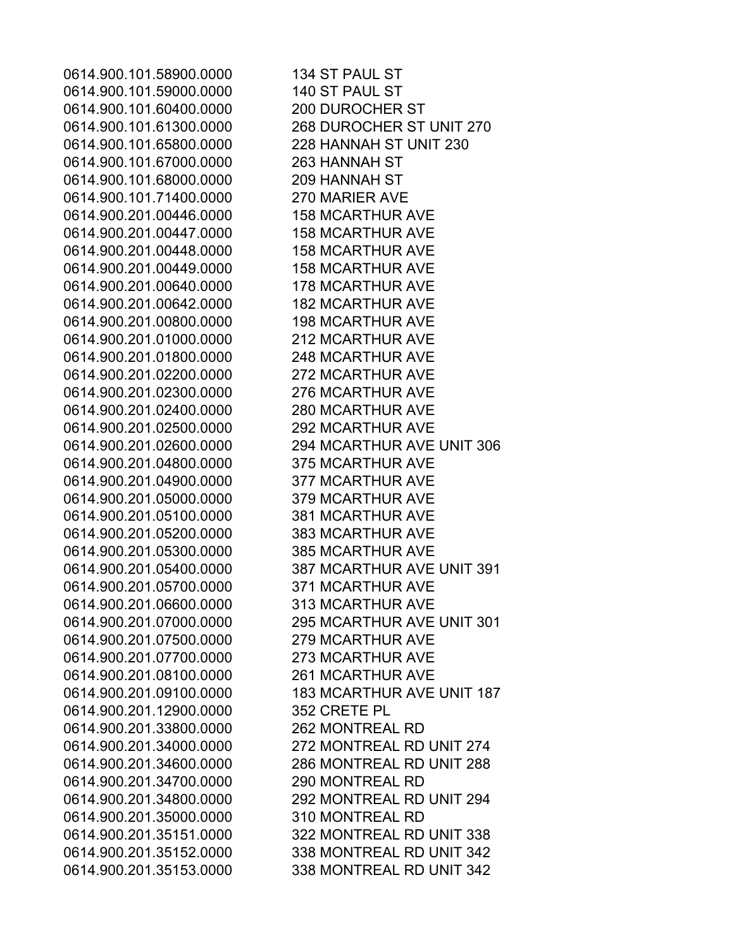0614.900.101.58900.0000 134 ST PAUL ST 0614.900.101.59000.0000 140 ST PAUL ST 0614.900.101.60400.0000 200 DUROCHER ST 0614.900.101.61300.0000 268 DUROCHER ST UNIT 270 0614.900.101.65800.0000 228 HANNAH ST UNIT 230 0614.900.101.67000.0000 263 HANNAH ST 0614.900.101.68000.0000 209 HANNAH ST 0614.900.101.71400.0000 270 MARIER AVE 0614.900.201.00446.0000 158 MCARTHUR AVE 0614.900.201.00447.0000 158 MCARTHUR AVE 0614.900.201.00448.0000 158 MCARTHUR AVE 0614.900.201.00449.0000 158 MCARTHUR AVE 0614.900.201.00640.0000 178 MCARTHUR AVE 0614.900.201.00642.0000 182 MCARTHUR AVE 0614.900.201.00800.0000 198 MCARTHUR AVE 0614.900.201.01000.0000 212 MCARTHUR AVE 0614.900.201.01800.0000 248 MCARTHUR AVE 0614.900.201.02200.0000 272 MCARTHUR AVE 0614.900.201.02300.0000 276 MCARTHUR AVE 0614.900.201.02400.0000 280 MCARTHUR AVE 0614.900.201.02500.0000 292 MCARTHUR AVE 0614.900.201.02600.0000 294 MCARTHUR AVE UNIT 306 0614.900.201.04800.0000 375 MCARTHUR AVE 0614.900.201.04900.0000 377 MCARTHUR AVE 0614.900.201.05000.0000 379 MCARTHUR AVE 0614.900.201.05100.0000 381 MCARTHUR AVE 0614.900.201.05200.0000 383 MCARTHUR AVE 0614.900.201.05300.0000 385 MCARTHUR AVE 0614.900.201.05400.0000 387 MCARTHUR AVE UNIT 391 0614.900.201.05700.0000 371 MCARTHUR AVE 0614.900.201.06600.0000 313 MCARTHUR AVE 0614.900.201.07000.0000 295 MCARTHUR AVE UNIT 301 0614.900.201.07500.0000 279 MCARTHUR AVE 0614.900.201.07700.0000 273 MCARTHUR AVE 0614.900.201.08100.0000 261 MCARTHUR AVE 0614.900.201.09100.0000 183 MCARTHUR AVE UNIT 187 0614.900.201.12900.0000 352 CRETE PL 0614.900.201.33800.0000 262 MONTREAL RD 0614.900.201.34000.0000 272 MONTREAL RD UNIT 274 0614.900.201.34600.0000 286 MONTREAL RD UNIT 288 0614.900.201.34700.0000 290 MONTREAL RD 0614.900.201.34800.0000 292 MONTREAL RD UNIT 294 0614.900.201.35000.0000 310 MONTREAL RD 0614.900.201.35151.0000 322 MONTREAL RD UNIT 338 0614.900.201.35152.0000 338 MONTREAL RD UNIT 342 0614.900.201.35153.0000 338 MONTREAL RD UNIT 342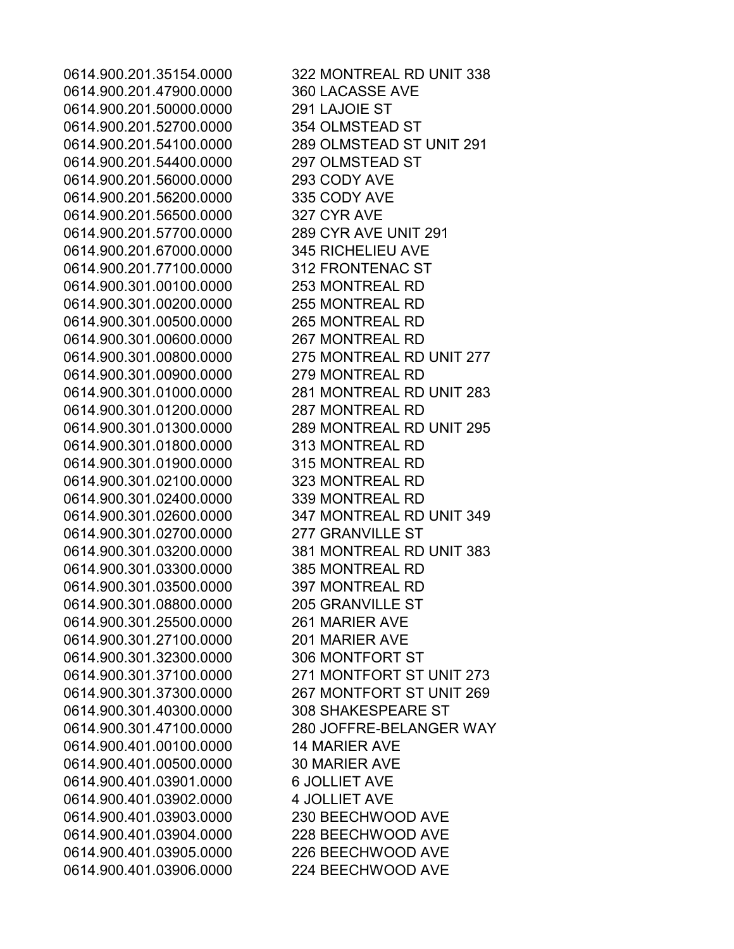0614.900.201.47900.0000 360 LACASSE AVE 0614.900.201.50000.0000 291 LAJOIE ST 0614.900.201.52700.0000 354 OLMSTEAD ST 0614.900.201.54100.0000 289 OLMSTEAD ST UNIT 291 0614.900.201.54400.0000 297 OLMSTEAD ST 0614.900.201.56000.0000 293 CODY AVE 0614.900.201.56200.0000 335 CODY AVE 0614.900.201.56500.0000 327 CYR AVE 0614.900.201.57700.0000 289 CYR AVE UNIT 291 0614.900.201.67000.0000 345 RICHELIEU AVE 0614.900.201.77100.0000 312 FRONTENAC ST 0614.900.301.00100.0000 253 MONTREAL RD 0614.900.301.00200.0000 255 MONTREAL RD 0614.900.301.00500.0000 265 MONTREAL RD 0614.900.301.00600.0000 267 MONTREAL RD 0614.900.301.00800.0000 275 MONTREAL RD UNIT 277 0614.900.301.00900.0000 279 MONTREAL RD 0614.900.301.01000.0000 281 MONTREAL RD UNIT 283 0614.900.301.01200.0000 287 MONTREAL RD 0614.900.301.01300.0000 289 MONTREAL RD UNIT 295 0614.900.301.01800.0000 313 MONTREAL RD 0614.900.301.01900.0000 315 MONTREAL RD 0614.900.301.02100.0000 323 MONTREAL RD 0614.900.301.02400.0000 339 MONTREAL RD 0614.900.301.02600.0000 347 MONTREAL RD UNIT 349 0614.900.301.02700.0000 277 GRANVILLE ST 0614.900.301.03200.0000 381 MONTREAL RD UNIT 383 0614.900.301.03300.0000 385 MONTREAL RD 0614.900.301.03500.0000 397 MONTREAL RD 0614.900.301.08800.0000 205 GRANVILLE ST 0614.900.301.25500.0000 261 MARIER AVE 0614.900.301.27100.0000 201 MARIER AVE 0614.900.301.32300.0000 306 MONTFORT ST 0614.900.301.37100.0000 271 MONTFORT ST UNIT 273 0614.900.301.37300.0000 267 MONTFORT ST UNIT 269 0614.900.301.40300.0000 308 SHAKESPEARE ST 0614.900.401.00100.0000 14 MARIER AVE 0614.900.401.00500.0000 30 MARIER AVE 0614.900.401.03901.0000 6 JOLLIET AVE 0614.900.401.03902.0000 4 JOLLIET AVE 0614.900.401.03903.0000 230 BEECHWOOD AVE 0614.900.401.03904.0000 228 BEECHWOOD AVE 0614.900.401.03905.0000 226 BEECHWOOD AVE 0614.900.401.03906.0000 224 BEECHWOOD AVE

0614.900.201.35154.0000 322 MONTREAL RD UNIT 338 0614.900.301.47100.0000 280 JOFFRE-BELANGER WAY